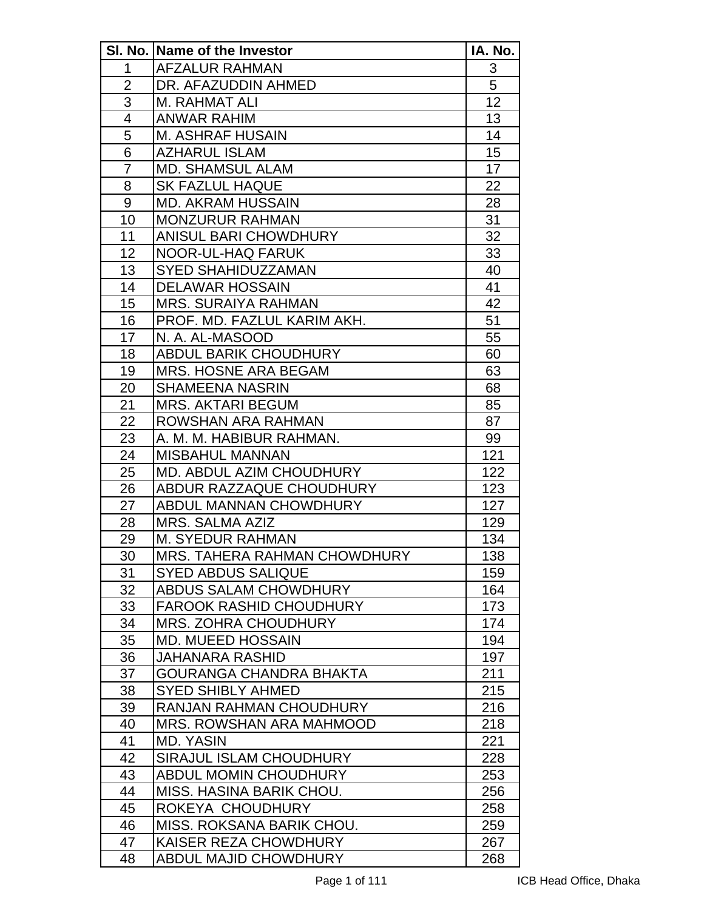|                | SI. No. Name of the Investor   | IA. No. |
|----------------|--------------------------------|---------|
| 1              | <b>AFZALUR RAHMAN</b>          | 3       |
| $\overline{2}$ | DR. AFAZUDDIN AHMED            | 5       |
| 3              | M. RAHMAT ALI                  | 12      |
| $\overline{4}$ | <b>ANWAR RAHIM</b>             | 13      |
| 5              | <b>M. ASHRAF HUSAIN</b>        | 14      |
| 6              | <b>AZHARUL ISLAM</b>           | 15      |
| $\overline{7}$ | <b>MD. SHAMSUL ALAM</b>        | 17      |
| 8              | <b>SK FAZLUL HAQUE</b>         | 22      |
| 9              | <b>MD. AKRAM HUSSAIN</b>       | 28      |
| 10             | <b>MONZURUR RAHMAN</b>         | 31      |
| 11             | ANISUL BARI CHOWDHURY          | 32      |
| 12             | NOOR-UL-HAQ FARUK              | 33      |
| 13             | <b>SYED SHAHIDUZZAMAN</b>      | 40      |
| 14             | <b>DELAWAR HOSSAIN</b>         | 41      |
| 15             | <b>MRS. SURAIYA RAHMAN</b>     | 42      |
| 16             | PROF. MD. FAZLUL KARIM AKH.    | 51      |
| 17             | N. A. AL-MASOOD                | 55      |
| 18             | <b>ABDUL BARIK CHOUDHURY</b>   | 60      |
| 19             | <b>MRS. HOSNE ARA BEGAM</b>    | 63      |
| 20             | <b>SHAMEENA NASRIN</b>         | 68      |
| 21             | <b>MRS. AKTARI BEGUM</b>       | 85      |
| 22             | ROWSHAN ARA RAHMAN             | 87      |
| 23             | A. M. M. HABIBUR RAHMAN.       | 99      |
| 24             | <b>MISBAHUL MANNAN</b>         | 121     |
| 25             | MD. ABDUL AZIM CHOUDHURY       | 122     |
| 26             | ABDUR RAZZAQUE CHOUDHURY       | 123     |
| 27             | <b>ABDUL MANNAN CHOWDHURY</b>  | 127     |
| 28             | <b>MRS. SALMA AZIZ</b>         | 129     |
| 29             | <b>M. SYEDUR RAHMAN</b>        | 134     |
| 30             | MRS. TAHERA RAHMAN CHOWDHURY   | 138     |
| 31             | <b>SYED ABDUS SALIQUE</b>      | 159     |
| 32             | <b>ABDUS SALAM CHOWDHURY</b>   | 164     |
| 33             | <b>FAROOK RASHID CHOUDHURY</b> | 173     |
| 34             | <b>MRS. ZOHRA CHOUDHURY</b>    | 174     |
| 35             | <b>MD. MUEED HOSSAIN</b>       | 194     |
| 36             | <b>JAHANARA RASHID</b>         | 197     |
| 37             | <b>GOURANGA CHANDRA BHAKTA</b> | 211     |
| 38             | <b>SYED SHIBLY AHMED</b>       | 215     |
| 39             | <b>RANJAN RAHMAN CHOUDHURY</b> | 216     |
| 40             | MRS. ROWSHAN ARA MAHMOOD       | 218     |
| 41             | <b>MD. YASIN</b>               | 221     |
| 42             | SIRAJUL ISLAM CHOUDHURY        | 228     |
| 43             | <b>ABDUL MOMIN CHOUDHURY</b>   | 253     |
| 44             | MISS. HASINA BARIK CHOU.       | 256     |
| 45             | ROKEYA CHOUDHURY               | 258     |
| 46             | MISS. ROKSANA BARIK CHOU.      | 259     |
| 47             | KAISER REZA CHOWDHURY          | 267     |
| 48             | <b>ABDUL MAJID CHOWDHURY</b>   | 268     |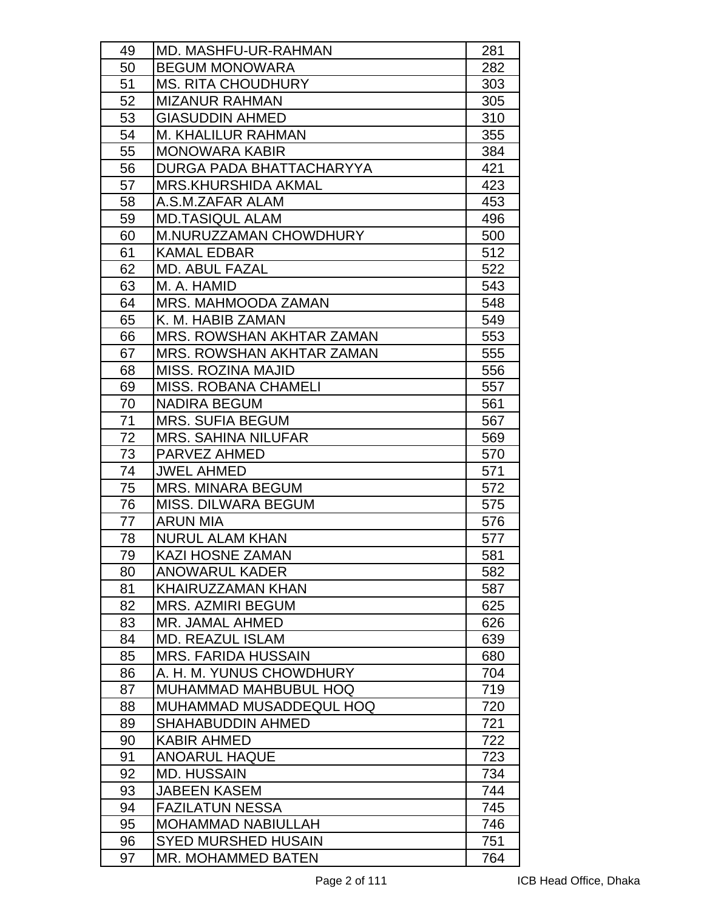| 49 | MD. MASHFU-UR-RAHMAN             | 281 |
|----|----------------------------------|-----|
| 50 | <b>BEGUM MONOWARA</b>            | 282 |
| 51 | <b>MS. RITA CHOUDHURY</b>        | 303 |
| 52 | <b>MIZANUR RAHMAN</b>            | 305 |
| 53 | <b>GIASUDDIN AHMED</b>           | 310 |
| 54 | <b>M. KHALILUR RAHMAN</b>        | 355 |
| 55 | <b>MONOWARA KABIR</b>            | 384 |
| 56 | DURGA PADA BHATTACHARYYA         | 421 |
| 57 | <b>MRS.KHURSHIDA AKMAL</b>       | 423 |
| 58 | A.S.M.ZAFAR ALAM                 | 453 |
| 59 | <b>MD.TASIQUL ALAM</b>           | 496 |
| 60 | M.NURUZZAMAN CHOWDHURY           | 500 |
| 61 | <b>KAMAL EDBAR</b>               | 512 |
| 62 | <b>MD. ABUL FAZAL</b>            | 522 |
| 63 | M. A. HAMID                      | 543 |
| 64 | MRS. MAHMOODA ZAMAN              | 548 |
| 65 | K. M. HABIB ZAMAN                | 549 |
| 66 | MRS. ROWSHAN AKHTAR ZAMAN        | 553 |
| 67 | <b>MRS. ROWSHAN AKHTAR ZAMAN</b> | 555 |
| 68 | <b>MISS. ROZINA MAJID</b>        | 556 |
| 69 | <b>MISS, ROBANA CHAMELI</b>      | 557 |
| 70 | <b>NADIRA BEGUM</b>              | 561 |
| 71 | <b>MRS. SUFIA BEGUM</b>          | 567 |
| 72 | <b>MRS. SAHINA NILUFAR</b>       | 569 |
| 73 | <b>PARVEZ AHMED</b>              | 570 |
| 74 | <b>JWEL AHMED</b>                | 571 |
| 75 | <b>MRS. MINARA BEGUM</b>         | 572 |
| 76 | MISS, DILWARA BEGUM              | 575 |
| 77 | <b>ARUN MIA</b>                  | 576 |
| 78 | <b>NURUL ALAM KHAN</b>           | 577 |
| 79 | <b>KAZI HOSNE ZAMAN</b>          | 581 |
| 80 | <b>ANOWARUL KADER</b>            | 582 |
| 81 | KHAIRUZZAMAN KHAN                | 587 |
| 82 | <b>MRS. AZMIRI BEGUM</b>         | 625 |
| 83 | MR. JAMAL AHMED                  | 626 |
| 84 | <b>MD. REAZUL ISLAM</b>          | 639 |
| 85 | <b>MRS. FARIDA HUSSAIN</b>       | 680 |
| 86 | A. H. M. YUNUS CHOWDHURY         | 704 |
| 87 | <b>MUHAMMAD MAHBUBUL HOQ</b>     | 719 |
| 88 | MUHAMMAD MUSADDEQUL HOQ          | 720 |
| 89 | SHAHABUDDIN AHMED                | 721 |
| 90 | <b>KABIR AHMED</b>               | 722 |
| 91 | <b>ANOARUL HAQUE</b>             | 723 |
| 92 | <b>MD. HUSSAIN</b>               | 734 |
| 93 | <b>JABEEN KASEM</b>              | 744 |
| 94 | <b>FAZILATUN NESSA</b>           | 745 |
| 95 | <b>MOHAMMAD NABIULLAH</b>        | 746 |
| 96 | <b>SYED MURSHED HUSAIN</b>       | 751 |
| 97 | MR. MOHAMMED BATEN               | 764 |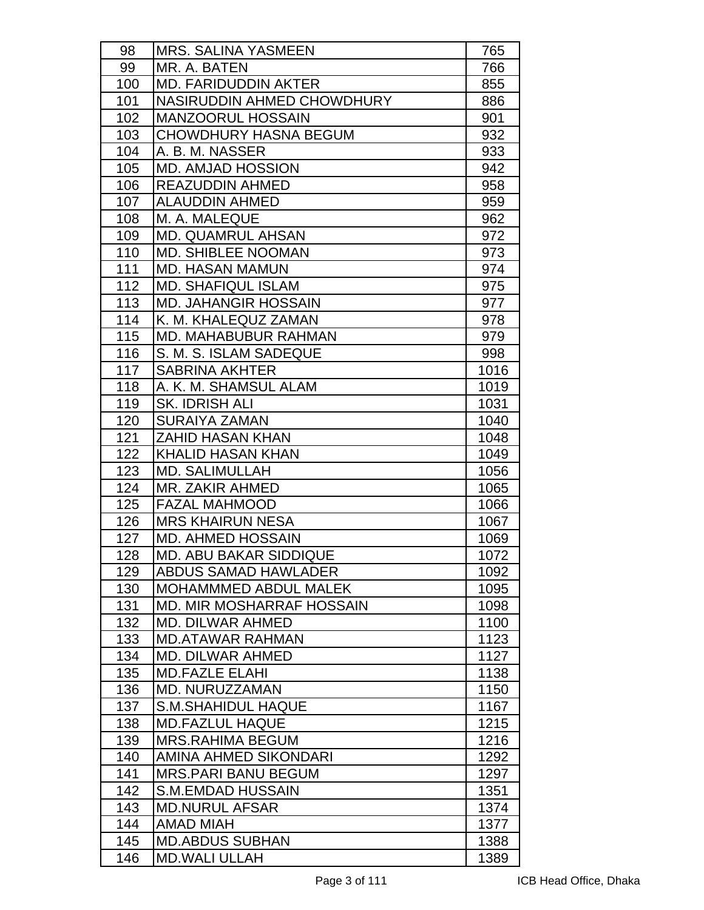| 98  | <b>MRS. SALINA YASMEEN</b>       | 765  |
|-----|----------------------------------|------|
| 99  | MR. A. BATEN                     | 766  |
| 100 | <b>MD. FARIDUDDIN AKTER</b>      | 855  |
| 101 | NASIRUDDIN AHMED CHOWDHURY       | 886  |
| 102 | <b>MANZOORUL HOSSAIN</b>         | 901  |
| 103 | <b>CHOWDHURY HASNA BEGUM</b>     | 932  |
| 104 | A. B. M. NASSER                  | 933  |
| 105 | <b>MD. AMJAD HOSSION</b>         | 942  |
| 106 | <b>REAZUDDIN AHMED</b>           | 958  |
| 107 | <b>ALAUDDIN AHMED</b>            | 959  |
| 108 | M. A. MALEQUE                    | 962  |
| 109 | <b>MD. QUAMRUL AHSAN</b>         | 972  |
| 110 | <b>MD. SHIBLEE NOOMAN</b>        | 973  |
| 111 | <b>MD. HASAN MAMUN</b>           | 974  |
| 112 | <b>MD. SHAFIQUL ISLAM</b>        | 975  |
| 113 | <b>MD. JAHANGIR HOSSAIN</b>      | 977  |
| 114 | K. M. KHALEQUZ ZAMAN             | 978  |
| 115 | <b>MD. MAHABUBUR RAHMAN</b>      | 979  |
| 116 | S. M. S. ISLAM SADEQUE           | 998  |
| 117 | <b>SABRINA AKHTER</b>            | 1016 |
| 118 | A. K. M. SHAMSUL ALAM            | 1019 |
| 119 | SK. IDRISH ALI                   | 1031 |
| 120 | <b>SURAIYA ZAMAN</b>             | 1040 |
| 121 | <b>ZAHID HASAN KHAN</b>          | 1048 |
| 122 | <b>KHALID HASAN KHAN</b>         | 1049 |
| 123 | <b>MD. SALIMULLAH</b>            | 1056 |
| 124 | MR. ZAKIR AHMED                  | 1065 |
| 125 | <b>FAZAL MAHMOOD</b>             | 1066 |
| 126 | <b>MRS KHAIRUN NESA</b>          | 1067 |
| 127 | <b>MD. AHMED HOSSAIN</b>         | 1069 |
| 128 | <b>MD. ABU BAKAR SIDDIQUE</b>    | 1072 |
| 129 | <b>ABDUS SAMAD HAWLADER</b>      | 1092 |
| 130 | MOHAMMMED ABDUL MALEK            | 1095 |
| 131 | <b>MD. MIR MOSHARRAF HOSSAIN</b> | 1098 |
| 132 | MD. DILWAR AHMED                 | 1100 |
| 133 | <b>MD.ATAWAR RAHMAN</b>          | 1123 |
| 134 | <b>MD. DILWAR AHMED</b>          | 1127 |
| 135 | <b>MD.FAZLE ELAHI</b>            | 1138 |
| 136 | MD. NURUZZAMAN                   | 1150 |
| 137 | <b>S.M.SHAHIDUL HAQUE</b>        | 1167 |
| 138 | <b>MD.FAZLUL HAQUE</b>           | 1215 |
| 139 | <b>MRS.RAHIMA BEGUM</b>          | 1216 |
| 140 | AMINA AHMED SIKONDARI            | 1292 |
| 141 | <b>MRS.PARI BANU BEGUM</b>       | 1297 |
| 142 | <b>S.M.EMDAD HUSSAIN</b>         | 1351 |
| 143 | <b>MD.NURUL AFSAR</b>            | 1374 |
| 144 | <b>AMAD MIAH</b>                 | 1377 |
| 145 | <b>MD.ABDUS SUBHAN</b>           | 1388 |
| 146 | <b>MD.WALI ULLAH</b>             | 1389 |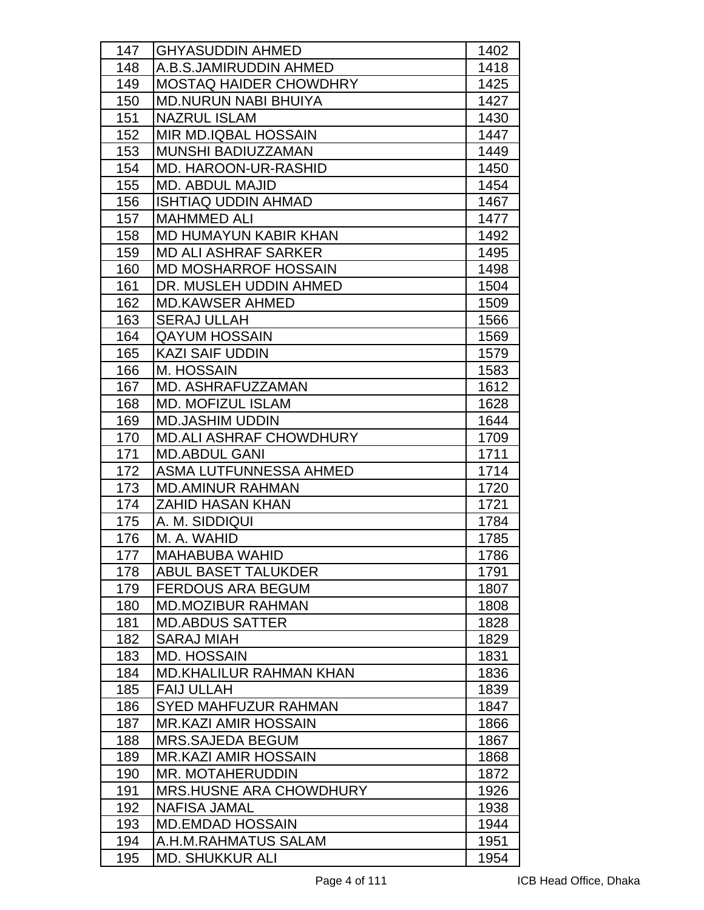| 147 | <b>GHYASUDDIN AHMED</b>        | 1402 |
|-----|--------------------------------|------|
| 148 | A.B.S.JAMIRUDDIN AHMED         | 1418 |
| 149 | <b>MOSTAQ HAIDER CHOWDHRY</b>  | 1425 |
| 150 | <b>MD.NURUN NABI BHUIYA</b>    | 1427 |
| 151 | <b>NAZRUL ISLAM</b>            | 1430 |
| 152 | MIR MD.IQBAL HOSSAIN           | 1447 |
| 153 | MUNSHI BADIUZZAMAN             | 1449 |
| 154 | <b>MD. HAROON-UR-RASHID</b>    | 1450 |
| 155 | <b>MD. ABDUL MAJID</b>         | 1454 |
| 156 | <b>ISHTIAQ UDDIN AHMAD</b>     | 1467 |
| 157 | <b>MAHMMED ALI</b>             | 1477 |
| 158 | MD HUMAYUN KABIR KHAN          | 1492 |
| 159 | <b>MD ALI ASHRAF SARKER</b>    | 1495 |
| 160 | <b>MD MOSHARROF HOSSAIN</b>    | 1498 |
| 161 | DR. MUSLEH UDDIN AHMED         | 1504 |
| 162 | <b>MD.KAWSER AHMED</b>         | 1509 |
| 163 | <b>SERAJ ULLAH</b>             | 1566 |
| 164 | <b>QAYUM HOSSAIN</b>           | 1569 |
| 165 | <b>KAZI SAIF UDDIN</b>         | 1579 |
| 166 | M. HOSSAIN                     | 1583 |
| 167 | MD. ASHRAFUZZAMAN              | 1612 |
| 168 | <b>MD. MOFIZUL ISLAM</b>       | 1628 |
| 169 | <b>MD.JASHIM UDDIN</b>         | 1644 |
| 170 | <b>MD.ALI ASHRAF CHOWDHURY</b> | 1709 |
| 171 | <b>MD.ABDUL GANI</b>           | 1711 |
| 172 | ASMA LUTFUNNESSA AHMED         | 1714 |
| 173 | <b>MD.AMINUR RAHMAN</b>        | 1720 |
| 174 | <b>ZAHID HASAN KHAN</b>        | 1721 |
| 175 | A. M. SIDDIQUI                 | 1784 |
| 176 | M. A. WAHID                    | 1785 |
| 177 | <b>MAHABUBA WAHID</b>          | 1786 |
| 178 | <b>ABUL BASET TALUKDER</b>     | 1791 |
| 179 | <b>FERDOUS ARA BEGUM</b>       | 1807 |
| 180 | <b>MD.MOZIBUR RAHMAN</b>       | 1808 |
| 181 | <b>MD.ABDUS SATTER</b>         | 1828 |
| 182 | <b>SARAJ MIAH</b>              | 1829 |
| 183 | <b>MD. HOSSAIN</b>             | 1831 |
| 184 | <b>MD.KHALILUR RAHMAN KHAN</b> | 1836 |
| 185 | <b>FAIJ ULLAH</b>              | 1839 |
| 186 | <b>SYED MAHFUZUR RAHMAN</b>    | 1847 |
| 187 | <b>MR.KAZI AMIR HOSSAIN</b>    | 1866 |
| 188 | <b>MRS.SAJEDA BEGUM</b>        | 1867 |
| 189 | <b>MR.KAZI AMIR HOSSAIN</b>    | 1868 |
| 190 | <b>MR. MOTAHERUDDIN</b>        | 1872 |
| 191 | <b>MRS.HUSNE ARA CHOWDHURY</b> | 1926 |
| 192 | <b>NAFISA JAMAL</b>            | 1938 |
| 193 | <b>MD.EMDAD HOSSAIN</b>        | 1944 |
| 194 | A.H.M.RAHMATUS SALAM           | 1951 |
| 195 | <b>MD. SHUKKUR ALI</b>         | 1954 |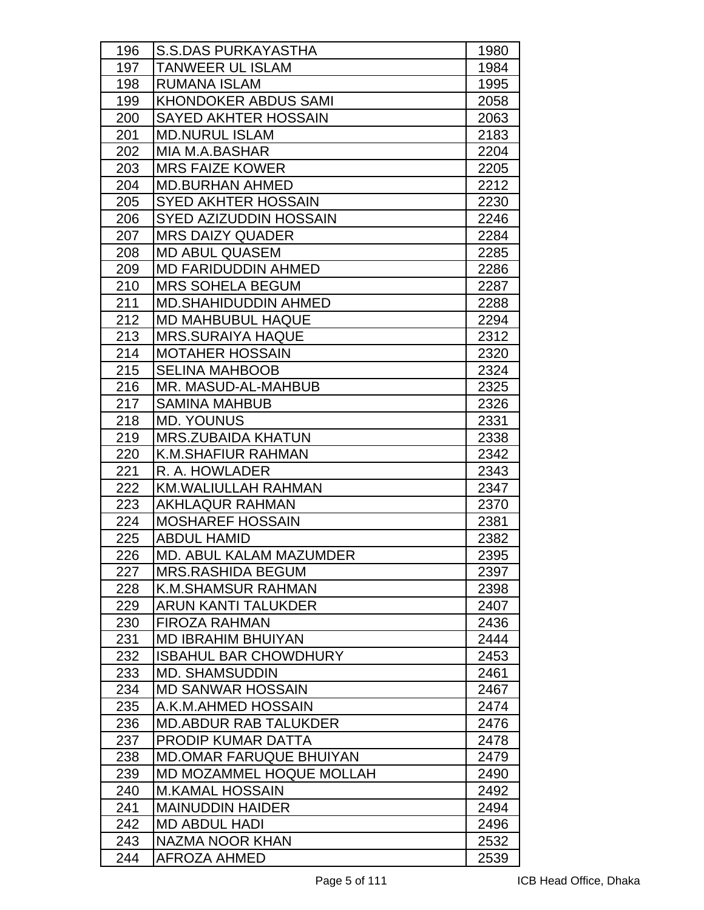| 196        | <b>S.S.DAS PURKAYASTHA</b>                    |              |
|------------|-----------------------------------------------|--------------|
| 197        | <b>TANWEER UL ISLAM</b>                       | 1980<br>1984 |
| 198        | <b>RUMANA ISLAM</b>                           | 1995         |
|            | <b>KHONDOKER ABDUS SAMI</b>                   | 2058         |
| 199        |                                               |              |
| 200<br>201 | SAYED AKHTER HOSSAIN<br><b>MD.NURUL ISLAM</b> | 2063<br>2183 |
|            | MIA M.A.BASHAR                                |              |
| 202        |                                               | 2204         |
| 203        | <b>MRS FAIZE KOWER</b>                        | 2205         |
| 204        | <b>MD.BURHAN AHMED</b>                        | 2212         |
| 205        | <b>SYED AKHTER HOSSAIN</b>                    | 2230         |
| 206        | <b>SYED AZIZUDDIN HOSSAIN</b>                 | 2246         |
| 207        | <b>MRS DAIZY QUADER</b>                       | 2284         |
| 208        | <b>MD ABUL QUASEM</b>                         | 2285         |
| 209        | <b>MD FARIDUDDIN AHMED</b>                    | 2286         |
| 210        | <b>MRS SOHELA BEGUM</b>                       | 2287         |
| 211        | <b>MD.SHAHIDUDDIN AHMED</b>                   | 2288         |
| 212        | <b>MD MAHBUBUL HAQUE</b>                      | 2294         |
| 213        | <b>MRS.SURAIYA HAQUE</b>                      | 2312         |
| 214        | <b>MOTAHER HOSSAIN</b>                        | 2320         |
| 215        | <b>SELINA MAHBOOB</b>                         | 2324         |
| 216        | MR. MASUD-AL-MAHBUB                           | 2325         |
| 217        | <b>SAMINA MAHBUB</b>                          | 2326         |
| 218        | <b>MD. YOUNUS</b>                             | 2331         |
| 219        | <b>MRS.ZUBAIDA KHATUN</b>                     | 2338         |
| 220        | <b>K.M.SHAFIUR RAHMAN</b>                     | 2342         |
| 221        | R. A. HOWLADER                                | 2343         |
| 222        | <b>KM.WALIULLAH RAHMAN</b>                    | 2347         |
| 223        | <b>AKHLAQUR RAHMAN</b>                        | 2370         |
| 224        | <b>MOSHAREF HOSSAIN</b>                       | 2381         |
| 225        | <b>ABDUL HAMID</b>                            | 2382         |
| 226        | <b>MD. ABUL KALAM MAZUMDER</b>                | 2395         |
| 227        | <b>MRS.RASHIDA BEGUM</b>                      | 2397         |
| 228        | K.M.SHAMSUR RAHMAN                            | 2398         |
| 229        | ARUN KANTI TALUKDER                           | 2407         |
| 230        | <b>FIROZA RAHMAN</b>                          | 2436         |
| 231        | <b>MD IBRAHIM BHUIYAN</b>                     | 2444         |
| 232        | <b>ISBAHUL BAR CHOWDHURY</b>                  | 2453         |
| 233        | <b>MD. SHAMSUDDIN</b>                         | 2461         |
| 234        | <b>MD SANWAR HOSSAIN</b>                      | 2467         |
| 235        | A.K.M.AHMED HOSSAIN                           | 2474         |
| 236        | <b>MD.ABDUR RAB TALUKDER</b>                  | 2476         |
| 237        | <b>PRODIP KUMAR DATTA</b>                     | 2478         |
| 238        | <b>MD.OMAR FARUQUE BHUIYAN</b>                | 2479         |
| 239        | MD MOZAMMEL HOQUE MOLLAH                      | 2490         |
| 240        | <b>M.KAMAL HOSSAIN</b>                        | 2492         |
| 241        | <b>MAINUDDIN HAIDER</b>                       | 2494         |
| 242        | <b>MD ABDUL HADI</b>                          | 2496         |
| 243        | NAZMA NOOR KHAN                               | 2532         |
| 244        | <b>AFROZA AHMED</b>                           | 2539         |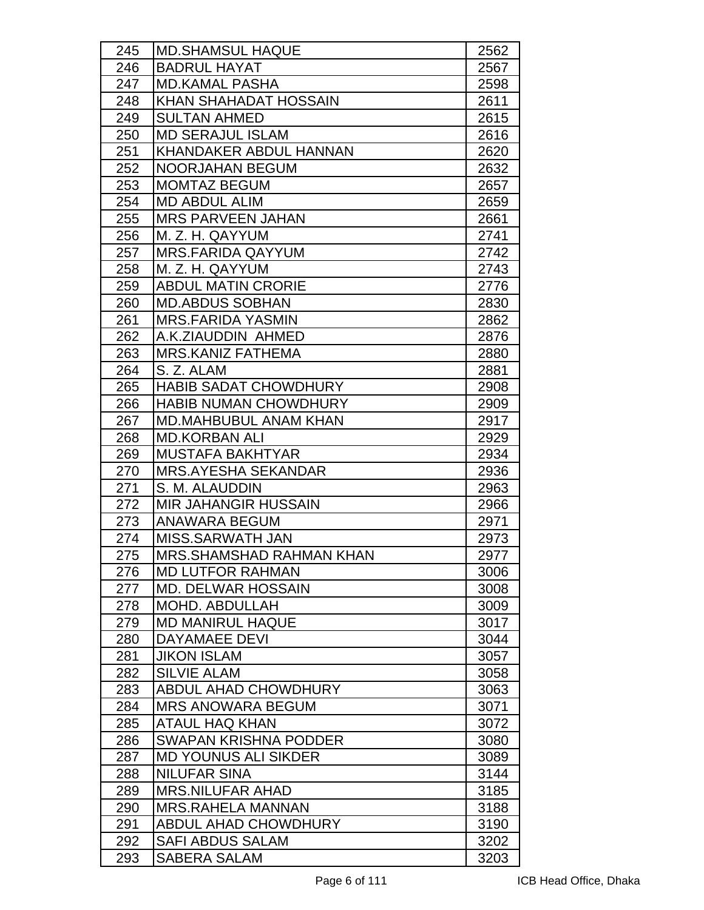| 245 | <b>MD.SHAMSUL HAQUE</b>      | 2562 |
|-----|------------------------------|------|
| 246 | <b>BADRUL HAYAT</b>          | 2567 |
| 247 | <b>MD.KAMAL PASHA</b>        | 2598 |
| 248 | <b>KHAN SHAHADAT HOSSAIN</b> | 2611 |
| 249 | <b>SULTAN AHMED</b>          | 2615 |
| 250 | <b>MD SERAJUL ISLAM</b>      | 2616 |
| 251 | KHANDAKER ABDUL HANNAN       | 2620 |
| 252 | <b>NOORJAHAN BEGUM</b>       | 2632 |
| 253 | <b>MOMTAZ BEGUM</b>          | 2657 |
| 254 | <b>MD ABDUL ALIM</b>         | 2659 |
| 255 | <b>MRS PARVEEN JAHAN</b>     | 2661 |
| 256 | M. Z. H. QAYYUM              | 2741 |
| 257 | <b>MRS.FARIDA QAYYUM</b>     | 2742 |
| 258 | M. Z. H. QAYYUM              | 2743 |
| 259 | <b>ABDUL MATIN CRORIE</b>    | 2776 |
| 260 | <b>MD.ABDUS SOBHAN</b>       | 2830 |
| 261 | <b>MRS.FARIDA YASMIN</b>     | 2862 |
| 262 | A.K.ZIAUDDIN AHMED           | 2876 |
| 263 | <b>MRS.KANIZ FATHEMA</b>     | 2880 |
| 264 | S. Z. ALAM                   | 2881 |
| 265 | <b>HABIB SADAT CHOWDHURY</b> | 2908 |
| 266 | <b>HABIB NUMAN CHOWDHURY</b> | 2909 |
| 267 | <b>MD.MAHBUBUL ANAM KHAN</b> | 2917 |
| 268 | <b>MD.KORBAN ALI</b>         | 2929 |
| 269 | <b>MUSTAFA BAKHTYAR</b>      | 2934 |
| 270 | <b>MRS.AYESHA SEKANDAR</b>   | 2936 |
| 271 | S. M. ALAUDDIN               | 2963 |
| 272 | <b>MIR JAHANGIR HUSSAIN</b>  | 2966 |
| 273 | <b>ANAWARA BEGUM</b>         | 2971 |
| 274 | <b>MISS.SARWATH JAN</b>      | 2973 |
| 275 | MRS.SHAMSHAD RAHMAN KHAN     | 2977 |
| 276 | <b>MD LUTFOR RAHMAN</b>      | 3006 |
| 277 | <b>MD. DELWAR HOSSAIN</b>    | 3008 |
| 278 | <b>MOHD, ABDULLAH</b>        | 3009 |
| 279 | <b>MD MANIRUL HAQUE</b>      | 3017 |
| 280 | DAYAMAEE DEVI                | 3044 |
| 281 | <b>JIKON ISLAM</b>           | 3057 |
| 282 | <b>SILVIE ALAM</b>           | 3058 |
| 283 | <b>ABDUL AHAD CHOWDHURY</b>  | 3063 |
| 284 | <b>MRS ANOWARA BEGUM</b>     | 3071 |
| 285 | <b>ATAUL HAQ KHAN</b>        | 3072 |
| 286 | <b>SWAPAN KRISHNA PODDER</b> | 3080 |
| 287 | <b>MD YOUNUS ALI SIKDER</b>  | 3089 |
| 288 | <b>NILUFAR SINA</b>          | 3144 |
| 289 | <b>MRS.NILUFAR AHAD</b>      | 3185 |
| 290 | <b>MRS.RAHELA MANNAN</b>     | 3188 |
| 291 | <b>ABDUL AHAD CHOWDHURY</b>  | 3190 |
| 292 | <b>SAFI ABDUS SALAM</b>      | 3202 |
| 293 | <b>SABERA SALAM</b>          | 3203 |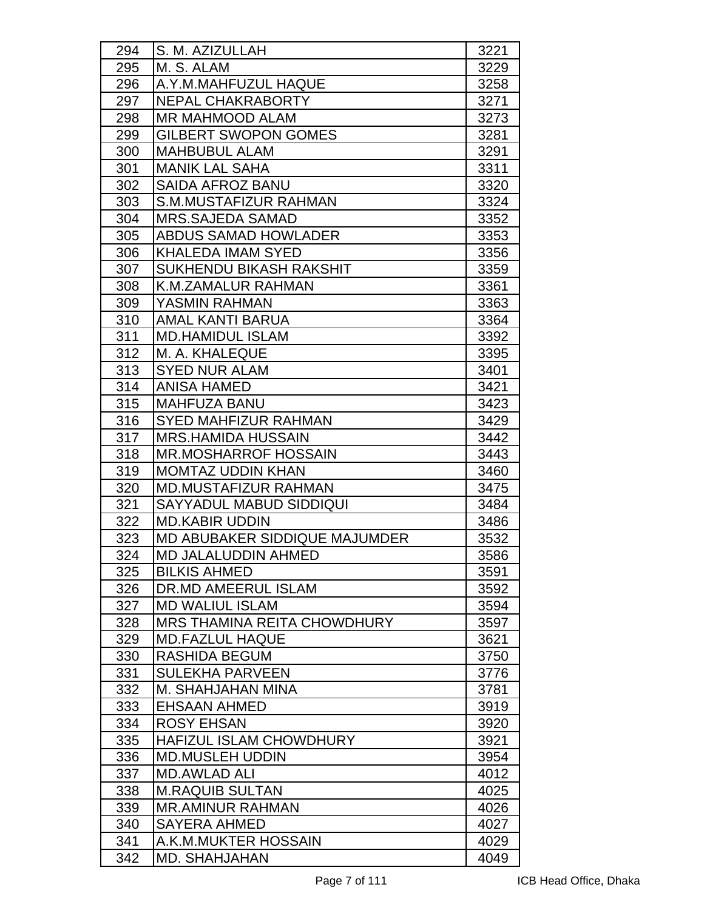| 294 | S. M. AZIZULLAH                      | 3221 |
|-----|--------------------------------------|------|
| 295 | M. S. ALAM                           | 3229 |
| 296 | A.Y.M.MAHFUZUL HAQUE                 | 3258 |
| 297 | NEPAL CHAKRABORTY                    | 3271 |
| 298 | <b>MR MAHMOOD ALAM</b>               | 3273 |
| 299 | <b>GILBERT SWOPON GOMES</b>          | 3281 |
| 300 | <b>MAHBUBUL ALAM</b>                 | 3291 |
| 301 | <b>MANIK LAL SAHA</b>                | 3311 |
| 302 | <b>SAIDA AFROZ BANU</b>              | 3320 |
| 303 | S.M.MUSTAFIZUR RAHMAN                | 3324 |
| 304 | <b>MRS.SAJEDA SAMAD</b>              | 3352 |
| 305 | <b>ABDUS SAMAD HOWLADER</b>          | 3353 |
| 306 | <b>KHALEDA IMAM SYED</b>             | 3356 |
| 307 | <b>SUKHENDU BIKASH RAKSHIT</b>       | 3359 |
| 308 | <b>K.M.ZAMALUR RAHMAN</b>            | 3361 |
| 309 | YASMIN RAHMAN                        | 3363 |
| 310 | <b>AMAL KANTI BARUA</b>              | 3364 |
| 311 | <b>MD.HAMIDUL ISLAM</b>              | 3392 |
| 312 | M. A. KHALEQUE                       | 3395 |
| 313 | <b>SYED NUR ALAM</b>                 | 3401 |
| 314 | <b>ANISA HAMED</b>                   | 3421 |
| 315 | <b>MAHFUZA BANU</b>                  | 3423 |
| 316 | <b>SYED MAHFIZUR RAHMAN</b>          | 3429 |
| 317 | <b>MRS.HAMIDA HUSSAIN</b>            | 3442 |
| 318 | <b>MR.MOSHARROF HOSSAIN</b>          | 3443 |
| 319 | <b>MOMTAZ UDDIN KHAN</b>             | 3460 |
| 320 | <b>MD.MUSTAFIZUR RAHMAN</b>          | 3475 |
| 321 | <b>SAYYADUL MABUD SIDDIQUI</b>       | 3484 |
| 322 | <b>MD.KABIR UDDIN</b>                | 3486 |
| 323 | <b>MD ABUBAKER SIDDIQUE MAJUMDER</b> | 3532 |
| 324 | MD JALALUDDIN AHMED                  | 3586 |
| 325 | <b>BILKIS AHMED</b>                  | 3591 |
| 326 | DR.MD AMEERUL ISLAM                  | 3592 |
| 327 | <b>MD WALIUL ISLAM</b>               | 3594 |
| 328 | <b>MRS THAMINA REITA CHOWDHURY</b>   | 3597 |
| 329 | <b>MD.FAZLUL HAQUE</b>               | 3621 |
| 330 | RASHIDA BEGUM                        | 3750 |
| 331 | <b>SULEKHA PARVEEN</b>               | 3776 |
| 332 | M. SHAHJAHAN MINA                    | 3781 |
| 333 | <b>EHSAAN AHMED</b>                  | 3919 |
| 334 | <b>ROSY EHSAN</b>                    | 3920 |
| 335 | <b>HAFIZUL ISLAM CHOWDHURY</b>       | 3921 |
| 336 | <b>MD.MUSLEH UDDIN</b>               | 3954 |
| 337 | <b>MD.AWLAD ALI</b>                  | 4012 |
| 338 | <b>M.RAQUIB SULTAN</b>               | 4025 |
| 339 | <b>MR.AMINUR RAHMAN</b>              | 4026 |
| 340 | <b>SAYERA AHMED</b>                  | 4027 |
| 341 | A.K.M.MUKTER HOSSAIN                 | 4029 |
| 342 | MD. SHAHJAHAN                        | 4049 |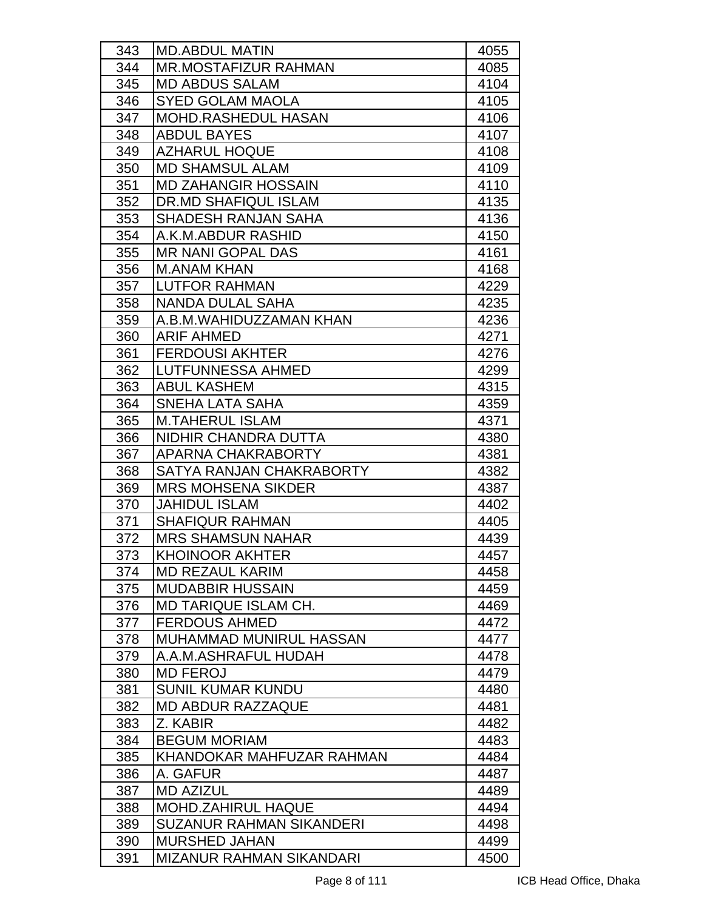| 343 | <b>MD.ABDUL MATIN</b>           | 4055 |
|-----|---------------------------------|------|
| 344 | <b>MR.MOSTAFIZUR RAHMAN</b>     | 4085 |
| 345 | <b>MD ABDUS SALAM</b>           | 4104 |
| 346 | <b>SYED GOLAM MAOLA</b>         | 4105 |
| 347 | <b>MOHD.RASHEDUL HASAN</b>      | 4106 |
| 348 | <b>ABDUL BAYES</b>              | 4107 |
| 349 | <b>AZHARUL HOQUE</b>            | 4108 |
| 350 | <b>MD SHAMSUL ALAM</b>          | 4109 |
| 351 | <b>MD ZAHANGIR HOSSAIN</b>      | 4110 |
| 352 | <b>DR.MD SHAFIQUL ISLAM</b>     | 4135 |
| 353 | <b>SHADESH RANJAN SAHA</b>      | 4136 |
| 354 | A.K.M.ABDUR RASHID              | 4150 |
| 355 | <b>MR NANI GOPAL DAS</b>        | 4161 |
| 356 | <b>M.ANAM KHAN</b>              | 4168 |
| 357 | <b>LUTFOR RAHMAN</b>            | 4229 |
| 358 | NANDA DULAL SAHA                | 4235 |
| 359 | A.B.M.WAHIDUZZAMAN KHAN         | 4236 |
| 360 | <b>ARIF AHMED</b>               | 4271 |
| 361 | <b>FERDOUSI AKHTER</b>          | 4276 |
| 362 | <b>LUTFUNNESSA AHMED</b>        | 4299 |
| 363 | <b>ABUL KASHEM</b>              | 4315 |
| 364 | SNEHA LATA SAHA                 | 4359 |
| 365 | <b>M.TAHERUL ISLAM</b>          | 4371 |
| 366 | NIDHIR CHANDRA DUTTA            | 4380 |
| 367 | APARNA CHAKRABORTY              | 4381 |
| 368 | SATYA RANJAN CHAKRABORTY        | 4382 |
| 369 | <b>MRS MOHSENA SIKDER</b>       | 4387 |
| 370 | <b>JAHIDUL ISLAM</b>            | 4402 |
| 371 | <b>SHAFIQUR RAHMAN</b>          | 4405 |
| 372 | <b>MRS SHAMSUN NAHAR</b>        | 4439 |
| 373 | <b>KHOINOOR AKHTER</b>          | 4457 |
| 374 | <b>MD REZAUL KARIM</b>          | 4458 |
| 375 | <b>MUDABBIR HUSSAIN</b>         | 4459 |
| 376 | <b>MD TARIQUE ISLAM CH.</b>     | 4469 |
| 377 | <b>FERDOUS AHMED</b>            | 4472 |
| 378 | <b>MUHAMMAD MUNIRUL HASSAN</b>  | 4477 |
| 379 | A.A.M.ASHRAFUL HUDAH            | 4478 |
| 380 | <b>MD FEROJ</b>                 | 4479 |
| 381 | <b>SUNIL KUMAR KUNDU</b>        | 4480 |
| 382 | <b>MD ABDUR RAZZAQUE</b>        | 4481 |
| 383 | Z. KABIR                        | 4482 |
| 384 | <b>BEGUM MORIAM</b>             | 4483 |
| 385 | KHANDOKAR MAHFUZAR RAHMAN       | 4484 |
| 386 | A. GAFUR                        | 4487 |
| 387 | <b>MD AZIZUL</b>                | 4489 |
| 388 | <b>MOHD.ZAHIRUL HAQUE</b>       | 4494 |
| 389 | <b>SUZANUR RAHMAN SIKANDERI</b> | 4498 |
| 390 | <b>MURSHED JAHAN</b>            | 4499 |
| 391 | <b>MIZANUR RAHMAN SIKANDARI</b> | 4500 |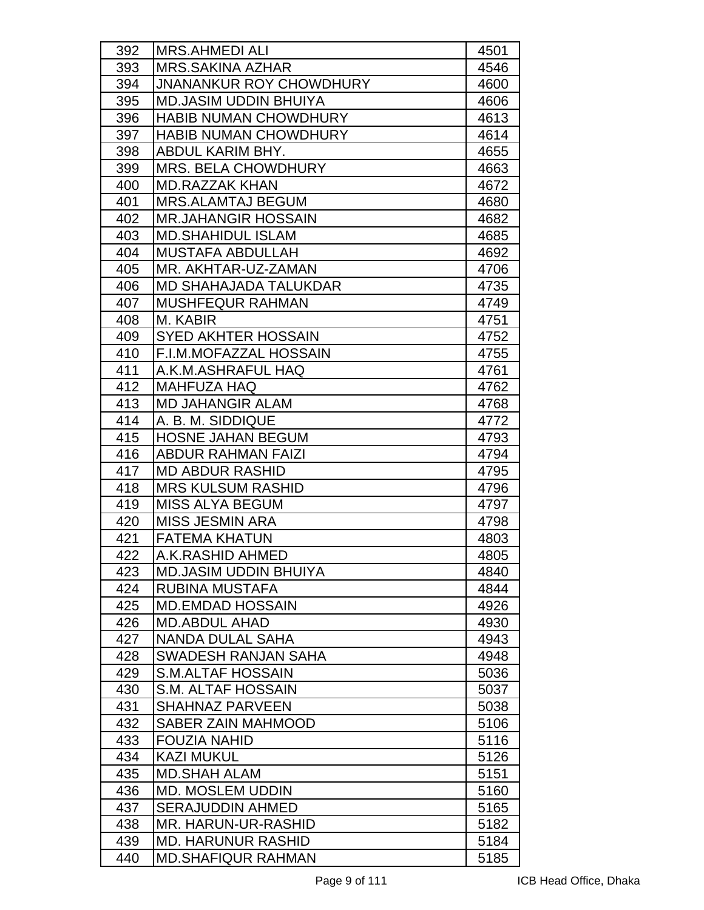| 392 | <b>MRS.AHMEDI ALI</b>          | 4501 |
|-----|--------------------------------|------|
| 393 | <b>MRS.SAKINA AZHAR</b>        | 4546 |
| 394 | <b>JNANANKUR ROY CHOWDHURY</b> | 4600 |
| 395 | <b>MD.JASIM UDDIN BHUIYA</b>   | 4606 |
| 396 | <b>HABIB NUMAN CHOWDHURY</b>   | 4613 |
| 397 | <b>HABIB NUMAN CHOWDHURY</b>   | 4614 |
| 398 | ABDUL KARIM BHY.               | 4655 |
| 399 | <b>MRS. BELA CHOWDHURY</b>     | 4663 |
| 400 | <b>MD.RAZZAK KHAN</b>          | 4672 |
| 401 | <b>MRS.ALAMTAJ BEGUM</b>       | 4680 |
| 402 | <b>MR.JAHANGIR HOSSAIN</b>     | 4682 |
| 403 | <b>MD.SHAHIDUL ISLAM</b>       | 4685 |
| 404 | <b>MUSTAFA ABDULLAH</b>        | 4692 |
| 405 | MR. AKHTAR-UZ-ZAMAN            | 4706 |
| 406 | <b>MD SHAHAJADA TALUKDAR</b>   | 4735 |
| 407 | <b>MUSHFEQUR RAHMAN</b>        | 4749 |
| 408 | M. KABIR                       | 4751 |
| 409 | <b>SYED AKHTER HOSSAIN</b>     | 4752 |
| 410 | <b>F.I.M.MOFAZZAL HOSSAIN</b>  | 4755 |
| 411 | A.K.M.ASHRAFUL HAQ             | 4761 |
| 412 | <b>MAHFUZA HAQ</b>             | 4762 |
| 413 | <b>MD JAHANGIR ALAM</b>        | 4768 |
| 414 | A. B. M. SIDDIQUE              | 4772 |
| 415 | <b>HOSNE JAHAN BEGUM</b>       | 4793 |
| 416 | <b>ABDUR RAHMAN FAIZI</b>      | 4794 |
| 417 | <b>MD ABDUR RASHID</b>         | 4795 |
| 418 | <b>MRS KULSUM RASHID</b>       | 4796 |
| 419 | <b>MISS ALYA BEGUM</b>         | 4797 |
| 420 | <b>MISS JESMIN ARA</b>         | 4798 |
| 421 | <b>FATEMA KHATUN</b>           | 4803 |
| 422 | A.K.RASHID AHMED               | 4805 |
| 423 | <b>MD.JASIM UDDIN BHUIYA</b>   | 4840 |
| 424 | <b>RUBINA MUSTAFA</b>          | 4844 |
| 425 | <b>MD.EMDAD HOSSAIN</b>        | 4926 |
| 426 | <b>MD.ABDUL AHAD</b>           | 4930 |
| 427 | NANDA DULAL SAHA               | 4943 |
| 428 | SWADESH RANJAN SAHA            | 4948 |
| 429 | <b>S.M.ALTAF HOSSAIN</b>       | 5036 |
| 430 | S.M. ALTAF HOSSAIN             | 5037 |
| 431 | <b>SHAHNAZ PARVEEN</b>         | 5038 |
| 432 | <b>SABER ZAIN MAHMOOD</b>      | 5106 |
| 433 | <b>FOUZIA NAHID</b>            | 5116 |
| 434 | <b>KAZI MUKUL</b>              | 5126 |
| 435 | <b>MD.SHAH ALAM</b>            | 5151 |
| 436 | <b>MD. MOSLEM UDDIN</b>        | 5160 |
| 437 | <b>SERAJUDDIN AHMED</b>        | 5165 |
| 438 | MR. HARUN-UR-RASHID            | 5182 |
| 439 | <b>MD. HARUNUR RASHID</b>      | 5184 |
| 440 | <b>MD.SHAFIQUR RAHMAN</b>      | 5185 |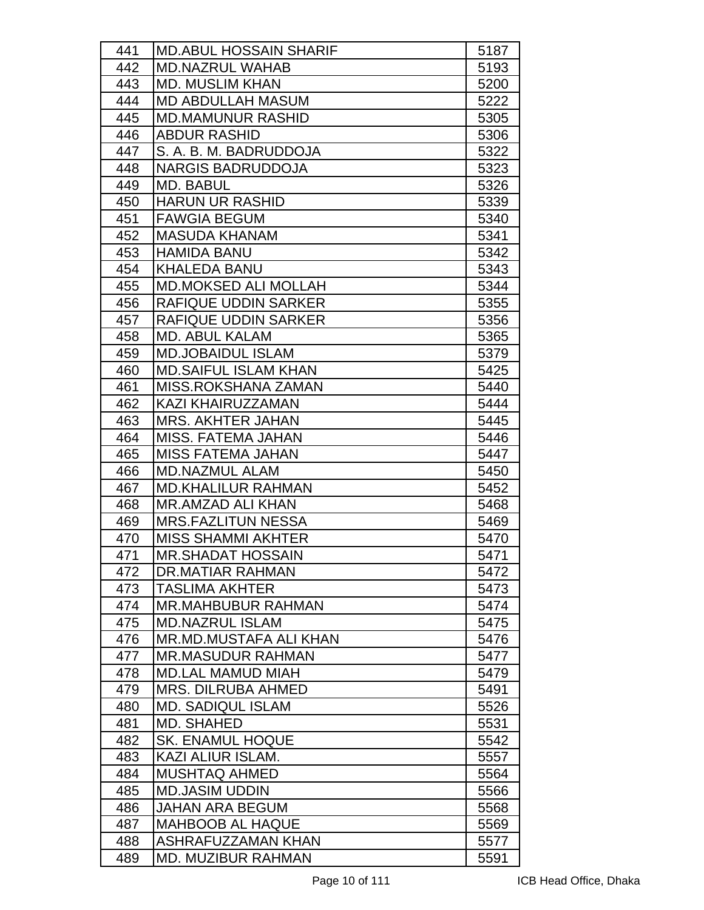| 441 | <b>MD.ABUL HOSSAIN SHARIF</b> | 5187 |
|-----|-------------------------------|------|
| 442 | <b>MD.NAZRUL WAHAB</b>        | 5193 |
| 443 | <b>MD. MUSLIM KHAN</b>        | 5200 |
| 444 | <b>MD ABDULLAH MASUM</b>      | 5222 |
| 445 | <b>MD.MAMUNUR RASHID</b>      | 5305 |
| 446 | <b>ABDUR RASHID</b>           | 5306 |
| 447 | S. A. B. M. BADRUDDOJA        | 5322 |
| 448 | <b>NARGIS BADRUDDOJA</b>      | 5323 |
| 449 | <b>MD. BABUL</b>              | 5326 |
| 450 | <b>HARUN UR RASHID</b>        | 5339 |
| 451 | <b>FAWGIA BEGUM</b>           | 5340 |
| 452 | <b>MASUDA KHANAM</b>          | 5341 |
| 453 | <b>HAMIDA BANU</b>            | 5342 |
| 454 | <b>KHALEDA BANU</b>           | 5343 |
| 455 | <b>MD.MOKSED ALI MOLLAH</b>   | 5344 |
| 456 | <b>RAFIQUE UDDIN SARKER</b>   | 5355 |
| 457 | <b>RAFIQUE UDDIN SARKER</b>   | 5356 |
| 458 | <b>MD. ABUL KALAM</b>         | 5365 |
| 459 | <b>MD.JOBAIDUL ISLAM</b>      | 5379 |
| 460 | <b>MD.SAIFUL ISLAM KHAN</b>   | 5425 |
| 461 | MISS.ROKSHANA ZAMAN           | 5440 |
| 462 | <b>KAZI KHAIRUZZAMAN</b>      | 5444 |
| 463 | <b>MRS. AKHTER JAHAN</b>      | 5445 |
| 464 | <b>MISS. FATEMA JAHAN</b>     | 5446 |
| 465 | <b>MISS FATEMA JAHAN</b>      | 5447 |
| 466 | <b>MD.NAZMUL ALAM</b>         | 5450 |
| 467 | <b>MD.KHALILUR RAHMAN</b>     | 5452 |
| 468 | <b>MR.AMZAD ALI KHAN</b>      | 5468 |
| 469 | <b>MRS.FAZLITUN NESSA</b>     | 5469 |
| 470 | <b>MISS SHAMMI AKHTER</b>     | 5470 |
| 471 | <b>MR.SHADAT HOSSAIN</b>      | 5471 |
| 472 | DR.MATIAR RAHMAN              | 5472 |
| 473 | <b>TASLIMA AKHTER</b>         | 5473 |
| 474 | <b>MR.MAHBUBUR RAHMAN</b>     | 5474 |
| 475 | <b>MD.NAZRUL ISLAM</b>        | 5475 |
| 476 | MR.MD.MUSTAFA ALI KHAN        | 5476 |
| 477 | <b>MR.MASUDUR RAHMAN</b>      | 5477 |
| 478 | <b>MD.LAL MAMUD MIAH</b>      | 5479 |
| 479 | <b>MRS. DILRUBA AHMED</b>     | 5491 |
| 480 | <b>MD. SADIQUL ISLAM</b>      | 5526 |
| 481 | MD. SHAHED                    | 5531 |
| 482 | <b>SK. ENAMUL HOQUE</b>       | 5542 |
| 483 | KAZI ALIUR ISLAM.             | 5557 |
| 484 | <b>MUSHTAQ AHMED</b>          | 5564 |
| 485 | <b>MD.JASIM UDDIN</b>         | 5566 |
| 486 | <b>JAHAN ARA BEGUM</b>        | 5568 |
| 487 | <b>MAHBOOB AL HAQUE</b>       | 5569 |
| 488 | ASHRAFUZZAMAN KHAN            | 5577 |
| 489 | <b>MD. MUZIBUR RAHMAN</b>     | 5591 |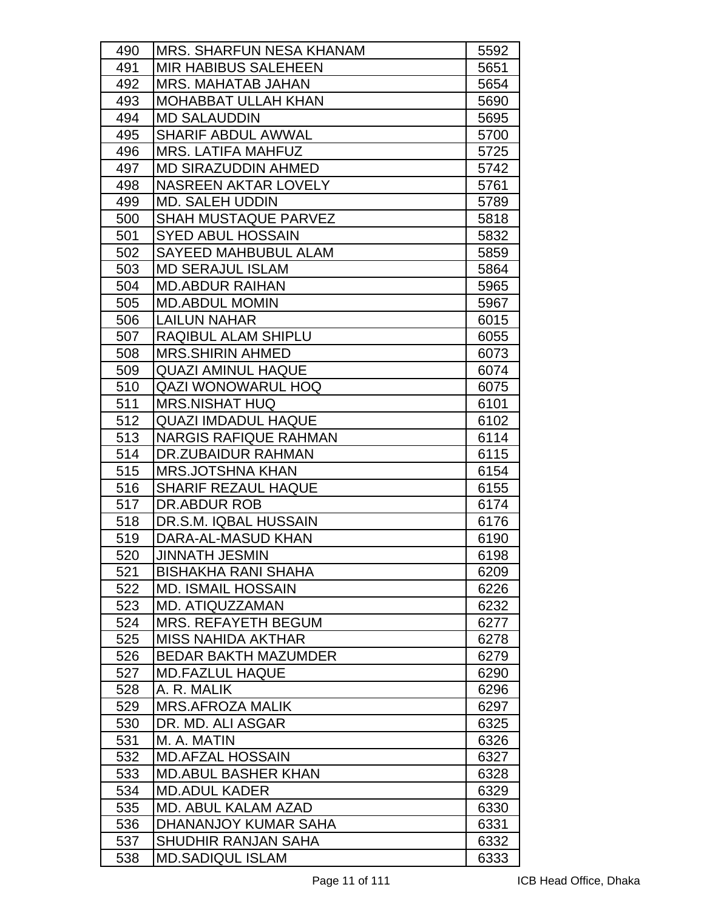| 490 | <b>MRS. SHARFUN NESA KHANAM</b> | 5592 |
|-----|---------------------------------|------|
| 491 | <b>MIR HABIBUS SALEHEEN</b>     | 5651 |
| 492 | <b>MRS. MAHATAB JAHAN</b>       | 5654 |
| 493 | <b>MOHABBAT ULLAH KHAN</b>      | 5690 |
| 494 | <b>MD SALAUDDIN</b>             | 5695 |
| 495 | <b>SHARIF ABDUL AWWAL</b>       | 5700 |
| 496 | <b>MRS. LATIFA MAHFUZ</b>       | 5725 |
| 497 | <b>MD SIRAZUDDIN AHMED</b>      | 5742 |
| 498 | <b>NASREEN AKTAR LOVELY</b>     | 5761 |
| 499 | <b>MD. SALEH UDDIN</b>          | 5789 |
| 500 | <b>SHAH MUSTAQUE PARVEZ</b>     | 5818 |
| 501 | <b>SYED ABUL HOSSAIN</b>        | 5832 |
| 502 | <b>SAYEED MAHBUBUL ALAM</b>     | 5859 |
| 503 | <b>MD SERAJUL ISLAM</b>         | 5864 |
| 504 | <b>MD.ABDUR RAIHAN</b>          | 5965 |
| 505 | <b>MD.ABDUL MOMIN</b>           | 5967 |
| 506 | <b>LAILUN NAHAR</b>             | 6015 |
| 507 | RAQIBUL ALAM SHIPLU             | 6055 |
| 508 | <b>MRS.SHIRIN AHMED</b>         | 6073 |
| 509 | <b>QUAZI AMINUL HAQUE</b>       | 6074 |
| 510 | <b>QAZI WONOWARUL HOQ</b>       | 6075 |
| 511 | <b>MRS.NISHAT HUQ</b>           | 6101 |
| 512 | <b>QUAZI IMDADUL HAQUE</b>      | 6102 |
| 513 | <b>NARGIS RAFIQUE RAHMAN</b>    | 6114 |
| 514 | DR.ZUBAIDUR RAHMAN              | 6115 |
| 515 | <b>MRS.JOTSHNA KHAN</b>         | 6154 |
| 516 | <b>SHARIF REZAUL HAQUE</b>      | 6155 |
| 517 | DR.ABDUR ROB                    | 6174 |
| 518 | DR.S.M. IQBAL HUSSAIN           | 6176 |
| 519 | DARA-AL-MASUD KHAN              | 6190 |
| 520 | <b>JINNATH JESMIN</b>           | 6198 |
| 521 | <b>BISHAKHA RANI SHAHA</b>      | 6209 |
| 522 | <b>MD. ISMAIL HOSSAIN</b>       | 6226 |
| 523 | MD. ATIQUZZAMAN                 | 6232 |
| 524 | <b>MRS. REFAYETH BEGUM</b>      | 6277 |
| 525 | <b>MISS NAHIDA AKTHAR</b>       | 6278 |
| 526 | <b>BEDAR BAKTH MAZUMDER</b>     | 6279 |
| 527 | <b>MD.FAZLUL HAQUE</b>          | 6290 |
| 528 | A. R. MALIK                     | 6296 |
| 529 | <b>MRS.AFROZA MALIK</b>         | 6297 |
| 530 | DR. MD. ALI ASGAR               | 6325 |
| 531 | M. A. MATIN                     | 6326 |
| 532 | <b>MD.AFZAL HOSSAIN</b>         | 6327 |
| 533 | <b>MD.ABUL BASHER KHAN</b>      | 6328 |
| 534 | <b>MD.ADUL KADER</b>            | 6329 |
| 535 | MD. ABUL KALAM AZAD             | 6330 |
| 536 | DHANANJOY KUMAR SAHA            | 6331 |
| 537 | SHUDHIR RANJAN SAHA             | 6332 |
| 538 | <b>MD.SADIQUL ISLAM</b>         | 6333 |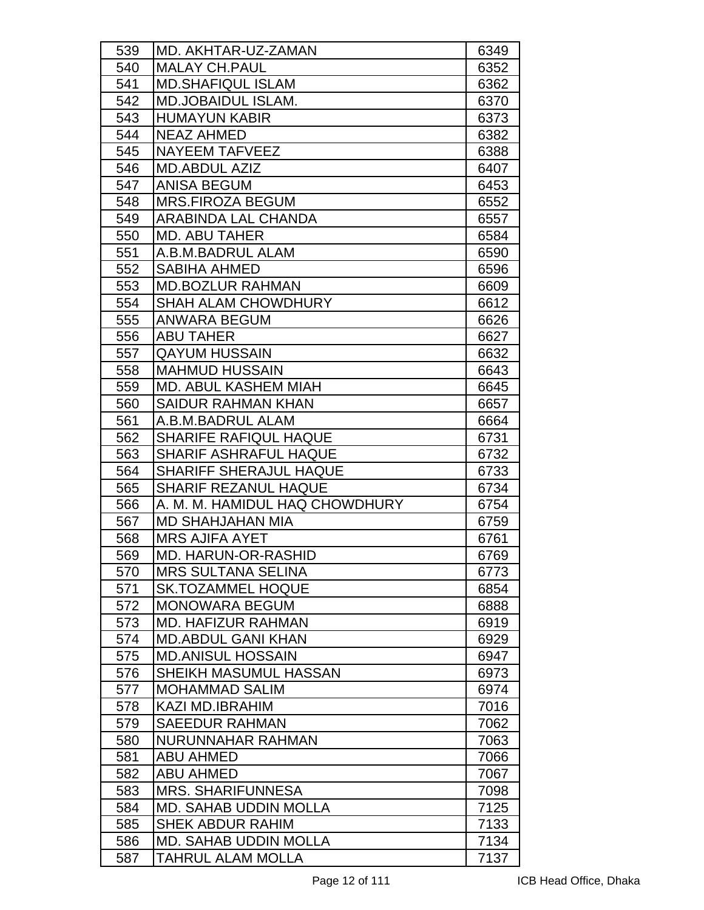| 539 | MD. AKHTAR-UZ-ZAMAN            | 6349 |
|-----|--------------------------------|------|
| 540 | <b>MALAY CH.PAUL</b>           | 6352 |
| 541 | <b>MD.SHAFIQUL ISLAM</b>       | 6362 |
| 542 | <b>MD.JOBAIDUL ISLAM.</b>      | 6370 |
| 543 | <b>HUMAYUN KABIR</b>           | 6373 |
| 544 | <b>NEAZ AHMED</b>              | 6382 |
| 545 | <b>NAYEEM TAFVEEZ</b>          | 6388 |
| 546 | <b>MD.ABDUL AZIZ</b>           | 6407 |
| 547 | <b>ANISA BEGUM</b>             | 6453 |
| 548 | <b>MRS.FIROZA BEGUM</b>        | 6552 |
| 549 | ARABINDA LAL CHANDA            | 6557 |
| 550 | <b>MD. ABU TAHER</b>           | 6584 |
| 551 | A.B.M.BADRUL ALAM              | 6590 |
| 552 | <b>SABIHA AHMED</b>            | 6596 |
| 553 | <b>MD.BOZLUR RAHMAN</b>        | 6609 |
| 554 | <b>SHAH ALAM CHOWDHURY</b>     | 6612 |
| 555 | ANWARA BEGUM                   | 6626 |
| 556 | <b>ABU TAHER</b>               | 6627 |
| 557 | <b>QAYUM HUSSAIN</b>           | 6632 |
| 558 | <b>MAHMUD HUSSAIN</b>          | 6643 |
| 559 | <b>MD. ABUL KASHEM MIAH</b>    | 6645 |
| 560 | <b>SAIDUR RAHMAN KHAN</b>      | 6657 |
| 561 | A.B.M.BADRUL ALAM              | 6664 |
| 562 | <b>SHARIFE RAFIQUL HAQUE</b>   | 6731 |
| 563 | <b>SHARIF ASHRAFUL HAQUE</b>   | 6732 |
| 564 | <b>SHARIFF SHERAJUL HAQUE</b>  | 6733 |
| 565 | <b>SHARIF REZANUL HAQUE</b>    | 6734 |
| 566 | A. M. M. HAMIDUL HAQ CHOWDHURY | 6754 |
| 567 | MD SHAHJAHAN MIA               | 6759 |
| 568 | <b>MRS AJIFA AYET</b>          | 6761 |
| 569 | MD. HARUN-OR-RASHID            | 6769 |
| 570 | <b>MRS SULTANA SELINA</b>      | 6773 |
| 571 | <b>SK.TOZAMMEL HOQUE</b>       | 6854 |
| 572 | <b>MONOWARA BEGUM</b>          | 6888 |
| 573 | <b>MD. HAFIZUR RAHMAN</b>      | 6919 |
| 574 | <b>MD.ABDUL GANI KHAN</b>      | 6929 |
| 575 | <b>MD.ANISUL HOSSAIN</b>       | 6947 |
| 576 | SHEIKH MASUMUL HASSAN          | 6973 |
| 577 | <b>MOHAMMAD SALIM</b>          | 6974 |
| 578 | <b>KAZI MD.IBRAHIM</b>         | 7016 |
| 579 | <b>SAEEDUR RAHMAN</b>          | 7062 |
| 580 | NURUNNAHAR RAHMAN              | 7063 |
| 581 | <b>ABU AHMED</b>               | 7066 |
| 582 | <b>ABU AHMED</b>               | 7067 |
| 583 | <b>MRS. SHARIFUNNESA</b>       | 7098 |
| 584 | <b>MD. SAHAB UDDIN MOLLA</b>   | 7125 |
| 585 | <b>SHEK ABDUR RAHIM</b>        | 7133 |
| 586 | <b>MD. SAHAB UDDIN MOLLA</b>   | 7134 |
| 587 | TAHRUL ALAM MOLLA              | 7137 |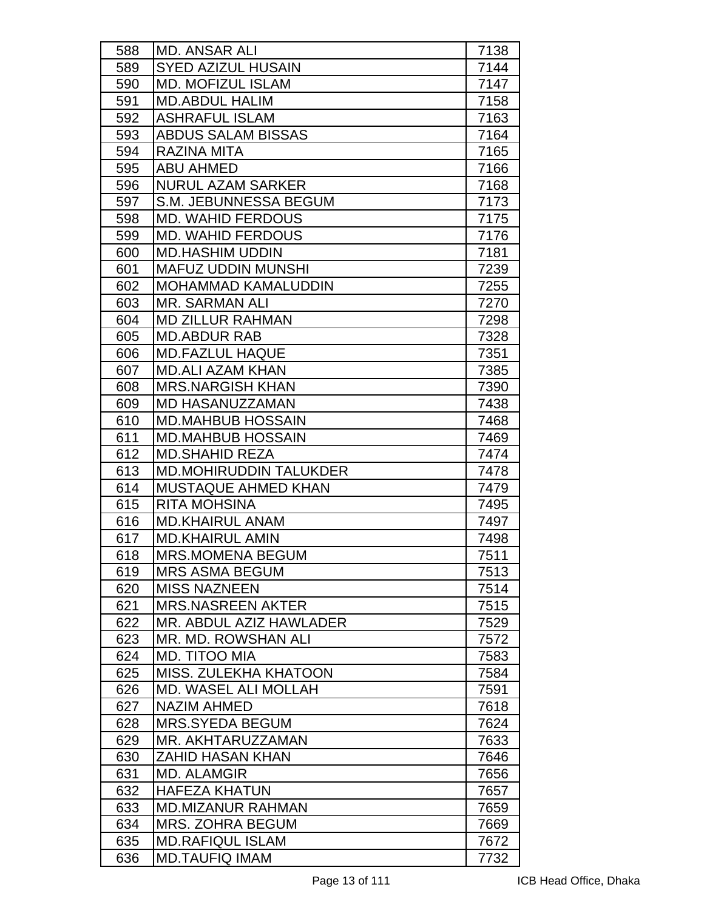| 588 | <b>MD. ANSAR ALI</b>          | 7138 |
|-----|-------------------------------|------|
| 589 | <b>SYED AZIZUL HUSAIN</b>     | 7144 |
| 590 | <b>MD. MOFIZUL ISLAM</b>      | 7147 |
| 591 | <b>MD.ABDUL HALIM</b>         | 7158 |
| 592 | <b>ASHRAFUL ISLAM</b>         | 7163 |
| 593 | <b>ABDUS SALAM BISSAS</b>     | 7164 |
| 594 | <b>RAZINA MITA</b>            | 7165 |
| 595 | <b>ABU AHMED</b>              | 7166 |
| 596 | <b>NURUL AZAM SARKER</b>      | 7168 |
| 597 | S.M. JEBUNNESSA BEGUM         | 7173 |
| 598 | <b>MD. WAHID FERDOUS</b>      | 7175 |
| 599 | <b>MD. WAHID FERDOUS</b>      | 7176 |
| 600 | <b>MD.HASHIM UDDIN</b>        | 7181 |
| 601 | <b>MAFUZ UDDIN MUNSHI</b>     | 7239 |
| 602 | <b>MOHAMMAD KAMALUDDIN</b>    | 7255 |
| 603 | <b>MR. SARMAN ALI</b>         | 7270 |
| 604 | <b>MD ZILLUR RAHMAN</b>       | 7298 |
| 605 | <b>MD.ABDUR RAB</b>           | 7328 |
| 606 | <b>MD.FAZLUL HAQUE</b>        | 7351 |
| 607 | <b>MD.ALI AZAM KHAN</b>       | 7385 |
| 608 | <b>MRS.NARGISH KHAN</b>       | 7390 |
| 609 | MD HASANUZZAMAN               | 7438 |
| 610 | <b>MD.MAHBUB HOSSAIN</b>      | 7468 |
| 611 | <b>MD.MAHBUB HOSSAIN</b>      | 7469 |
| 612 | <b>MD.SHAHID REZA</b>         | 7474 |
| 613 | <b>MD.MOHIRUDDIN TALUKDER</b> | 7478 |
| 614 | <b>MUSTAQUE AHMED KHAN</b>    | 7479 |
| 615 | <b>RITA MOHSINA</b>           | 7495 |
| 616 | <b>MD.KHAIRUL ANAM</b>        | 7497 |
| 617 | <b>MD.KHAIRUL AMIN</b>        | 7498 |
| 618 | <b>MRS.MOMENA BEGUM</b>       | 7511 |
| 619 | <b>MRS ASMA BEGUM</b>         | 7513 |
| 620 | <b>MISS NAZNEEN</b>           | 7514 |
| 621 | <b>MRS.NASREEN AKTER</b>      | 7515 |
| 622 | MR. ABDUL AZIZ HAWLADER       | 7529 |
| 623 | MR. MD. ROWSHAN ALI           | 7572 |
| 624 | MD. TITOO MIA                 | 7583 |
| 625 | MISS. ZULEKHA KHATOON         | 7584 |
| 626 | <b>MD. WASEL ALI MOLLAH</b>   | 7591 |
| 627 | <b>NAZIM AHMED</b>            | 7618 |
| 628 | <b>MRS.SYEDA BEGUM</b>        | 7624 |
| 629 | MR. AKHTARUZZAMAN             | 7633 |
| 630 | <b>ZAHID HASAN KHAN</b>       | 7646 |
| 631 | <b>MD. ALAMGIR</b>            | 7656 |
| 632 | <b>HAFEZA KHATUN</b>          | 7657 |
| 633 | <b>MD.MIZANUR RAHMAN</b>      | 7659 |
| 634 | <b>MRS. ZOHRA BEGUM</b>       | 7669 |
| 635 | <b>MD.RAFIQUL ISLAM</b>       | 7672 |
| 636 | <b>MD.TAUFIQ IMAM</b>         | 7732 |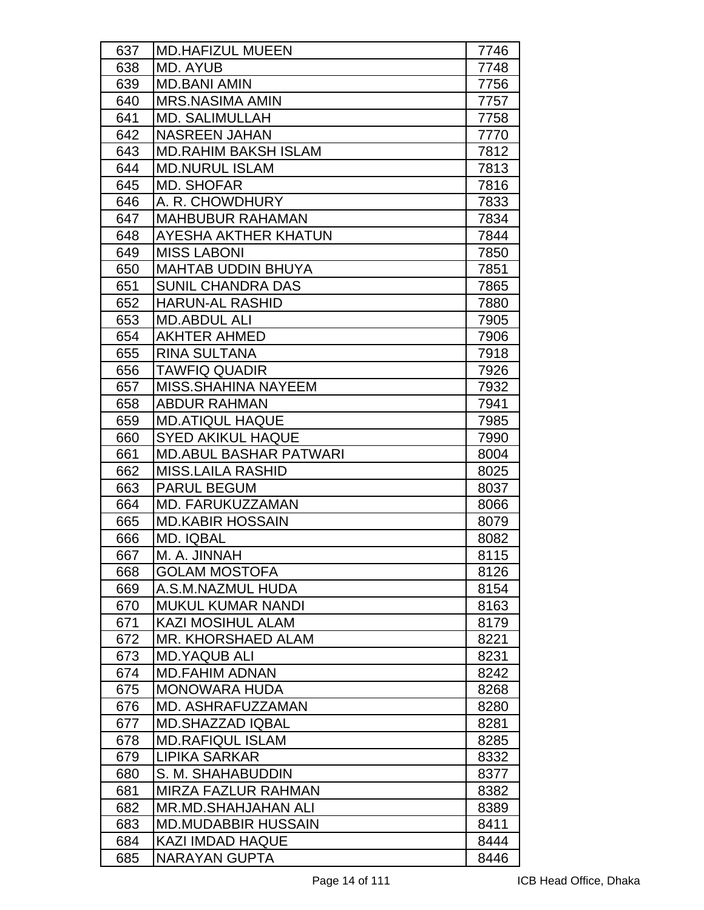| 637 | <b>MD.HAFIZUL MUEEN</b>       | 7746 |
|-----|-------------------------------|------|
| 638 | MD. AYUB                      | 7748 |
| 639 | <b>MD.BANI AMIN</b>           | 7756 |
| 640 | <b>MRS.NASIMA AMIN</b>        | 7757 |
| 641 | <b>MD. SALIMULLAH</b>         | 7758 |
| 642 | <b>NASREEN JAHAN</b>          | 7770 |
| 643 | <b>MD.RAHIM BAKSH ISLAM</b>   | 7812 |
| 644 | <b>MD.NURUL ISLAM</b>         | 7813 |
| 645 | <b>MD. SHOFAR</b>             | 7816 |
| 646 | A. R. CHOWDHURY               | 7833 |
| 647 | <b>MAHBUBUR RAHAMAN</b>       | 7834 |
| 648 | AYESHA AKTHER KHATUN          | 7844 |
| 649 | <b>MISS LABONI</b>            | 7850 |
| 650 | <b>MAHTAB UDDIN BHUYA</b>     | 7851 |
| 651 | <b>SUNIL CHANDRA DAS</b>      | 7865 |
| 652 | <b>HARUN-AL RASHID</b>        | 7880 |
| 653 | <b>MD.ABDUL ALI</b>           | 7905 |
| 654 | <b>AKHTER AHMED</b>           | 7906 |
| 655 | <b>RINA SULTANA</b>           | 7918 |
| 656 | <b>TAWFIQ QUADIR</b>          | 7926 |
| 657 | MISS. SHAHINA NAYEEM          | 7932 |
| 658 | <b>ABDUR RAHMAN</b>           | 7941 |
| 659 | <b>MD.ATIQUL HAQUE</b>        | 7985 |
| 660 | <b>SYED AKIKUL HAQUE</b>      | 7990 |
| 661 | <b>MD.ABUL BASHAR PATWARI</b> | 8004 |
| 662 | <b>MISS.LAILA RASHID</b>      | 8025 |
| 663 | <b>PARUL BEGUM</b>            | 8037 |
| 664 | MD. FARUKUZZAMAN              | 8066 |
| 665 | <b>MD.KABIR HOSSAIN</b>       | 8079 |
| 666 | <b>MD. IQBAL</b>              | 8082 |
| 667 | M. A. JINNAH                  | 8115 |
| 668 | <b>GOLAM MOSTOFA</b>          | 8126 |
| 669 | A.S.M.NAZMUL HUDA             | 8154 |
| 670 | <b>MUKUL KUMAR NANDI</b>      | 8163 |
| 671 | <b>KAZI MOSIHUL ALAM</b>      | 8179 |
| 672 | <b>MR. KHORSHAED ALAM</b>     | 8221 |
| 673 | <b>MD.YAQUB ALI</b>           | 8231 |
| 674 | <b>MD.FAHIM ADNAN</b>         | 8242 |
| 675 | <b>MONOWARA HUDA</b>          | 8268 |
| 676 | MD. ASHRAFUZZAMAN             | 8280 |
| 677 | <b>MD.SHAZZAD IQBAL</b>       | 8281 |
| 678 | <b>MD.RAFIQUL ISLAM</b>       | 8285 |
| 679 | LIPIKA SARKAR                 | 8332 |
| 680 | S. M. SHAHABUDDIN             | 8377 |
| 681 | <b>MIRZA FAZLUR RAHMAN</b>    | 8382 |
| 682 | MR.MD.SHAHJAHAN ALI           | 8389 |
| 683 | <b>MD.MUDABBIR HUSSAIN</b>    | 8411 |
| 684 | <b>KAZI IMDAD HAQUE</b>       | 8444 |
| 685 | <b>NARAYAN GUPTA</b>          | 8446 |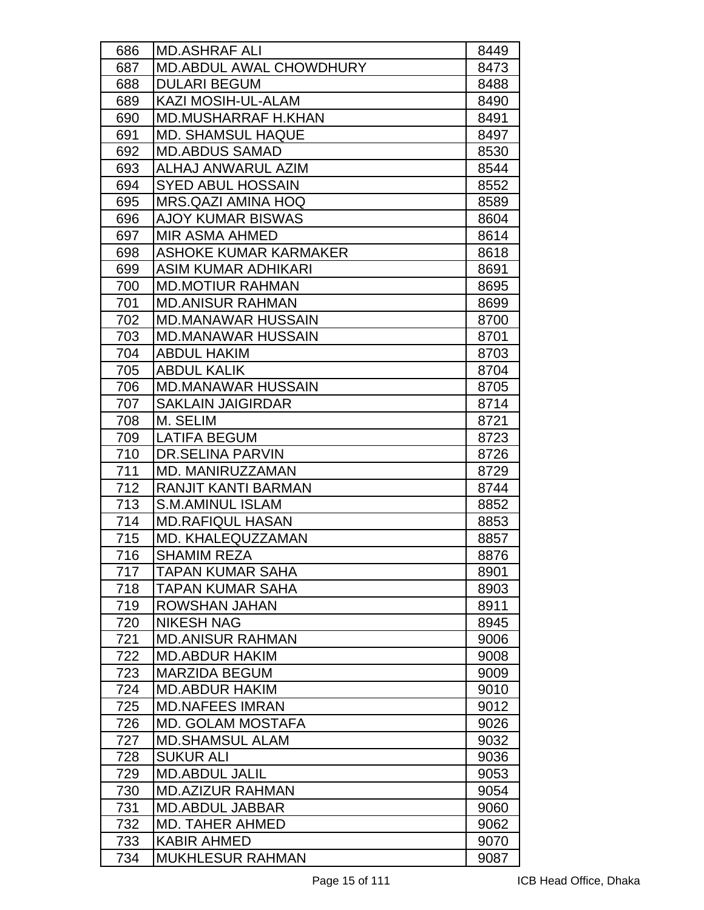| 686 | <b>MD.ASHRAF ALI</b>                      | 8449 |
|-----|-------------------------------------------|------|
| 687 | <b>MD.ABDUL AWAL CHOWDHURY</b>            | 8473 |
| 688 | <b>DULARI BEGUM</b><br>KAZI MOSIH-UL-ALAM | 8488 |
| 689 |                                           | 8490 |
| 690 | <b>MD.MUSHARRAF H.KHAN</b>                | 8491 |
| 691 | <b>MD. SHAMSUL HAQUE</b>                  | 8497 |
| 692 | <b>MD.ABDUS SAMAD</b>                     | 8530 |
| 693 | ALHAJ ANWARUL AZIM                        | 8544 |
| 694 | <b>SYED ABUL HOSSAIN</b>                  | 8552 |
| 695 | MRS.QAZI AMINA HOQ                        | 8589 |
| 696 | <b>AJOY KUMAR BISWAS</b>                  | 8604 |
| 697 | <b>MIR ASMA AHMED</b>                     | 8614 |
| 698 | <b>ASHOKE KUMAR KARMAKER</b>              | 8618 |
| 699 | <b>ASIM KUMAR ADHIKARI</b>                | 8691 |
| 700 | <b>MD.MOTIUR RAHMAN</b>                   | 8695 |
| 701 | <b>MD.ANISUR RAHMAN</b>                   | 8699 |
| 702 | <b>MD.MANAWAR HUSSAIN</b>                 | 8700 |
| 703 | <b>MD.MANAWAR HUSSAIN</b>                 | 8701 |
| 704 | <b>ABDUL HAKIM</b>                        | 8703 |
| 705 | <b>ABDUL KALIK</b>                        | 8704 |
| 706 | <b>MD.MANAWAR HUSSAIN</b>                 | 8705 |
| 707 | <b>SAKLAIN JAIGIRDAR</b>                  | 8714 |
| 708 | M. SELIM                                  | 8721 |
| 709 | <b>LATIFA BEGUM</b>                       | 8723 |
| 710 | <b>DR.SELINA PARVIN</b>                   | 8726 |
| 711 | MD. MANIRUZZAMAN                          | 8729 |
| 712 | <b>RANJIT KANTI BARMAN</b>                | 8744 |
| 713 | <b>S.M.AMINUL ISLAM</b>                   | 8852 |
| 714 | <b>MD.RAFIQUL HASAN</b>                   | 8853 |
| 715 | MD. KHALEQUZZAMAN                         | 8857 |
| 716 | <b>SHAMIM REZA</b>                        | 8876 |
| 717 | <b>TAPAN KUMAR SAHA</b>                   | 8901 |
| 718 | <b>TAPAN KUMAR SAHA</b>                   | 8903 |
| 719 | ROWSHAN JAHAN                             | 8911 |
| 720 | <b>NIKESH NAG</b>                         | 8945 |
| 721 | <b>MD.ANISUR RAHMAN</b>                   | 9006 |
| 722 | <b>MD.ABDUR HAKIM</b>                     | 9008 |
| 723 | <b>MARZIDA BEGUM</b>                      | 9009 |
| 724 | <b>MD.ABDUR HAKIM</b>                     | 9010 |
| 725 | <b>MD.NAFEES IMRAN</b>                    | 9012 |
| 726 | <b>MD. GOLAM MOSTAFA</b>                  | 9026 |
| 727 | <b>MD.SHAMSUL ALAM</b>                    | 9032 |
| 728 | <b>SUKUR ALI</b>                          | 9036 |
| 729 | <b>MD.ABDUL JALIL</b>                     | 9053 |
| 730 | <b>MD.AZIZUR RAHMAN</b>                   | 9054 |
| 731 | <b>MD.ABDUL JABBAR</b>                    | 9060 |
| 732 | <b>MD. TAHER AHMED</b>                    | 9062 |
| 733 | <b>KABIR AHMED</b>                        | 9070 |
| 734 | <b>MUKHLESUR RAHMAN</b>                   | 9087 |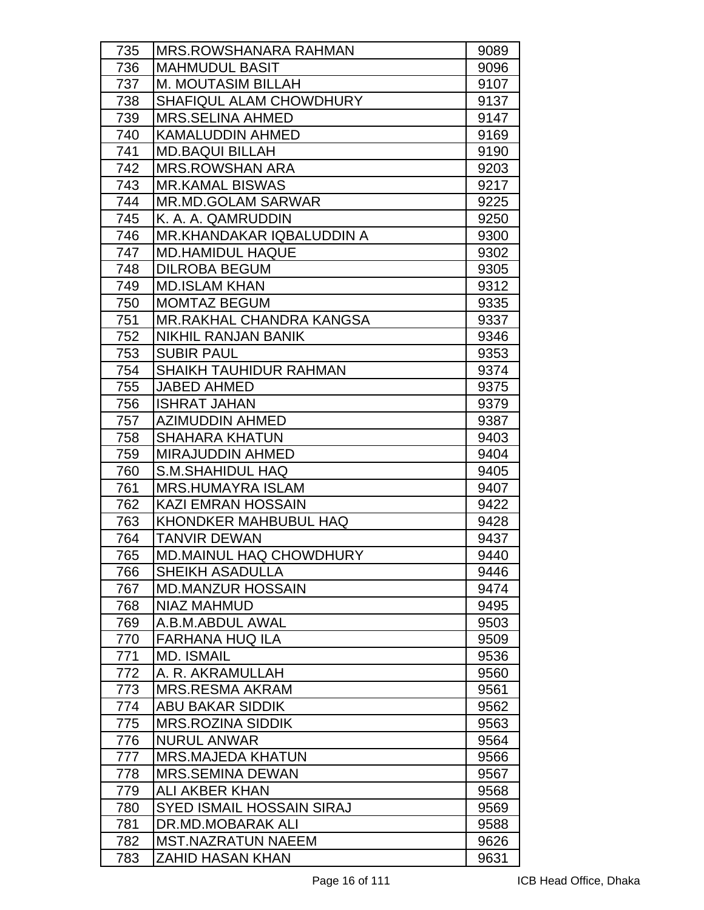| 735 | <b>MRS.ROWSHANARA RAHMAN</b>     | 9089 |
|-----|----------------------------------|------|
| 736 | <b>MAHMUDUL BASIT</b>            | 9096 |
| 737 | <b>M. MOUTASIM BILLAH</b>        | 9107 |
| 738 | SHAFIQUL ALAM CHOWDHURY          | 9137 |
| 739 | <b>MRS.SELINA AHMED</b>          | 9147 |
| 740 | <b>KAMALUDDIN AHMED</b>          | 9169 |
| 741 | <b>MD.BAQUI BILLAH</b>           | 9190 |
| 742 | <b>MRS.ROWSHAN ARA</b>           | 9203 |
| 743 | <b>MR.KAMAL BISWAS</b>           | 9217 |
| 744 | <b>MR.MD.GOLAM SARWAR</b>        | 9225 |
| 745 | K. A. A. QAMRUDDIN               | 9250 |
| 746 | <b>MR.KHANDAKAR IQBALUDDIN A</b> | 9300 |
| 747 | <b>MD.HAMIDUL HAQUE</b>          | 9302 |
| 748 | <b>DILROBA BEGUM</b>             | 9305 |
| 749 | <b>MD.ISLAM KHAN</b>             | 9312 |
| 750 | <b>MOMTAZ BEGUM</b>              | 9335 |
| 751 | MR.RAKHAL CHANDRA KANGSA         | 9337 |
| 752 | <b>NIKHIL RANJAN BANIK</b>       | 9346 |
| 753 | <b>SUBIR PAUL</b>                | 9353 |
| 754 | <b>SHAIKH TAUHIDUR RAHMAN</b>    | 9374 |
| 755 | <b>JABED AHMED</b>               | 9375 |
| 756 | <b>ISHRAT JAHAN</b>              | 9379 |
| 757 | <b>AZIMUDDIN AHMED</b>           | 9387 |
| 758 | <b>SHAHARA KHATUN</b>            | 9403 |
| 759 | <b>MIRAJUDDIN AHMED</b>          | 9404 |
| 760 | <b>S.M.SHAHIDUL HAQ</b>          | 9405 |
| 761 | <b>MRS.HUMAYRA ISLAM</b>         | 9407 |
| 762 | <b>KAZI EMRAN HOSSAIN</b>        | 9422 |
| 763 | KHONDKER MAHBUBUL HAQ            | 9428 |
| 764 | <b>TANVIR DEWAN</b>              | 9437 |
| 765 | MD.MAINUL HAQ CHOWDHURY          | 9440 |
| 766 | <b>SHEIKH ASADULLA</b>           | 9446 |
| 767 | <b>MD.MANZUR HOSSAIN</b>         | 9474 |
| 768 | NIAZ MAHMUD                      | 9495 |
| 769 | A.B.M.ABDUL AWAL                 | 9503 |
| 770 | <b>FARHANA HUQ ILA</b>           | 9509 |
| 771 | <b>MD. ISMAIL</b>                | 9536 |
| 772 | A. R. AKRAMULLAH                 | 9560 |
| 773 | <b>MRS.RESMA AKRAM</b>           | 9561 |
| 774 | <b>ABU BAKAR SIDDIK</b>          | 9562 |
| 775 | <b>MRS.ROZINA SIDDIK</b>         | 9563 |
| 776 | <b>NURUL ANWAR</b>               | 9564 |
| 777 | <b>MRS.MAJEDA KHATUN</b>         | 9566 |
| 778 | <b>MRS.SEMINA DEWAN</b>          | 9567 |
| 779 | ALI AKBER KHAN                   | 9568 |
| 780 | <b>SYED ISMAIL HOSSAIN SIRAJ</b> | 9569 |
| 781 | DR.MD.MOBARAK ALI                | 9588 |
| 782 | <b>MST.NAZRATUN NAEEM</b>        | 9626 |
| 783 | <b>ZAHID HASAN KHAN</b>          | 9631 |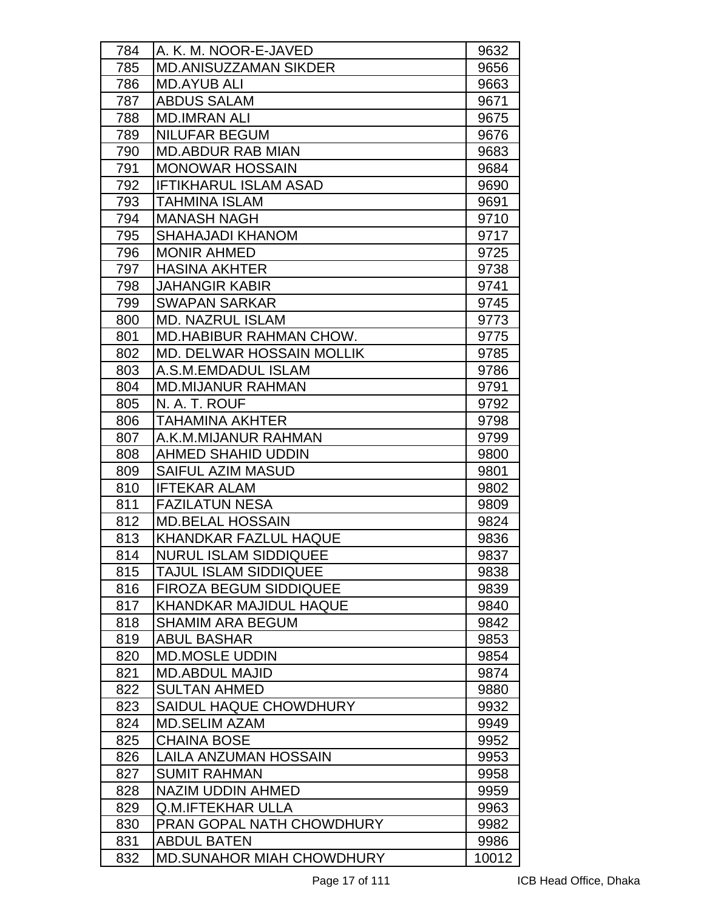| 784        | A. K. M. NOOR-E-JAVED                       | 9632         |
|------------|---------------------------------------------|--------------|
| 785        | <b>MD.ANISUZZAMAN SIKDER</b>                | 9656         |
| 786        | <b>MD.AYUB ALI</b>                          | 9663         |
| 787        | <b>ABDUS SALAM</b>                          | 9671         |
| 788        | <b>MD.IMRAN ALI</b>                         | 9675         |
| 789        | <b>NILUFAR BEGUM</b>                        | 9676         |
| 790        | <b>MD.ABDUR RAB MIAN</b>                    | 9683         |
| 791        | <b>MONOWAR HOSSAIN</b>                      | 9684         |
| 792        | <b>IFTIKHARUL ISLAM ASAD</b>                | 9690         |
| 793        | <b>TAHMINA ISLAM</b>                        | 9691         |
| 794        | <b>MANASH NAGH</b>                          | 9710         |
| 795        | <b>SHAHAJADI KHANOM</b>                     | 9717         |
| 796        | <b>MONIR AHMED</b>                          | 9725         |
| 797        | <b>HASINA AKHTER</b>                        | 9738         |
| 798        | <b>JAHANGIR KABIR</b>                       | 9741         |
| 799        | <b>SWAPAN SARKAR</b>                        | 9745         |
| 800        | <b>MD. NAZRUL ISLAM</b>                     | 9773         |
| 801        | <b>MD.HABIBUR RAHMAN CHOW.</b>              | 9775         |
| 802        | MD. DELWAR HOSSAIN MOLLIK                   | 9785         |
| 803        | A.S.M.EMDADUL ISLAM                         | 9786         |
| 804        | <b>MD.MIJANUR RAHMAN</b>                    | 9791         |
| 805        | N. A. T. ROUF                               | 9792         |
| 806        | <b>TAHAMINA AKHTER</b>                      | 9798         |
| 807        | A.K.M.MIJANUR RAHMAN                        | 9799         |
| 808        | <b>AHMED SHAHID UDDIN</b>                   | 9800         |
| 809        | <b>SAIFUL AZIM MASUD</b>                    | 9801         |
| 810        | <b>IFTEKAR ALAM</b>                         | 9802         |
| 811        | <b>FAZILATUN NESA</b>                       | 9809         |
| 812        | <b>MD.BELAL HOSSAIN</b>                     | 9824         |
| 813        | <b>KHANDKAR FAZLUL HAQUE</b>                | 9836         |
| 814        | <b>NURUL ISLAM SIDDIQUEE</b>                | 9837         |
| 815        | <b>TAJUL ISLAM SIDDIQUEE</b>                | 9838         |
| 816        | <b>FIROZA BEGUM SIDDIQUEE</b>               | 9839         |
| 817        | <b>KHANDKAR MAJIDUL HAQUE</b>               | 9840         |
| 818        | <b>SHAMIM ARA BEGUM</b>                     | 9842         |
| 819        | <b>ABUL BASHAR</b>                          | 9853         |
| 820        | <b>MD.MOSLE UDDIN</b>                       | 9854         |
| 821        | <b>MD.ABDUL MAJID</b>                       | 9874         |
| 822        | <b>SULTAN AHMED</b>                         | 9880         |
| 823        | SAIDUL HAQUE CHOWDHURY                      | 9932         |
| 824        | <b>MD.SELIM AZAM</b>                        | 9949         |
| 825<br>826 | <b>CHAINA BOSE</b><br>LAILA ANZUMAN HOSSAIN | 9952         |
| 827        | <b>SUMIT RAHMAN</b>                         | 9953<br>9958 |
| 828        | <b>NAZIM UDDIN AHMED</b>                    | 9959         |
| 829        | Q.M.IFTEKHAR ULLA                           | 9963         |
| 830        | PRAN GOPAL NATH CHOWDHURY                   | 9982         |
| 831        | <b>ABDUL BATEN</b>                          | 9986         |
| 832        | <b>MD.SUNAHOR MIAH CHOWDHURY</b>            | 10012        |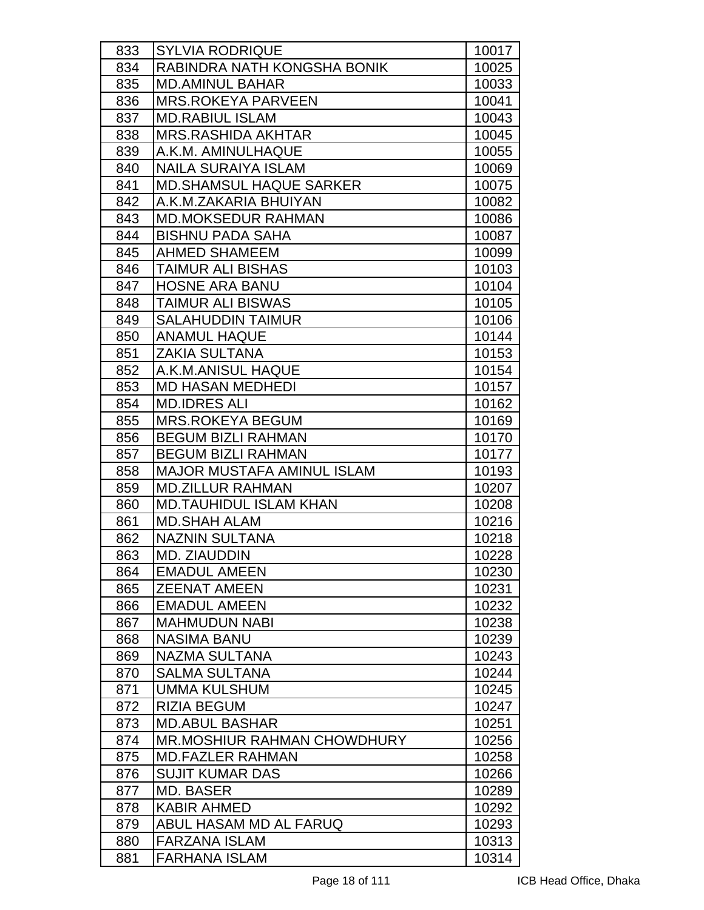| 833 | <b>SYLVIA RODRIQUE</b>             | 10017 |
|-----|------------------------------------|-------|
| 834 | RABINDRA NATH KONGSHA BONIK        | 10025 |
| 835 | <b>MD.AMINUL BAHAR</b>             | 10033 |
| 836 | MRS.ROKEYA PARVEEN                 | 10041 |
| 837 | <b>MD.RABIUL ISLAM</b>             | 10043 |
| 838 | <b>MRS.RASHIDA AKHTAR</b>          | 10045 |
| 839 | A.K.M. AMINULHAQUE                 | 10055 |
| 840 | <b>NAILA SURAIYA ISLAM</b>         | 10069 |
| 841 | <b>MD.SHAMSUL HAQUE SARKER</b>     | 10075 |
| 842 | A.K.M.ZAKARIA BHUIYAN              | 10082 |
| 843 | <b>MD.MOKSEDUR RAHMAN</b>          | 10086 |
| 844 | <b>BISHNU PADA SAHA</b>            | 10087 |
| 845 | <b>AHMED SHAMEEM</b>               | 10099 |
| 846 | <b>TAIMUR ALI BISHAS</b>           | 10103 |
| 847 | <b>HOSNE ARA BANU</b>              | 10104 |
| 848 | <b>TAIMUR ALI BISWAS</b>           | 10105 |
| 849 | <b>SALAHUDDIN TAIMUR</b>           | 10106 |
| 850 | <b>ANAMUL HAQUE</b>                | 10144 |
| 851 | <b>ZAKIA SULTANA</b>               | 10153 |
| 852 | A.K.M.ANISUL HAQUE                 | 10154 |
| 853 | <b>MD HASAN MEDHEDI</b>            | 10157 |
| 854 | <b>MD.IDRES ALI</b>                | 10162 |
| 855 | <b>MRS.ROKEYA BEGUM</b>            | 10169 |
| 856 | <b>BEGUM BIZLI RAHMAN</b>          | 10170 |
| 857 | <b>BEGUM BIZLI RAHMAN</b>          | 10177 |
| 858 | <b>MAJOR MUSTAFA AMINUL ISLAM</b>  | 10193 |
| 859 | <b>MD.ZILLUR RAHMAN</b>            | 10207 |
| 860 | <b>MD.TAUHIDUL ISLAM KHAN</b>      | 10208 |
| 861 | <b>MD.SHAH ALAM</b>                | 10216 |
| 862 | <b>NAZNIN SULTANA</b>              | 10218 |
| 863 | <b>MD. ZIAUDDIN</b>                | 10228 |
| 864 | <b>EMADUL AMEEN</b>                | 10230 |
| 865 | <b>ZEENAT AMEEN</b>                | 10231 |
| 866 | <b>EMADUL AMEEN</b>                | 10232 |
| 867 | <b>MAHMUDUN NABI</b>               | 10238 |
| 868 | <b>NASIMA BANU</b>                 | 10239 |
| 869 | <b>NAZMA SULTANA</b>               | 10243 |
| 870 | <b>SALMA SULTANA</b>               | 10244 |
| 871 | <b>UMMA KULSHUM</b>                | 10245 |
| 872 | <b>RIZIA BEGUM</b>                 | 10247 |
| 873 | <b>MD.ABUL BASHAR</b>              | 10251 |
| 874 | <b>MR.MOSHIUR RAHMAN CHOWDHURY</b> | 10256 |
| 875 | <b>MD.FAZLER RAHMAN</b>            | 10258 |
| 876 | <b>SUJIT KUMAR DAS</b>             | 10266 |
| 877 | <b>MD. BASER</b>                   | 10289 |
| 878 | <b>KABIR AHMED</b>                 | 10292 |
| 879 | ABUL HASAM MD AL FARUQ             | 10293 |
| 880 | <b>FARZANA ISLAM</b>               | 10313 |
| 881 | <b>FARHANA ISLAM</b>               | 10314 |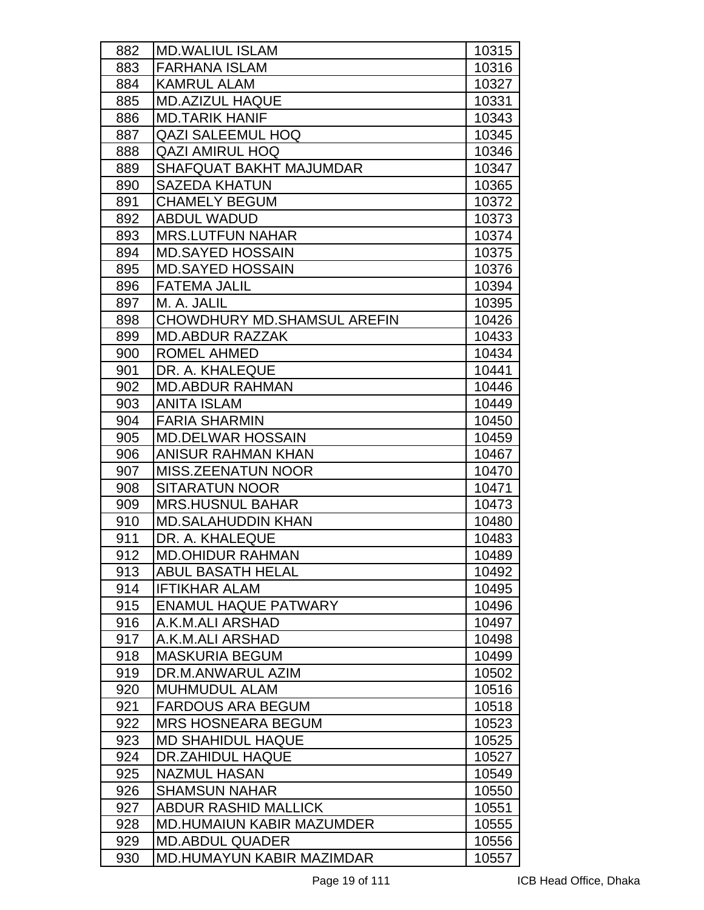| 882 | <b>MD.WALIUL ISLAM</b>           | 10315 |
|-----|----------------------------------|-------|
| 883 | <b>FARHANA ISLAM</b>             | 10316 |
| 884 | <b>KAMRUL ALAM</b>               | 10327 |
| 885 | <b>MD.AZIZUL HAQUE</b>           | 10331 |
| 886 | <b>MD.TARIK HANIF</b>            | 10343 |
| 887 | <b>QAZI SALEEMUL HOQ</b>         | 10345 |
| 888 | QAZI AMIRUL HOQ                  | 10346 |
| 889 | <b>SHAFQUAT BAKHT MAJUMDAR</b>   | 10347 |
| 890 | <b>SAZEDA KHATUN</b>             | 10365 |
| 891 | <b>CHAMELY BEGUM</b>             | 10372 |
| 892 | <b>ABDUL WADUD</b>               | 10373 |
| 893 | <b>MRS.LUTFUN NAHAR</b>          | 10374 |
| 894 | <b>MD.SAYED HOSSAIN</b>          | 10375 |
| 895 | <b>MD.SAYED HOSSAIN</b>          | 10376 |
| 896 | <b>FATEMA JALIL</b>              | 10394 |
| 897 | M. A. JALIL                      | 10395 |
| 898 | CHOWDHURY MD. SHAMSUL AREFIN     | 10426 |
| 899 | <b>MD.ABDUR RAZZAK</b>           | 10433 |
| 900 | <b>ROMEL AHMED</b>               | 10434 |
| 901 | DR. A. KHALEQUE                  | 10441 |
| 902 | <b>MD.ABDUR RAHMAN</b>           | 10446 |
| 903 | <b>ANITA ISLAM</b>               | 10449 |
| 904 | <b>FARIA SHARMIN</b>             | 10450 |
| 905 | <b>MD.DELWAR HOSSAIN</b>         | 10459 |
| 906 | <b>ANISUR RAHMAN KHAN</b>        | 10467 |
| 907 | <b>MISS.ZEENATUN NOOR</b>        | 10470 |
| 908 | <b>SITARATUN NOOR</b>            | 10471 |
| 909 | <b>MRS.HUSNUL BAHAR</b>          | 10473 |
| 910 | <b>MD.SALAHUDDIN KHAN</b>        | 10480 |
| 911 | DR. A. KHALEQUE                  | 10483 |
| 912 | <b>MD.OHIDUR RAHMAN</b>          | 10489 |
| 913 | <b>ABUL BASATH HELAL</b>         | 10492 |
| 914 | <b>IFTIKHAR ALAM</b>             | 10495 |
| 915 | <b>ENAMUL HAQUE PATWARY</b>      | 10496 |
| 916 | A.K.M.ALI ARSHAD                 | 10497 |
| 917 | A.K.M.ALI ARSHAD                 | 10498 |
| 918 | <b>MASKURIA BEGUM</b>            | 10499 |
| 919 | DR.M.ANWARUL AZIM                | 10502 |
| 920 | <b>MUHMUDUL ALAM</b>             | 10516 |
| 921 | <b>FARDOUS ARA BEGUM</b>         | 10518 |
| 922 | <b>MRS HOSNEARA BEGUM</b>        | 10523 |
| 923 | <b>MD SHAHIDUL HAQUE</b>         | 10525 |
| 924 | DR.ZAHIDUL HAQUE                 | 10527 |
| 925 | <b>NAZMUL HASAN</b>              | 10549 |
| 926 | <b>SHAMSUN NAHAR</b>             | 10550 |
| 927 | <b>ABDUR RASHID MALLICK</b>      | 10551 |
| 928 | <b>MD.HUMAIUN KABIR MAZUMDER</b> | 10555 |
| 929 | <b>MD.ABDUL QUADER</b>           | 10556 |
| 930 | <b>MD.HUMAYUN KABIR MAZIMDAR</b> | 10557 |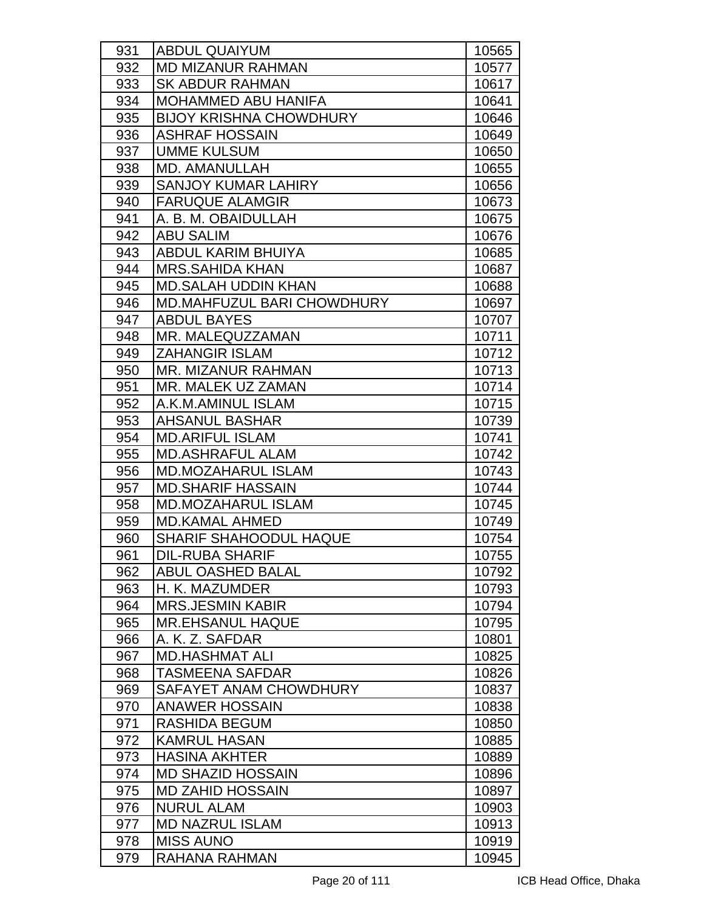| 931 | <b>ABDUL QUAIYUM</b>              | 10565 |
|-----|-----------------------------------|-------|
| 932 | <b>MD MIZANUR RAHMAN</b>          | 10577 |
| 933 | <b>SK ABDUR RAHMAN</b>            | 10617 |
| 934 | <b>MOHAMMED ABU HANIFA</b>        | 10641 |
| 935 | <b>BIJOY KRISHNA CHOWDHURY</b>    | 10646 |
| 936 | <b>ASHRAF HOSSAIN</b>             | 10649 |
| 937 | <b>UMME KULSUM</b>                | 10650 |
| 938 | MD. AMANULLAH                     | 10655 |
| 939 | <b>SANJOY KUMAR LAHIRY</b>        | 10656 |
| 940 | <b>FARUQUE ALAMGIR</b>            | 10673 |
| 941 | A. B. M. OBAIDULLAH               | 10675 |
| 942 | <b>ABU SALIM</b>                  | 10676 |
| 943 | ABDUL KARIM BHUIYA                | 10685 |
| 944 | <b>MRS.SAHIDA KHAN</b>            | 10687 |
| 945 | <b>MD.SALAH UDDIN KHAN</b>        | 10688 |
| 946 | <b>MD.MAHFUZUL BARI CHOWDHURY</b> | 10697 |
| 947 | <b>ABDUL BAYES</b>                | 10707 |
| 948 | MR. MALEQUZZAMAN                  | 10711 |
| 949 | <b>ZAHANGIR ISLAM</b>             | 10712 |
| 950 | <b>MR. MIZANUR RAHMAN</b>         | 10713 |
| 951 | MR. MALEK UZ ZAMAN                | 10714 |
| 952 | A.K.M.AMINUL ISLAM                | 10715 |
| 953 | <b>AHSANUL BASHAR</b>             | 10739 |
| 954 | <b>MD.ARIFUL ISLAM</b>            | 10741 |
| 955 | <b>MD.ASHRAFUL ALAM</b>           | 10742 |
| 956 | <b>MD.MOZAHARUL ISLAM</b>         | 10743 |
| 957 | <b>MD.SHARIF HASSAIN</b>          | 10744 |
| 958 | <b>MD.MOZAHARUL ISLAM</b>         | 10745 |
| 959 | <b>MD.KAMAL AHMED</b>             | 10749 |
| 960 | <b>SHARIF SHAHOODUL HAQUE</b>     | 10754 |
| 961 | <b>DIL-RUBA SHARIF</b>            | 10755 |
| 962 | <b>ABUL OASHED BALAL</b>          | 10792 |
| 963 | H. K. MAZUMDER                    | 10793 |
| 964 | <b>MRS.JESMIN KABIR</b>           | 10794 |
| 965 | <b>MR.EHSANUL HAQUE</b>           | 10795 |
| 966 | A. K. Z. SAFDAR                   | 10801 |
| 967 | <b>MD.HASHMAT ALI</b>             | 10825 |
| 968 | <b>TASMEENA SAFDAR</b>            | 10826 |
| 969 | SAFAYET ANAM CHOWDHURY            | 10837 |
| 970 | <b>ANAWER HOSSAIN</b>             | 10838 |
| 971 | RASHIDA BEGUM                     | 10850 |
| 972 | <b>KAMRUL HASAN</b>               | 10885 |
| 973 | <b>HASINA AKHTER</b>              | 10889 |
| 974 | <b>MD SHAZID HOSSAIN</b>          | 10896 |
| 975 | <b>MD ZAHID HOSSAIN</b>           | 10897 |
| 976 | <b>NURUL ALAM</b>                 | 10903 |
| 977 | <b>MD NAZRUL ISLAM</b>            | 10913 |
| 978 | <b>MISS AUNO</b>                  | 10919 |
| 979 | RAHANA RAHMAN                     | 10945 |
|     |                                   |       |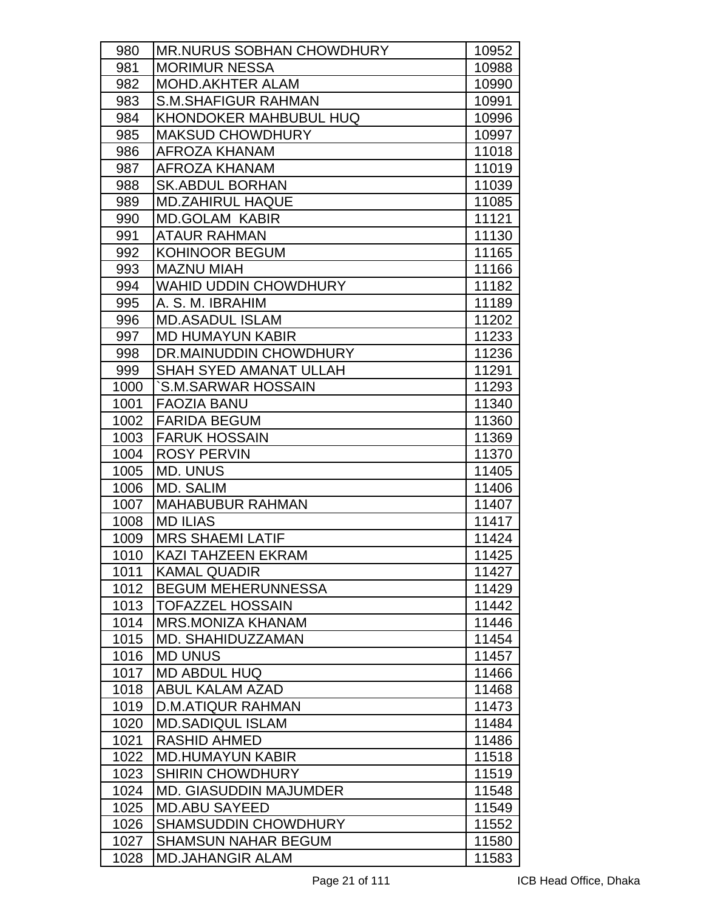| 980  | <b>MR.NURUS SOBHAN CHOWDHURY</b> | 10952 |
|------|----------------------------------|-------|
| 981  | <b>MORIMUR NESSA</b>             | 10988 |
| 982  | <b>MOHD.AKHTER ALAM</b>          | 10990 |
| 983  | <b>S.M.SHAFIGUR RAHMAN</b>       | 10991 |
| 984  | <b>KHONDOKER MAHBUBUL HUQ</b>    | 10996 |
| 985  | <b>MAKSUD CHOWDHURY</b>          | 10997 |
| 986  | AFROZA KHANAM                    | 11018 |
| 987  | <b>AFROZA KHANAM</b>             | 11019 |
| 988  | <b>SK.ABDUL BORHAN</b>           | 11039 |
| 989  | <b>MD.ZAHIRUL HAQUE</b>          | 11085 |
| 990  | <b>MD.GOLAM KABIR</b>            | 11121 |
| 991  | <b>ATAUR RAHMAN</b>              | 11130 |
| 992  | <b>KOHINOOR BEGUM</b>            | 11165 |
| 993  | <b>MAZNU MIAH</b>                | 11166 |
| 994  | <b>WAHID UDDIN CHOWDHURY</b>     | 11182 |
| 995  | A. S. M. IBRAHIM                 | 11189 |
| 996  | <b>MD.ASADUL ISLAM</b>           | 11202 |
| 997  | <b>MD HUMAYUN KABIR</b>          | 11233 |
| 998  | DR.MAINUDDIN CHOWDHURY           | 11236 |
| 999  | <b>SHAH SYED AMANAT ULLAH</b>    | 11291 |
| 1000 | `S.M.SARWAR HOSSAIN              | 11293 |
| 1001 | <b>FAOZIA BANU</b>               | 11340 |
| 1002 | <b>FARIDA BEGUM</b>              | 11360 |
| 1003 | <b>FARUK HOSSAIN</b>             | 11369 |
| 1004 | <b>ROSY PERVIN</b>               | 11370 |
| 1005 | <b>MD. UNUS</b>                  | 11405 |
| 1006 | <b>MD. SALIM</b>                 | 11406 |
| 1007 | <b>MAHABUBUR RAHMAN</b>          | 11407 |
| 1008 | <b>MD ILIAS</b>                  | 11417 |
| 1009 | <b>MRS SHAEMI LATIF</b>          | 11424 |
| 1010 | KAZI TAHZEEN EKRAM               | 11425 |
| 1011 | <b>KAMAL QUADIR</b>              | 11427 |
| 1012 | <b>BEGUM MEHERUNNESSA</b>        | 11429 |
| 1013 | <b>TOFAZZEL HOSSAIN</b>          | 11442 |
| 1014 | <b>MRS.MONIZA KHANAM</b>         | 11446 |
| 1015 | MD. SHAHIDUZZAMAN                | 11454 |
| 1016 | <b>MD UNUS</b>                   | 11457 |
| 1017 | <b>MD ABDUL HUQ</b>              | 11466 |
| 1018 | <b>ABUL KALAM AZAD</b>           | 11468 |
| 1019 | <b>D.M.ATIQUR RAHMAN</b>         | 11473 |
| 1020 | <b>MD.SADIQUL ISLAM</b>          | 11484 |
| 1021 | <b>RASHID AHMED</b>              | 11486 |
| 1022 | <b>MD.HUMAYUN KABIR</b>          | 11518 |
| 1023 | <b>SHIRIN CHOWDHURY</b>          | 11519 |
| 1024 | <b>MD. GIASUDDIN MAJUMDER</b>    | 11548 |
| 1025 | <b>MD.ABU SAYEED</b>             | 11549 |
| 1026 | <b>SHAMSUDDIN CHOWDHURY</b>      | 11552 |
| 1027 | <b>SHAMSUN NAHAR BEGUM</b>       | 11580 |
| 1028 | <b>MD.JAHANGIR ALAM</b>          | 11583 |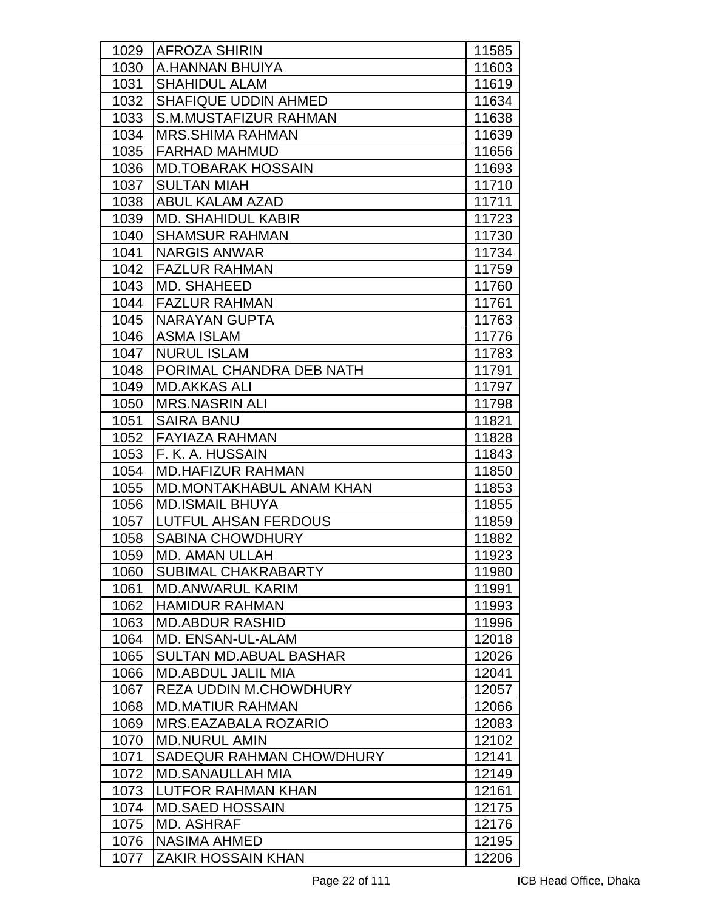| 1029 | <b>AFROZA SHIRIN</b>            | 11585 |
|------|---------------------------------|-------|
| 1030 | A.HANNAN BHUIYA                 | 11603 |
| 1031 | <b>SHAHIDUL ALAM</b>            | 11619 |
| 1032 | SHAFIQUE UDDIN AHMED            | 11634 |
| 1033 | S.M.MUSTAFIZUR RAHMAN           | 11638 |
| 1034 | <b>MRS.SHIMA RAHMAN</b>         | 11639 |
| 1035 | <b>FARHAD MAHMUD</b>            | 11656 |
| 1036 | <b>MD.TOBARAK HOSSAIN</b>       | 11693 |
| 1037 | <b>SULTAN MIAH</b>              | 11710 |
| 1038 | <b>ABUL KALAM AZAD</b>          | 11711 |
| 1039 | <b>MD. SHAHIDUL KABIR</b>       | 11723 |
| 1040 | <b>SHAMSUR RAHMAN</b>           | 11730 |
|      | <b>NARGIS ANWAR</b>             |       |
| 1041 |                                 | 11734 |
| 1042 | <b>FAZLUR RAHMAN</b>            | 11759 |
| 1043 | <b>MD. SHAHEED</b>              | 11760 |
| 1044 | <b>FAZLUR RAHMAN</b>            | 11761 |
| 1045 | <b>NARAYAN GUPTA</b>            | 11763 |
| 1046 | <b>ASMA ISLAM</b>               | 11776 |
| 1047 | <b>NURUL ISLAM</b>              | 11783 |
| 1048 | PORIMAL CHANDRA DEB NATH        | 11791 |
| 1049 | <b>MD.AKKAS ALI</b>             | 11797 |
| 1050 | <b>MRS.NASRIN ALI</b>           | 11798 |
| 1051 | <b>SAIRA BANU</b>               | 11821 |
| 1052 | <b>FAYIAZA RAHMAN</b>           | 11828 |
| 1053 | F. K. A. HUSSAIN                | 11843 |
| 1054 | <b>MD.HAFIZUR RAHMAN</b>        | 11850 |
| 1055 | <b>MD.MONTAKHABUL ANAM KHAN</b> | 11853 |
| 1056 | <b>MD.ISMAIL BHUYA</b>          | 11855 |
| 1057 | <b>LUTFUL AHSAN FERDOUS</b>     | 11859 |
| 1058 | <b>SABINA CHOWDHURY</b>         | 11882 |
| 1059 | MD. AMAN ULLAH                  | 11923 |
| 1060 | <b>SUBIMAL CHAKRABARTY</b>      | 11980 |
| 1061 | <b>MD.ANWARUL KARIM</b>         | 11991 |
| 1062 | <b>HAMIDUR RAHMAN</b>           | 11993 |
| 1063 | <b>MD.ABDUR RASHID</b>          | 11996 |
| 1064 | MD. ENSAN-UL-ALAM               | 12018 |
| 1065 | <b>SULTAN MD.ABUAL BASHAR</b>   | 12026 |
| 1066 | <b>MD.ABDUL JALIL MIA</b>       | 12041 |
| 1067 | <b>REZA UDDIN M.CHOWDHURY</b>   | 12057 |
| 1068 | <b>MD.MATIUR RAHMAN</b>         | 12066 |
| 1069 | <b>MRS.EAZABALA ROZARIO</b>     | 12083 |
| 1070 | <b>MD.NURUL AMIN</b>            | 12102 |
| 1071 | SADEQUR RAHMAN CHOWDHURY        | 12141 |
| 1072 | <b>MD.SANAULLAH MIA</b>         | 12149 |
| 1073 | LUTFOR RAHMAN KHAN              | 12161 |
| 1074 | <b>MD.SAED HOSSAIN</b>          | 12175 |
| 1075 | <b>MD. ASHRAF</b>               | 12176 |
| 1076 | <b>NASIMA AHMED</b>             | 12195 |
| 1077 | <b>ZAKIR HOSSAIN KHAN</b>       | 12206 |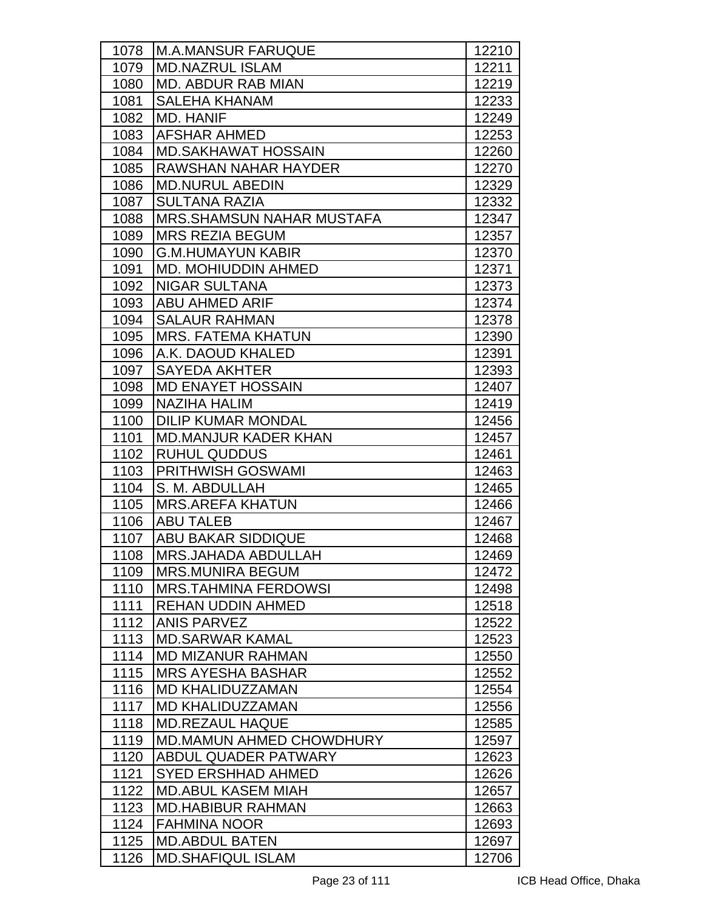| 1078 | M.A.MANSUR FARUQUE               | 12210 |
|------|----------------------------------|-------|
| 1079 | <b>MD.NAZRUL ISLAM</b>           | 12211 |
| 1080 | <b>MD. ABDUR RAB MIAN</b>        | 12219 |
| 1081 | <b>SALEHA KHANAM</b>             | 12233 |
| 1082 | <b>MD. HANIF</b>                 | 12249 |
| 1083 | AFSHAR AHMED                     | 12253 |
| 1084 | <b>MD.SAKHAWAT HOSSAIN</b>       | 12260 |
| 1085 | <b>RAWSHAN NAHAR HAYDER</b>      | 12270 |
| 1086 | <b>MD.NURUL ABEDIN</b>           | 12329 |
| 1087 | <b>SULTANA RAZIA</b>             | 12332 |
| 1088 | <b>MRS.SHAMSUN NAHAR MUSTAFA</b> | 12347 |
| 1089 | <b>MRS REZIA BEGUM</b>           | 12357 |
| 1090 | <b>G.M.HUMAYUN KABIR</b>         | 12370 |
| 1091 | <b>MD. MOHIUDDIN AHMED</b>       | 12371 |
| 1092 | <b>NIGAR SULTANA</b>             | 12373 |
| 1093 | <b>ABU AHMED ARIF</b>            | 12374 |
| 1094 | <b>SALAUR RAHMAN</b>             | 12378 |
| 1095 | <b>MRS. FATEMA KHATUN</b>        | 12390 |
| 1096 | A.K. DAOUD KHALED                | 12391 |
| 1097 | <b>SAYEDA AKHTER</b>             | 12393 |
| 1098 | <b>MD ENAYET HOSSAIN</b>         | 12407 |
| 1099 | <b>NAZIHA HALIM</b>              | 12419 |
| 1100 | <b>DILIP KUMAR MONDAL</b>        | 12456 |
| 1101 | <b>MD.MANJUR KADER KHAN</b>      | 12457 |
| 1102 | <b>RUHUL QUDDUS</b>              | 12461 |
| 1103 | <b>PRITHWISH GOSWAMI</b>         | 12463 |
| 1104 | S. M. ABDULLAH                   | 12465 |
| 1105 | <b>MRS.AREFA KHATUN</b>          | 12466 |
| 1106 | <b>ABU TALEB</b>                 | 12467 |
| 1107 | <b>ABU BAKAR SIDDIQUE</b>        | 12468 |
| 1108 | <b>MRS.JAHADA ABDULLAH</b>       | 12469 |
| 1109 | <b>MRS.MUNIRA BEGUM</b>          | 12472 |
| 1110 | <b>MRS.TAHMINA FERDOWSI</b>      | 12498 |
| 1111 | <b>REHAN UDDIN AHMED</b>         | 12518 |
| 1112 | <b>ANIS PARVEZ</b>               | 12522 |
| 1113 | <b>MD.SARWAR KAMAL</b>           | 12523 |
| 1114 | <b>MD MIZANUR RAHMAN</b>         | 12550 |
| 1115 | <b>MRS AYESHA BASHAR</b>         | 12552 |
| 1116 | <b>MD KHALIDUZZAMAN</b>          | 12554 |
| 1117 | <b>MD KHALIDUZZAMAN</b>          | 12556 |
| 1118 | <b>MD.REZAUL HAQUE</b>           | 12585 |
| 1119 | <b>MD.MAMUN AHMED CHOWDHURY</b>  | 12597 |
| 1120 | ABDUL QUADER PATWARY             | 12623 |
| 1121 | <b>SYED ERSHHAD AHMED</b>        | 12626 |
| 1122 | <b>MD.ABUL KASEM MIAH</b>        | 12657 |
| 1123 | <b>MD.HABIBUR RAHMAN</b>         | 12663 |
| 1124 | <b>FAHMINA NOOR</b>              | 12693 |
| 1125 | <b>MD.ABDUL BATEN</b>            | 12697 |
| 1126 | <b>MD.SHAFIQUL ISLAM</b>         | 12706 |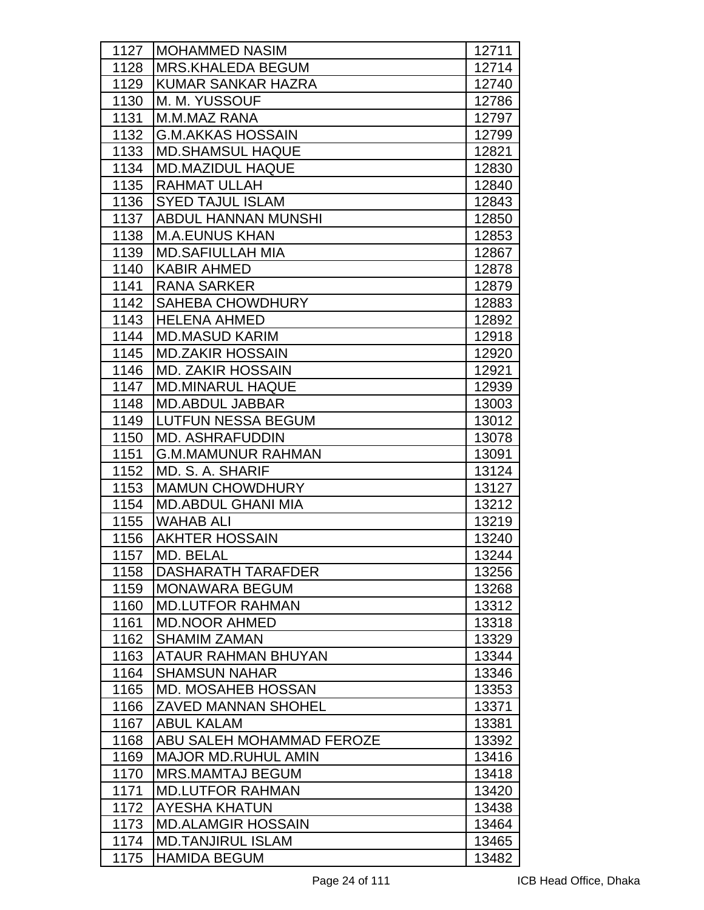| 1127 | IMOHAMMED NASIM            | 12711 |
|------|----------------------------|-------|
| 1128 | <b>MRS.KHALEDA BEGUM</b>   | 12714 |
| 1129 | <b>KUMAR SANKAR HAZRA</b>  | 12740 |
| 1130 | M. M. YUSSOUF              | 12786 |
| 1131 | M.M.MAZ RANA               | 12797 |
| 1132 | <b>G.M.AKKAS HOSSAIN</b>   | 12799 |
| 1133 | <b>MD.SHAMSUL HAQUE</b>    | 12821 |
| 1134 | <b>MD.MAZIDUL HAQUE</b>    | 12830 |
| 1135 | <b>RAHMAT ULLAH</b>        | 12840 |
| 1136 | <b>SYED TAJUL ISLAM</b>    | 12843 |
| 1137 | <b>ABDUL HANNAN MUNSHI</b> | 12850 |
| 1138 | <b>M.A.EUNUS KHAN</b>      | 12853 |
| 1139 | <b>MD.SAFIULLAH MIA</b>    | 12867 |
| 1140 | <b>KABIR AHMED</b>         | 12878 |
| 1141 | <b>RANA SARKER</b>         | 12879 |
| 1142 | <b>SAHEBA CHOWDHURY</b>    | 12883 |
| 1143 | <b>HELENA AHMED</b>        | 12892 |
| 1144 | <b>MD.MASUD KARIM</b>      | 12918 |
| 1145 | <b>MD.ZAKIR HOSSAIN</b>    | 12920 |
| 1146 | <b>MD. ZAKIR HOSSAIN</b>   | 12921 |
| 1147 | <b>MD.MINARUL HAQUE</b>    | 12939 |
| 1148 | <b>MD.ABDUL JABBAR</b>     | 13003 |
| 1149 | <b>LUTFUN NESSA BEGUM</b>  | 13012 |
| 1150 | <b>MD. ASHRAFUDDIN</b>     | 13078 |
| 1151 | <b>G.M.MAMUNUR RAHMAN</b>  | 13091 |
| 1152 | MD. S. A. SHARIF           | 13124 |
| 1153 | <b>MAMUN CHOWDHURY</b>     | 13127 |
| 1154 | <b>MD.ABDUL GHANI MIA</b>  | 13212 |
| 1155 | <b>WAHAB ALI</b>           | 13219 |
| 1156 | <b>AKHTER HOSSAIN</b>      | 13240 |
| 1157 | MD. BELAL                  | 13244 |
| 1158 | DASHARATH TARAFDER         | 13256 |
| 1159 | <b>MONAWARA BEGUM</b>      | 13268 |
| 1160 | <b>MD.LUTFOR RAHMAN</b>    | 13312 |
| 1161 | <b>MD.NOOR AHMED</b>       | 13318 |
| 1162 | <b>SHAMIM ZAMAN</b>        | 13329 |
| 1163 | ATAUR RAHMAN BHUYAN        | 13344 |
| 1164 | <b>SHAMSUN NAHAR</b>       | 13346 |
| 1165 | <b>MD. MOSAHEB HOSSAN</b>  | 13353 |
| 1166 | <b>ZAVED MANNAN SHOHEL</b> | 13371 |
| 1167 | <b>ABUL KALAM</b>          | 13381 |
| 1168 | ABU SALEH MOHAMMAD FEROZE  | 13392 |
| 1169 | <b>MAJOR MD.RUHUL AMIN</b> | 13416 |
| 1170 | <b>MRS.MAMTAJ BEGUM</b>    | 13418 |
| 1171 | <b>MD.LUTFOR RAHMAN</b>    | 13420 |
| 1172 | <b>AYESHA KHATUN</b>       | 13438 |
| 1173 | <b>MD.ALAMGIR HOSSAIN</b>  | 13464 |
| 1174 | <b>MD.TANJIRUL ISLAM</b>   | 13465 |
| 1175 | <b>HAMIDA BEGUM</b>        | 13482 |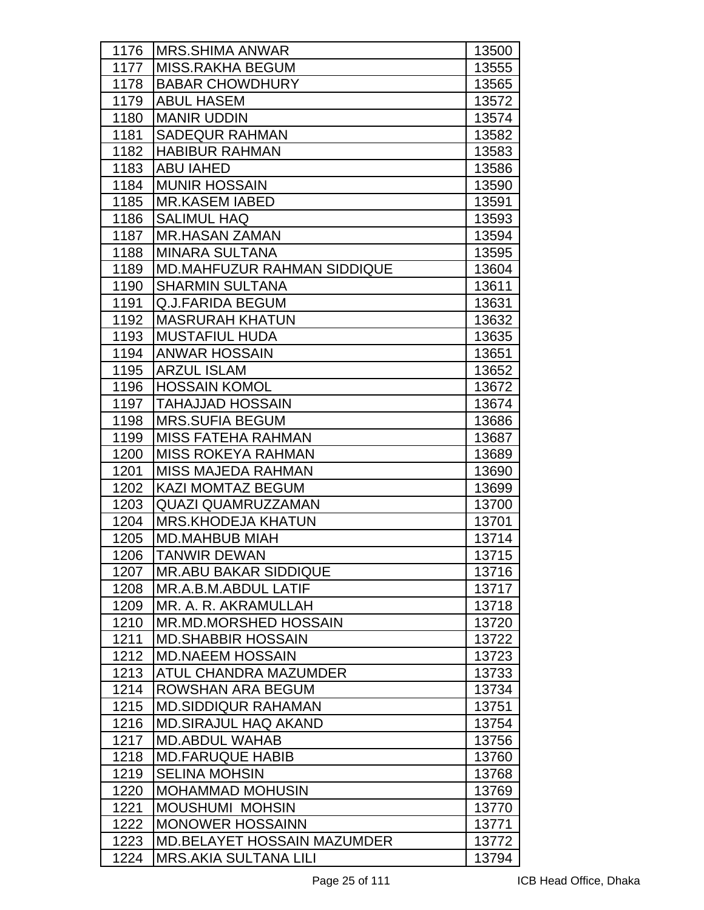| 1176 | <b>MRS.SHIMA ANWAR</b>             | 13500 |
|------|------------------------------------|-------|
| 1177 | <b>MISS.RAKHA BEGUM</b>            | 13555 |
| 1178 | <b>BABAR CHOWDHURY</b>             | 13565 |
| 1179 | <b>ABUL HASEM</b>                  | 13572 |
| 1180 | <b>MANIR UDDIN</b>                 | 13574 |
| 1181 | <b>SADEQUR RAHMAN</b>              | 13582 |
| 1182 | <b>HABIBUR RAHMAN</b>              | 13583 |
| 1183 | <b>ABU IAHED</b>                   | 13586 |
| 1184 | <b>MUNIR HOSSAIN</b>               | 13590 |
| 1185 | <b>MR.KASEM IABED</b>              | 13591 |
| 1186 | <b>SALIMUL HAQ</b>                 | 13593 |
| 1187 | <b>MR.HASAN ZAMAN</b>              | 13594 |
| 1188 | <b>MINARA SULTANA</b>              | 13595 |
| 1189 | <b>MD.MAHFUZUR RAHMAN SIDDIQUE</b> | 13604 |
| 1190 | <b>SHARMIN SULTANA</b>             | 13611 |
| 1191 | Q.J.FARIDA BEGUM                   | 13631 |
| 1192 | <b>MASRURAH KHATUN</b>             | 13632 |
| 1193 | <b>MUSTAFIUL HUDA</b>              | 13635 |
| 1194 | <b>ANWAR HOSSAIN</b>               | 13651 |
| 1195 | <b>ARZUL ISLAM</b>                 | 13652 |
| 1196 | <b>HOSSAIN KOMOL</b>               | 13672 |
| 1197 | <b>TAHAJJAD HOSSAIN</b>            | 13674 |
| 1198 | <b>MRS.SUFIA BEGUM</b>             | 13686 |
| 1199 | <b>MISS FATEHA RAHMAN</b>          | 13687 |
| 1200 | <b>MISS ROKEYA RAHMAN</b>          | 13689 |
| 1201 | <b>MISS MAJEDA RAHMAN</b>          | 13690 |
| 1202 | <b>KAZI MOMTAZ BEGUM</b>           | 13699 |
| 1203 | <b>QUAZI QUAMRUZZAMAN</b>          | 13700 |
| 1204 | <b>MRS.KHODEJA KHATUN</b>          | 13701 |
| 1205 | <b>MD.MAHBUB MIAH</b>              | 13714 |
| 1206 | <b>TANWIR DEWAN</b>                | 13715 |
| 1207 | <b>MR.ABU BAKAR SIDDIQUE</b>       | 13716 |
| 1208 | MR.A.B.M.ABDUL LATIF               | 13717 |
| 1209 | MR. A. R. AKRAMULLAH               | 13718 |
| 1210 | MR.MD.MORSHED HOSSAIN              | 13720 |
| 1211 | <b>MD.SHABBIR HOSSAIN</b>          | 13722 |
| 1212 | <b>MD.NAEEM HOSSAIN</b>            | 13723 |
| 1213 | ATUL CHANDRA MAZUMDER              | 13733 |
| 1214 | ROWSHAN ARA BEGUM                  | 13734 |
| 1215 | <b>MD.SIDDIQUR RAHAMAN</b>         | 13751 |
| 1216 | <b>MD.SIRAJUL HAQ AKAND</b>        | 13754 |
| 1217 | <b>MD.ABDUL WAHAB</b>              | 13756 |
| 1218 | <b>MD.FARUQUE HABIB</b>            | 13760 |
| 1219 | <b>SELINA MOHSIN</b>               | 13768 |
| 1220 | <b>MOHAMMAD MOHUSIN</b>            | 13769 |
| 1221 | <b>MOUSHUMI MOHSIN</b>             | 13770 |
| 1222 | <b>MONOWER HOSSAINN</b>            | 13771 |
| 1223 | <b>MD.BELAYET HOSSAIN MAZUMDER</b> | 13772 |
| 1224 | <b>MRS.AKIA SULTANA LILI</b>       | 13794 |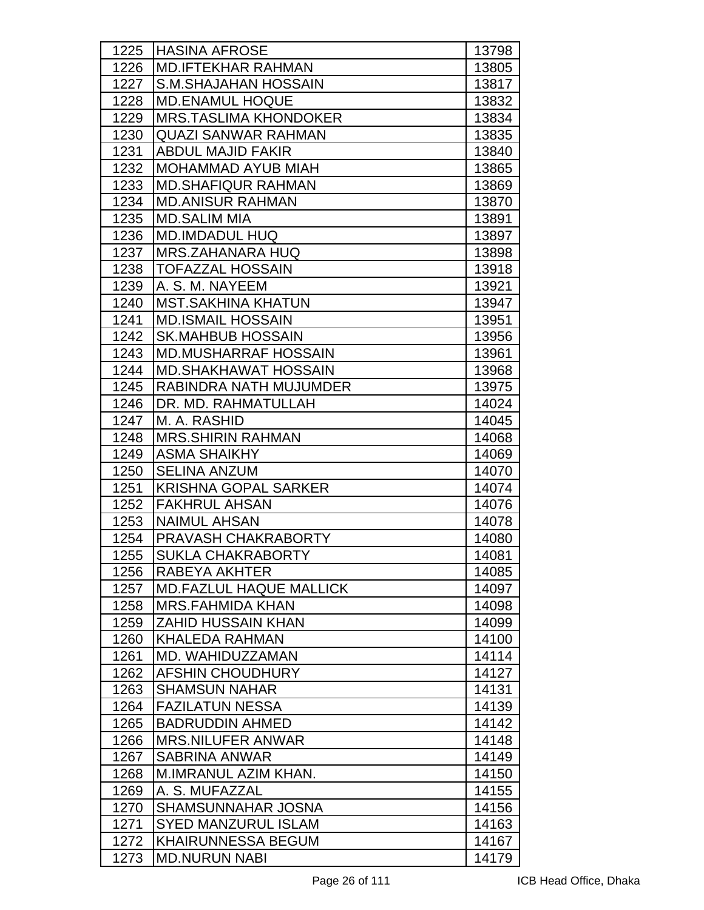| 1225 | <b>HASINA AFROSE</b>           | 13798 |
|------|--------------------------------|-------|
| 1226 | <b>MD.IFTEKHAR RAHMAN</b>      | 13805 |
| 1227 | S.M.SHAJAHAN HOSSAIN           | 13817 |
| 1228 | <b>MD.ENAMUL HOQUE</b>         | 13832 |
| 1229 | <b>MRS.TASLIMA KHONDOKER</b>   | 13834 |
| 1230 | <b>QUAZI SANWAR RAHMAN</b>     | 13835 |
| 1231 | <b>ABDUL MAJID FAKIR</b>       | 13840 |
| 1232 | <b>MOHAMMAD AYUB MIAH</b>      | 13865 |
| 1233 | <b>MD.SHAFIQUR RAHMAN</b>      | 13869 |
| 1234 | <b>MD.ANISUR RAHMAN</b>        | 13870 |
| 1235 | <b>MD.SALIM MIA</b>            | 13891 |
| 1236 | <b>MD.IMDADUL HUQ</b>          | 13897 |
| 1237 | <b>MRS.ZAHANARA HUQ</b>        | 13898 |
| 1238 | <b>TOFAZZAL HOSSAIN</b>        | 13918 |
| 1239 | A. S. M. NAYEEM                | 13921 |
| 1240 | <b>MST.SAKHINA KHATUN</b>      | 13947 |
| 1241 | <b>MD.ISMAIL HOSSAIN</b>       | 13951 |
| 1242 | <b>SK.MAHBUB HOSSAIN</b>       | 13956 |
| 1243 | <b>MD.MUSHARRAF HOSSAIN</b>    | 13961 |
| 1244 | <b>MD.SHAKHAWAT HOSSAIN</b>    | 13968 |
| 1245 | RABINDRA NATH MUJUMDER         | 13975 |
| 1246 | DR. MD. RAHMATULLAH            | 14024 |
| 1247 | M. A. RASHID                   | 14045 |
| 1248 | <b>MRS.SHIRIN RAHMAN</b>       | 14068 |
| 1249 | <b>ASMA SHAIKHY</b>            | 14069 |
| 1250 | <b>SELINA ANZUM</b>            | 14070 |
| 1251 | <b>KRISHNA GOPAL SARKER</b>    | 14074 |
| 1252 | <b>FAKHRUL AHSAN</b>           | 14076 |
| 1253 | <b>NAIMUL AHSAN</b>            | 14078 |
| 1254 | PRAVASH CHAKRABORTY            | 14080 |
| 1255 | SUKLA CHAKRABORTY              | 14081 |
| 1256 | RABEYA AKHTER                  | 14085 |
| 1257 | <b>MD.FAZLUL HAQUE MALLICK</b> | 14097 |
| 1258 | <b>MRS.FAHMIDA KHAN</b>        | 14098 |
| 1259 | <b>ZAHID HUSSAIN KHAN</b>      | 14099 |
| 1260 | <b>KHALEDA RAHMAN</b>          | 14100 |
| 1261 | MD. WAHIDUZZAMAN               | 14114 |
| 1262 | <b>AFSHIN CHOUDHURY</b>        | 14127 |
| 1263 | <b>SHAMSUN NAHAR</b>           | 14131 |
| 1264 | <b>FAZILATUN NESSA</b>         | 14139 |
| 1265 | <b>BADRUDDIN AHMED</b>         | 14142 |
| 1266 | <b>MRS.NILUFER ANWAR</b>       | 14148 |
| 1267 | <b>SABRINA ANWAR</b>           | 14149 |
| 1268 | M.IMRANUL AZIM KHAN.           | 14150 |
| 1269 | A. S. MUFAZZAL                 | 14155 |
| 1270 | SHAMSUNNAHAR JOSNA             | 14156 |
| 1271 | <b>SYED MANZURUL ISLAM</b>     | 14163 |
| 1272 | <b>KHAIRUNNESSA BEGUM</b>      | 14167 |
| 1273 | <b>MD.NURUN NABI</b>           | 14179 |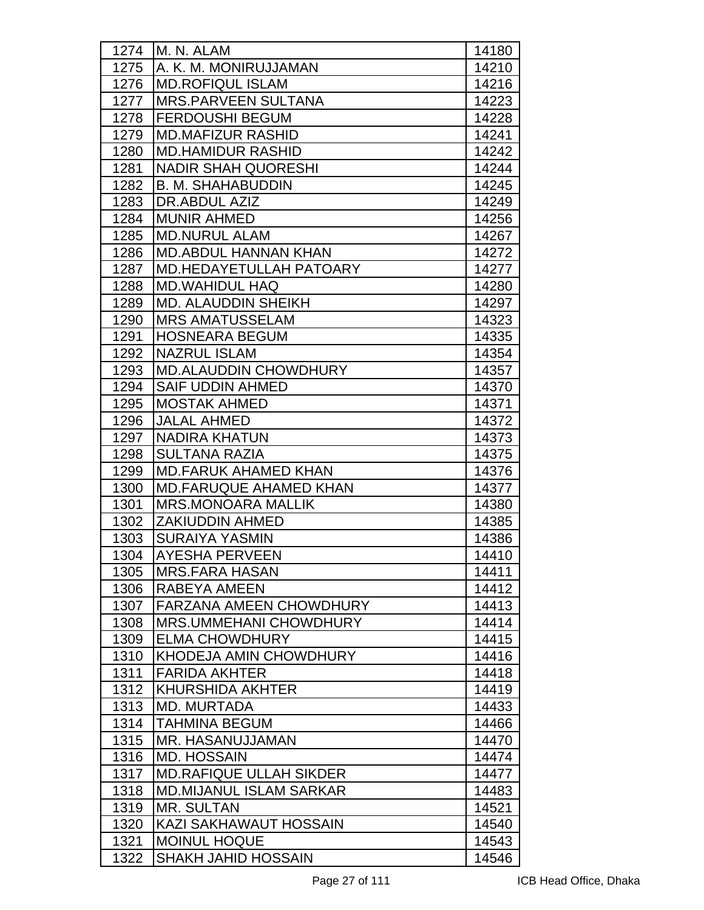| 1274 | M. N. ALAM                     | 14180 |
|------|--------------------------------|-------|
| 1275 | A. K. M. MONIRUJJAMAN          | 14210 |
| 1276 | <b>MD.ROFIQUL ISLAM</b>        | 14216 |
| 1277 | <b>MRS.PARVEEN SULTANA</b>     | 14223 |
| 1278 | <b>FERDOUSHI BEGUM</b>         | 14228 |
| 1279 | <b>MD.MAFIZUR RASHID</b>       | 14241 |
| 1280 | <b>MD.HAMIDUR RASHID</b>       | 14242 |
| 1281 | <b>NADIR SHAH QUORESHI</b>     | 14244 |
| 1282 | <b>B. M. SHAHABUDDIN</b>       | 14245 |
| 1283 | DR.ABDUL AZIZ                  | 14249 |
| 1284 | <b>MUNIR AHMED</b>             | 14256 |
| 1285 | <b>MD.NURUL ALAM</b>           | 14267 |
| 1286 | <b>MD.ABDUL HANNAN KHAN</b>    | 14272 |
| 1287 | MD.HEDAYETULLAH PATOARY        | 14277 |
| 1288 | <b>MD.WAHIDUL HAQ</b>          | 14280 |
| 1289 | MD. ALAUDDIN SHEIKH            | 14297 |
| 1290 | <b>MRS AMATUSSELAM</b>         | 14323 |
| 1291 | <b>HOSNEARA BEGUM</b>          | 14335 |
| 1292 | <b>NAZRUL ISLAM</b>            | 14354 |
| 1293 | <b>MD.ALAUDDIN CHOWDHURY</b>   | 14357 |
| 1294 | <b>SAIF UDDIN AHMED</b>        | 14370 |
| 1295 | <b>MOSTAK AHMED</b>            | 14371 |
| 1296 | <b>JALAL AHMED</b>             | 14372 |
| 1297 | <b>NADIRA KHATUN</b>           | 14373 |
| 1298 | <b>SULTANA RAZIA</b>           | 14375 |
| 1299 | <b>MD.FARUK AHAMED KHAN</b>    | 14376 |
| 1300 | <b>MD.FARUQUE AHAMED KHAN</b>  | 14377 |
| 1301 | <b>MRS.MONOARA MALLIK</b>      | 14380 |
| 1302 | <b>ZAKIUDDIN AHMED</b>         | 14385 |
| 1303 | <b>SURAIYA YASMIN</b>          | 14386 |
| 1304 | <b>AYESHA PERVEEN</b>          | 14410 |
| 1305 | <b>MRS.FARA HASAN</b>          | 14411 |
| 1306 | RABEYA AMEEN                   | 14412 |
| 1307 | <b>FARZANA AMEEN CHOWDHURY</b> | 14413 |
| 1308 | <b>MRS.UMMEHANI CHOWDHURY</b>  | 14414 |
| 1309 | <b>ELMA CHOWDHURY</b>          | 14415 |
| 1310 | KHODEJA AMIN CHOWDHURY         | 14416 |
| 1311 | <b>FARIDA AKHTER</b>           | 14418 |
| 1312 | <b>KHURSHIDA AKHTER</b>        | 14419 |
| 1313 | <b>MD. MURTADA</b>             | 14433 |
| 1314 | <b>TAHMINA BEGUM</b>           | 14466 |
| 1315 | MR. HASANUJJAMAN               | 14470 |
| 1316 | <b>MD. HOSSAIN</b>             | 14474 |
| 1317 | <b>MD.RAFIQUE ULLAH SIKDER</b> | 14477 |
| 1318 | <b>MD.MIJANUL ISLAM SARKAR</b> | 14483 |
| 1319 | <b>MR. SULTAN</b>              | 14521 |
| 1320 | KAZI SAKHAWAUT HOSSAIN         | 14540 |
| 1321 | <b>MOINUL HOQUE</b>            | 14543 |
| 1322 | <b>SHAKH JAHID HOSSAIN</b>     | 14546 |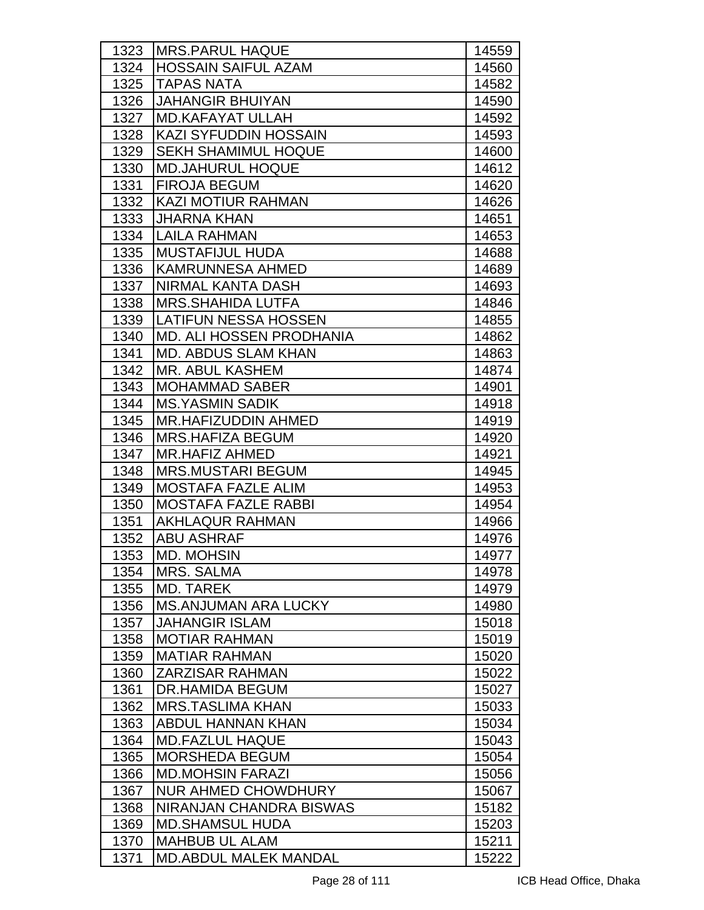| 1323 | <b>IMRS.PARUL HAQUE</b>      | 14559 |
|------|------------------------------|-------|
| 1324 | <b>HOSSAIN SAIFUL AZAM</b>   | 14560 |
| 1325 | <b>TAPAS NATA</b>            | 14582 |
| 1326 | <b>JAHANGIR BHUIYAN</b>      | 14590 |
| 1327 | <b>MD.KAFAYAT ULLAH</b>      | 14592 |
| 1328 | <b>KAZI SYFUDDIN HOSSAIN</b> | 14593 |
| 1329 | <b>SEKH SHAMIMUL HOQUE</b>   | 14600 |
| 1330 | <b>MD.JAHURUL HOQUE</b>      | 14612 |
| 1331 | <b>FIROJA BEGUM</b>          | 14620 |
| 1332 | <b>KAZI MOTIUR RAHMAN</b>    | 14626 |
| 1333 | <b>JHARNA KHAN</b>           | 14651 |
| 1334 | LAILA RAHMAN                 | 14653 |
| 1335 | <b>MUSTAFIJUL HUDA</b>       | 14688 |
| 1336 | <b>KAMRUNNESA AHMED</b>      | 14689 |
| 1337 | <b>NIRMAL KANTA DASH</b>     | 14693 |
| 1338 | <b>MRS.SHAHIDA LUTFA</b>     | 14846 |
| 1339 | LATIFUN NESSA HOSSEN         | 14855 |
| 1340 | MD. ALI HOSSEN PRODHANIA     | 14862 |
| 1341 | <b>MD. ABDUS SLAM KHAN</b>   | 14863 |
| 1342 | <b>MR. ABUL KASHEM</b>       | 14874 |
| 1343 | <b>MOHAMMAD SABER</b>        | 14901 |
| 1344 | <b>MS.YASMIN SADIK</b>       | 14918 |
| 1345 | <b>MR.HAFIZUDDIN AHMED</b>   | 14919 |
| 1346 | <b>MRS.HAFIZA BEGUM</b>      | 14920 |
| 1347 | <b>MR.HAFIZ AHMED</b>        | 14921 |
| 1348 | <b>MRS.MUSTARI BEGUM</b>     | 14945 |
| 1349 | <b>MOSTAFA FAZLE ALIM</b>    | 14953 |
| 1350 | <b>MOSTAFA FAZLE RABBI</b>   | 14954 |
| 1351 | <b>AKHLAQUR RAHMAN</b>       | 14966 |
| 1352 | <b>ABU ASHRAF</b>            | 14976 |
| 1353 | <b>MD. MOHSIN</b>            | 14977 |
| 1354 | <b>MRS. SALMA</b>            | 14978 |
| 1355 | <b>MD. TAREK</b>             | 14979 |
| 1356 | <b>MS.ANJUMAN ARA LUCKY</b>  | 14980 |
| 1357 | <b>JAHANGIR ISLAM</b>        | 15018 |
| 1358 | <b>MOTIAR RAHMAN</b>         | 15019 |
| 1359 | <b>MATIAR RAHMAN</b>         | 15020 |
| 1360 | <b>ZARZISAR RAHMAN</b>       | 15022 |
| 1361 | <b>DR.HAMIDA BEGUM</b>       | 15027 |
| 1362 | <b>MRS.TASLIMA KHAN</b>      | 15033 |
| 1363 | <b>ABDUL HANNAN KHAN</b>     | 15034 |
| 1364 | <b>MD.FAZLUL HAQUE</b>       | 15043 |
| 1365 | <b>MORSHEDA BEGUM</b>        | 15054 |
| 1366 | <b>MD.MOHSIN FARAZI</b>      | 15056 |
| 1367 | <b>NUR AHMED CHOWDHURY</b>   | 15067 |
| 1368 | NIRANJAN CHANDRA BISWAS      | 15182 |
| 1369 | <b>MD.SHAMSUL HUDA</b>       | 15203 |
| 1370 | <b>MAHBUB UL ALAM</b>        | 15211 |
| 1371 | <b>MD.ABDUL MALEK MANDAL</b> | 15222 |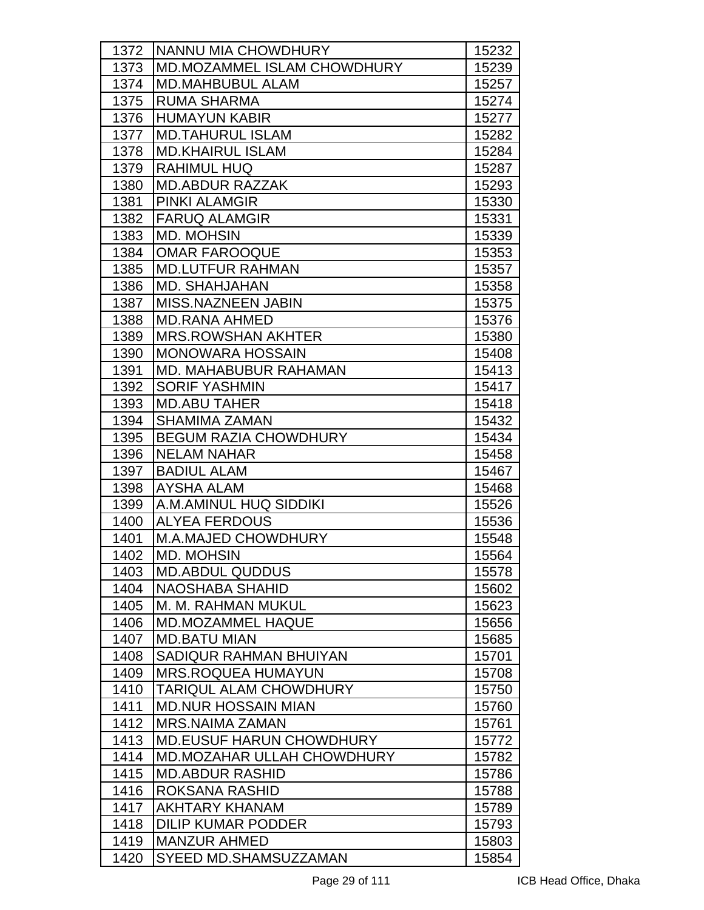| 1372 | NANNU MIA CHOWDHURY               | 15232 |
|------|-----------------------------------|-------|
| 1373 | MD.MOZAMMEL ISLAM CHOWDHURY       | 15239 |
| 1374 | <b>MD.MAHBUBUL ALAM</b>           | 15257 |
| 1375 | <b>RUMA SHARMA</b>                | 15274 |
| 1376 | <b>HUMAYUN KABIR</b>              | 15277 |
| 1377 | <b>MD.TAHURUL ISLAM</b>           | 15282 |
| 1378 | <b>MD.KHAIRUL ISLAM</b>           | 15284 |
| 1379 | <b>RAHIMUL HUQ</b>                | 15287 |
| 1380 | <b>MD.ABDUR RAZZAK</b>            | 15293 |
| 1381 | <b>PINKI ALAMGIR</b>              | 15330 |
| 1382 | <b>FARUQ ALAMGIR</b>              | 15331 |
| 1383 | <b>MD. MOHSIN</b>                 | 15339 |
| 1384 | <b>OMAR FAROOQUE</b>              | 15353 |
| 1385 | <b>MD.LUTFUR RAHMAN</b>           | 15357 |
| 1386 | <b>MD. SHAHJAHAN</b>              | 15358 |
| 1387 | <b>MISS.NAZNEEN JABIN</b>         | 15375 |
| 1388 | <b>MD.RANA AHMED</b>              | 15376 |
| 1389 | <b>MRS.ROWSHAN AKHTER</b>         | 15380 |
| 1390 | <b>MONOWARA HOSSAIN</b>           | 15408 |
| 1391 | MD. MAHABUBUR RAHAMAN             | 15413 |
| 1392 | <b>SORIF YASHMIN</b>              | 15417 |
| 1393 | <b>MD.ABU TAHER</b>               | 15418 |
| 1394 | <b>SHAMIMA ZAMAN</b>              | 15432 |
| 1395 | <b>BEGUM RAZIA CHOWDHURY</b>      | 15434 |
| 1396 | <b>NELAM NAHAR</b>                | 15458 |
| 1397 | <b>BADIUL ALAM</b>                | 15467 |
| 1398 | <b>AYSHA ALAM</b>                 | 15468 |
| 1399 | A.M.AMINUL HUQ SIDDIKI            | 15526 |
| 1400 | <b>ALYEA FERDOUS</b>              | 15536 |
| 1401 | <b>M.A.MAJED CHOWDHURY</b>        | 15548 |
| 1402 | <b>MD. MOHSIN</b>                 | 15564 |
| 1403 | <b>MD.ABDUL QUDDUS</b>            | 15578 |
| 1404 | <b>NAOSHABA SHAHID</b>            | 15602 |
| 1405 | M. M. RAHMAN MUKUL                | 15623 |
| 1406 | <b>MD.MOZAMMEL HAQUE</b>          | 15656 |
| 1407 | <b>MD.BATU MIAN</b>               | 15685 |
| 1408 | SADIQUR RAHMAN BHUIYAN            | 15701 |
| 1409 | <b>MRS.ROQUEA HUMAYUN</b>         | 15708 |
| 1410 | TARIQUL ALAM CHOWDHURY            | 15750 |
| 1411 | <b>MD.NUR HOSSAIN MIAN</b>        | 15760 |
| 1412 | <b>MRS.NAIMA ZAMAN</b>            | 15761 |
| 1413 | <b>MD.EUSUF HARUN CHOWDHURY</b>   | 15772 |
| 1414 | <b>MD.MOZAHAR ULLAH CHOWDHURY</b> | 15782 |
| 1415 | <b>MD.ABDUR RASHID</b>            | 15786 |
| 1416 | ROKSANA RASHID                    | 15788 |
| 1417 | <b>AKHTARY KHANAM</b>             | 15789 |
| 1418 | <b>DILIP KUMAR PODDER</b>         | 15793 |
| 1419 | <b>MANZUR AHMED</b>               | 15803 |
| 1420 | SYEED MD.SHAMSUZZAMAN             | 15854 |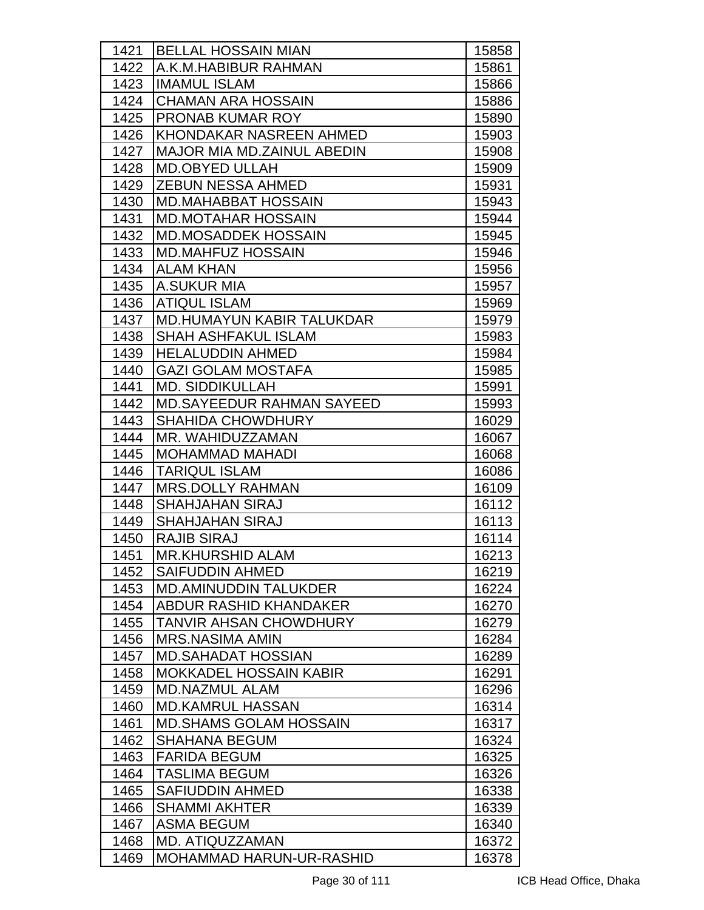| 1421 | <b>BELLAL HOSSAIN MIAN</b>        | 15858 |
|------|-----------------------------------|-------|
| 1422 | A.K.M.HABIBUR RAHMAN              | 15861 |
| 1423 | <b>IMAMUL ISLAM</b>               | 15866 |
| 1424 | <b>CHAMAN ARA HOSSAIN</b>         | 15886 |
| 1425 | <b>PRONAB KUMAR ROY</b>           | 15890 |
| 1426 | KHONDAKAR NASREEN AHMED           | 15903 |
| 1427 | <b>MAJOR MIA MD.ZAINUL ABEDIN</b> | 15908 |
| 1428 | <b>MD.OBYED ULLAH</b>             | 15909 |
| 1429 | <b>ZEBUN NESSA AHMED</b>          | 15931 |
| 1430 | <b>MD.MAHABBAT HOSSAIN</b>        | 15943 |
| 1431 | <b>MD.MOTAHAR HOSSAIN</b>         | 15944 |
| 1432 | <b>MD.MOSADDEK HOSSAIN</b>        | 15945 |
| 1433 | <b>MD.MAHFUZ HOSSAIN</b>          | 15946 |
| 1434 | <b>ALAM KHAN</b>                  | 15956 |
| 1435 | <b>A.SUKUR MIA</b>                | 15957 |
| 1436 | <b>ATIQUL ISLAM</b>               | 15969 |
| 1437 | <b>MD.HUMAYUN KABIR TALUKDAR</b>  | 15979 |
| 1438 | <b>SHAH ASHFAKUL ISLAM</b>        | 15983 |
| 1439 | <b>HELALUDDIN AHMED</b>           | 15984 |
| 1440 | <b>GAZI GOLAM MOSTAFA</b>         | 15985 |
| 1441 | <b>MD. SIDDIKULLAH</b>            | 15991 |
| 1442 | <b>MD.SAYEEDUR RAHMAN SAYEED</b>  | 15993 |
| 1443 | <b>SHAHIDA CHOWDHURY</b>          | 16029 |
| 1444 | MR. WAHIDUZZAMAN                  | 16067 |
| 1445 | <b>MOHAMMAD MAHADI</b>            | 16068 |
| 1446 | <b>TARIQUL ISLAM</b>              | 16086 |
| 1447 | <b>MRS.DOLLY RAHMAN</b>           | 16109 |
| 1448 | <b>SHAHJAHAN SIRAJ</b>            | 16112 |
| 1449 | <b>SHAHJAHAN SIRAJ</b>            | 16113 |
| 1450 | <b>RAJIB SIRAJ</b>                | 16114 |
| 1451 | <b>MR.KHURSHID ALAM</b>           | 16213 |
| 1452 | <b>SAIFUDDIN AHMED</b>            | 16219 |
| 1453 | <b>MD.AMINUDDIN TALUKDER</b>      | 16224 |
| 1454 | ABDUR RASHID KHANDAKER            | 16270 |
| 1455 | <b>TANVIR AHSAN CHOWDHURY</b>     | 16279 |
| 1456 | <b>MRS.NASIMA AMIN</b>            | 16284 |
| 1457 | <b>MD.SAHADAT HOSSIAN</b>         | 16289 |
| 1458 | <b>MOKKADEL HOSSAIN KABIR</b>     | 16291 |
| 1459 | <b>MD.NAZMUL ALAM</b>             | 16296 |
| 1460 | <b>MD.KAMRUL HASSAN</b>           | 16314 |
| 1461 | <b>MD.SHAMS GOLAM HOSSAIN</b>     | 16317 |
| 1462 | SHAHANA BEGUM                     | 16324 |
| 1463 | <b>FARIDA BEGUM</b>               | 16325 |
| 1464 | TASLIMA BEGUM                     | 16326 |
| 1465 | SAFIUDDIN AHMED                   | 16338 |
| 1466 | SHAMMI AKHTER                     | 16339 |
| 1467 | <b>ASMA BEGUM</b>                 | 16340 |
| 1468 | MD. ATIQUZZAMAN                   | 16372 |
| 1469 | MOHAMMAD HARUN-UR-RASHID          | 16378 |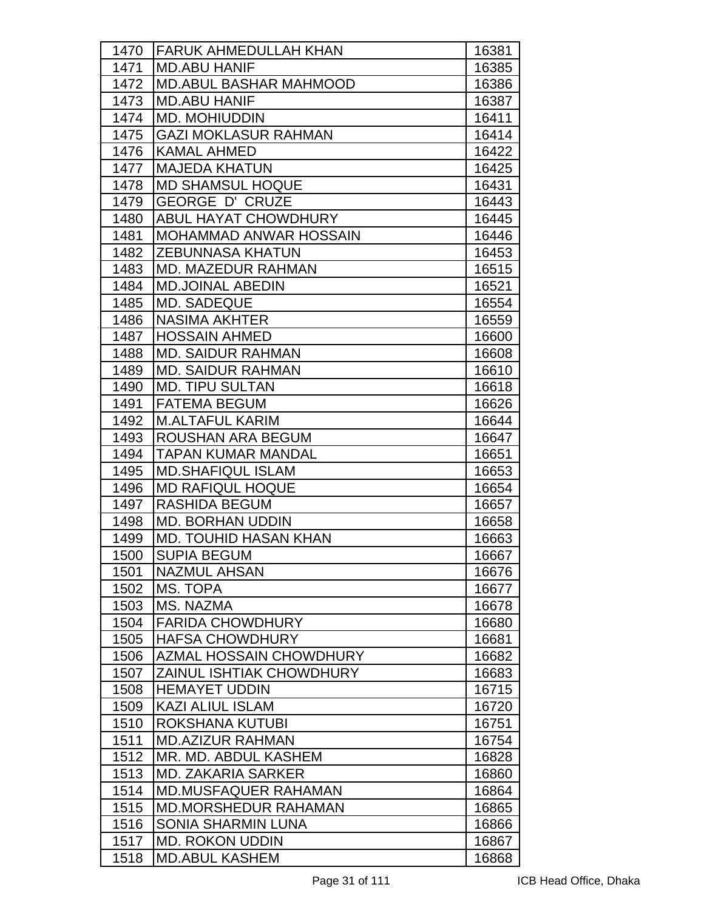| 1470 | <b>FARUK AHMEDULLAH KHAN</b>    | 16381 |
|------|---------------------------------|-------|
| 1471 | <b>MD.ABU HANIF</b>             | 16385 |
| 1472 | <b>MD.ABUL BASHAR MAHMOOD</b>   | 16386 |
| 1473 | <b>MD.ABU HANIF</b>             | 16387 |
| 1474 | <b>MD. MOHIUDDIN</b>            | 16411 |
| 1475 | <b>GAZI MOKLASUR RAHMAN</b>     | 16414 |
| 1476 | <b>KAMAL AHMED</b>              | 16422 |
| 1477 | <b>MAJEDA KHATUN</b>            | 16425 |
| 1478 | <b>MD SHAMSUL HOQUE</b>         | 16431 |
| 1479 | <b>GEORGE D' CRUZE</b>          | 16443 |
| 1480 | <b>ABUL HAYAT CHOWDHURY</b>     | 16445 |
| 1481 | <b>MOHAMMAD ANWAR HOSSAIN</b>   | 16446 |
| 1482 | <b>ZEBUNNASA KHATUN</b>         | 16453 |
| 1483 | <b>MD. MAZEDUR RAHMAN</b>       | 16515 |
| 1484 | <b>MD.JOINAL ABEDIN</b>         | 16521 |
| 1485 | <b>MD. SADEQUE</b>              | 16554 |
| 1486 | <b>NASIMA AKHTER</b>            | 16559 |
| 1487 | <b>HOSSAIN AHMED</b>            | 16600 |
| 1488 | <b>MD. SAIDUR RAHMAN</b>        | 16608 |
| 1489 | <b>MD. SAIDUR RAHMAN</b>        | 16610 |
| 1490 | <b>MD. TIPU SULTAN</b>          | 16618 |
| 1491 | <b>FATEMA BEGUM</b>             | 16626 |
| 1492 | <b>M.ALTAFUL KARIM</b>          | 16644 |
| 1493 | <b>ROUSHAN ARA BEGUM</b>        | 16647 |
| 1494 | TAPAN KUMAR MANDAL              | 16651 |
| 1495 | <b>MD.SHAFIQUL ISLAM</b>        | 16653 |
| 1496 | <b>MD RAFIQUL HOQUE</b>         | 16654 |
| 1497 | <b>RASHIDA BEGUM</b>            | 16657 |
| 1498 | <b>MD. BORHAN UDDIN</b>         | 16658 |
| 1499 | <b>MD. TOUHID HASAN KHAN</b>    | 16663 |
| 1500 | <b>SUPIA BEGUM</b>              | 16667 |
| 1501 | <b>NAZMUL AHSAN</b>             | 16676 |
| 1502 | MS. TOPA                        | 16677 |
| 1503 | MS. NAZMA                       | 16678 |
| 1504 | <b>FARIDA CHOWDHURY</b>         | 16680 |
| 1505 | <b>HAFSA CHOWDHURY</b>          | 16681 |
| 1506 | <b>AZMAL HOSSAIN CHOWDHURY</b>  | 16682 |
| 1507 | <b>ZAINUL ISHTIAK CHOWDHURY</b> | 16683 |
| 1508 | <b>HEMAYET UDDIN</b>            | 16715 |
| 1509 | <b>KAZI ALIUL ISLAM</b>         | 16720 |
| 1510 | <b>ROKSHANA KUTUBI</b>          | 16751 |
| 1511 | <b>MD.AZIZUR RAHMAN</b>         | 16754 |
| 1512 | MR. MD. ABDUL KASHEM            | 16828 |
| 1513 | <b>MD. ZAKARIA SARKER</b>       | 16860 |
| 1514 | <b>MD.MUSFAQUER RAHAMAN</b>     | 16864 |
| 1515 | <b>MD.MORSHEDUR RAHAMAN</b>     | 16865 |
| 1516 | <b>SONIA SHARMIN LUNA</b>       | 16866 |
| 1517 | <b>MD. ROKON UDDIN</b>          | 16867 |
| 1518 | <b>MD.ABUL KASHEM</b>           | 16868 |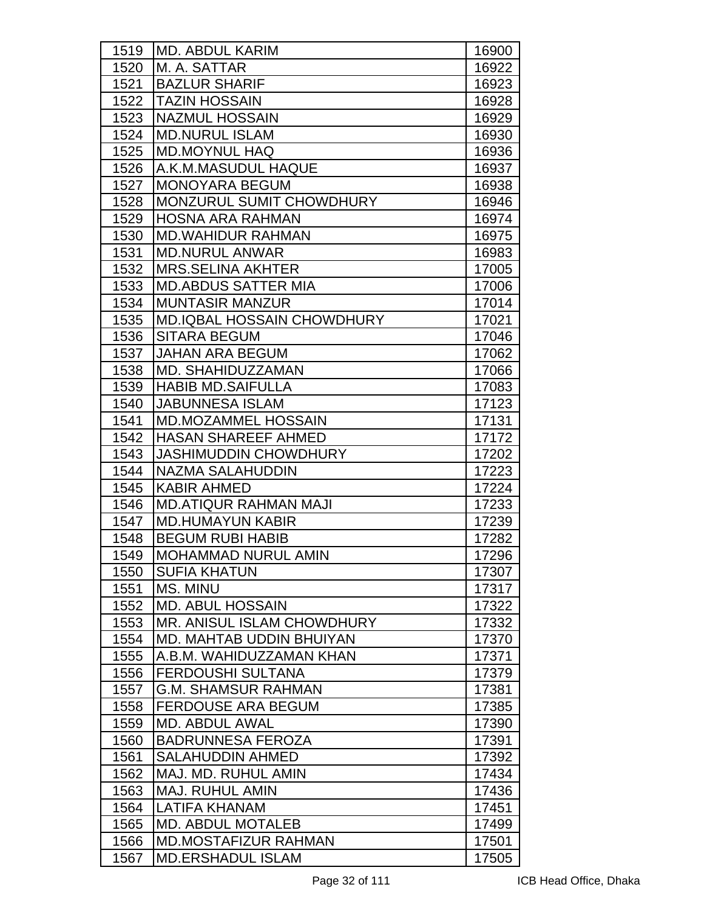| 1519 | <b>MD. ABDUL KARIM</b>            | 16900 |
|------|-----------------------------------|-------|
| 1520 | M. A. SATTAR                      | 16922 |
| 1521 | <b>BAZLUR SHARIF</b>              | 16923 |
| 1522 | <b>TAZIN HOSSAIN</b>              | 16928 |
| 1523 | <b>NAZMUL HOSSAIN</b>             | 16929 |
| 1524 | <b>MD.NURUL ISLAM</b>             | 16930 |
| 1525 | <b>MD.MOYNUL HAQ</b>              | 16936 |
| 1526 | A.K.M.MASUDUL HAQUE               | 16937 |
| 1527 | <b>MONOYARA BEGUM</b>             | 16938 |
| 1528 | MONZURUL SUMIT CHOWDHURY          | 16946 |
| 1529 | <b>HOSNA ARA RAHMAN</b>           | 16974 |
| 1530 | <b>MD.WAHIDUR RAHMAN</b>          | 16975 |
| 1531 | <b>MD.NURUL ANWAR</b>             | 16983 |
| 1532 | <b>MRS.SELINA AKHTER</b>          | 17005 |
| 1533 | <b>MD.ABDUS SATTER MIA</b>        | 17006 |
| 1534 | <b>MUNTASIR MANZUR</b>            | 17014 |
| 1535 | <b>MD.IQBAL HOSSAIN CHOWDHURY</b> | 17021 |
| 1536 | <b>SITARA BEGUM</b>               | 17046 |
| 1537 | <b>JAHAN ARA BEGUM</b>            | 17062 |
| 1538 | MD. SHAHIDUZZAMAN                 | 17066 |
| 1539 | <b>HABIB MD.SAIFULLA</b>          | 17083 |
| 1540 | <b>JABUNNESA ISLAM</b>            | 17123 |
| 1541 | <b>MD.MOZAMMEL HOSSAIN</b>        | 17131 |
| 1542 | <b>HASAN SHAREEF AHMED</b>        | 17172 |
| 1543 | <b>JASHIMUDDIN CHOWDHURY</b>      | 17202 |
| 1544 | <b>NAZMA SALAHUDDIN</b>           | 17223 |
| 1545 | <b>KABIR AHMED</b>                | 17224 |
| 1546 | <b>MD.ATIQUR RAHMAN MAJI</b>      | 17233 |
| 1547 | <b>MD.HUMAYUN KABIR</b>           | 17239 |
| 1548 | <b>BEGUM RUBI HABIB</b>           | 17282 |
| 1549 | MOHAMMAD NURUL AMIN               | 17296 |
| 1550 | <b>SUFIA KHATUN</b>               | 17307 |
| 1551 | MS. MINU                          | 17317 |
| 1552 | <b>MD. ABUL HOSSAIN</b>           | 17322 |
| 1553 | MR. ANISUL ISLAM CHOWDHURY        | 17332 |
| 1554 | MD. MAHTAB UDDIN BHUIYAN          | 17370 |
| 1555 | A.B.M. WAHIDUZZAMAN KHAN          | 17371 |
| 1556 | <b>FERDOUSHI SULTANA</b>          | 17379 |
| 1557 | <b>G.M. SHAMSUR RAHMAN</b>        | 17381 |
| 1558 | <b>FERDOUSE ARA BEGUM</b>         | 17385 |
| 1559 | <b>MD. ABDUL AWAL</b>             | 17390 |
| 1560 | <b>BADRUNNESA FEROZA</b>          | 17391 |
| 1561 | <b>SALAHUDDIN AHMED</b>           | 17392 |
| 1562 | MAJ. MD. RUHUL AMIN               | 17434 |
| 1563 | <b>MAJ. RUHUL AMIN</b>            | 17436 |
| 1564 | LATIFA KHANAM                     | 17451 |
| 1565 | <b>MD. ABDUL MOTALEB</b>          | 17499 |
| 1566 | <b>MD.MOSTAFIZUR RAHMAN</b>       | 17501 |
| 1567 | <b>MD.ERSHADUL ISLAM</b>          | 17505 |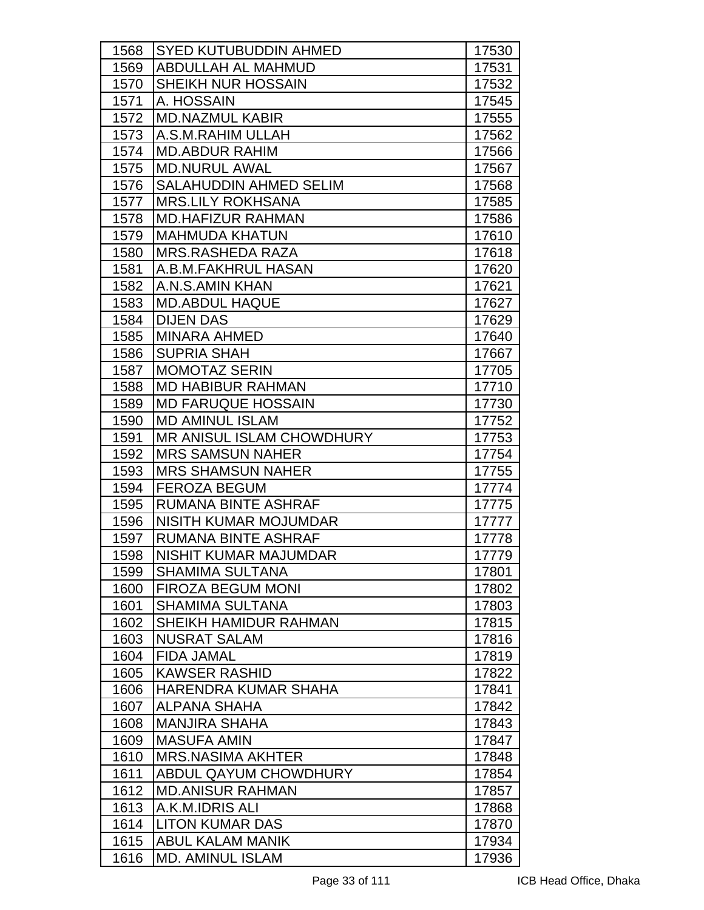| 1568 | <b>SYED KUTUBUDDIN AHMED</b>     | 17530 |
|------|----------------------------------|-------|
| 1569 | <b>ABDULLAH AL MAHMUD</b>        | 17531 |
| 1570 | SHEIKH NUR HOSSAIN               | 17532 |
| 1571 | A. HOSSAIN                       | 17545 |
| 1572 | <b>MD.NAZMUL KABIR</b>           | 17555 |
| 1573 | A.S.M.RAHIM ULLAH                | 17562 |
| 1574 | <b>MD.ABDUR RAHIM</b>            | 17566 |
| 1575 | <b>MD.NURUL AWAL</b>             | 17567 |
| 1576 | SALAHUDDIN AHMED SELIM           | 17568 |
| 1577 | <b>IMRS.LILY ROKHSANA</b>        | 17585 |
| 1578 | <b>MD.HAFIZUR RAHMAN</b>         | 17586 |
| 1579 | <b>MAHMUDA KHATUN</b>            | 17610 |
| 1580 | <b>MRS.RASHEDA RAZA</b>          | 17618 |
| 1581 | A.B.M.FAKHRUL HASAN              | 17620 |
| 1582 | A.N.S.AMIN KHAN                  | 17621 |
| 1583 | <b>MD.ABDUL HAQUE</b>            | 17627 |
| 1584 | <b>DIJEN DAS</b>                 | 17629 |
| 1585 | <b>MINARA AHMED</b>              | 17640 |
| 1586 | <b>SUPRIA SHAH</b>               | 17667 |
| 1587 | <b>MOMOTAZ SERIN</b>             | 17705 |
| 1588 | <b>MD HABIBUR RAHMAN</b>         | 17710 |
| 1589 | <b>MD FARUQUE HOSSAIN</b>        | 17730 |
| 1590 | <b>MD AMINUL ISLAM</b>           | 17752 |
| 1591 | <b>MR ANISUL ISLAM CHOWDHURY</b> | 17753 |
| 1592 | <b>MRS SAMSUN NAHER</b>          | 17754 |
| 1593 | <b>MRS SHAMSUN NAHER</b>         | 17755 |
| 1594 | <b>FEROZA BEGUM</b>              | 17774 |
| 1595 | <b>RUMANA BINTE ASHRAF</b>       | 17775 |
| 1596 | <b>NISITH KUMAR MOJUMDAR</b>     | 17777 |
| 1597 | <b>RUMANA BINTE ASHRAF</b>       | 17778 |
| 1598 | NISHIT KUMAR MAJUMDAR            | 17779 |
| 1599 | <b>SHAMIMA SULTANA</b>           | 17801 |
| 1600 | <b>FIROZA BEGUM MONI</b>         | 17802 |
| 1601 | <b>SHAMIMA SULTANA</b>           | 17803 |
| 1602 | SHEIKH HAMIDUR RAHMAN            | 17815 |
| 1603 | <b>NUSRAT SALAM</b>              | 17816 |
| 1604 | <b>FIDA JAMAL</b>                | 17819 |
| 1605 | <b>KAWSER RASHID</b>             | 17822 |
| 1606 | HARENDRA KUMAR SHAHA             | 17841 |
| 1607 | ALPANA SHAHA                     | 17842 |
| 1608 | <b>MANJIRA SHAHA</b>             | 17843 |
| 1609 | <b>MASUFA AMIN</b>               | 17847 |
| 1610 | <b>MRS.NASIMA AKHTER</b>         | 17848 |
| 1611 | <b>ABDUL QAYUM CHOWDHURY</b>     | 17854 |
| 1612 | <b>MD.ANISUR RAHMAN</b>          | 17857 |
| 1613 | A.K.M.IDRIS ALI                  | 17868 |
| 1614 | <b>LITON KUMAR DAS</b>           | 17870 |
| 1615 | <b>ABUL KALAM MANIK</b>          | 17934 |
| 1616 | <b>MD. AMINUL ISLAM</b>          | 17936 |
|      |                                  |       |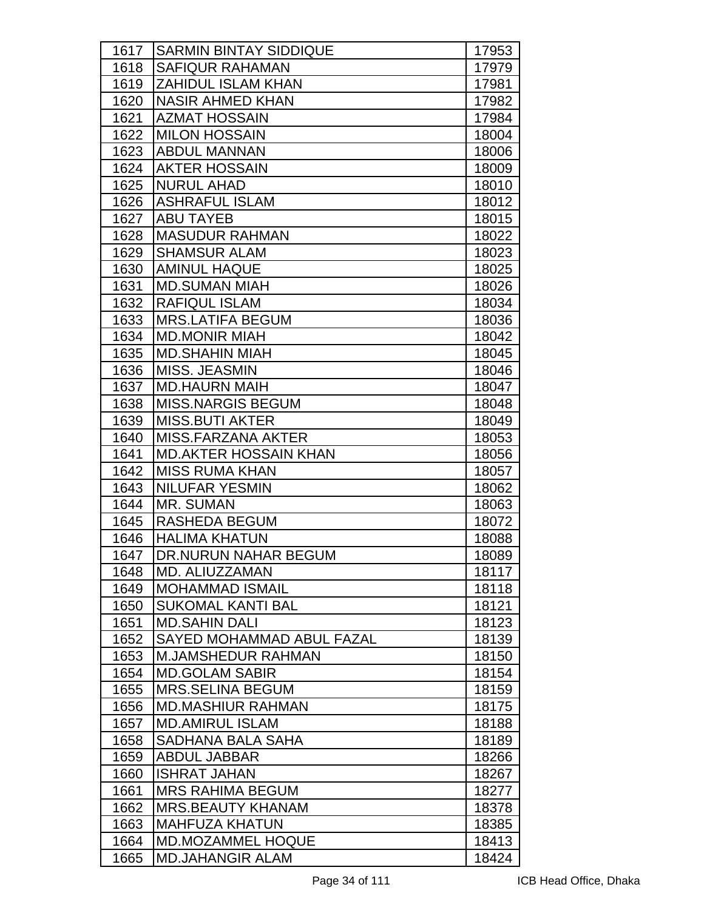| 1617 | <b>SARMIN BINTAY SIDDIQUE</b>    | 17953 |
|------|----------------------------------|-------|
| 1618 | <b>SAFIQUR RAHAMAN</b>           | 17979 |
| 1619 | <b>ZAHIDUL ISLAM KHAN</b>        | 17981 |
| 1620 | <b>NASIR AHMED KHAN</b>          | 17982 |
| 1621 | <b>AZMAT HOSSAIN</b>             | 17984 |
| 1622 | <b>MILON HOSSAIN</b>             | 18004 |
| 1623 | <b>ABDUL MANNAN</b>              | 18006 |
| 1624 | <b>AKTER HOSSAIN</b>             | 18009 |
| 1625 | <b>NURUL AHAD</b>                | 18010 |
| 1626 | <b>ASHRAFUL ISLAM</b>            | 18012 |
| 1627 | <b>ABU TAYEB</b>                 | 18015 |
| 1628 | <b>MASUDUR RAHMAN</b>            | 18022 |
| 1629 | <b>SHAMSUR ALAM</b>              | 18023 |
| 1630 | <b>AMINUL HAQUE</b>              | 18025 |
| 1631 | <b>MD.SUMAN MIAH</b>             | 18026 |
| 1632 | <b>RAFIQUL ISLAM</b>             | 18034 |
| 1633 | <b>MRS.LATIFA BEGUM</b>          | 18036 |
| 1634 | <b>MD.MONIR MIAH</b>             | 18042 |
| 1635 | <b>MD.SHAHIN MIAH</b>            | 18045 |
| 1636 | MISS, JEASMIN                    | 18046 |
| 1637 | <b>MD.HAURN MAIH</b>             | 18047 |
| 1638 | <b>MISS.NARGIS BEGUM</b>         | 18048 |
| 1639 | <b>MISS.BUTI AKTER</b>           | 18049 |
| 1640 | MISS.FARZANA AKTER               | 18053 |
| 1641 | <b>MD.AKTER HOSSAIN KHAN</b>     | 18056 |
| 1642 | <b>MISS RUMA KHAN</b>            | 18057 |
| 1643 | <b>NILUFAR YESMIN</b>            | 18062 |
| 1644 | MR. SUMAN                        | 18063 |
| 1645 | <b>RASHEDA BEGUM</b>             | 18072 |
| 1646 | <b>HALIMA KHATUN</b>             | 18088 |
| 1647 | DR.NURUN NAHAR BEGUM             | 18089 |
| 1648 | MD. ALIUZZAMAN                   | 18117 |
| 1649 | <b>MOHAMMAD ISMAIL</b>           | 18118 |
| 1650 | <b>SUKOMAL KANTI BAL</b>         | 18121 |
| 1651 | <b>MD.SAHIN DALI</b>             | 18123 |
| 1652 | <b>SAYED MOHAMMAD ABUL FAZAL</b> | 18139 |
| 1653 | <b>M.JAMSHEDUR RAHMAN</b>        | 18150 |
| 1654 | <b>MD.GOLAM SABIR</b>            | 18154 |
| 1655 | <b>MRS.SELINA BEGUM</b>          | 18159 |
| 1656 | <b>MD.MASHIUR RAHMAN</b>         | 18175 |
| 1657 | <b>MD.AMIRUL ISLAM</b>           | 18188 |
| 1658 | SADHANA BALA SAHA                | 18189 |
| 1659 | <b>ABDUL JABBAR</b>              | 18266 |
| 1660 | <b>ISHRAT JAHAN</b>              | 18267 |
| 1661 | <b>MRS RAHIMA BEGUM</b>          | 18277 |
| 1662 | <b>MRS.BEAUTY KHANAM</b>         | 18378 |
| 1663 | <b>MAHFUZA KHATUN</b>            | 18385 |
| 1664 | <b>MD.MOZAMMEL HOQUE</b>         | 18413 |
| 1665 | <b>MD.JAHANGIR ALAM</b>          | 18424 |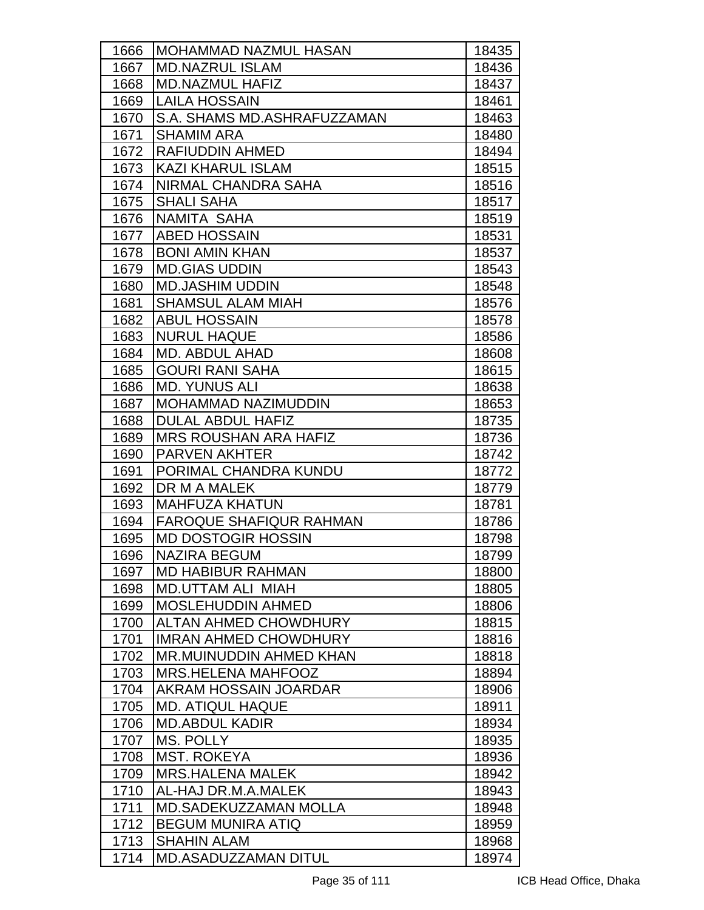| 1666 | <b>MOHAMMAD NAZMUL HASAN</b>   | 18435 |
|------|--------------------------------|-------|
| 1667 | <b>MD.NAZRUL ISLAM</b>         | 18436 |
| 1668 | MD.NAZMUL HAFIZ                | 18437 |
| 1669 | <b>LAILA HOSSAIN</b>           | 18461 |
| 1670 | S.A. SHAMS MD.ASHRAFUZZAMAN    | 18463 |
| 1671 | <b>SHAMIM ARA</b>              | 18480 |
| 1672 | RAFIUDDIN AHMED                | 18494 |
| 1673 | <b>KAZI KHARUL ISLAM</b>       | 18515 |
| 1674 | NIRMAL CHANDRA SAHA            | 18516 |
| 1675 | <b>SHALI SAHA</b>              | 18517 |
| 1676 | NAMITA SAHA                    | 18519 |
| 1677 | <b>ABED HOSSAIN</b>            | 18531 |
| 1678 | <b>BONI AMIN KHAN</b>          | 18537 |
| 1679 | <b>MD.GIAS UDDIN</b>           | 18543 |
| 1680 | <b>MD.JASHIM UDDIN</b>         | 18548 |
| 1681 | <b>SHAMSUL ALAM MIAH</b>       | 18576 |
| 1682 | <b>ABUL HOSSAIN</b>            | 18578 |
| 1683 | <b>NURUL HAQUE</b>             | 18586 |
| 1684 | <b>MD. ABDUL AHAD</b>          | 18608 |
| 1685 | <b>GOURI RANI SAHA</b>         | 18615 |
| 1686 | <b>MD. YUNUS ALI</b>           | 18638 |
| 1687 | <b>MOHAMMAD NAZIMUDDIN</b>     | 18653 |
| 1688 | <b>DULAL ABDUL HAFIZ</b>       | 18735 |
| 1689 | <b>MRS ROUSHAN ARA HAFIZ</b>   | 18736 |
| 1690 | <b>PARVEN AKHTER</b>           | 18742 |
| 1691 | PORIMAL CHANDRA KUNDU          | 18772 |
| 1692 | DR M A MALEK                   | 18779 |
| 1693 | <b>MAHFUZA KHATUN</b>          | 18781 |
| 1694 | <b>FAROQUE SHAFIQUR RAHMAN</b> | 18786 |
| 1695 | <b>MD DOSTOGIR HOSSIN</b>      | 18798 |
| 1696 | NAZIRA BEGUM                   | 18799 |
| 1697 | <b>MD HABIBUR RAHMAN</b>       | 18800 |
| 1698 | <b>MD.UTTAM ALI MIAH</b>       | 18805 |
| 1699 | <b>MOSLEHUDDIN AHMED</b>       | 18806 |
| 1700 | <b>ALTAN AHMED CHOWDHURY</b>   | 18815 |
| 1701 | <b>IMRAN AHMED CHOWDHURY</b>   | 18816 |
| 1702 | MR.MUINUDDIN AHMED KHAN        | 18818 |
| 1703 | MRS.HELENA MAHFOOZ             | 18894 |
| 1704 | AKRAM HOSSAIN JOARDAR          | 18906 |
| 1705 | <b>MD. ATIQUL HAQUE</b>        | 18911 |
| 1706 | <b>MD.ABDUL KADIR</b>          | 18934 |
| 1707 | <b>MS. POLLY</b>               | 18935 |
| 1708 | <b>MST. ROKEYA</b>             | 18936 |
| 1709 | <b>MRS.HALENA MALEK</b>        | 18942 |
| 1710 | AL-HAJ DR.M.A.MALEK            | 18943 |
| 1711 | <b>MD.SADEKUZZAMAN MOLLA</b>   | 18948 |
| 1712 | <b>BEGUM MUNIRA ATIQ</b>       | 18959 |
| 1713 | <b>SHAHIN ALAM</b>             | 18968 |
| 1714 | <b>MD.ASADUZZAMAN DITUL</b>    | 18974 |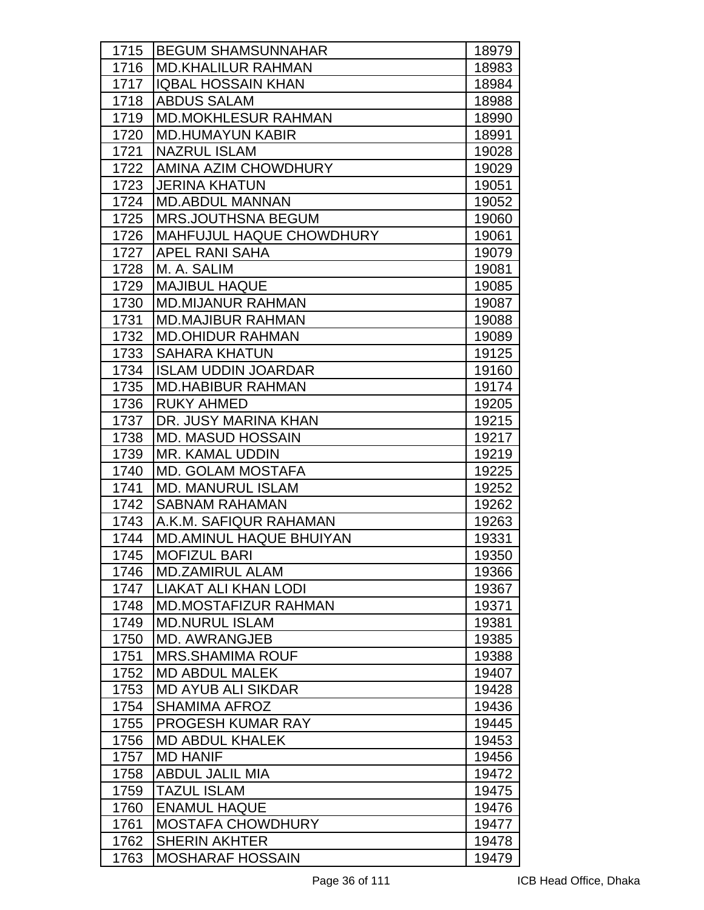| 1715 | <b>BEGUM SHAMSUNNAHAR</b>      | 18979 |
|------|--------------------------------|-------|
| 1716 | <b>MD.KHALILUR RAHMAN</b>      | 18983 |
| 1717 | <b>IQBAL HOSSAIN KHAN</b>      | 18984 |
| 1718 | <b>ABDUS SALAM</b>             | 18988 |
| 1719 | <b>MD.MOKHLESUR RAHMAN</b>     | 18990 |
| 1720 | <b>MD.HUMAYUN KABIR</b>        | 18991 |
| 1721 | <b>NAZRUL ISLAM</b>            | 19028 |
| 1722 | AMINA AZIM CHOWDHURY           | 19029 |
| 1723 | <b>JERINA KHATUN</b>           | 19051 |
| 1724 | <b>MD.ABDUL MANNAN</b>         | 19052 |
| 1725 | <b>MRS.JOUTHSNA BEGUM</b>      | 19060 |
| 1726 | MAHFUJUL HAQUE CHOWDHURY       | 19061 |
| 1727 | <b>APEL RANI SAHA</b>          | 19079 |
| 1728 | M. A. SALIM                    | 19081 |
| 1729 | <b>MAJIBUL HAQUE</b>           | 19085 |
| 1730 | <b>MD.MIJANUR RAHMAN</b>       | 19087 |
| 1731 | <b>MD.MAJIBUR RAHMAN</b>       | 19088 |
| 1732 | <b>MD.OHIDUR RAHMAN</b>        | 19089 |
| 1733 | <b>SAHARA KHATUN</b>           | 19125 |
| 1734 | <b>ISLAM UDDIN JOARDAR</b>     | 19160 |
| 1735 | <b>MD.HABIBUR RAHMAN</b>       | 19174 |
| 1736 | <b>RUKY AHMED</b>              | 19205 |
| 1737 | DR. JUSY MARINA KHAN           | 19215 |
| 1738 | <b>MD. MASUD HOSSAIN</b>       | 19217 |
| 1739 | MR. KAMAL UDDIN                | 19219 |
| 1740 | <b>MD. GOLAM MOSTAFA</b>       | 19225 |
| 1741 | <b>MD. MANURUL ISLAM</b>       | 19252 |
| 1742 | <b>SABNAM RAHAMAN</b>          | 19262 |
| 1743 | A.K.M. SAFIQUR RAHAMAN         | 19263 |
| 1744 | <b>MD.AMINUL HAQUE BHUIYAN</b> | 19331 |
| 1745 | <b>MOFIZUL BARI</b>            | 19350 |
| 1746 | <b>MD.ZAMIRUL ALAM</b>         | 19366 |
| 1747 | <b>LIAKAT ALI KHAN LODI</b>    | 19367 |
| 1748 | <b>MD.MOSTAFIZUR RAHMAN</b>    | 19371 |
| 1749 | <b>MD.NURUL ISLAM</b>          | 19381 |
| 1750 | <b>MD. AWRANGJEB</b>           | 19385 |
| 1751 | <b>MRS.SHAMIMA ROUF</b>        | 19388 |
| 1752 | <b>MD ABDUL MALEK</b>          | 19407 |
| 1753 | <b>MD AYUB ALI SIKDAR</b>      | 19428 |
| 1754 | <b>SHAMIMA AFROZ</b>           | 19436 |
| 1755 | PROGESH KUMAR RAY              | 19445 |
| 1756 | <b>MD ABDUL KHALEK</b>         | 19453 |
| 1757 | <b>MD HANIF</b>                | 19456 |
| 1758 | <b>ABDUL JALIL MIA</b>         | 19472 |
| 1759 | <b>TAZUL ISLAM</b>             | 19475 |
| 1760 | <b>ENAMUL HAQUE</b>            | 19476 |
| 1761 | <b>MOSTAFA CHOWDHURY</b>       | 19477 |
| 1762 | <b>SHERIN AKHTER</b>           | 19478 |
| 1763 | <b>MOSHARAF HOSSAIN</b>        | 19479 |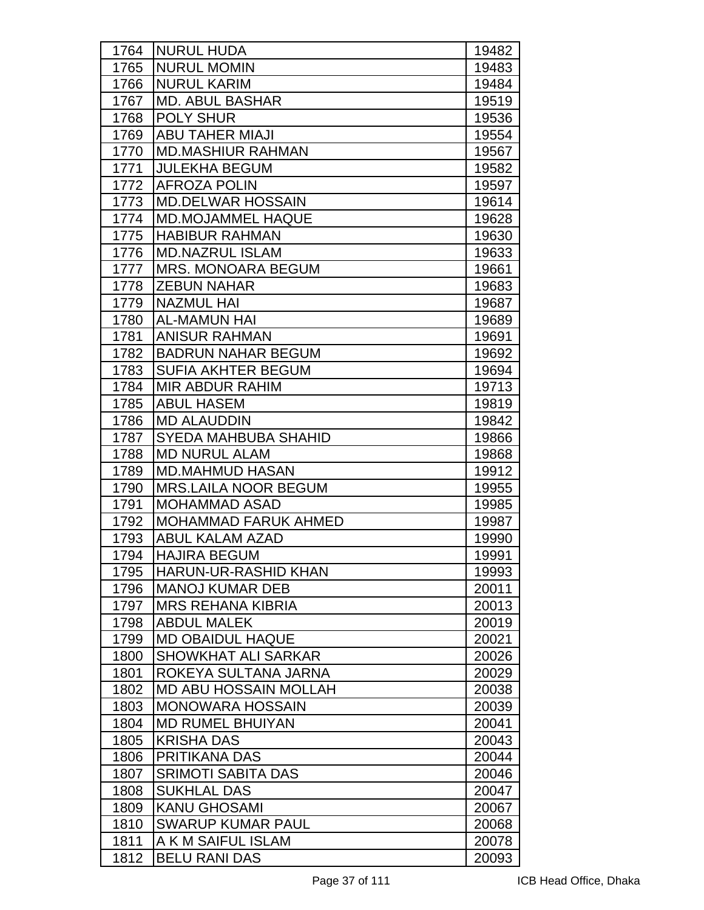| 1764 | NURUL HUDA                   | 19482 |
|------|------------------------------|-------|
| 1765 | <b>NURUL MOMIN</b>           | 19483 |
| 1766 | <b>NURUL KARIM</b>           | 19484 |
| 1767 | <b>MD. ABUL BASHAR</b>       | 19519 |
| 1768 | <b>POLY SHUR</b>             | 19536 |
| 1769 | <b>ABU TAHER MIAJI</b>       | 19554 |
| 1770 | <b>MD.MASHIUR RAHMAN</b>     | 19567 |
| 1771 | <b>JULEKHA BEGUM</b>         | 19582 |
| 1772 | <b>AFROZA POLIN</b>          | 19597 |
| 1773 | <b>MD.DELWAR HOSSAIN</b>     | 19614 |
| 1774 | MD.MOJAMMEL HAQUE            | 19628 |
| 1775 | <b>HABIBUR RAHMAN</b>        | 19630 |
| 1776 | <b>MD.NAZRUL ISLAM</b>       | 19633 |
| 1777 | <b>MRS. MONOARA BEGUM</b>    | 19661 |
| 1778 | <b>ZEBUN NAHAR</b>           | 19683 |
| 1779 | <b>NAZMUL HAI</b>            | 19687 |
| 1780 | <b>AL-MAMUN HAI</b>          | 19689 |
| 1781 | <b>ANISUR RAHMAN</b>         | 19691 |
| 1782 | <b>BADRUN NAHAR BEGUM</b>    | 19692 |
| 1783 | <b>SUFIA AKHTER BEGUM</b>    | 19694 |
| 1784 | <b>MIR ABDUR RAHIM</b>       | 19713 |
| 1785 | <b>ABUL HASEM</b>            | 19819 |
| 1786 | <b>MD ALAUDDIN</b>           | 19842 |
| 1787 | <b>SYEDA MAHBUBA SHAHID</b>  | 19866 |
| 1788 | <b>MD NURUL ALAM</b>         | 19868 |
| 1789 | <b>MD.MAHMUD HASAN</b>       | 19912 |
| 1790 | <b>MRS.LAILA NOOR BEGUM</b>  | 19955 |
| 1791 | <b>MOHAMMAD ASAD</b>         | 19985 |
| 1792 | <b>MOHAMMAD FARUK AHMED</b>  | 19987 |
| 1793 | <b>ABUL KALAM AZAD</b>       | 19990 |
| 1794 | <b>HAJIRA BEGUM</b>          | 19991 |
| 1795 | HARUN-UR-RASHID KHAN         | 19993 |
| 1796 | <b>MANOJ KUMAR DEB</b>       | 20011 |
| 1797 | <b>MRS REHANA KIBRIA</b>     | 20013 |
| 1798 | <b>ABDUL MALEK</b>           | 20019 |
| 1799 | <b>MD OBAIDUL HAQUE</b>      | 20021 |
| 1800 | <b>SHOWKHAT ALI SARKAR</b>   | 20026 |
| 1801 | ROKEYA SULTANA JARNA         | 20029 |
| 1802 | <b>MD ABU HOSSAIN MOLLAH</b> | 20038 |
| 1803 | <b>MONOWARA HOSSAIN</b>      | 20039 |
| 1804 | <b>MD RUMEL BHUIYAN</b>      | 20041 |
| 1805 | <b>KRISHA DAS</b>            | 20043 |
| 1806 | PRITIKANA DAS                | 20044 |
| 1807 | <b>SRIMOTI SABITA DAS</b>    | 20046 |
| 1808 | <b>SUKHLAL DAS</b>           | 20047 |
| 1809 | <b>KANU GHOSAMI</b>          | 20067 |
| 1810 | <b>SWARUP KUMAR PAUL</b>     | 20068 |
| 1811 | A K M SAIFUL ISLAM           | 20078 |
| 1812 | <b>BELU RANI DAS</b>         | 20093 |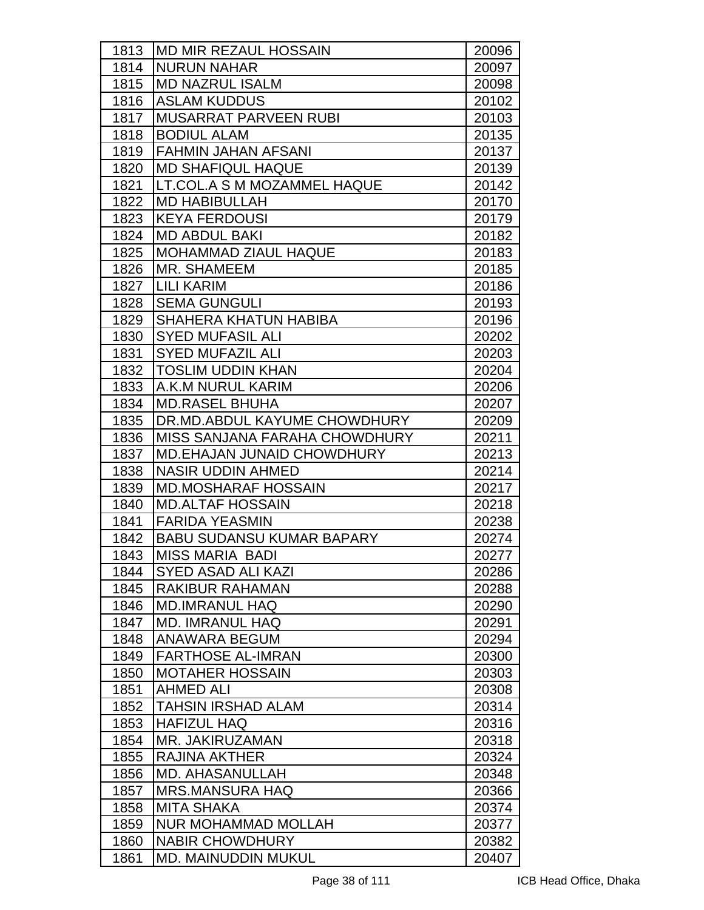| 1813 | <b>MD MIR REZAUL HOSSAIN</b>      | 20096 |
|------|-----------------------------------|-------|
| 1814 | <b>NURUN NAHAR</b>                | 20097 |
| 1815 | <b>MD NAZRUL ISALM</b>            | 20098 |
| 1816 | <b>ASLAM KUDDUS</b>               | 20102 |
| 1817 | <b>MUSARRAT PARVEEN RUBI</b>      | 20103 |
| 1818 | <b>BODIUL ALAM</b>                | 20135 |
| 1819 | <b>FAHMIN JAHAN AFSANI</b>        | 20137 |
| 1820 | <b>MD SHAFIQUL HAQUE</b>          | 20139 |
| 1821 | LT.COL.A S M MOZAMMEL HAQUE       | 20142 |
| 1822 | <b>MD HABIBULLAH</b>              | 20170 |
| 1823 | <b>KEYA FERDOUSI</b>              | 20179 |
| 1824 | <b>MD ABDUL BAKI</b>              | 20182 |
| 1825 | <b>MOHAMMAD ZIAUL HAQUE</b>       | 20183 |
| 1826 | MR. SHAMEEM                       | 20185 |
| 1827 | <b>LILI KARIM</b>                 | 20186 |
| 1828 | <b>SEMA GUNGULI</b>               | 20193 |
| 1829 | <b>SHAHERA KHATUN HABIBA</b>      | 20196 |
| 1830 | <b>SYED MUFASIL ALI</b>           | 20202 |
| 1831 | <b>SYED MUFAZIL ALI</b>           | 20203 |
| 1832 | <b>TOSLIM UDDIN KHAN</b>          | 20204 |
| 1833 | A.K.M NURUL KARIM                 | 20206 |
| 1834 | <b>MD.RASEL BHUHA</b>             | 20207 |
| 1835 | DR.MD.ABDUL KAYUME CHOWDHURY      | 20209 |
| 1836 | MISS SANJANA FARAHA CHOWDHURY     | 20211 |
| 1837 | <b>MD.EHAJAN JUNAID CHOWDHURY</b> | 20213 |
| 1838 | <b>NASIR UDDIN AHMED</b>          | 20214 |
| 1839 | <b>MD.MOSHARAF HOSSAIN</b>        | 20217 |
| 1840 | <b>MD.ALTAF HOSSAIN</b>           | 20218 |
| 1841 | <b>FARIDA YEASMIN</b>             | 20238 |
| 1842 | <b>BABU SUDANSU KUMAR BAPARY</b>  | 20274 |
| 1843 | <b>MISS MARIA BADI</b>            | 20277 |
| 1844 | <b>SYED ASAD ALI KAZI</b>         | 20286 |
| 1845 | <b>RAKIBUR RAHAMAN</b>            | 20288 |
| 1846 | <b>MD.IMRANUL HAQ</b>             | 20290 |
| 1847 | <b>MD. IMRANUL HAQ</b>            | 20291 |
| 1848 | ANAWARA BEGUM                     | 20294 |
| 1849 | <b>FARTHOSE AL-IMRAN</b>          | 20300 |
| 1850 | <b>MOTAHER HOSSAIN</b>            | 20303 |
| 1851 | <b>AHMED ALI</b>                  | 20308 |
| 1852 | <b>TAHSIN IRSHAD ALAM</b>         | 20314 |
| 1853 | <b>HAFIZUL HAQ</b>                | 20316 |
| 1854 | MR. JAKIRUZAMAN                   | 20318 |
| 1855 | <b>RAJINA AKTHER</b>              | 20324 |
| 1856 | <b>MD. AHASANULLAH</b>            | 20348 |
| 1857 | <b>MRS.MANSURA HAQ</b>            | 20366 |
| 1858 | <b>MITA SHAKA</b>                 | 20374 |
| 1859 | <b>NUR MOHAMMAD MOLLAH</b>        | 20377 |
| 1860 | <b>NABIR CHOWDHURY</b>            | 20382 |
| 1861 | <b>MD. MAINUDDIN MUKUL</b>        | 20407 |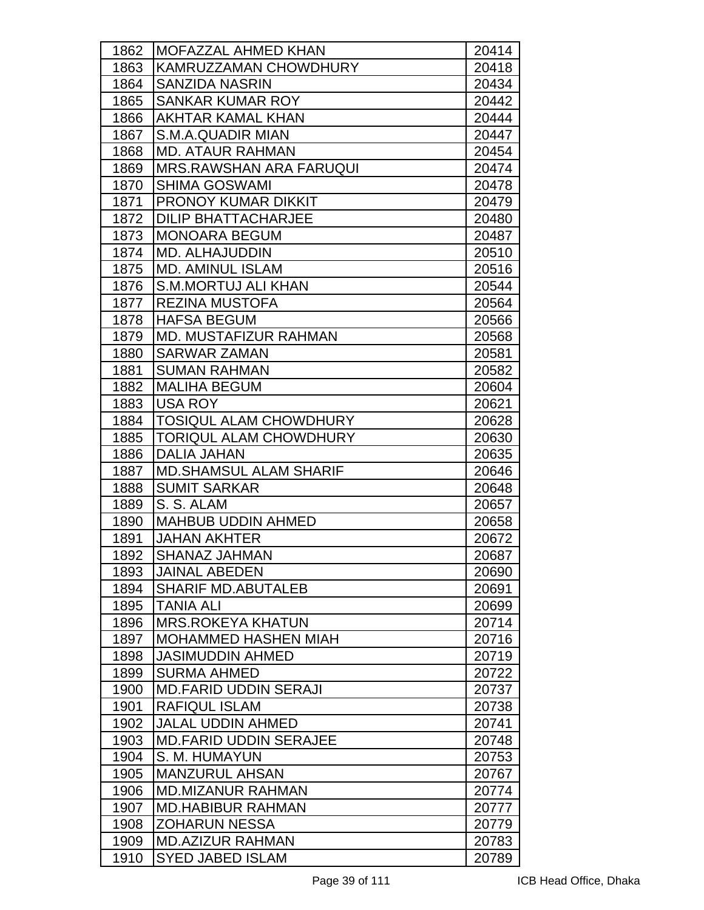| 1862 | <b>MOFAZZAL AHMED KHAN</b>     | 20414 |
|------|--------------------------------|-------|
| 1863 | KAMRUZZAMAN CHOWDHURY          | 20418 |
| 1864 | <b>SANZIDA NASRIN</b>          | 20434 |
| 1865 | <b>SANKAR KUMAR ROY</b>        | 20442 |
| 1866 | AKHTAR KAMAL KHAN              | 20444 |
| 1867 | S.M.A.QUADIR MIAN              | 20447 |
| 1868 | <b>MD. ATAUR RAHMAN</b>        | 20454 |
| 1869 | <b>MRS.RAWSHAN ARA FARUQUI</b> | 20474 |
| 1870 | <b>SHIMA GOSWAMI</b>           | 20478 |
| 1871 | <b>PRONOY KUMAR DIKKIT</b>     | 20479 |
| 1872 | <b>DILIP BHATTACHARJEE</b>     | 20480 |
| 1873 | <b>MONOARA BEGUM</b>           | 20487 |
| 1874 | <b>MD. ALHAJUDDIN</b>          | 20510 |
| 1875 | <b>MD. AMINUL ISLAM</b>        | 20516 |
| 1876 | <b>S.M.MORTUJ ALI KHAN</b>     | 20544 |
| 1877 | <b>REZINA MUSTOFA</b>          | 20564 |
| 1878 | <b>HAFSA BEGUM</b>             | 20566 |
| 1879 | <b>MD. MUSTAFIZUR RAHMAN</b>   | 20568 |
| 1880 | <b>SARWAR ZAMAN</b>            | 20581 |
| 1881 | <b>SUMAN RAHMAN</b>            | 20582 |
| 1882 | <b>MALIHA BEGUM</b>            | 20604 |
| 1883 | <b>USA ROY</b>                 | 20621 |
| 1884 | <b>TOSIQUL ALAM CHOWDHURY</b>  | 20628 |
| 1885 | <b>TORIQUL ALAM CHOWDHURY</b>  | 20630 |
| 1886 | <b>DALIA JAHAN</b>             | 20635 |
| 1887 | <b>MD.SHAMSUL ALAM SHARIF</b>  | 20646 |
| 1888 | <b>SUMIT SARKAR</b>            | 20648 |
| 1889 | S. S. ALAM                     | 20657 |
| 1890 | <b>MAHBUB UDDIN AHMED</b>      | 20658 |
| 1891 | <b>JAHAN AKHTER</b>            | 20672 |
| 1892 | SHANAZ JAHMAN                  | 20687 |
| 1893 | <b>JAINAL ABEDEN</b>           | 20690 |
| 1894 | <b>SHARIF MD.ABUTALEB</b>      | 20691 |
| 1895 | <b>TANIA ALI</b>               | 20699 |
| 1896 | <b>MRS.ROKEYA KHATUN</b>       | 20714 |
| 1897 | <b>MOHAMMED HASHEN MIAH</b>    | 20716 |
| 1898 | <b>JASIMUDDIN AHMED</b>        | 20719 |
| 1899 | <b>SURMA AHMED</b>             | 20722 |
| 1900 | <b>MD.FARID UDDIN SERAJI</b>   | 20737 |
| 1901 | <b>RAFIQUL ISLAM</b>           | 20738 |
| 1902 | <b>JALAL UDDIN AHMED</b>       | 20741 |
| 1903 | <b>MD.FARID UDDIN SERAJEE</b>  | 20748 |
| 1904 | S. M. HUMAYUN                  | 20753 |
| 1905 | <b>MANZURUL AHSAN</b>          | 20767 |
| 1906 | <b>MD.MIZANUR RAHMAN</b>       | 20774 |
| 1907 | <b>MD.HABIBUR RAHMAN</b>       | 20777 |
| 1908 | <b>ZOHARUN NESSA</b>           | 20779 |
| 1909 | <b>MD.AZIZUR RAHMAN</b>        | 20783 |
| 1910 | <b>SYED JABED ISLAM</b>        | 20789 |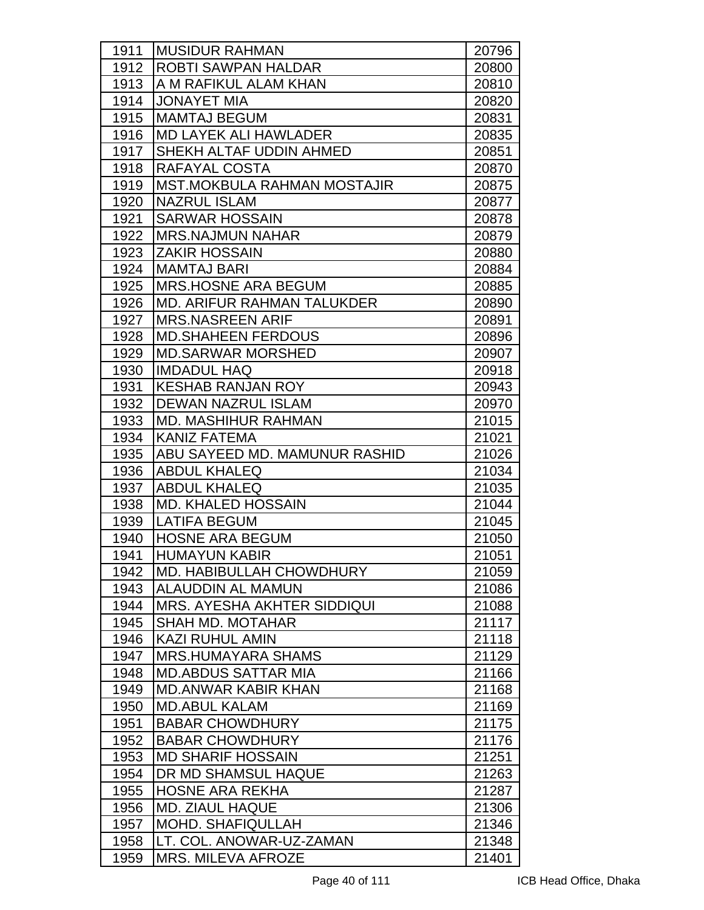| 1911 | <b>MUSIDUR RAHMAN</b>              | 20796 |
|------|------------------------------------|-------|
| 1912 | <b>ROBTI SAWPAN HALDAR</b>         | 20800 |
| 1913 | A M RAFIKUL ALAM KHAN              | 20810 |
| 1914 | <b>JONAYET MIA</b>                 | 20820 |
| 1915 | <b>MAMTAJ BEGUM</b>                | 20831 |
| 1916 | <b>MD LAYEK ALI HAWLADER</b>       | 20835 |
| 1917 | SHEKH ALTAF UDDIN AHMED            | 20851 |
| 1918 | RAFAYAL COSTA                      | 20870 |
| 1919 | <b>MST.MOKBULA RAHMAN MOSTAJIR</b> | 20875 |
| 1920 | <b>NAZRUL ISLAM</b>                | 20877 |
| 1921 | <b>SARWAR HOSSAIN</b>              | 20878 |
| 1922 | <b>MRS.NAJMUN NAHAR</b>            | 20879 |
| 1923 | <b>ZAKIR HOSSAIN</b>               | 20880 |
| 1924 | <b>MAMTAJ BARI</b>                 | 20884 |
| 1925 | <b>MRS.HOSNE ARA BEGUM</b>         | 20885 |
| 1926 | <b>MD. ARIFUR RAHMAN TALUKDER</b>  | 20890 |
| 1927 | <b>MRS.NASREEN ARIF</b>            | 20891 |
| 1928 | <b>MD.SHAHEEN FERDOUS</b>          | 20896 |
| 1929 | <b>MD.SARWAR MORSHED</b>           | 20907 |
| 1930 | <b>IMDADUL HAQ</b>                 | 20918 |
| 1931 | <b>KESHAB RANJAN ROY</b>           | 20943 |
| 1932 | <b>DEWAN NAZRUL ISLAM</b>          | 20970 |
| 1933 | <b>MD. MASHIHUR RAHMAN</b>         | 21015 |
| 1934 | lKANIZ FATEMA                      | 21021 |
| 1935 | ABU SAYEED MD. MAMUNUR RASHID      | 21026 |
| 1936 | <b>ABDUL KHALEQ</b>                | 21034 |
| 1937 | <b>ABDUL KHALEQ</b>                | 21035 |
| 1938 | <b>MD. KHALED HOSSAIN</b>          | 21044 |
| 1939 | <b>LATIFA BEGUM</b>                | 21045 |
| 1940 | <b>HOSNE ARA BEGUM</b>             | 21050 |
| 1941 | <b>HUMAYUN KABIR</b>               | 21051 |
| 1942 | <b>IMD. HABIBULLAH CHOWDHURY</b>   | 21059 |
| 1943 | <b>ALAUDDIN AL MAMUN</b>           | 21086 |
| 1944 | <b>MRS. AYESHA AKHTER SIDDIQUI</b> | 21088 |
| 1945 | <b>SHAH MD. MOTAHAR</b>            | 21117 |
| 1946 | <b>KAZI RUHUL AMIN</b>             | 21118 |
| 1947 | <b>MRS.HUMAYARA SHAMS</b>          | 21129 |
| 1948 | <b>MD.ABDUS SATTAR MIA</b>         | 21166 |
| 1949 | <b>MD.ANWAR KABIR KHAN</b>         | 21168 |
| 1950 | <b>MD.ABUL KALAM</b>               | 21169 |
| 1951 | <b>BABAR CHOWDHURY</b>             | 21175 |
| 1952 | <b>BABAR CHOWDHURY</b>             | 21176 |
| 1953 | <b>MD SHARIF HOSSAIN</b>           | 21251 |
| 1954 | DR MD SHAMSUL HAQUE                | 21263 |
| 1955 | <b>HOSNE ARA REKHA</b>             | 21287 |
| 1956 | <b>MD. ZIAUL HAQUE</b>             | 21306 |
| 1957 | <b>MOHD. SHAFIQULLAH</b>           | 21346 |
| 1958 | LT. COL. ANOWAR-UZ-ZAMAN           | 21348 |
| 1959 | MRS. MILEVA AFROZE                 | 21401 |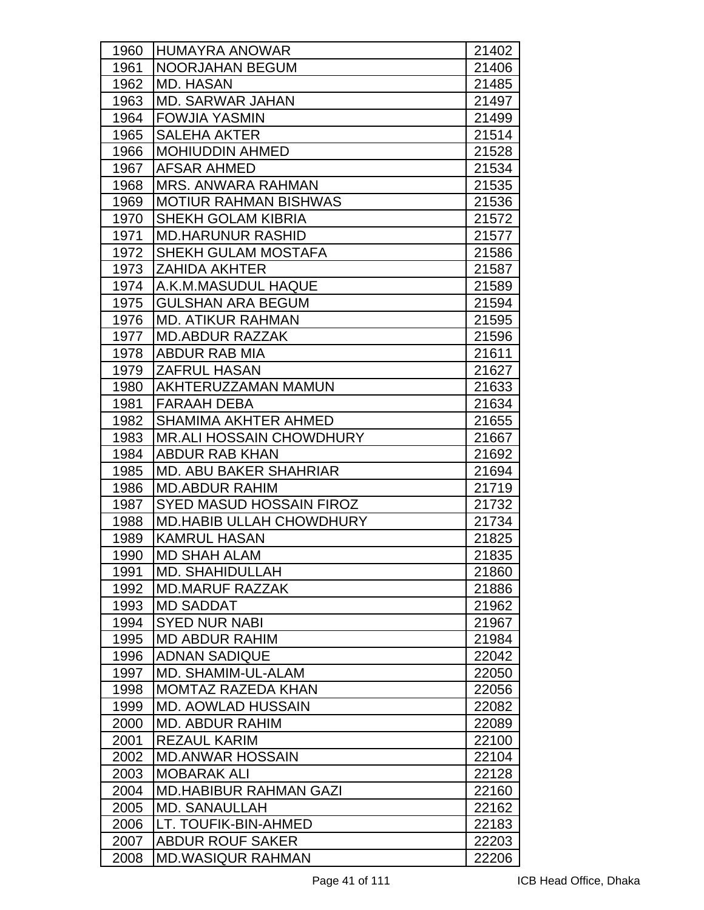| 1960 | <b>HUMAYRA ANOWAR</b>           | 21402 |
|------|---------------------------------|-------|
| 1961 | <b>NOORJAHAN BEGUM</b>          | 21406 |
| 1962 | <b>MD. HASAN</b>                | 21485 |
| 1963 | <b>MD. SARWAR JAHAN</b>         | 21497 |
| 1964 | <b>FOWJIA YASMIN</b>            | 21499 |
| 1965 | <b>SALEHA AKTER</b>             | 21514 |
| 1966 | <b>MOHIUDDIN AHMED</b>          | 21528 |
| 1967 | <b>AFSAR AHMED</b>              | 21534 |
| 1968 | <b>MRS. ANWARA RAHMAN</b>       | 21535 |
| 1969 | <b>MOTIUR RAHMAN BISHWAS</b>    | 21536 |
| 1970 | <b>SHEKH GOLAM KIBRIA</b>       | 21572 |
| 1971 | <b>MD.HARUNUR RASHID</b>        | 21577 |
| 1972 | SHEKH GULAM MOSTAFA             | 21586 |
| 1973 | <b>ZAHIDA AKHTER</b>            | 21587 |
| 1974 | A.K.M.MASUDUL HAQUE             | 21589 |
| 1975 | <b>GULSHAN ARA BEGUM</b>        | 21594 |
| 1976 | <b>MD. ATIKUR RAHMAN</b>        | 21595 |
| 1977 | <b>MD.ABDUR RAZZAK</b>          | 21596 |
| 1978 | ABDUR RAB MIA                   | 21611 |
| 1979 | <b>ZAFRUL HASAN</b>             | 21627 |
| 1980 | AKHTERUZZAMAN MAMUN             | 21633 |
| 1981 | <b>FARAAH DEBA</b>              | 21634 |
| 1982 | <b>SHAMIMA AKHTER AHMED</b>     | 21655 |
| 1983 | <b>MR.ALI HOSSAIN CHOWDHURY</b> | 21667 |
| 1984 | <b>ABDUR RAB KHAN</b>           | 21692 |
| 1985 | <b>MD. ABU BAKER SHAHRIAR</b>   | 21694 |
| 1986 | <b>MD.ABDUR RAHIM</b>           | 21719 |
| 1987 | <b>SYED MASUD HOSSAIN FIROZ</b> | 21732 |
| 1988 | <b>MD.HABIB ULLAH CHOWDHURY</b> | 21734 |
| 1989 | <b>KAMRUL HASAN</b>             | 21825 |
| 1990 | <b>MD SHAH ALAM</b>             | 21835 |
| 1991 | MD. SHAHIDULLAH                 | 21860 |
| 1992 | <b>MD.MARUF RAZZAK</b>          | 21886 |
| 1993 | <b>MD SADDAT</b>                | 21962 |
| 1994 | <b>SYED NUR NABI</b>            | 21967 |
| 1995 | <b>MD ABDUR RAHIM</b>           | 21984 |
| 1996 | <b>ADNAN SADIQUE</b>            | 22042 |
| 1997 | MD. SHAMIM-UL-ALAM              | 22050 |
| 1998 | <b>MOMTAZ RAZEDA KHAN</b>       | 22056 |
| 1999 | <b>MD. AOWLAD HUSSAIN</b>       | 22082 |
| 2000 | <b>MD. ABDUR RAHIM</b>          | 22089 |
| 2001 | <b>REZAUL KARIM</b>             | 22100 |
| 2002 | <b>MD.ANWAR HOSSAIN</b>         | 22104 |
| 2003 | <b>MOBARAK ALI</b>              | 22128 |
| 2004 | <b>MD.HABIBUR RAHMAN GAZI</b>   | 22160 |
| 2005 | <b>MD. SANAULLAH</b>            | 22162 |
| 2006 | LT. TOUFIK-BIN-AHMED            | 22183 |
| 2007 | <b>ABDUR ROUF SAKER</b>         | 22203 |
| 2008 | <b>MD.WASIQUR RAHMAN</b>        | 22206 |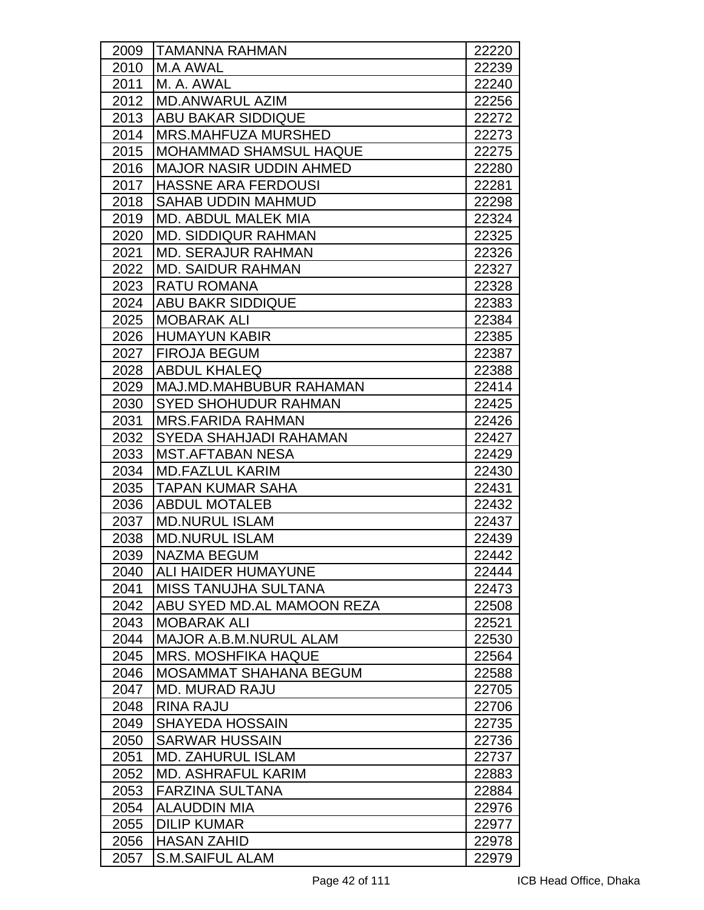| 2009 | <b>TAMANNA RAHMAN</b>          | 22220 |
|------|--------------------------------|-------|
| 2010 | M.A AWAL                       | 22239 |
| 2011 | M. A. AWAL                     | 22240 |
| 2012 | <b>MD.ANWARUL AZIM</b>         | 22256 |
| 2013 | <b>ABU BAKAR SIDDIQUE</b>      | 22272 |
| 2014 | MRS.MAHFUZA MURSHED            | 22273 |
| 2015 | <b>MOHAMMAD SHAMSUL HAQUE</b>  | 22275 |
| 2016 | <b>MAJOR NASIR UDDIN AHMED</b> | 22280 |
| 2017 | <b>HASSNE ARA FERDOUSI</b>     | 22281 |
| 2018 | <b>SAHAB UDDIN MAHMUD</b>      | 22298 |
| 2019 | <b>MD. ABDUL MALEK MIA</b>     | 22324 |
| 2020 | MD. SIDDIQUR RAHMAN            | 22325 |
| 2021 | <b>MD. SERAJUR RAHMAN</b>      | 22326 |
| 2022 | <b>MD. SAIDUR RAHMAN</b>       | 22327 |
| 2023 | <b>RATU ROMANA</b>             | 22328 |
| 2024 | <b>ABU BAKR SIDDIQUE</b>       | 22383 |
| 2025 | <b>MOBARAK ALI</b>             | 22384 |
| 2026 | <b>HUMAYUN KABIR</b>           | 22385 |
| 2027 | <b>FIROJA BEGUM</b>            | 22387 |
| 2028 | <b>ABDUL KHALEQ</b>            | 22388 |
| 2029 | MAJ.MD.MAHBUBUR RAHAMAN        | 22414 |
| 2030 | <b>SYED SHOHUDUR RAHMAN</b>    | 22425 |
| 2031 | <b>MRS.FARIDA RAHMAN</b>       | 22426 |
| 2032 | <b>SYEDA SHAHJADI RAHAMAN</b>  | 22427 |
| 2033 | <b>MST.AFTABAN NESA</b>        | 22429 |
| 2034 | <b>MD.FAZLUL KARIM</b>         | 22430 |
| 2035 | <b>TAPAN KUMAR SAHA</b>        | 22431 |
| 2036 | <b>ABDUL MOTALEB</b>           | 22432 |
| 2037 | <b>MD.NURUL ISLAM</b>          | 22437 |
| 2038 | <b>MD.NURUL ISLAM</b>          | 22439 |
| 2039 | NAZMA BEGUM                    | 22442 |
| 2040 | IALI HAIDER HUMAYUNE           | 22444 |
| 2041 | <b>MISS TANUJHA SULTANA</b>    | 22473 |
| 2042 | ABU SYED MD.AL MAMOON REZA     | 22508 |
| 2043 | <b>MOBARAK ALI</b>             | 22521 |
| 2044 | <b>MAJOR A.B.M.NURUL ALAM</b>  | 22530 |
| 2045 | <b>MRS. MOSHFIKA HAQUE</b>     | 22564 |
| 2046 | <b>MOSAMMAT SHAHANA BEGUM</b>  | 22588 |
| 2047 | <b>MD. MURAD RAJU</b>          | 22705 |
| 2048 | <b>RINA RAJU</b>               | 22706 |
| 2049 | <b>SHAYEDA HOSSAIN</b>         | 22735 |
| 2050 | <b>SARWAR HUSSAIN</b>          | 22736 |
| 2051 | <b>MD. ZAHURUL ISLAM</b>       | 22737 |
| 2052 | <b>MD. ASHRAFUL KARIM</b>      | 22883 |
| 2053 | <b>FARZINA SULTANA</b>         | 22884 |
| 2054 | <b>ALAUDDIN MIA</b>            | 22976 |
| 2055 | <b>DILIP KUMAR</b>             | 22977 |
| 2056 | <b>HASAN ZAHID</b>             | 22978 |
| 2057 | <b>S.M.SAIFUL ALAM</b>         | 22979 |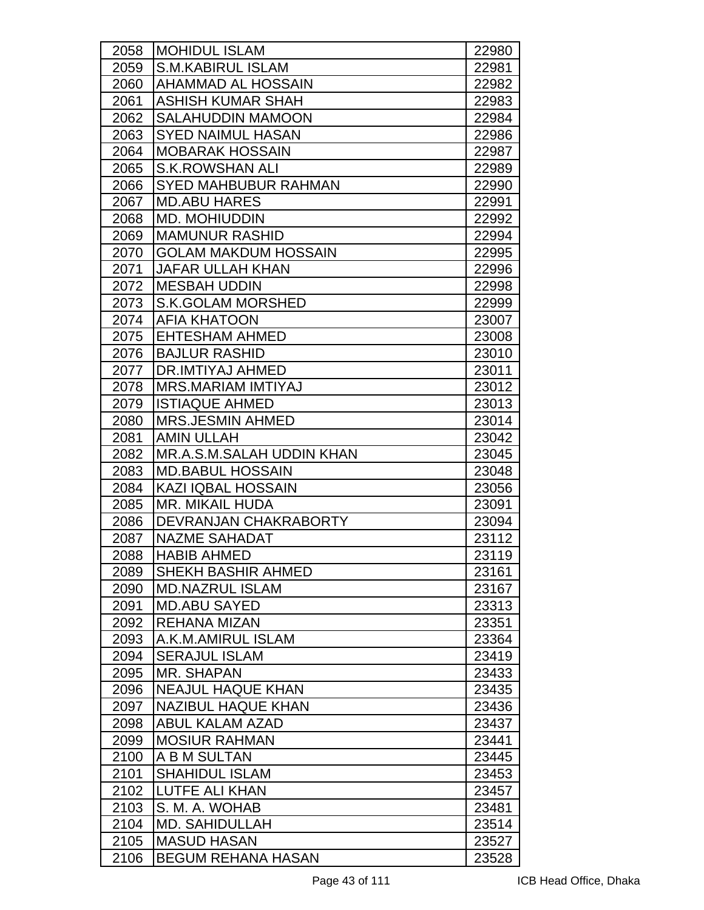| 2058 | <b>MOHIDUL ISLAM</b>        | 22980 |
|------|-----------------------------|-------|
| 2059 | <b>S.M.KABIRUL ISLAM</b>    | 22981 |
| 2060 | AHAMMAD AL HOSSAIN          | 22982 |
| 2061 | <b>ASHISH KUMAR SHAH</b>    | 22983 |
| 2062 | <b>SALAHUDDIN MAMOON</b>    | 22984 |
| 2063 | <b>SYED NAIMUL HASAN</b>    | 22986 |
| 2064 | <b>MOBARAK HOSSAIN</b>      | 22987 |
| 2065 | <b>S.K.ROWSHAN ALI</b>      | 22989 |
| 2066 | <b>SYED MAHBUBUR RAHMAN</b> | 22990 |
| 2067 | <b>MD.ABU HARES</b>         | 22991 |
| 2068 | <b>MD. MOHIUDDIN</b>        | 22992 |
| 2069 | <b>MAMUNUR RASHID</b>       | 22994 |
| 2070 | <b>GOLAM MAKDUM HOSSAIN</b> | 22995 |
| 2071 | <b>JAFAR ULLAH KHAN</b>     | 22996 |
| 2072 | <b>MESBAH UDDIN</b>         | 22998 |
| 2073 | <b>S.K.GOLAM MORSHED</b>    | 22999 |
| 2074 | <b>AFIA KHATOON</b>         | 23007 |
| 2075 | <b>EHTESHAM AHMED</b>       | 23008 |
| 2076 | <b>BAJLUR RASHID</b>        | 23010 |
| 2077 | DR.IMTIYAJ AHMED            | 23011 |
| 2078 | <b>MRS.MARIAM IMTIYAJ</b>   | 23012 |
| 2079 | <b>ISTIAQUE AHMED</b>       | 23013 |
| 2080 | <b>MRS.JESMIN AHMED</b>     | 23014 |
| 2081 | <b>AMIN ULLAH</b>           | 23042 |
| 2082 | MR.A.S.M.SALAH UDDIN KHAN   | 23045 |
| 2083 | <b>MD.BABUL HOSSAIN</b>     | 23048 |
| 2084 | <b>KAZI IQBAL HOSSAIN</b>   | 23056 |
| 2085 | <b>MR. MIKAIL HUDA</b>      | 23091 |
| 2086 | DEVRANJAN CHAKRABORTY       | 23094 |
| 2087 | <b>NAZME SAHADAT</b>        | 23112 |
| 2088 | <b>HABIB AHMED</b>          | 23119 |
| 2089 | <b>SHEKH BASHIR AHMED</b>   | 23161 |
| 2090 | <b>MD.NAZRUL ISLAM</b>      | 23167 |
| 2091 | <b>MD.ABU SAYED</b>         | 23313 |
| 2092 | IREHANA MIZAN               | 23351 |
| 2093 | A.K.M.AMIRUL ISLAM          | 23364 |
| 2094 | <b>SERAJUL ISLAM</b>        | 23419 |
| 2095 | MR. SHAPAN                  | 23433 |
| 2096 | <b>NEAJUL HAQUE KHAN</b>    | 23435 |
| 2097 | <b>NAZIBUL HAQUE KHAN</b>   | 23436 |
| 2098 | <b>ABUL KALAM AZAD</b>      | 23437 |
| 2099 | <b>MOSIUR RAHMAN</b>        | 23441 |
| 2100 | A B M SULTAN                | 23445 |
| 2101 | <b>SHAHIDUL ISLAM</b>       | 23453 |
| 2102 | LUTFE ALI KHAN              | 23457 |
| 2103 | S. M. A. WOHAB              | 23481 |
| 2104 | <b>MD. SAHIDULLAH</b>       | 23514 |
| 2105 | <b>MASUD HASAN</b>          | 23527 |
| 2106 | <b>BEGUM REHANA HASAN</b>   | 23528 |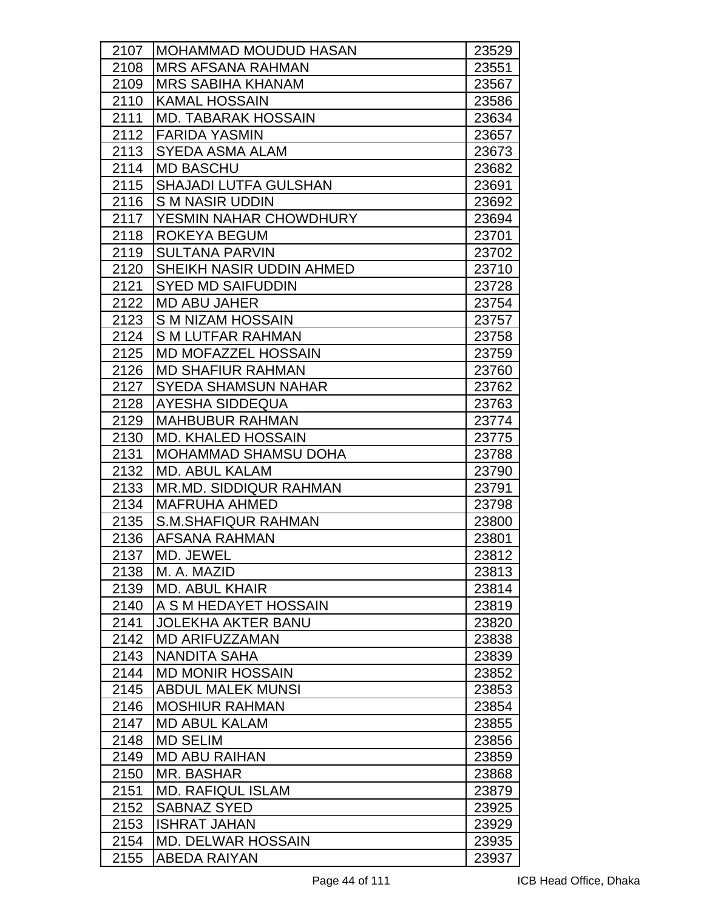| 2107 | <b>IMOHAMMAD MOUDUD HASAN</b> | 23529 |
|------|-------------------------------|-------|
| 2108 | <b>MRS AFSANA RAHMAN</b>      | 23551 |
| 2109 | <b>MRS SABIHA KHANAM</b>      | 23567 |
| 2110 | <b>KAMAL HOSSAIN</b>          | 23586 |
| 2111 | <b>MD. TABARAK HOSSAIN</b>    | 23634 |
| 2112 | <b>FARIDA YASMIN</b>          | 23657 |
| 2113 | <b>SYEDA ASMA ALAM</b>        | 23673 |
| 2114 | <b>MD BASCHU</b>              | 23682 |
| 2115 | <b>SHAJADI LUTFA GULSHAN</b>  | 23691 |
| 2116 | <b>SM NASIR UDDIN</b>         | 23692 |
| 2117 | YESMIN NAHAR CHOWDHURY        | 23694 |
| 2118 | ROKEYA BEGUM                  | 23701 |
| 2119 | <b>SULTANA PARVIN</b>         | 23702 |
| 2120 | SHEIKH NASIR UDDIN AHMED      | 23710 |
| 2121 | <b>SYED MD SAIFUDDIN</b>      | 23728 |
| 2122 | <b>MD ABU JAHER</b>           | 23754 |
| 2123 | S M NIZAM HOSSAIN             | 23757 |
| 2124 | <b>SM LUTFAR RAHMAN</b>       | 23758 |
| 2125 | <b>MD MOFAZZEL HOSSAIN</b>    | 23759 |
| 2126 | <b>MD SHAFIUR RAHMAN</b>      | 23760 |
| 2127 | <b>SYEDA SHAMSUN NAHAR</b>    | 23762 |
| 2128 | AYESHA SIDDEQUA               | 23763 |
| 2129 | <b>MAHBUBUR RAHMAN</b>        | 23774 |
| 2130 | <b>MD. KHALED HOSSAIN</b>     | 23775 |
| 2131 | <b>MOHAMMAD SHAMSU DOHA</b>   | 23788 |
| 2132 | <b>MD. ABUL KALAM</b>         | 23790 |
| 2133 | <b>MR.MD. SIDDIQUR RAHMAN</b> | 23791 |
| 2134 | <b>MAFRUHA AHMED</b>          | 23798 |
| 2135 | <b>S.M.SHAFIQUR RAHMAN</b>    | 23800 |
| 2136 | <b>AFSANA RAHMAN</b>          | 23801 |
| 2137 | MD. JEWEL                     | 23812 |
| 2138 | M. A. MAZID                   | 23813 |
| 2139 | <b>MD. ABUL KHAIR</b>         | 23814 |
| 2140 | A S M HEDAYET HOSSAIN         | 23819 |
| 2141 | <b>JOLEKHA AKTER BANU</b>     | 23820 |
| 2142 | <b>MD ARIFUZZAMAN</b>         | 23838 |
| 2143 | NANDITA SAHA                  | 23839 |
| 2144 | <b>MD MONIR HOSSAIN</b>       | 23852 |
| 2145 | <b>ABDUL MALEK MUNSI</b>      | 23853 |
| 2146 | <b>MOSHIUR RAHMAN</b>         | 23854 |
| 2147 | <b>MD ABUL KALAM</b>          | 23855 |
| 2148 | <b>MD SELIM</b>               | 23856 |
| 2149 | <b>MD ABU RAIHAN</b>          | 23859 |
| 2150 | MR. BASHAR                    | 23868 |
| 2151 | <b>MD. RAFIQUL ISLAM</b>      | 23879 |
| 2152 | <b>SABNAZ SYED</b>            | 23925 |
| 2153 | <b>ISHRAT JAHAN</b>           | 23929 |
| 2154 | <b>MD. DELWAR HOSSAIN</b>     | 23935 |
| 2155 | ABEDA RAIYAN                  | 23937 |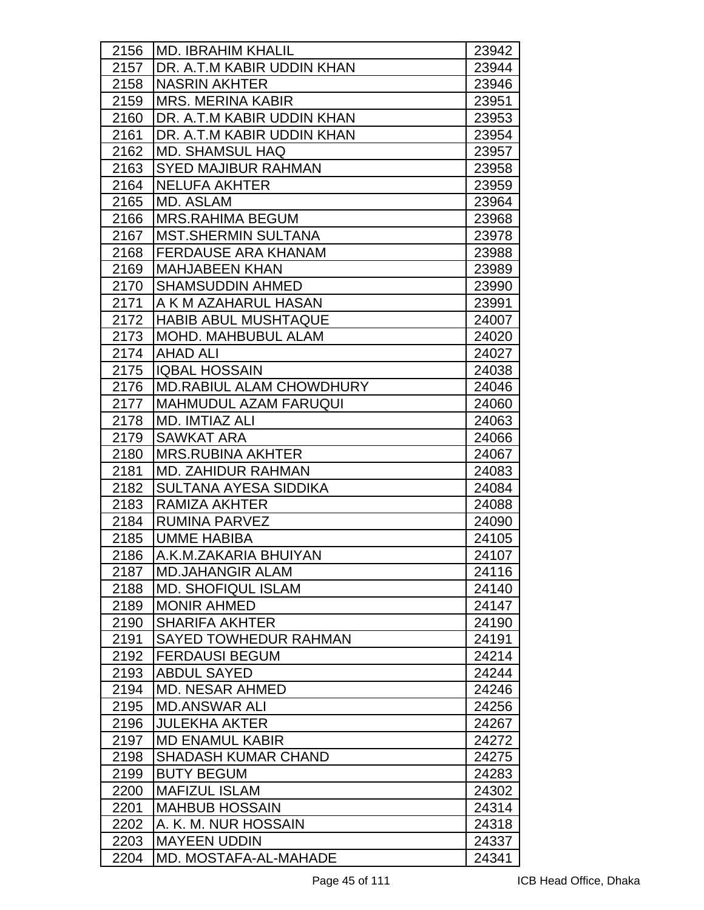| 2156 | <b>MD. IBRAHIM KHALIL</b>       | 23942 |
|------|---------------------------------|-------|
| 2157 | DR. A.T.M KABIR UDDIN KHAN      | 23944 |
| 2158 | <b>NASRIN AKHTER</b>            | 23946 |
| 2159 | <b>MRS. MERINA KABIR</b>        | 23951 |
| 2160 | DR. A.T.M KABIR UDDIN KHAN      | 23953 |
| 2161 | DR. A.T.M KABIR UDDIN KHAN      | 23954 |
| 2162 | <b>MD. SHAMSUL HAQ</b>          | 23957 |
| 2163 | <b>SYED MAJIBUR RAHMAN</b>      | 23958 |
| 2164 | <b>NELUFA AKHTER</b>            | 23959 |
| 2165 | MD. ASLAM                       | 23964 |
| 2166 | <b>MRS.RAHIMA BEGUM</b>         | 23968 |
| 2167 | <b>MST.SHERMIN SULTANA</b>      | 23978 |
| 2168 | <b>FERDAUSE ARA KHANAM</b>      | 23988 |
| 2169 | <b>MAHJABEEN KHAN</b>           | 23989 |
| 2170 | <b>SHAMSUDDIN AHMED</b>         | 23990 |
| 2171 | A K M AZAHARUL HASAN            | 23991 |
| 2172 | <b>HABIB ABUL MUSHTAQUE</b>     | 24007 |
| 2173 | <b>MOHD. MAHBUBUL ALAM</b>      | 24020 |
| 2174 | <b>AHAD ALI</b>                 | 24027 |
| 2175 | <b>IQBAL HOSSAIN</b>            | 24038 |
| 2176 | <b>MD.RABIUL ALAM CHOWDHURY</b> | 24046 |
| 2177 | <b>MAHMUDUL AZAM FARUQUI</b>    | 24060 |
| 2178 | <b>MD. IMTIAZ ALI</b>           | 24063 |
| 2179 | <b>SAWKAT ARA</b>               | 24066 |
| 2180 | <b>MRS.RUBINA AKHTER</b>        | 24067 |
| 2181 | <b>MD. ZAHIDUR RAHMAN</b>       | 24083 |
| 2182 | <b>SULTANA AYESA SIDDIKA</b>    | 24084 |
| 2183 | RAMIZA AKHTER                   | 24088 |
| 2184 | <b>RUMINA PARVEZ</b>            | 24090 |
| 2185 | <b>UMME HABIBA</b>              | 24105 |
| 2186 | A.K.M.ZAKARIA BHUIYAN           | 24107 |
| 2187 | <b>MD.JAHANGIR ALAM</b>         | 24116 |
| 2188 | <b>MD. SHOFIQUL ISLAM</b>       | 24140 |
| 2189 | <b>MONIR AHMED</b>              | 24147 |
| 2190 | <b>SHARIFA AKHTER</b>           | 24190 |
| 2191 | <b>SAYED TOWHEDUR RAHMAN</b>    | 24191 |
| 2192 | <b>FERDAUSI BEGUM</b>           | 24214 |
| 2193 | <b>ABDUL SAYED</b>              | 24244 |
| 2194 | <b>MD. NESAR AHMED</b>          | 24246 |
| 2195 | <b>MD.ANSWAR ALI</b>            | 24256 |
| 2196 | <b>JULEKHA AKTER</b>            | 24267 |
| 2197 | <b>MD ENAMUL KABIR</b>          | 24272 |
| 2198 | <b>SHADASH KUMAR CHAND</b>      | 24275 |
| 2199 | <b>BUTY BEGUM</b>               | 24283 |
| 2200 | <b>MAFIZUL ISLAM</b>            | 24302 |
| 2201 | <b>MAHBUB HOSSAIN</b>           | 24314 |
| 2202 | A. K. M. NUR HOSSAIN            | 24318 |
| 2203 | <b>MAYEEN UDDIN</b>             | 24337 |
| 2204 | MD. MOSTAFA-AL-MAHADE           | 24341 |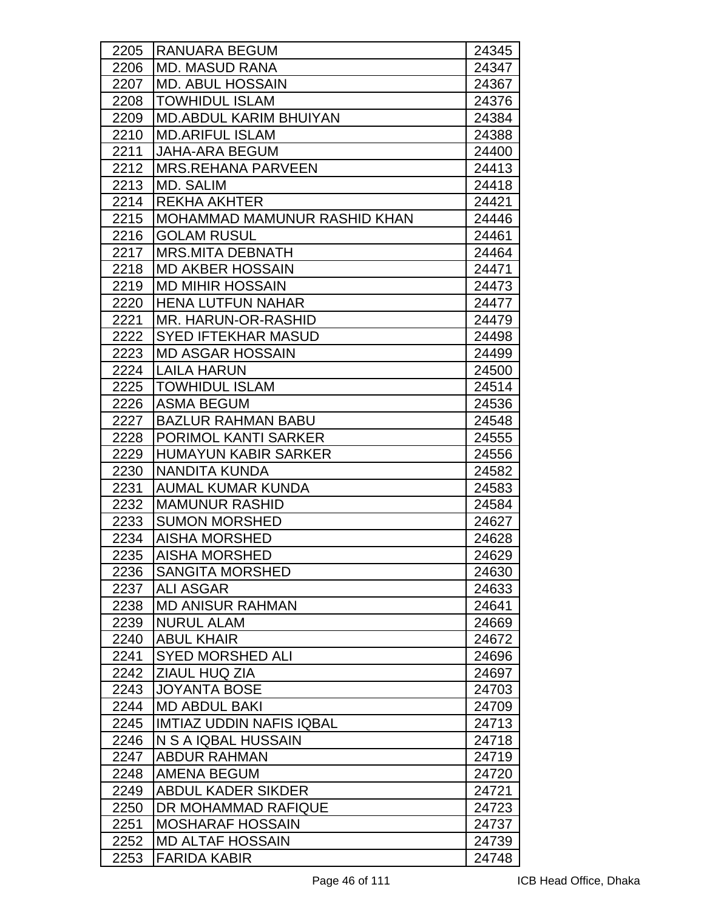| 2205 | <b>RANUARA BEGUM</b>            | 24345 |
|------|---------------------------------|-------|
| 2206 | <b>MD. MASUD RANA</b>           | 24347 |
| 2207 | <b>MD. ABUL HOSSAIN</b>         | 24367 |
| 2208 | <b>TOWHIDUL ISLAM</b>           | 24376 |
| 2209 | <b>MD.ABDUL KARIM BHUIYAN</b>   | 24384 |
| 2210 | <b>MD.ARIFUL ISLAM</b>          | 24388 |
| 2211 | <b>JAHA-ARA BEGUM</b>           | 24400 |
| 2212 | <b>MRS.REHANA PARVEEN</b>       | 24413 |
| 2213 | MD. SALIM                       | 24418 |
| 2214 | <b>REKHA AKHTER</b>             | 24421 |
| 2215 | MOHAMMAD MAMUNUR RASHID KHAN    | 24446 |
| 2216 | <b>GOLAM RUSUL</b>              | 24461 |
| 2217 | <b>MRS.MITA DEBNATH</b>         | 24464 |
| 2218 | <b>MD AKBER HOSSAIN</b>         | 24471 |
| 2219 | <b>MD MIHIR HOSSAIN</b>         | 24473 |
| 2220 | <b>HENA LUTFUN NAHAR</b>        | 24477 |
| 2221 | MR. HARUN-OR-RASHID             | 24479 |
| 2222 | <b>SYED IFTEKHAR MASUD</b>      | 24498 |
| 2223 | <b>MD ASGAR HOSSAIN</b>         | 24499 |
| 2224 | <b>LAILA HARUN</b>              | 24500 |
| 2225 | <b>TOWHIDUL ISLAM</b>           | 24514 |
| 2226 | <b>ASMA BEGUM</b>               | 24536 |
| 2227 | <b>BAZLUR RAHMAN BABU</b>       | 24548 |
| 2228 | PORIMOL KANTI SARKER            | 24555 |
| 2229 | <b>HUMAYUN KABIR SARKER</b>     | 24556 |
| 2230 | NANDITA KUNDA                   | 24582 |
| 2231 | <b>AUMAL KUMAR KUNDA</b>        | 24583 |
| 2232 | <b>MAMUNUR RASHID</b>           | 24584 |
| 2233 | <b>SUMON MORSHED</b>            | 24627 |
| 2234 | <b>AISHA MORSHED</b>            | 24628 |
| 2235 | <b>AISHA MORSHED</b>            | 24629 |
| 2236 | <b>SANGITA MORSHED</b>          | 24630 |
| 2237 | <b>ALI ASGAR</b>                | 24633 |
| 2238 | <b>MD ANISUR RAHMAN</b>         | 24641 |
| 2239 | <b>NURUL ALAM</b>               | 24669 |
| 2240 | <b>ABUL KHAIR</b>               | 24672 |
| 2241 | <b>SYED MORSHED ALI</b>         | 24696 |
| 2242 | ZIAUL HUQ ZIA                   | 24697 |
| 2243 | <b>JOYANTA BOSE</b>             | 24703 |
| 2244 | <b>MD ABDUL BAKI</b>            | 24709 |
| 2245 | <b>IMTIAZ UDDIN NAFIS IQBAL</b> | 24713 |
| 2246 | N S A IQBAL HUSSAIN             | 24718 |
| 2247 | <b>ABDUR RAHMAN</b>             | 24719 |
| 2248 | <b>AMENA BEGUM</b>              | 24720 |
| 2249 | <b>ABDUL KADER SIKDER</b>       | 24721 |
| 2250 | DR MOHAMMAD RAFIQUE             | 24723 |
| 2251 | <b>MOSHARAF HOSSAIN</b>         | 24737 |
| 2252 | <b>MD ALTAF HOSSAIN</b>         | 24739 |
| 2253 | <b>FARIDA KABIR</b>             | 24748 |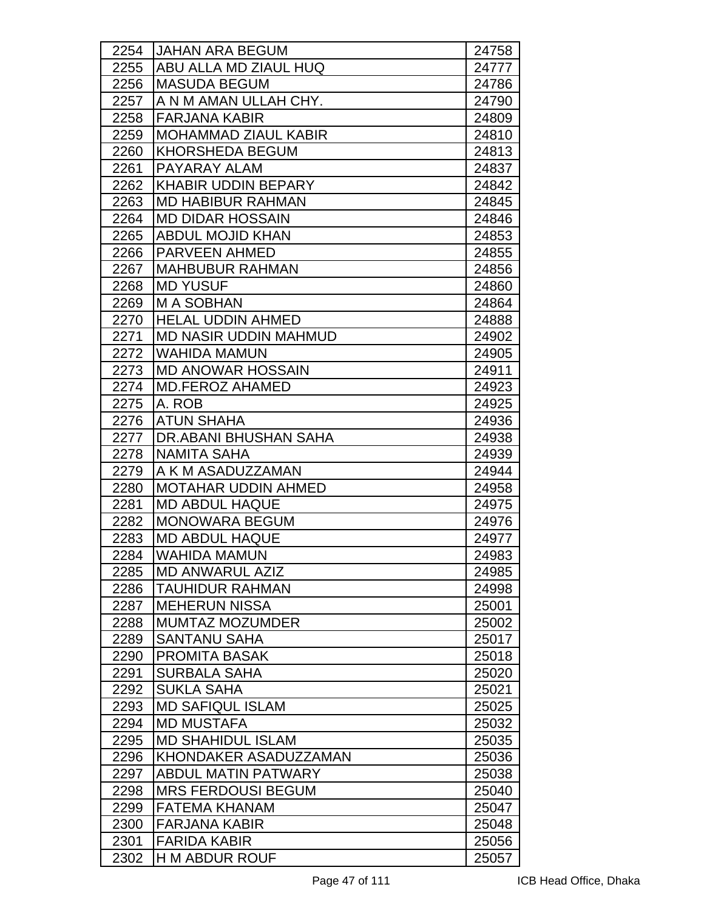| 2254 | <b>JAHAN ARA BEGUM</b>        | 24758 |
|------|-------------------------------|-------|
| 2255 | ABU ALLA MD ZIAUL HUQ         | 24777 |
| 2256 | <b>MASUDA BEGUM</b>           | 24786 |
| 2257 | A N M AMAN ULLAH CHY.         | 24790 |
| 2258 | <b>FARJANA KABIR</b>          | 24809 |
| 2259 | <b>IMOHAMMAD ZIAUL KABIR</b>  | 24810 |
| 2260 | <b>KHORSHEDA BEGUM</b>        | 24813 |
| 2261 | PAYARAY ALAM                  | 24837 |
| 2262 | <b>KHABIR UDDIN BEPARY</b>    | 24842 |
| 2263 | <b>MD HABIBUR RAHMAN</b>      | 24845 |
| 2264 | <b>MD DIDAR HOSSAIN</b>       | 24846 |
| 2265 | <b>ABDUL MOJID KHAN</b>       | 24853 |
| 2266 | <b>PARVEEN AHMED</b>          | 24855 |
| 2267 | <b>MAHBUBUR RAHMAN</b>        | 24856 |
| 2268 | <b>MD YUSUF</b>               | 24860 |
| 2269 | <b>MA SOBHAN</b>              | 24864 |
| 2270 | HELAL UDDIN AHMED             | 24888 |
| 2271 | <b>MD NASIR UDDIN MAHMUD</b>  | 24902 |
| 2272 | <b>WAHIDA MAMUN</b>           | 24905 |
| 2273 | <b>MD ANOWAR HOSSAIN</b>      | 24911 |
| 2274 | <b>MD.FEROZ AHAMED</b>        | 24923 |
| 2275 | A. ROB                        | 24925 |
| 2276 | <b>ATUN SHAHA</b>             | 24936 |
| 2277 | <b>IDR.ABANI BHUSHAN SAHA</b> | 24938 |
| 2278 | <b>NAMITA SAHA</b>            | 24939 |
| 2279 | A K M ASADUZZAMAN             | 24944 |
| 2280 | <b>MOTAHAR UDDIN AHMED</b>    | 24958 |
| 2281 | <b>MD ABDUL HAQUE</b>         | 24975 |
| 2282 | <b>MONOWARA BEGUM</b>         | 24976 |
| 2283 | <b>MD ABDUL HAQUE</b>         | 24977 |
| 2284 | <b>WAHIDA MAMUN</b>           | 24983 |
| 2285 | <b>MD ANWARUL AZIZ</b>        | 24985 |
| 2286 | <b>TAUHIDUR RAHMAN</b>        | 24998 |
| 2287 | <b>MEHERUN NISSA</b>          | 25001 |
| 2288 | <b>MUMTAZ MOZUMDER</b>        | 25002 |
| 2289 | <b>SANTANU SAHA</b>           | 25017 |
| 2290 | <b>PROMITA BASAK</b>          | 25018 |
| 2291 | <b>SURBALA SAHA</b>           | 25020 |
| 2292 | <b>SUKLA SAHA</b>             | 25021 |
| 2293 | <b>MD SAFIQUL ISLAM</b>       | 25025 |
| 2294 | <b>MD MUSTAFA</b>             | 25032 |
| 2295 | <b>MD SHAHIDUL ISLAM</b>      | 25035 |
| 2296 | KHONDAKER ASADUZZAMAN         | 25036 |
| 2297 | <b>ABDUL MATIN PATWARY</b>    | 25038 |
| 2298 | <b>MRS FERDOUSI BEGUM</b>     | 25040 |
| 2299 | <b>FATEMA KHANAM</b>          | 25047 |
| 2300 | <b>FARJANA KABIR</b>          | 25048 |
| 2301 | <b>FARIDA KABIR</b>           | 25056 |
| 2302 | <b>H M ABDUR ROUF</b>         | 25057 |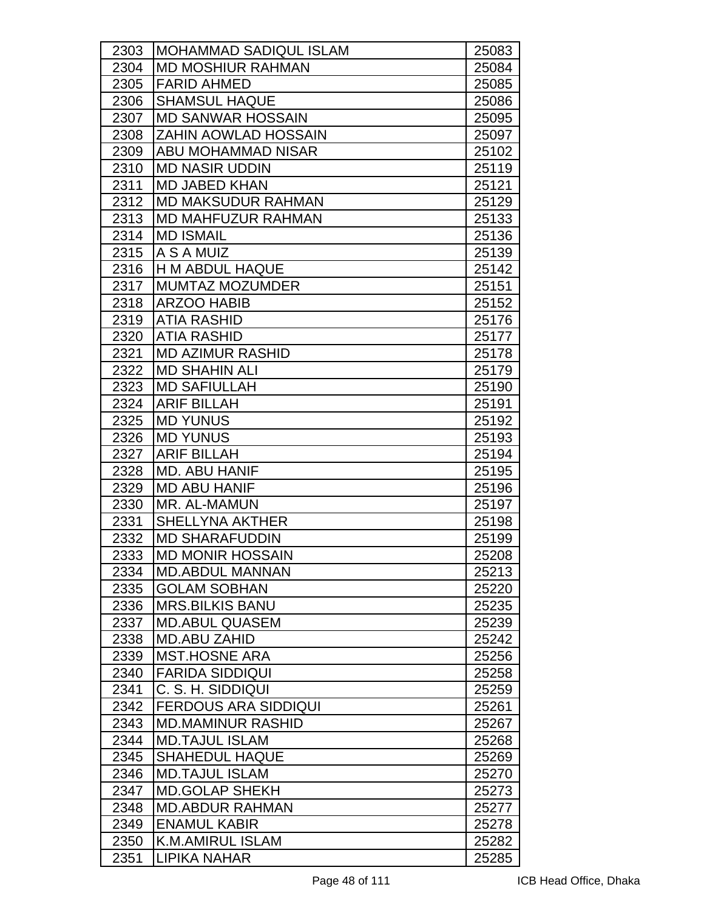| 2303 | MOHAMMAD SADIQUL ISLAM       | 25083 |
|------|------------------------------|-------|
| 2304 | <b>MD MOSHIUR RAHMAN</b>     | 25084 |
| 2305 | <b>FARID AHMED</b>           | 25085 |
| 2306 | <b>SHAMSUL HAQUE</b>         | 25086 |
| 2307 | <b>MD SANWAR HOSSAIN</b>     | 25095 |
| 2308 | <b>IZAHIN AOWLAD HOSSAIN</b> | 25097 |
| 2309 | <b>ABU MOHAMMAD NISAR</b>    | 25102 |
| 2310 | <b>MD NASIR UDDIN</b>        | 25119 |
| 2311 | <b>MD JABED KHAN</b>         | 25121 |
| 2312 | <b>MD MAKSUDUR RAHMAN</b>    | 25129 |
| 2313 | <b>MD MAHFUZUR RAHMAN</b>    | 25133 |
| 2314 | <b>MD ISMAIL</b>             | 25136 |
| 2315 | <b>A S A MUIZ</b>            | 25139 |
| 2316 | H M ABDUL HAQUE              | 25142 |
| 2317 | <b>MUMTAZ MOZUMDER</b>       | 25151 |
| 2318 | <b>ARZOO HABIB</b>           | 25152 |
| 2319 | <b>ATIA RASHID</b>           | 25176 |
| 2320 | <b>ATIA RASHID</b>           | 25177 |
| 2321 | <b>MD AZIMUR RASHID</b>      | 25178 |
| 2322 | <b>MD SHAHIN ALI</b>         | 25179 |
| 2323 | <b>MD SAFIULLAH</b>          | 25190 |
| 2324 | <b>ARIF BILLAH</b>           | 25191 |
| 2325 | <b>MD YUNUS</b>              | 25192 |
| 2326 | <b>MD YUNUS</b>              | 25193 |
| 2327 | <b>ARIF BILLAH</b>           | 25194 |
| 2328 | <b>MD. ABU HANIF</b>         | 25195 |
| 2329 | <b>MD ABU HANIF</b>          | 25196 |
| 2330 | MR. AL-MAMUN                 | 25197 |
| 2331 | <b>SHELLYNA AKTHER</b>       | 25198 |
| 2332 | <b>MD SHARAFUDDIN</b>        | 25199 |
| 2333 | <b>MD MONIR HOSSAIN</b>      | 25208 |
| 2334 | <b>MD.ABDUL MANNAN</b>       | 25213 |
| 2335 | <b>GOLAM SOBHAN</b>          | 25220 |
| 2336 | <b>MRS.BILKIS BANU</b>       | 25235 |
| 2337 | <b>MD.ABUL QUASEM</b>        | 25239 |
| 2338 | <b>MD.ABU ZAHID</b>          | 25242 |
| 2339 | <b>MST.HOSNE ARA</b>         | 25256 |
| 2340 | <b>FARIDA SIDDIQUI</b>       | 25258 |
| 2341 | C. S. H. SIDDIQUI            | 25259 |
| 2342 | <b>FERDOUS ARA SIDDIQUI</b>  | 25261 |
| 2343 | <b>MD.MAMINUR RASHID</b>     | 25267 |
| 2344 | <b>MD.TAJUL ISLAM</b>        | 25268 |
| 2345 | <b>SHAHEDUL HAQUE</b>        | 25269 |
| 2346 | <b>MD.TAJUL ISLAM</b>        | 25270 |
| 2347 | <b>MD.GOLAP SHEKH</b>        | 25273 |
| 2348 | <b>MD.ABDUR RAHMAN</b>       | 25277 |
| 2349 | <b>ENAMUL KABIR</b>          | 25278 |
| 2350 | K.M.AMIRUL ISLAM             | 25282 |
| 2351 | LIPIKA NAHAR                 | 25285 |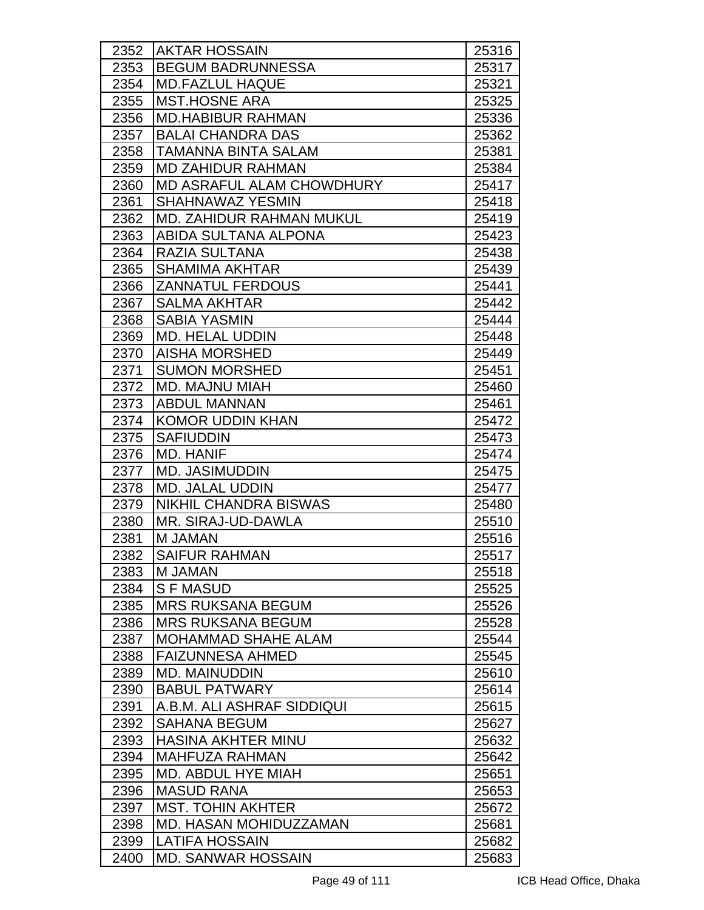| 2352 | <b>AKTAR HOSSAIN</b>            | 25316 |
|------|---------------------------------|-------|
| 2353 | <b>BEGUM BADRUNNESSA</b>        | 25317 |
| 2354 | <b>MD.FAZLUL HAQUE</b>          | 25321 |
| 2355 | <b>MST.HOSNE ARA</b>            | 25325 |
| 2356 | <b>MD.HABIBUR RAHMAN</b>        | 25336 |
| 2357 | <b>BALAI CHANDRA DAS</b>        | 25362 |
| 2358 | <b>TAMANNA BINTA SALAM</b>      | 25381 |
| 2359 | <b>MD ZAHIDUR RAHMAN</b>        | 25384 |
| 2360 | MD ASRAFUL ALAM CHOWDHURY       | 25417 |
| 2361 | <b>SHAHNAWAZ YESMIN</b>         | 25418 |
| 2362 | <b>MD. ZAHIDUR RAHMAN MUKUL</b> | 25419 |
| 2363 | ABIDA SULTANA ALPONA            | 25423 |
| 2364 | <b>RAZIA SULTANA</b>            | 25438 |
| 2365 | <b>SHAMIMA AKHTAR</b>           | 25439 |
| 2366 | <b>ZANNATUL FERDOUS</b>         | 25441 |
| 2367 | <b>SALMA AKHTAR</b>             | 25442 |
| 2368 | <b>SABIA YASMIN</b>             | 25444 |
| 2369 | <b>MD. HELAL UDDIN</b>          | 25448 |
| 2370 | <b>AISHA MORSHED</b>            | 25449 |
| 2371 | <b>SUMON MORSHED</b>            | 25451 |
| 2372 | <b>MD. MAJNU MIAH</b>           | 25460 |
| 2373 | <b>ABDUL MANNAN</b>             | 25461 |
| 2374 | <b>KOMOR UDDIN KHAN</b>         | 25472 |
| 2375 | <b>SAFIUDDIN</b>                | 25473 |
| 2376 | <b>MD. HANIF</b>                | 25474 |
| 2377 | MD. JASIMUDDIN                  | 25475 |
| 2378 | <b>MD. JALAL UDDIN</b>          | 25477 |
| 2379 | <b>NIKHIL CHANDRA BISWAS</b>    | 25480 |
| 2380 | MR. SIRAJ-UD-DAWLA              | 25510 |
| 2381 | M JAMAN                         | 25516 |
| 2382 | <b>SAIFUR RAHMAN</b>            | 25517 |
| 2383 | <b>M JAMAN</b>                  | 25518 |
| 2384 | <b>SFMASUD</b>                  | 25525 |
| 2385 | <b>MRS RUKSANA BEGUM</b>        | 25526 |
| 2386 | <b>MRS RUKSANA BEGUM</b>        | 25528 |
| 2387 | <b>MOHAMMAD SHAHE ALAM</b>      | 25544 |
| 2388 | <b>FAIZUNNESA AHMED</b>         | 25545 |
| 2389 | <b>MD. MAINUDDIN</b>            | 25610 |
| 2390 | <b>BABUL PATWARY</b>            | 25614 |
| 2391 | A.B.M. ALI ASHRAF SIDDIQUI      | 25615 |
| 2392 | <b>SAHANA BEGUM</b>             | 25627 |
| 2393 | <b>HASINA AKHTER MINU</b>       | 25632 |
| 2394 | <b>MAHFUZA RAHMAN</b>           | 25642 |
| 2395 | MD. ABDUL HYE MIAH              | 25651 |
| 2396 | <b>MASUD RANA</b>               | 25653 |
| 2397 | <b>MST. TOHIN AKHTER</b>        | 25672 |
| 2398 | <b>MD. HASAN MOHIDUZZAMAN</b>   | 25681 |
| 2399 | LATIFA HOSSAIN                  | 25682 |
| 2400 | <b>MD. SANWAR HOSSAIN</b>       | 25683 |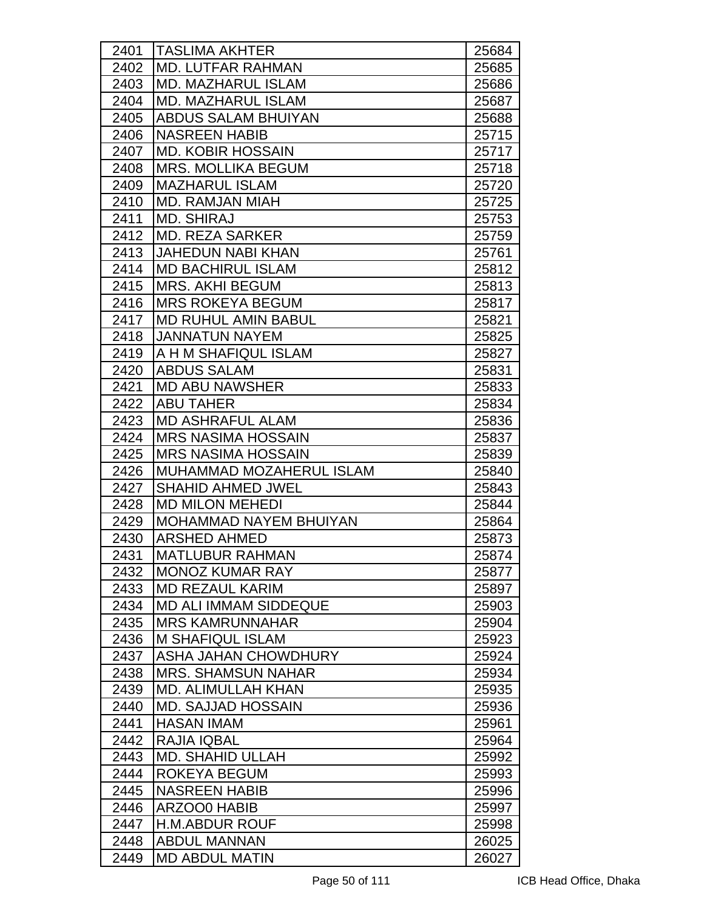| 2401 | <b>TASLIMA AKHTER</b>         | 25684 |
|------|-------------------------------|-------|
| 2402 | <b>MD. LUTFAR RAHMAN</b>      | 25685 |
| 2403 | <b>MD. MAZHARUL ISLAM</b>     | 25686 |
| 2404 | <b>MD. MAZHARUL ISLAM</b>     | 25687 |
| 2405 | ABDUS SALAM BHUIYAN           | 25688 |
| 2406 | <b>NASREEN HABIB</b>          | 25715 |
| 2407 | <b>MD. KOBIR HOSSAIN</b>      | 25717 |
| 2408 | <b>MRS. MOLLIKA BEGUM</b>     | 25718 |
| 2409 | <b>MAZHARUL ISLAM</b>         | 25720 |
| 2410 | <b>MD. RAMJAN MIAH</b>        | 25725 |
| 2411 | <b>MD. SHIRAJ</b>             | 25753 |
| 2412 | <b>MD. REZA SARKER</b>        | 25759 |
| 2413 | <b>JAHEDUN NABI KHAN</b>      | 25761 |
| 2414 | <b>MD BACHIRUL ISLAM</b>      | 25812 |
| 2415 | <b>MRS. AKHI BEGUM</b>        | 25813 |
| 2416 | <b>MRS ROKEYA BEGUM</b>       | 25817 |
| 2417 | <b>MD RUHUL AMIN BABUL</b>    | 25821 |
| 2418 | <b>JANNATUN NAYEM</b>         | 25825 |
| 2419 | A H M SHAFIQUL ISLAM          | 25827 |
| 2420 | <b>ABDUS SALAM</b>            | 25831 |
| 2421 | <b>MD ABU NAWSHER</b>         | 25833 |
| 2422 | <b>ABU TAHER</b>              | 25834 |
| 2423 | <b>MD ASHRAFUL ALAM</b>       | 25836 |
| 2424 | <b>MRS NASIMA HOSSAIN</b>     | 25837 |
| 2425 | <b>MRS NASIMA HOSSAIN</b>     | 25839 |
| 2426 | MUHAMMAD MOZAHERUL ISLAM      | 25840 |
| 2427 | <b>SHAHID AHMED JWEL</b>      | 25843 |
| 2428 | <b>MD MILON MEHEDI</b>        | 25844 |
| 2429 | <b>MOHAMMAD NAYEM BHUIYAN</b> | 25864 |
| 2430 | <b>ARSHED AHMED</b>           | 25873 |
| 2431 | MATLUBUR RAHMAN               | 25874 |
| 2432 | <b>MONOZ KUMAR RAY</b>        | 25877 |
| 2433 | <b>MD REZAUL KARIM</b>        | 25897 |
| 2434 | <b>MD ALI IMMAM SIDDEQUE</b>  | 25903 |
| 2435 | <b>MRS KAMRUNNAHAR</b>        | 25904 |
| 2436 | <b>M SHAFIQUL ISLAM</b>       | 25923 |
| 2437 | ASHA JAHAN CHOWDHURY          | 25924 |
| 2438 | <b>MRS. SHAMSUN NAHAR</b>     | 25934 |
| 2439 | <b>MD. ALIMULLAH KHAN</b>     | 25935 |
| 2440 | <b>MD. SAJJAD HOSSAIN</b>     | 25936 |
| 2441 | <b>HASAN IMAM</b>             | 25961 |
| 2442 | <b>RAJIA IQBAL</b>            | 25964 |
| 2443 | <b>MD. SHAHID ULLAH</b>       | 25992 |
| 2444 | ROKEYA BEGUM                  | 25993 |
| 2445 | <b>NASREEN HABIB</b>          | 25996 |
| 2446 | ARZOO0 HABIB                  | 25997 |
| 2447 | <b>H.M.ABDUR ROUF</b>         | 25998 |
| 2448 | <b>ABDUL MANNAN</b>           | 26025 |
| 2449 | <b>MD ABDUL MATIN</b>         | 26027 |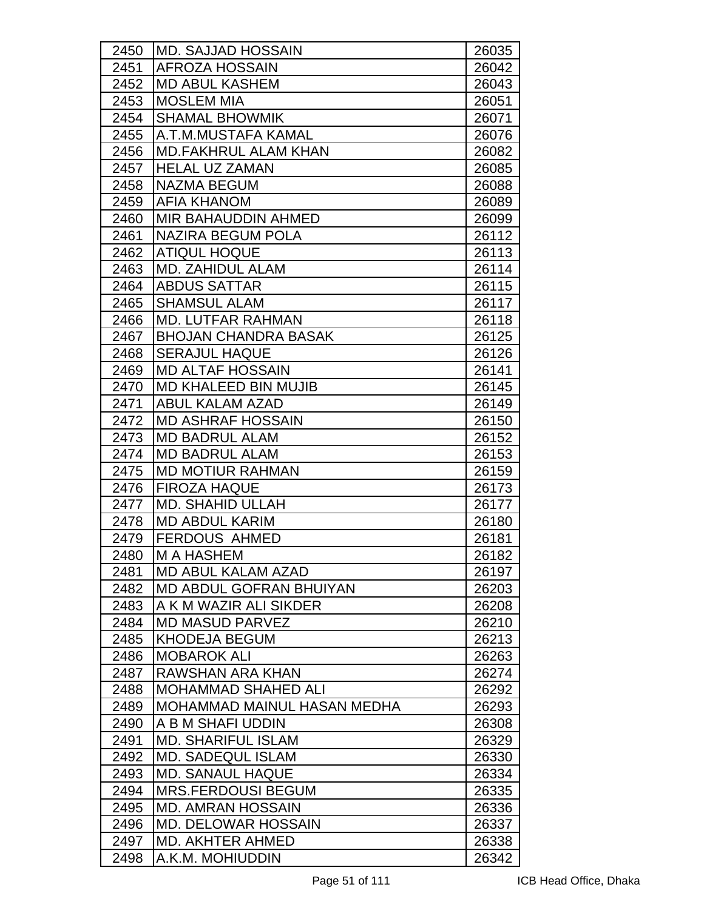| 2450 | <b>IMD. SAJJAD HOSSAIN</b>     | 26035 |
|------|--------------------------------|-------|
| 2451 | <b>AFROZA HOSSAIN</b>          | 26042 |
| 2452 | <b>MD ABUL KASHEM</b>          | 26043 |
| 2453 | <b>MOSLEM MIA</b>              | 26051 |
| 2454 | <b>SHAMAL BHOWMIK</b>          | 26071 |
| 2455 | A.T.M.MUSTAFA KAMAL            | 26076 |
| 2456 | <b>MD.FAKHRUL ALAM KHAN</b>    | 26082 |
| 2457 | <b>HELAL UZ ZAMAN</b>          | 26085 |
| 2458 | <b>NAZMA BEGUM</b>             | 26088 |
| 2459 | <b>JAFIA KHANOM</b>            | 26089 |
| 2460 | <b>MIR BAHAUDDIN AHMED</b>     | 26099 |
| 2461 | <b>NAZIRA BEGUM POLA</b>       | 26112 |
| 2462 | <b>ATIQUL HOQUE</b>            | 26113 |
| 2463 | MD. ZAHIDUL ALAM               | 26114 |
| 2464 | <b>ABDUS SATTAR</b>            | 26115 |
| 2465 | <b>SHAMSUL ALAM</b>            | 26117 |
| 2466 | <b>MD. LUTFAR RAHMAN</b>       | 26118 |
| 2467 | <b>BHOJAN CHANDRA BASAK</b>    | 26125 |
| 2468 | <b>SERAJUL HAQUE</b>           | 26126 |
| 2469 | <b>MD ALTAF HOSSAIN</b>        | 26141 |
| 2470 | <b>MD KHALEED BIN MUJIB</b>    | 26145 |
| 2471 | <b>ABUL KALAM AZAD</b>         | 26149 |
| 2472 | <b>MD ASHRAF HOSSAIN</b>       | 26150 |
| 2473 | <b>MD BADRUL ALAM</b>          | 26152 |
| 2474 | <b>MD BADRUL ALAM</b>          | 26153 |
| 2475 | <b>MD MOTIUR RAHMAN</b>        | 26159 |
| 2476 | <b>FIROZA HAQUE</b>            | 26173 |
| 2477 | <b>MD. SHAHID ULLAH</b>        | 26177 |
| 2478 | <b>MD ABDUL KARIM</b>          | 26180 |
| 2479 | <b>FERDOUS AHMED</b>           | 26181 |
| 2480 | <b>M A HASHEM</b>              | 26182 |
| 2481 | <b>MD ABUL KALAM AZAD</b>      | 26197 |
| 2482 | <b>MD ABDUL GOFRAN BHUIYAN</b> | 26203 |
| 2483 | A K M WAZIR ALI SIKDER         | 26208 |
| 2484 | <b>MD MASUD PARVEZ</b>         | 26210 |
| 2485 | <b>KHODEJA BEGUM</b>           | 26213 |
| 2486 | <b>MOBAROK ALI</b>             | 26263 |
| 2487 | RAWSHAN ARA KHAN               | 26274 |
| 2488 | <b>MOHAMMAD SHAHED ALI</b>     | 26292 |
| 2489 | MOHAMMAD MAINUL HASAN MEDHA    | 26293 |
| 2490 | A B M SHAFI UDDIN              | 26308 |
| 2491 | <b>MD. SHARIFUL ISLAM</b>      | 26329 |
| 2492 | <b>MD. SADEQUL ISLAM</b>       | 26330 |
| 2493 | <b>MD. SANAUL HAQUE</b>        | 26334 |
| 2494 | <b>MRS.FERDOUSI BEGUM</b>      | 26335 |
| 2495 | <b>MD. AMRAN HOSSAIN</b>       | 26336 |
| 2496 | <b>MD. DELOWAR HOSSAIN</b>     | 26337 |
| 2497 | <b>MD. AKHTER AHMED</b>        | 26338 |
| 2498 | A.K.M. MOHIUDDIN               | 26342 |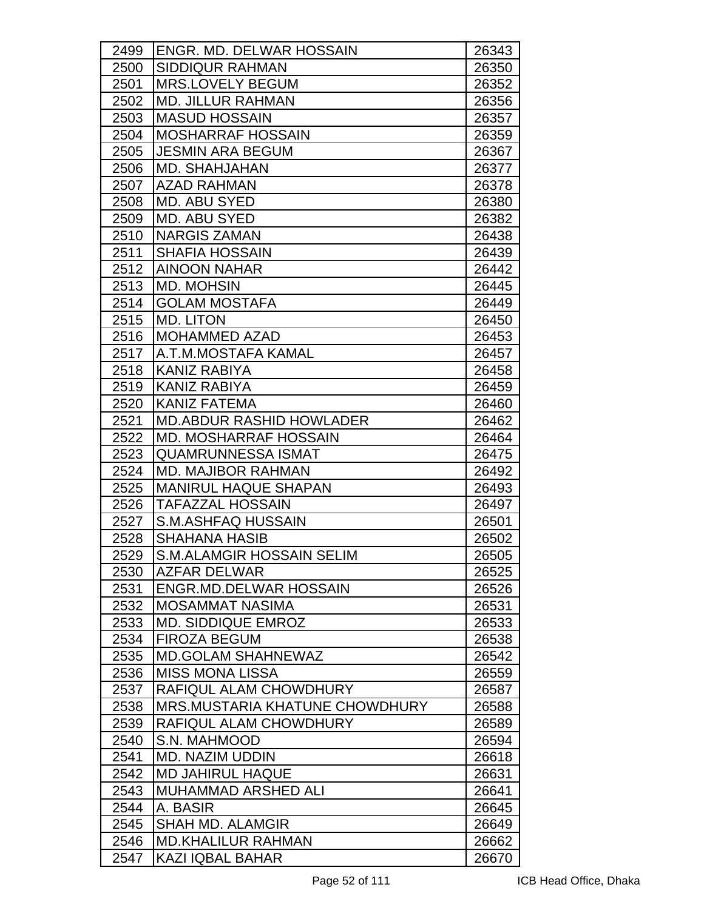| 2499 | <b>ENGR. MD. DELWAR HOSSAIN</b>       | 26343 |
|------|---------------------------------------|-------|
| 2500 | <b>SIDDIQUR RAHMAN</b>                | 26350 |
| 2501 | <b>MRS.LOVELY BEGUM</b>               | 26352 |
| 2502 | <b>MD. JILLUR RAHMAN</b>              | 26356 |
| 2503 | <b>MASUD HOSSAIN</b>                  | 26357 |
| 2504 | <b>MOSHARRAF HOSSAIN</b>              | 26359 |
| 2505 | <b>JESMIN ARA BEGUM</b>               | 26367 |
| 2506 | <b>MD. SHAHJAHAN</b>                  | 26377 |
| 2507 | <b>AZAD RAHMAN</b>                    | 26378 |
| 2508 | MD. ABU SYED                          | 26380 |
| 2509 | <b>MD. ABU SYED</b>                   | 26382 |
| 2510 | <b>NARGIS ZAMAN</b>                   | 26438 |
| 2511 | <b>SHAFIA HOSSAIN</b>                 | 26439 |
| 2512 | <b>AINOON NAHAR</b>                   | 26442 |
| 2513 | <b>MD. MOHSIN</b>                     | 26445 |
| 2514 | <b>GOLAM MOSTAFA</b>                  | 26449 |
| 2515 | <b>MD. LITON</b>                      | 26450 |
| 2516 | <b>MOHAMMED AZAD</b>                  | 26453 |
| 2517 | IA.T.M.MOSTAFA KAMAL                  | 26457 |
| 2518 | KANIZ RABIYA                          | 26458 |
| 2519 | KANIZ RABIYA                          | 26459 |
| 2520 | <b>KANIZ FATEMA</b>                   | 26460 |
| 2521 | <b>MD.ABDUR RASHID HOWLADER</b>       | 26462 |
| 2522 | <b>MD. MOSHARRAF HOSSAIN</b>          | 26464 |
| 2523 | <b>QUAMRUNNESSA ISMAT</b>             | 26475 |
| 2524 | <b>MD. MAJIBOR RAHMAN</b>             | 26492 |
| 2525 | <b>MANIRUL HAQUE SHAPAN</b>           | 26493 |
| 2526 | <b>TAFAZZAL HOSSAIN</b>               | 26497 |
| 2527 | S.M.ASHFAQ HUSSAIN                    | 26501 |
| 2528 | <b>SHAHANA HASIB</b>                  | 26502 |
| 2529 | S.M.ALAMGIR HOSSAIN SELIM             | 26505 |
| 2530 | AZFAR DELWAR                          | 26525 |
| 2531 | <b>ENGR.MD.DELWAR HOSSAIN</b>         | 26526 |
| 2532 | <b>MOSAMMAT NASIMA</b>                | 26531 |
| 2533 | <b>MD. SIDDIQUE EMROZ</b>             | 26533 |
| 2534 | <b>FIROZA BEGUM</b>                   | 26538 |
| 2535 | <b>MD.GOLAM SHAHNEWAZ</b>             | 26542 |
| 2536 | <b>MISS MONA LISSA</b>                | 26559 |
| 2537 | RAFIQUL ALAM CHOWDHURY                | 26587 |
| 2538 | <b>MRS.MUSTARIA KHATUNE CHOWDHURY</b> | 26588 |
| 2539 | RAFIQUL ALAM CHOWDHURY                | 26589 |
| 2540 | S.N. MAHMOOD                          | 26594 |
| 2541 | <b>MD. NAZIM UDDIN</b>                | 26618 |
| 2542 | <b>MD JAHIRUL HAQUE</b>               | 26631 |
| 2543 | <b>MUHAMMAD ARSHED ALI</b>            | 26641 |
| 2544 | A. BASIR                              | 26645 |
| 2545 | <b>SHAH MD. ALAMGIR</b>               | 26649 |
| 2546 | <b>MD.KHALILUR RAHMAN</b>             | 26662 |
| 2547 | <b>KAZI IQBAL BAHAR</b>               | 26670 |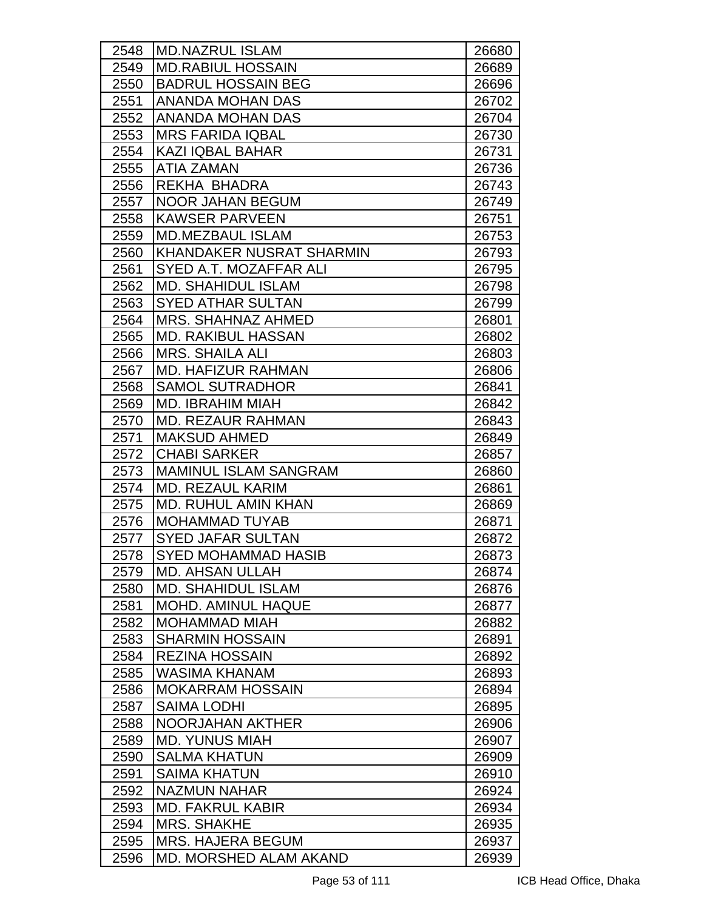| 2548 | <b>IMD.NAZRUL ISLAM</b>         | 26680 |
|------|---------------------------------|-------|
| 2549 | <b>MD.RABIUL HOSSAIN</b>        | 26689 |
| 2550 | <b>BADRUL HOSSAIN BEG</b>       | 26696 |
| 2551 | <b>ANANDA MOHAN DAS</b>         | 26702 |
| 2552 | <b>ANANDA MOHAN DAS</b>         | 26704 |
| 2553 | <b>MRS FARIDA IQBAL</b>         | 26730 |
| 2554 | <b>KAZI IQBAL BAHAR</b>         | 26731 |
| 2555 | <b>ATIA ZAMAN</b>               | 26736 |
| 2556 | REKHA BHADRA                    | 26743 |
| 2557 | <b>NOOR JAHAN BEGUM</b>         | 26749 |
| 2558 | <b>KAWSER PARVEEN</b>           | 26751 |
| 2559 | <b>MD.MEZBAUL ISLAM</b>         | 26753 |
| 2560 | <b>KHANDAKER NUSRAT SHARMIN</b> | 26793 |
| 2561 | SYED A.T. MOZAFFAR ALI          | 26795 |
| 2562 | <b>MD. SHAHIDUL ISLAM</b>       | 26798 |
| 2563 | <b>SYED ATHAR SULTAN</b>        | 26799 |
| 2564 | <b>MRS. SHAHNAZ AHMED</b>       | 26801 |
| 2565 | <b>MD. RAKIBUL HASSAN</b>       | 26802 |
| 2566 | <b>MRS. SHAILA ALI</b>          | 26803 |
| 2567 | <b>MD. HAFIZUR RAHMAN</b>       | 26806 |
| 2568 | <b>SAMOL SUTRADHOR</b>          | 26841 |
| 2569 | <b>MD. IBRAHIM MIAH</b>         | 26842 |
| 2570 | <b>MD. REZAUR RAHMAN</b>        | 26843 |
| 2571 | <b>MAKSUD AHMED</b>             | 26849 |
| 2572 | <b>CHABI SARKER</b>             | 26857 |
| 2573 | <b>MAMINUL ISLAM SANGRAM</b>    | 26860 |
| 2574 | <b>MD. REZAUL KARIM</b>         | 26861 |
| 2575 | <b>MD. RUHUL AMIN KHAN</b>      | 26869 |
| 2576 | <b>MOHAMMAD TUYAB</b>           | 26871 |
| 2577 | <b>SYED JAFAR SULTAN</b>        | 26872 |
| 2578 | SYED MOHAMMAD HASIB             | 26873 |
| 2579 | <b>MD. AHSAN ULLAH</b>          | 26874 |
| 2580 | <b>MD. SHAHIDUL ISLAM</b>       | 26876 |
| 2581 | <b>MOHD, AMINUL HAQUE</b>       | 26877 |
| 2582 | <b>MOHAMMAD MIAH</b>            | 26882 |
| 2583 | <b>SHARMIN HOSSAIN</b>          | 26891 |
| 2584 | <b>REZINA HOSSAIN</b>           | 26892 |
| 2585 | WASIMA KHANAM                   | 26893 |
| 2586 | <b>MOKARRAM HOSSAIN</b>         | 26894 |
| 2587 | <b>SAIMA LODHI</b>              | 26895 |
| 2588 | NOORJAHAN AKTHER                | 26906 |
| 2589 | <b>MD. YUNUS MIAH</b>           | 26907 |
| 2590 | <b>SALMA KHATUN</b>             | 26909 |
| 2591 | <b>SAIMA KHATUN</b>             | 26910 |
| 2592 | <b>NAZMUN NAHAR</b>             | 26924 |
| 2593 | <b>MD. FAKRUL KABIR</b>         | 26934 |
| 2594 | <b>MRS. SHAKHE</b>              | 26935 |
| 2595 | <b>MRS. HAJERA BEGUM</b>        | 26937 |
| 2596 | MD. MORSHED ALAM AKAND          | 26939 |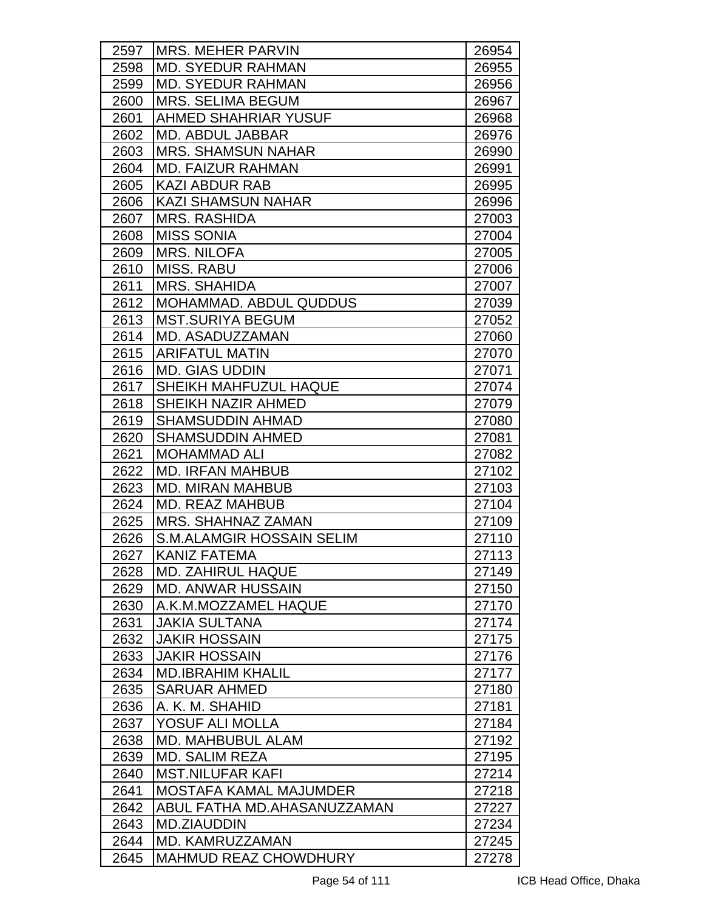| 2597 | <b>IMRS. MEHER PARVIN</b>        | 26954 |
|------|----------------------------------|-------|
| 2598 | <b>MD. SYEDUR RAHMAN</b>         | 26955 |
| 2599 | <b>MD. SYEDUR RAHMAN</b>         | 26956 |
| 2600 | <b>MRS. SELIMA BEGUM</b>         | 26967 |
| 2601 | AHMED SHAHRIAR YUSUF             | 26968 |
| 2602 | <b>MD. ABDUL JABBAR</b>          | 26976 |
| 2603 | <b>MRS. SHAMSUN NAHAR</b>        | 26990 |
| 2604 | <b>MD. FAIZUR RAHMAN</b>         | 26991 |
| 2605 | <b>KAZI ABDUR RAB</b>            | 26995 |
| 2606 | KAZI SHAMSUN NAHAR               | 26996 |
| 2607 | <b>MRS. RASHIDA</b>              | 27003 |
| 2608 | <b>MISS SONIA</b>                | 27004 |
| 2609 | <b>MRS. NILOFA</b>               | 27005 |
| 2610 | <b>MISS, RABU</b>                | 27006 |
| 2611 | <b>MRS. SHAHIDA</b>              | 27007 |
| 2612 | MOHAMMAD. ABDUL QUDDUS           | 27039 |
| 2613 | <b>MST.SURIYA BEGUM</b>          | 27052 |
| 2614 | MD. ASADUZZAMAN                  | 27060 |
| 2615 | <b>ARIFATUL MATIN</b>            | 27070 |
| 2616 | <b>MD. GIAS UDDIN</b>            | 27071 |
| 2617 | SHEIKH MAHFUZUL HAQUE            | 27074 |
| 2618 | <b>SHEIKH NAZIR AHMED</b>        | 27079 |
| 2619 | <b>SHAMSUDDIN AHMAD</b>          | 27080 |
| 2620 | <b>SHAMSUDDIN AHMED</b>          | 27081 |
| 2621 | <b>MOHAMMAD ALI</b>              | 27082 |
| 2622 | <b>MD. IRFAN MAHBUB</b>          | 27102 |
| 2623 | <b>MD. MIRAN MAHBUB</b>          | 27103 |
| 2624 | <b>MD. REAZ MAHBUB</b>           | 27104 |
| 2625 | <b>MRS. SHAHNAZ ZAMAN</b>        | 27109 |
| 2626 | <b>S.M.ALAMGIR HOSSAIN SELIM</b> | 27110 |
| 2627 | <b>KANIZ FATEMA</b>              | 27113 |
| 2628 | <b>MD. ZAHIRUL HAQUE</b>         | 27149 |
| 2629 | <b>MD. ANWAR HUSSAIN</b>         | 27150 |
| 2630 | A.K.M.MOZZAMEL HAQUE             | 27170 |
| 2631 | <b>JAKIA SULTANA</b>             | 27174 |
| 2632 | <b>JAKIR HOSSAIN</b>             | 27175 |
| 2633 | <b>JAKIR HOSSAIN</b>             | 27176 |
| 2634 | <b>MD.IBRAHIM KHALIL</b>         | 27177 |
| 2635 | <b>SARUAR AHMED</b>              | 27180 |
| 2636 | A. K. M. SHAHID                  | 27181 |
| 2637 | YOSUF ALI MOLLA                  | 27184 |
| 2638 | <b>MD. MAHBUBUL ALAM</b>         | 27192 |
| 2639 | <b>MD. SALIM REZA</b>            | 27195 |
| 2640 | <b>MST.NILUFAR KAFI</b>          | 27214 |
| 2641 | <b>MOSTAFA KAMAL MAJUMDER</b>    | 27218 |
| 2642 | ABUL FATHA MD.AHASANUZZAMAN      | 27227 |
| 2643 | <b>MD.ZIAUDDIN</b>               | 27234 |
| 2644 | MD. KAMRUZZAMAN                  | 27245 |
| 2645 | MAHMUD REAZ CHOWDHURY            | 27278 |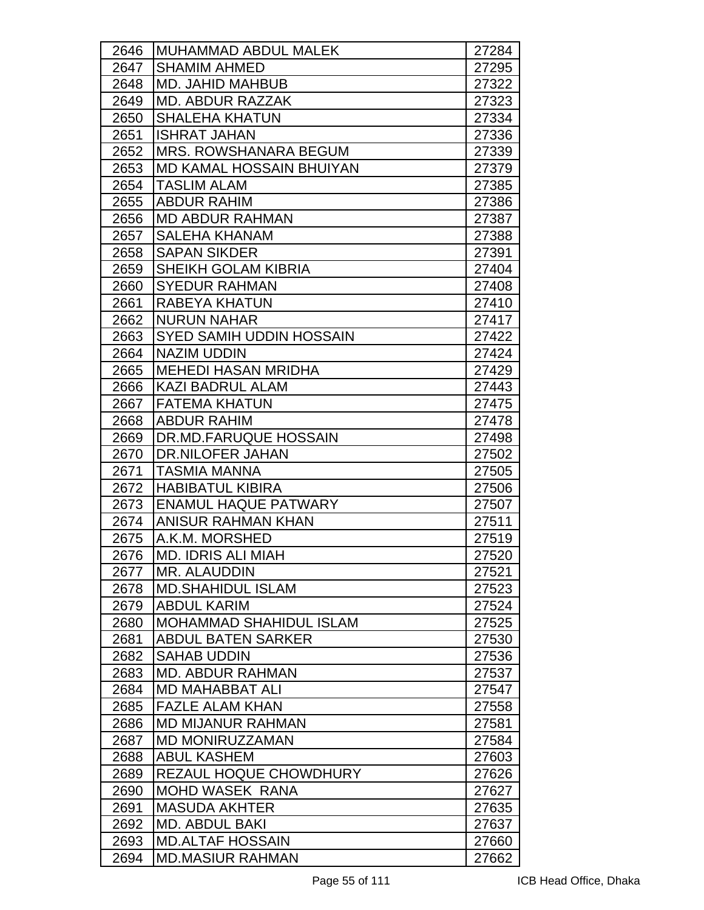| 2646 | MUHAMMAD ABDUL MALEK            | 27284 |
|------|---------------------------------|-------|
| 2647 | <b>SHAMIM AHMED</b>             | 27295 |
| 2648 | <b>MD. JAHID MAHBUB</b>         | 27322 |
| 2649 | <b>MD. ABDUR RAZZAK</b>         | 27323 |
| 2650 | <b>SHALEHA KHATUN</b>           | 27334 |
| 2651 | <b>ISHRAT JAHAN</b>             | 27336 |
| 2652 | <b>MRS. ROWSHANARA BEGUM</b>    | 27339 |
| 2653 | <b>MD KAMAL HOSSAIN BHUIYAN</b> | 27379 |
| 2654 | <b>TASLIM ALAM</b>              | 27385 |
| 2655 | IABDUR RAHIM                    | 27386 |
| 2656 | <b>MD ABDUR RAHMAN</b>          | 27387 |
| 2657 | <b>SALEHA KHANAM</b>            | 27388 |
| 2658 | <b>SAPAN SIKDER</b>             | 27391 |
| 2659 | SHEIKH GOLAM KIBRIA             | 27404 |
| 2660 | <b>SYEDUR RAHMAN</b>            | 27408 |
| 2661 | RABEYA KHATUN                   | 27410 |
| 2662 | <b>NURUN NAHAR</b>              | 27417 |
| 2663 | <b>SYED SAMIH UDDIN HOSSAIN</b> | 27422 |
| 2664 | <b>NAZIM UDDIN</b>              | 27424 |
| 2665 | <b>MEHEDI HASAN MRIDHA</b>      | 27429 |
| 2666 | <b>KAZI BADRUL ALAM</b>         | 27443 |
| 2667 | <b>FATEMA KHATUN</b>            | 27475 |
| 2668 | <b>ABDUR RAHIM</b>              | 27478 |
| 2669 | <b>IDR.MD.FARUQUE HOSSAIN</b>   | 27498 |
| 2670 | <b>DR.NILOFER JAHAN</b>         | 27502 |
| 2671 | <b>TASMIA MANNA</b>             | 27505 |
| 2672 | <b>HABIBATUL KIBIRA</b>         | 27506 |
| 2673 | <b>ENAMUL HAQUE PATWARY</b>     | 27507 |
| 2674 | IANISUR RAHMAN KHAN             | 27511 |
| 2675 | A.K.M. MORSHED                  | 27519 |
| 2676 | <b>MD. IDRIS ALI MIAH</b>       | 27520 |
| 2677 | MR. ALAUDDIN                    | 27521 |
| 2678 | <b>MD.SHAHIDUL ISLAM</b>        | 27523 |
| 2679 | <b>ABDUL KARIM</b>              | 27524 |
| 2680 | <b>MOHAMMAD SHAHIDUL ISLAM</b>  | 27525 |
| 2681 | <b>ABDUL BATEN SARKER</b>       | 27530 |
| 2682 | <b>SAHAB UDDIN</b>              | 27536 |
| 2683 | <b>MD. ABDUR RAHMAN</b>         | 27537 |
| 2684 | <b>MD MAHABBAT ALI</b>          | 27547 |
| 2685 | <b>FAZLE ALAM KHAN</b>          | 27558 |
| 2686 | MD MIJANUR RAHMAN               | 27581 |
| 2687 | <b>MD MONIRUZZAMAN</b>          | 27584 |
| 2688 | <b>ABUL KASHEM</b>              | 27603 |
| 2689 | REZAUL HOQUE CHOWDHURY          | 27626 |
| 2690 | <b>MOHD WASEK RANA</b>          | 27627 |
| 2691 | <b>MASUDA AKHTER</b>            | 27635 |
| 2692 | <b>MD. ABDUL BAKI</b>           | 27637 |
| 2693 | <b>MD.ALTAF HOSSAIN</b>         | 27660 |
| 2694 | <b>MD.MASIUR RAHMAN</b>         | 27662 |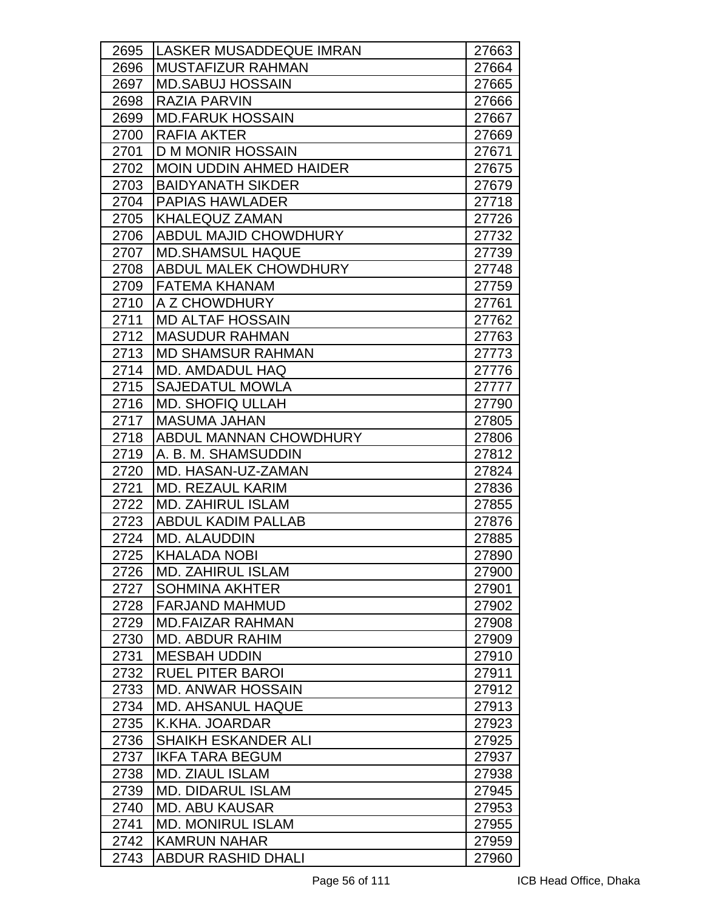| 2695 | <b>LASKER MUSADDEQUE IMRAN</b> | 27663 |
|------|--------------------------------|-------|
| 2696 | <b>MUSTAFIZUR RAHMAN</b>       | 27664 |
| 2697 | <b>MD.SABUJ HOSSAIN</b>        | 27665 |
| 2698 | <b>RAZIA PARVIN</b>            | 27666 |
| 2699 | <b>MD.FARUK HOSSAIN</b>        | 27667 |
| 2700 | <b>RAFIA AKTER</b>             | 27669 |
| 2701 | <b>D M MONIR HOSSAIN</b>       | 27671 |
| 2702 | <b>MOIN UDDIN AHMED HAIDER</b> | 27675 |
| 2703 | <b>BAIDYANATH SIKDER</b>       | 27679 |
| 2704 | <b>PAPIAS HAWLADER</b>         | 27718 |
| 2705 | KHALEQUZ ZAMAN                 | 27726 |
| 2706 | <b>ABDUL MAJID CHOWDHURY</b>   | 27732 |
| 2707 | <b>MD.SHAMSUL HAQUE</b>        | 27739 |
| 2708 | <b>ABDUL MALEK CHOWDHURY</b>   | 27748 |
| 2709 | <b>IFATEMA KHANAM</b>          | 27759 |
| 2710 | A Z CHOWDHURY                  | 27761 |
| 2711 | <b>MD ALTAF HOSSAIN</b>        | 27762 |
| 2712 | <b>MASUDUR RAHMAN</b>          | 27763 |
| 2713 | <b>MD SHAMSUR RAHMAN</b>       | 27773 |
| 2714 | <b>MD. AMDADUL HAQ</b>         | 27776 |
| 2715 | <b>SAJEDATUL MOWLA</b>         | 27777 |
| 2716 | <b>MD. SHOFIQ ULLAH</b>        | 27790 |
| 2717 | <b>MASUMA JAHAN</b>            | 27805 |
| 2718 | <b>ABDUL MANNAN CHOWDHURY</b>  | 27806 |
| 2719 | A. B. M. SHAMSUDDIN            | 27812 |
| 2720 | MD. HASAN-UZ-ZAMAN             | 27824 |
| 2721 | <b>MD. REZAUL KARIM</b>        | 27836 |
| 2722 | <b>MD. ZAHIRUL ISLAM</b>       | 27855 |
| 2723 | <b>ABDUL KADIM PALLAB</b>      | 27876 |
| 2724 | <b>MD. ALAUDDIN</b>            | 27885 |
| 2725 | <b>KHALADA NOBI</b>            | 27890 |
| 2726 | <b>MD. ZAHIRUL ISLAM</b>       | 27900 |
| 2727 | <b>SOHMINA AKHTER</b>          | 27901 |
| 2728 | <b>FARJAND MAHMUD</b>          | 27902 |
| 2729 | <b>MD.FAIZAR RAHMAN</b>        | 27908 |
| 2730 | <b>MD. ABDUR RAHIM</b>         | 27909 |
| 2731 | <b>MESBAH UDDIN</b>            | 27910 |
| 2732 | <b>RUEL PITER BAROI</b>        | 27911 |
| 2733 | <b>MD. ANWAR HOSSAIN</b>       | 27912 |
| 2734 | <b>MD. AHSANUL HAQUE</b>       | 27913 |
| 2735 | K.KHA. JOARDAR                 | 27923 |
| 2736 | <b>SHAIKH ESKANDER ALI</b>     | 27925 |
| 2737 | <b>IKFA TARA BEGUM</b>         | 27937 |
| 2738 | <b>MD. ZIAUL ISLAM</b>         | 27938 |
| 2739 | <b>MD. DIDARUL ISLAM</b>       | 27945 |
| 2740 | <b>MD. ABU KAUSAR</b>          | 27953 |
| 2741 | <b>MD. MONIRUL ISLAM</b>       | 27955 |
| 2742 | <b>KAMRUN NAHAR</b>            | 27959 |
| 2743 | <b>ABDUR RASHID DHALI</b>      | 27960 |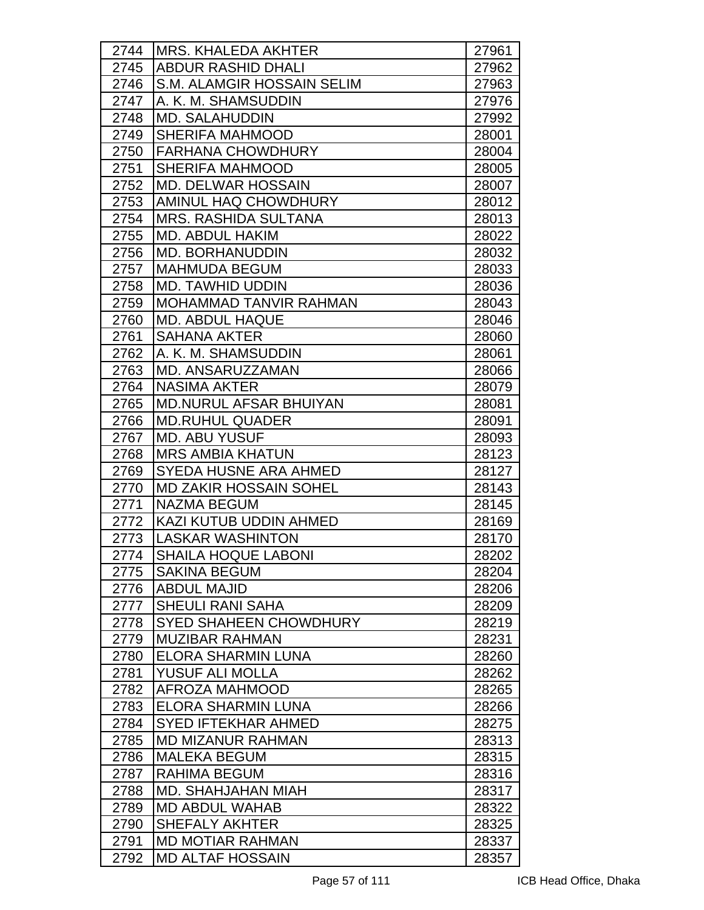| 2744 | <b>MRS. KHALEDA AKHTER</b>    | 27961 |
|------|-------------------------------|-------|
| 2745 | <b>ABDUR RASHID DHALI</b>     | 27962 |
| 2746 | S.M. ALAMGIR HOSSAIN SELIM    | 27963 |
| 2747 | A. K. M. SHAMSUDDIN           | 27976 |
| 2748 | <b>MD. SALAHUDDIN</b>         | 27992 |
| 2749 | <b>SHERIFA MAHMOOD</b>        | 28001 |
| 2750 | <b>FARHANA CHOWDHURY</b>      | 28004 |
| 2751 | <b>SHERIFA MAHMOOD</b>        | 28005 |
| 2752 | <b>MD. DELWAR HOSSAIN</b>     | 28007 |
| 2753 | AMINUL HAQ CHOWDHURY          | 28012 |
| 2754 | <b>MRS. RASHIDA SULTANA</b>   | 28013 |
| 2755 | MD. ABDUL HAKIM               | 28022 |
| 2756 | <b>MD. BORHANUDDIN</b>        | 28032 |
| 2757 | <b>IMAHMUDA BEGUM</b>         | 28033 |
| 2758 | <b>MD. TAWHID UDDIN</b>       | 28036 |
| 2759 | <b>MOHAMMAD TANVIR RAHMAN</b> | 28043 |
| 2760 | <b>MD. ABDUL HAQUE</b>        | 28046 |
| 2761 | <b>SAHANA AKTER</b>           | 28060 |
| 2762 | A. K. M. SHAMSUDDIN           | 28061 |
| 2763 | MD. ANSARUZZAMAN              | 28066 |
| 2764 | <b>NASIMA AKTER</b>           | 28079 |
| 2765 | <b>MD.NURUL AFSAR BHUIYAN</b> | 28081 |
| 2766 | <b>MD.RUHUL QUADER</b>        | 28091 |
| 2767 | <b>MD. ABU YUSUF</b>          | 28093 |
| 2768 | <b>MRS AMBIA KHATUN</b>       | 28123 |
| 2769 | SYEDA HUSNE ARA AHMED         | 28127 |
| 2770 | <b>MD ZAKIR HOSSAIN SOHEL</b> | 28143 |
| 2771 | <b>NAZMA BEGUM</b>            | 28145 |
| 2772 | KAZI KUTUB UDDIN AHMED        | 28169 |
| 2773 | <b>LASKAR WASHINTON</b>       | 28170 |
| 2774 | <b>SHAILA HOQUE LABONI</b>    | 28202 |
| 2775 | <b>SAKINA BEGUM</b>           | 28204 |
| 2776 | <b>ABDUL MAJID</b>            | 28206 |
| 2777 | <b>SHEULI RANI SAHA</b>       | 28209 |
| 2778 | <b>SYED SHAHEEN CHOWDHURY</b> | 28219 |
| 2779 | <b>MUZIBAR RAHMAN</b>         | 28231 |
| 2780 | <b>ELORA SHARMIN LUNA</b>     | 28260 |
| 2781 | YUSUF ALI MOLLA               | 28262 |
| 2782 | AFROZA MAHMOOD                | 28265 |
| 2783 | <b>ELORA SHARMIN LUNA</b>     | 28266 |
| 2784 | <b>SYED IFTEKHAR AHMED</b>    | 28275 |
| 2785 | <b>MD MIZANUR RAHMAN</b>      | 28313 |
| 2786 | <b>MALEKA BEGUM</b>           | 28315 |
| 2787 | <b>RAHIMA BEGUM</b>           | 28316 |
| 2788 | <b>MD. SHAHJAHAN MIAH</b>     | 28317 |
| 2789 | <b>MD ABDUL WAHAB</b>         | 28322 |
| 2790 | <b>SHEFALY AKHTER</b>         | 28325 |
| 2791 | <b>MD MOTIAR RAHMAN</b>       | 28337 |
| 2792 | <b>MD ALTAF HOSSAIN</b>       | 28357 |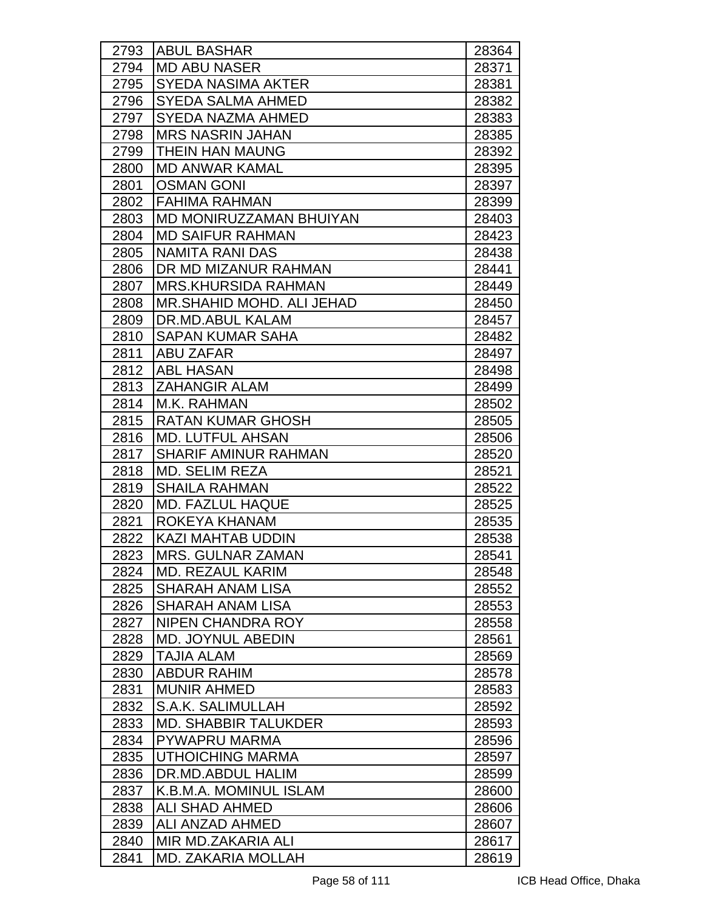| 2793 | <b>ABUL BASHAR</b>          | 28364 |
|------|-----------------------------|-------|
| 2794 | <b>MD ABU NASER</b>         | 28371 |
| 2795 | <b>SYEDA NASIMA AKTER</b>   | 28381 |
| 2796 | <b>SYEDA SALMA AHMED</b>    | 28382 |
| 2797 | <b>SYEDA NAZMA AHMED</b>    | 28383 |
| 2798 | <b>MRS NASRIN JAHAN</b>     | 28385 |
| 2799 | <b>THEIN HAN MAUNG</b>      | 28392 |
| 2800 | <b>MD ANWAR KAMAL</b>       | 28395 |
| 2801 | <b>OSMAN GONI</b>           | 28397 |
| 2802 | IFAHIMA RAHMAN              | 28399 |
| 2803 | MD MONIRUZZAMAN BHUIYAN     | 28403 |
| 2804 | <b>MD SAIFUR RAHMAN</b>     | 28423 |
| 2805 | <b>NAMITA RANI DAS</b>      | 28438 |
| 2806 | DR MD MIZANUR RAHMAN        | 28441 |
| 2807 | MRS.KHURSIDA RAHMAN         | 28449 |
| 2808 | MR.SHAHID MOHD, ALI JEHAD   | 28450 |
| 2809 | DR.MD.ABUL KALAM            | 28457 |
| 2810 | <b>SAPAN KUMAR SAHA</b>     | 28482 |
| 2811 | <b>ABU ZAFAR</b>            | 28497 |
| 2812 | <b>ABL HASAN</b>            | 28498 |
| 2813 | <b>ZAHANGIR ALAM</b>        | 28499 |
| 2814 | M.K. RAHMAN                 | 28502 |
| 2815 | <b>RATAN KUMAR GHOSH</b>    | 28505 |
| 2816 | <b>MD. LUTFUL AHSAN</b>     | 28506 |
| 2817 | <b>SHARIF AMINUR RAHMAN</b> | 28520 |
| 2818 | <b>MD. SELIM REZA</b>       | 28521 |
| 2819 | <b>SHAILA RAHMAN</b>        | 28522 |
| 2820 | <b>MD. FAZLUL HAQUE</b>     | 28525 |
| 2821 | ROKEYA KHANAM               | 28535 |
| 2822 | <b>KAZI MAHTAB UDDIN</b>    | 28538 |
| 2823 | MRS. GULNAR ZAMAN           | 28541 |
| 2824 | MD. REZAUL KARIM            | 28548 |
| 2825 | <b>SHARAH ANAM LISA</b>     | 28552 |
| 2826 | SHARAH ANAM LISA            | 28553 |
| 2827 | NIPEN CHANDRA ROY           | 28558 |
| 2828 | <b>MD. JOYNUL ABEDIN</b>    | 28561 |
| 2829 | <b>TAJIA ALAM</b>           | 28569 |
| 2830 | <b>ABDUR RAHIM</b>          | 28578 |
| 2831 | <b>MUNIR AHMED</b>          | 28583 |
| 2832 | S.A.K. SALIMULLAH           | 28592 |
| 2833 | <b>MD. SHABBIR TALUKDER</b> | 28593 |
| 2834 | PYWAPRU MARMA               | 28596 |
| 2835 | <b>UTHOICHING MARMA</b>     | 28597 |
| 2836 | DR.MD.ABDUL HALIM           | 28599 |
| 2837 | K.B.M.A. MOMINUL ISLAM      | 28600 |
| 2838 | <b>ALI SHAD AHMED</b>       | 28606 |
| 2839 | ALI ANZAD AHMED             | 28607 |
| 2840 | MIR MD.ZAKARIA ALI          | 28617 |
| 2841 | <b>MD. ZAKARIA MOLLAH</b>   | 28619 |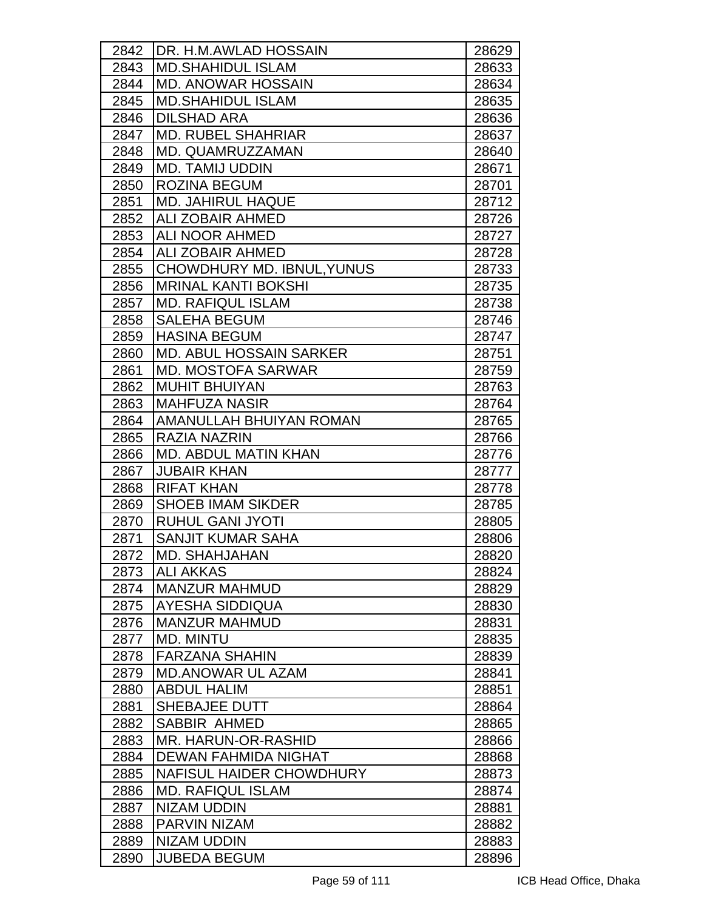| 2842 | <b>IDR. H.M.AWLAD HOSSAIN</b>             | 28629 |
|------|-------------------------------------------|-------|
| 2843 | <b>MD.SHAHIDUL ISLAM</b>                  | 28633 |
| 2844 | <b>MD. ANOWAR HOSSAIN</b>                 | 28634 |
| 2845 | <b>MD.SHAHIDUL ISLAM</b>                  | 28635 |
| 2846 | <b>DILSHAD ARA</b>                        | 28636 |
| 2847 | <b>MD. RUBEL SHAHRIAR</b>                 | 28637 |
| 2848 | MD. QUAMRUZZAMAN                          | 28640 |
| 2849 | <b>MD. TAMIJ UDDIN</b>                    | 28671 |
| 2850 | <b>ROZINA BEGUM</b>                       | 28701 |
| 2851 | <b>MD. JAHIRUL HAQUE</b>                  | 28712 |
| 2852 | <b>ALI ZOBAIR AHMED</b>                   | 28726 |
| 2853 | <b>ALI NOOR AHMED</b>                     | 28727 |
| 2854 | <b>ALI ZOBAIR AHMED</b>                   | 28728 |
| 2855 | <b>CHOWDHURY MD. IBNUL, YUNUS</b>         | 28733 |
| 2856 | <b>MRINAL KANTI BOKSHI</b>                | 28735 |
| 2857 | <b>MD. RAFIQUL ISLAM</b>                  | 28738 |
| 2858 | <b>SALEHA BEGUM</b>                       | 28746 |
| 2859 | <b>HASINA BEGUM</b>                       | 28747 |
| 2860 | <b>MD. ABUL HOSSAIN SARKER</b>            | 28751 |
| 2861 | <b>MD. MOSTOFA SARWAR</b>                 | 28759 |
| 2862 | <b>MUHIT BHUIYAN</b>                      | 28763 |
| 2863 | <b>MAHFUZA NASIR</b>                      | 28764 |
| 2864 | AMANULLAH BHUIYAN ROMAN                   | 28765 |
| 2865 | <b>RAZIA NAZRIN</b>                       | 28766 |
| 2866 | MD. ABDUL MATIN KHAN                      | 28776 |
| 2867 | <b>JUBAIR KHAN</b>                        | 28777 |
| 2868 | <b>RIFAT KHAN</b>                         | 28778 |
| 2869 | <b>SHOEB IMAM SIKDER</b>                  | 28785 |
| 2870 | <b>RUHUL GANI JYOTI</b>                   | 28805 |
| 2871 | <b>SANJIT KUMAR SAHA</b>                  | 28806 |
| 2872 | <b>MD. SHAHJAHAN</b>                      | 28820 |
| 2873 | <b>ALI AKKAS</b>                          | 28824 |
| 2874 | <b>MANZUR MAHMUD</b>                      | 28829 |
| 2875 | <b>AYESHA SIDDIQUA</b>                    | 28830 |
| 2876 | <b>MANZUR MAHMUD</b>                      | 28831 |
| 2877 | <b>MD. MINTU</b>                          | 28835 |
| 2878 | <b>FARZANA SHAHIN</b>                     | 28839 |
| 2879 | <b>MD.ANOWAR UL AZAM</b>                  | 28841 |
| 2880 | <b>ABDUL HALIM</b>                        | 28851 |
| 2881 | <b>SHEBAJEE DUTT</b>                      | 28864 |
| 2882 | <b>SABBIR AHMED</b>                       | 28865 |
| 2883 | MR. HARUN-OR-RASHID                       | 28866 |
| 2884 | <b>DEWAN FAHMIDA NIGHAT</b>               | 28868 |
| 2885 | NAFISUL HAIDER CHOWDHURY                  | 28873 |
| 2886 | <b>MD. RAFIQUL ISLAM</b>                  | 28874 |
| 2887 | <b>NIZAM UDDIN</b><br><b>PARVIN NIZAM</b> | 28881 |
| 2888 |                                           | 28882 |
| 2889 | NIZAM UDDIN                               | 28883 |
| 2890 | <b>JUBEDA BEGUM</b>                       | 28896 |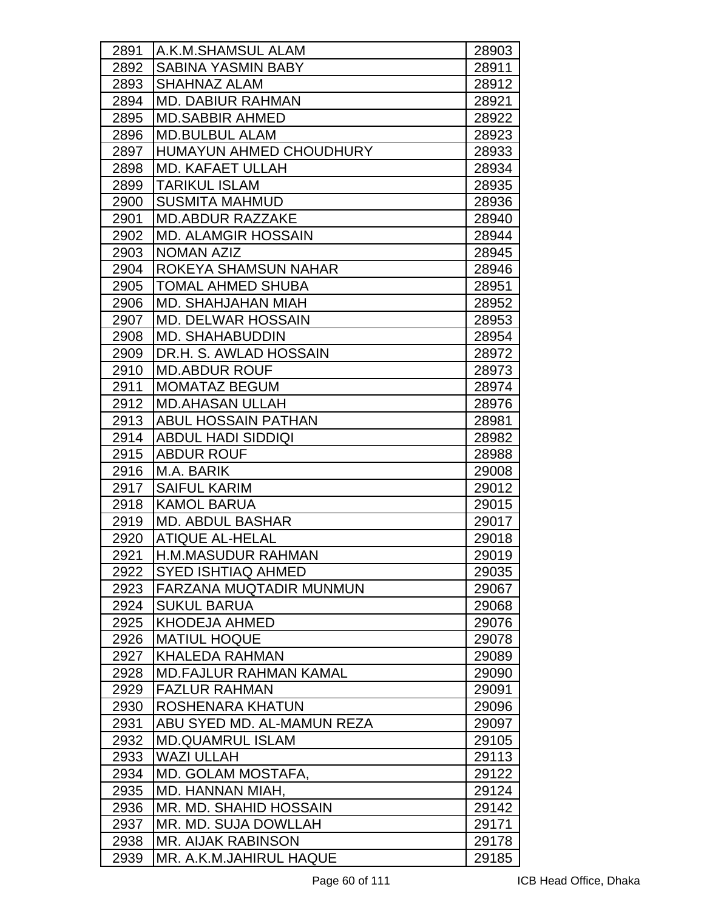| 2891 | IA.K.M.SHAMSUL ALAM            | 28903 |
|------|--------------------------------|-------|
| 2892 | <b>SABINA YASMIN BABY</b>      | 28911 |
| 2893 | SHAHNAZ ALAM                   | 28912 |
| 2894 | <b>MD. DABIUR RAHMAN</b>       | 28921 |
| 2895 | <b>MD.SABBIR AHMED</b>         | 28922 |
| 2896 | <b>MD.BULBUL ALAM</b>          | 28923 |
| 2897 | <b>HUMAYUN AHMED CHOUDHURY</b> | 28933 |
| 2898 | <b>MD. KAFAET ULLAH</b>        | 28934 |
| 2899 | <b>TARIKUL ISLAM</b>           | 28935 |
| 2900 | <b>SUSMITA MAHMUD</b>          | 28936 |
| 2901 | <b>MD.ABDUR RAZZAKE</b>        | 28940 |
| 2902 | <b>MD. ALAMGIR HOSSAIN</b>     | 28944 |
| 2903 | <b>NOMAN AZIZ</b>              | 28945 |
| 2904 | ROKEYA SHAMSUN NAHAR           | 28946 |
| 2905 | <b>TOMAL AHMED SHUBA</b>       | 28951 |
| 2906 | MD. SHAHJAHAN MIAH             | 28952 |
| 2907 | <b>MD. DELWAR HOSSAIN</b>      | 28953 |
| 2908 | <b>MD. SHAHABUDDIN</b>         | 28954 |
| 2909 | DR.H. S. AWLAD HOSSAIN         | 28972 |
| 2910 | <b>MD.ABDUR ROUF</b>           | 28973 |
| 2911 | <b>MOMATAZ BEGUM</b>           | 28974 |
| 2912 | <b>MD.AHASAN ULLAH</b>         | 28976 |
| 2913 | <b>ABUL HOSSAIN PATHAN</b>     | 28981 |
| 2914 | <b>ABDUL HADI SIDDIQI</b>      | 28982 |
| 2915 | <b>ABDUR ROUF</b>              | 28988 |
| 2916 | M.A. BARIK                     | 29008 |
| 2917 | <b>SAIFUL KARIM</b>            | 29012 |
| 2918 | <b>KAMOL BARUA</b>             | 29015 |
| 2919 | <b>MD. ABDUL BASHAR</b>        | 29017 |
| 2920 | <b>ATIQUE AL-HELAL</b>         | 29018 |
| 2921 | H.M.MASUDUR RAHMAN             | 29019 |
| 2922 | SYED ISHTIAQ AHMED             | 29035 |
| 2923 | FARZANA MUQTADIR MUNMUN        | 29067 |
| 2924 | <b>SUKUL BARUA</b>             | 29068 |
| 2925 | <b>KHODEJA AHMED</b>           | 29076 |
| 2926 | <b>MATIUL HOQUE</b>            | 29078 |
| 2927 | <b>KHALEDA RAHMAN</b>          | 29089 |
| 2928 | <b>MD.FAJLUR RAHMAN KAMAL</b>  | 29090 |
| 2929 | <b>FAZLUR RAHMAN</b>           | 29091 |
| 2930 | ROSHENARA KHATUN               | 29096 |
| 2931 | ABU SYED MD. AL-MAMUN REZA     | 29097 |
| 2932 | <b>MD.QUAMRUL ISLAM</b>        | 29105 |
| 2933 | <b>WAZI ULLAH</b>              | 29113 |
| 2934 | MD. GOLAM MOSTAFA,             | 29122 |
| 2935 | MD. HANNAN MIAH,               | 29124 |
| 2936 | MR. MD. SHAHID HOSSAIN         | 29142 |
| 2937 | MR. MD. SUJA DOWLLAH           | 29171 |
| 2938 | <b>MR. AIJAK RABINSON</b>      | 29178 |
| 2939 | MR. A.K.M.JAHIRUL HAQUE        | 29185 |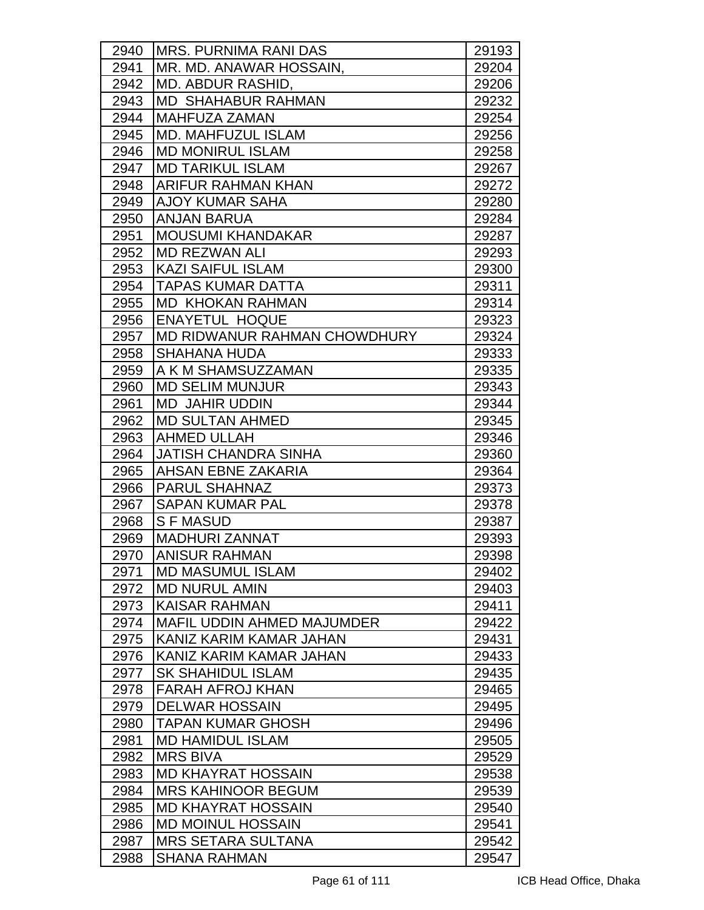| 2940 | <b>IMRS. PURNIMA RANI DAS</b>     | 29193 |
|------|-----------------------------------|-------|
| 2941 | MR. MD. ANAWAR HOSSAIN,           | 29204 |
| 2942 | MD. ABDUR RASHID,                 | 29206 |
| 2943 | <b>MD SHAHABUR RAHMAN</b>         | 29232 |
| 2944 | <b>MAHFUZA ZAMAN</b>              | 29254 |
| 2945 | <b>IMD. MAHFUZUL ISLAM</b>        | 29256 |
| 2946 | <b>MD MONIRUL ISLAM</b>           | 29258 |
| 2947 | <b>MD TARIKUL ISLAM</b>           | 29267 |
| 2948 | ARIFUR RAHMAN KHAN                | 29272 |
| 2949 | <b>AJOY KUMAR SAHA</b>            | 29280 |
| 2950 | <b>ANJAN BARUA</b>                | 29284 |
| 2951 | <b>MOUSUMI KHANDAKAR</b>          | 29287 |
| 2952 | <b>MD REZWAN ALI</b>              | 29293 |
| 2953 | <b>KAZI SAIFUL ISLAM</b>          | 29300 |
| 2954 | <b>TAPAS KUMAR DATTA</b>          | 29311 |
| 2955 | <b>MD KHOKAN RAHMAN</b>           | 29314 |
| 2956 | <b>ENAYETUL HOQUE</b>             | 29323 |
| 2957 | MD RIDWANUR RAHMAN CHOWDHURY      | 29324 |
| 2958 | <b>SHAHANA HUDA</b>               | 29333 |
| 2959 | A K M SHAMSUZZAMAN                | 29335 |
| 2960 | <b>MD SELIM MUNJUR</b>            | 29343 |
| 2961 | <b>MD JAHIR UDDIN</b>             | 29344 |
| 2962 | <b>MD SULTAN AHMED</b>            | 29345 |
| 2963 | <b>AHMED ULLAH</b>                | 29346 |
| 2964 | <b>JATISH CHANDRA SINHA</b>       | 29360 |
| 2965 | <b>AHSAN EBNE ZAKARIA</b>         | 29364 |
| 2966 | <b>PARUL SHAHNAZ</b>              | 29373 |
| 2967 | <b>SAPAN KUMAR PAL</b>            | 29378 |
| 2968 | <b>SFMASUD</b>                    | 29387 |
| 2969 | <b>MADHURI ZANNAT</b>             | 29393 |
| 2970 | <b>ANISUR RAHMAN</b>              | 29398 |
| 2971 | <b>MD MASUMUL ISLAM</b>           | 29402 |
| 2972 | <b>MD NURUL AMIN</b>              | 29403 |
| 2973 | <b>KAISAR RAHMAN</b>              | 29411 |
| 2974 | <b>MAFIL UDDIN AHMED MAJUMDER</b> | 29422 |
| 2975 | KANIZ KARIM KAMAR JAHAN           | 29431 |
| 2976 | KANIZ KARIM KAMAR JAHAN           | 29433 |
| 2977 | <b>SK SHAHIDUL ISLAM</b>          | 29435 |
| 2978 | <b>FARAH AFROJ KHAN</b>           | 29465 |
| 2979 | IDELWAR HOSSAIN                   | 29495 |
| 2980 | TAPAN KUMAR GHOSH                 | 29496 |
| 2981 | <b>MD HAMIDUL ISLAM</b>           | 29505 |
| 2982 | <b>MRS BIVA</b>                   | 29529 |
| 2983 | <b>MD KHAYRAT HOSSAIN</b>         | 29538 |
| 2984 | <b>MRS KAHINOOR BEGUM</b>         | 29539 |
| 2985 | <b>MD KHAYRAT HOSSAIN</b>         | 29540 |
| 2986 | <b>MD MOINUL HOSSAIN</b>          | 29541 |
| 2987 | <b>MRS SETARA SULTANA</b>         | 29542 |
| 2988 | <b>SHANA RAHMAN</b>               | 29547 |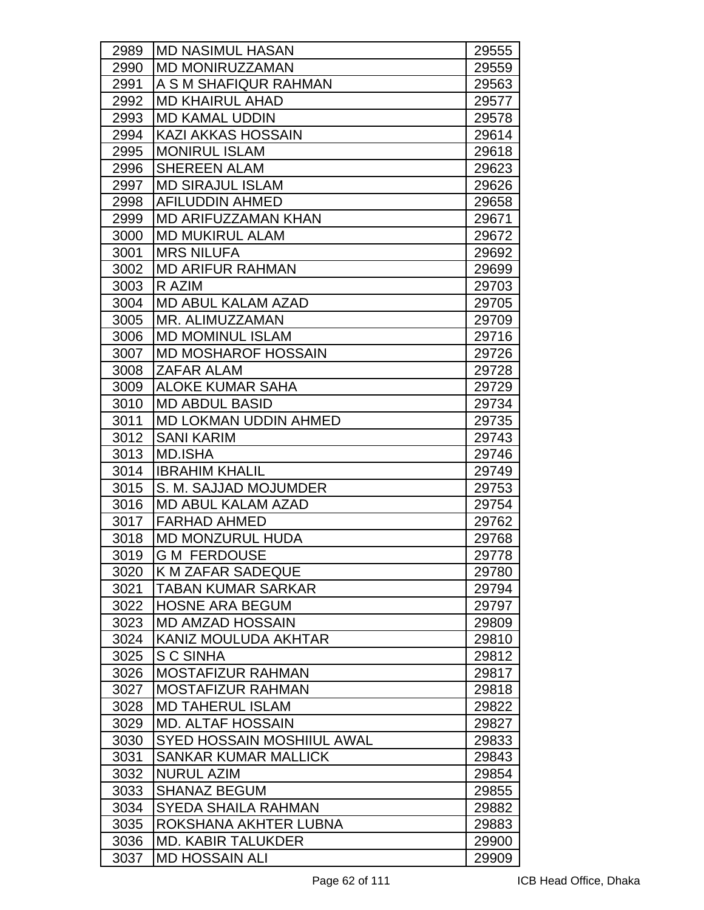| 2989 | <b>IMD NASIMUL HASAN</b>          | 29555 |
|------|-----------------------------------|-------|
| 2990 | <b>MD MONIRUZZAMAN</b>            | 29559 |
| 2991 | A S M SHAFIQUR RAHMAN             | 29563 |
| 2992 | <b>MD KHAIRUL AHAD</b>            | 29577 |
| 2993 | <b>MD KAMAL UDDIN</b>             | 29578 |
| 2994 | <b>KAZI AKKAS HOSSAIN</b>         | 29614 |
| 2995 | <b>MONIRUL ISLAM</b>              | 29618 |
| 2996 | <b>SHEREEN ALAM</b>               | 29623 |
| 2997 | <b>MD SIRAJUL ISLAM</b>           | 29626 |
| 2998 | <b>AFILUDDIN AHMED</b>            | 29658 |
| 2999 | <b>MD ARIFUZZAMAN KHAN</b>        | 29671 |
| 3000 | <b>MD MUKIRUL ALAM</b>            | 29672 |
| 3001 | <b>MRS NILUFA</b>                 | 29692 |
| 3002 | <b>MD ARIFUR RAHMAN</b>           | 29699 |
| 3003 | R AZIM                            | 29703 |
| 3004 | <b>MD ABUL KALAM AZAD</b>         | 29705 |
| 3005 | MR. ALIMUZZAMAN                   | 29709 |
| 3006 | <b>MD MOMINUL ISLAM</b>           | 29716 |
| 3007 | <b>MD MOSHAROF HOSSAIN</b>        | 29726 |
| 3008 | <b>ZAFAR ALAM</b>                 | 29728 |
| 3009 | <b>ALOKE KUMAR SAHA</b>           | 29729 |
| 3010 | <b>MD ABDUL BASID</b>             | 29734 |
| 3011 | <b>MD LOKMAN UDDIN AHMED</b>      | 29735 |
| 3012 | <b>SANI KARIM</b>                 | 29743 |
| 3013 | <b>MD.ISHA</b>                    | 29746 |
| 3014 | <b>IBRAHIM KHALIL</b>             | 29749 |
| 3015 | S. M. SAJJAD MOJUMDER             | 29753 |
| 3016 | <b>MD ABUL KALAM AZAD</b>         | 29754 |
| 3017 | <b>FARHAD AHMED</b>               | 29762 |
| 3018 | <b>MD MONZURUL HUDA</b>           | 29768 |
| 3019 | <b>G M FERDOUSE</b>               | 29778 |
| 3020 | IK M ZAFAR SADEQUE                | 29780 |
| 3021 | <b>TABAN KUMAR SARKAR</b>         | 29794 |
| 3022 | <b>HOSNE ARA BEGUM</b>            | 29797 |
| 3023 | <b>MD AMZAD HOSSAIN</b>           | 29809 |
| 3024 | KANIZ MOULUDA AKHTAR              | 29810 |
| 3025 | S C SINHA                         | 29812 |
| 3026 | <b>MOSTAFIZUR RAHMAN</b>          | 29817 |
| 3027 | <b>MOSTAFIZUR RAHMAN</b>          | 29818 |
| 3028 | <b>MD TAHERUL ISLAM</b>           | 29822 |
| 3029 | <b>MD. ALTAF HOSSAIN</b>          | 29827 |
| 3030 | <b>SYED HOSSAIN MOSHIIUL AWAL</b> | 29833 |
| 3031 | <b>SANKAR KUMAR MALLICK</b>       | 29843 |
| 3032 | <b>NURUL AZIM</b>                 | 29854 |
| 3033 | <b>SHANAZ BEGUM</b>               | 29855 |
| 3034 | <b>SYEDA SHAILA RAHMAN</b>        | 29882 |
| 3035 | ROKSHANA AKHTER LUBNA             | 29883 |
| 3036 | <b>MD. KABIR TALUKDER</b>         | 29900 |
| 3037 | <b>MD HOSSAIN ALI</b>             | 29909 |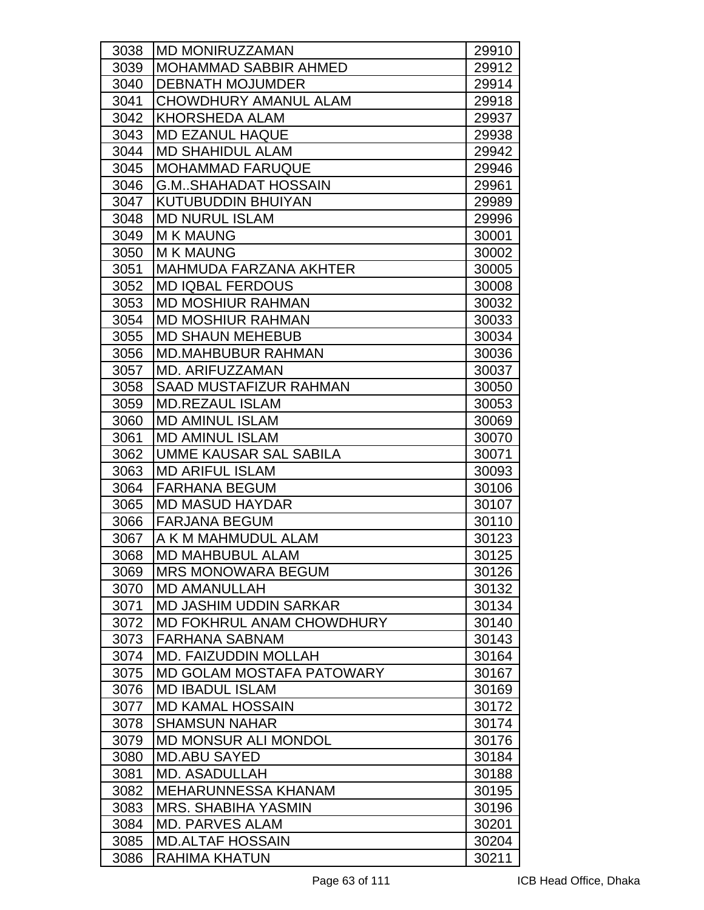| 3038 | <b>MD MONIRUZZAMAN</b>           | 29910 |
|------|----------------------------------|-------|
| 3039 | <b>MOHAMMAD SABBIR AHMED</b>     | 29912 |
| 3040 | <b>DEBNATH MOJUMDER</b>          | 29914 |
| 3041 | <b>CHOWDHURY AMANUL ALAM</b>     | 29918 |
| 3042 | <b>KHORSHEDA ALAM</b>            | 29937 |
| 3043 | <b>MD EZANUL HAQUE</b>           | 29938 |
| 3044 | <b>MD SHAHIDUL ALAM</b>          | 29942 |
| 3045 | <b>MOHAMMAD FARUQUE</b>          | 29946 |
| 3046 | <b>G.MSHAHADAT HOSSAIN</b>       | 29961 |
| 3047 | KUTUBUDDIN BHUIYAN               | 29989 |
| 3048 | <b>MD NURUL ISLAM</b>            | 29996 |
| 3049 | <b>M K MAUNG</b>                 | 30001 |
| 3050 | <b>M K MAUNG</b>                 | 30002 |
| 3051 | <b>MAHMUDA FARZANA AKHTER</b>    | 30005 |
| 3052 | <b>MD IQBAL FERDOUS</b>          | 30008 |
| 3053 | <b>MD MOSHIUR RAHMAN</b>         | 30032 |
| 3054 | <b>MD MOSHIUR RAHMAN</b>         | 30033 |
| 3055 | <b>MD SHAUN MEHEBUB</b>          | 30034 |
| 3056 | <b>MD.MAHBUBUR RAHMAN</b>        | 30036 |
| 3057 | MD. ARIFUZZAMAN                  | 30037 |
| 3058 | <b>SAAD MUSTAFIZUR RAHMAN</b>    | 30050 |
| 3059 | <b>MD.REZAUL ISLAM</b>           | 30053 |
| 3060 | <b>MD AMINUL ISLAM</b>           | 30069 |
| 3061 | <b>MD AMINUL ISLAM</b>           | 30070 |
| 3062 | UMME KAUSAR SAL SABILA           | 30071 |
| 3063 | <b>MD ARIFUL ISLAM</b>           | 30093 |
| 3064 | <b>FARHANA BEGUM</b>             | 30106 |
| 3065 | <b>MD MASUD HAYDAR</b>           | 30107 |
| 3066 | <b>FARJANA BEGUM</b>             | 30110 |
| 3067 | A K M MAHMUDUL ALAM              | 30123 |
| 3068 | <b>MD MAHBUBUL ALAM</b>          | 30125 |
| 3069 | <b>MRS MONOWARA BEGUM</b>        | 30126 |
| 3070 | <b>MD AMANULLAH</b>              | 30132 |
| 3071 | <b>MD JASHIM UDDIN SARKAR</b>    | 30134 |
| 3072 | MD FOKHRUL ANAM CHOWDHURY        | 30140 |
| 3073 | <b>FARHANA SABNAM</b>            | 30143 |
| 3074 | <b>MD. FAIZUDDIN MOLLAH</b>      | 30164 |
| 3075 | <b>MD GOLAM MOSTAFA PATOWARY</b> | 30167 |
| 3076 | <b>MD IBADUL ISLAM</b>           | 30169 |
| 3077 | <b>MD KAMAL HOSSAIN</b>          | 30172 |
| 3078 | <b>SHAMSUN NAHAR</b>             | 30174 |
| 3079 | <b>MD MONSUR ALI MONDOL</b>      | 30176 |
| 3080 | <b>MD.ABU SAYED</b>              | 30184 |
| 3081 | <b>MD. ASADULLAH</b>             | 30188 |
| 3082 | <b>MEHARUNNESSA KHANAM</b>       | 30195 |
| 3083 | <b>MRS. SHABIHA YASMIN</b>       | 30196 |
| 3084 | <b>MD. PARVES ALAM</b>           | 30201 |
| 3085 | <b>MD.ALTAF HOSSAIN</b>          | 30204 |
| 3086 | <b>RAHIMA KHATUN</b>             | 30211 |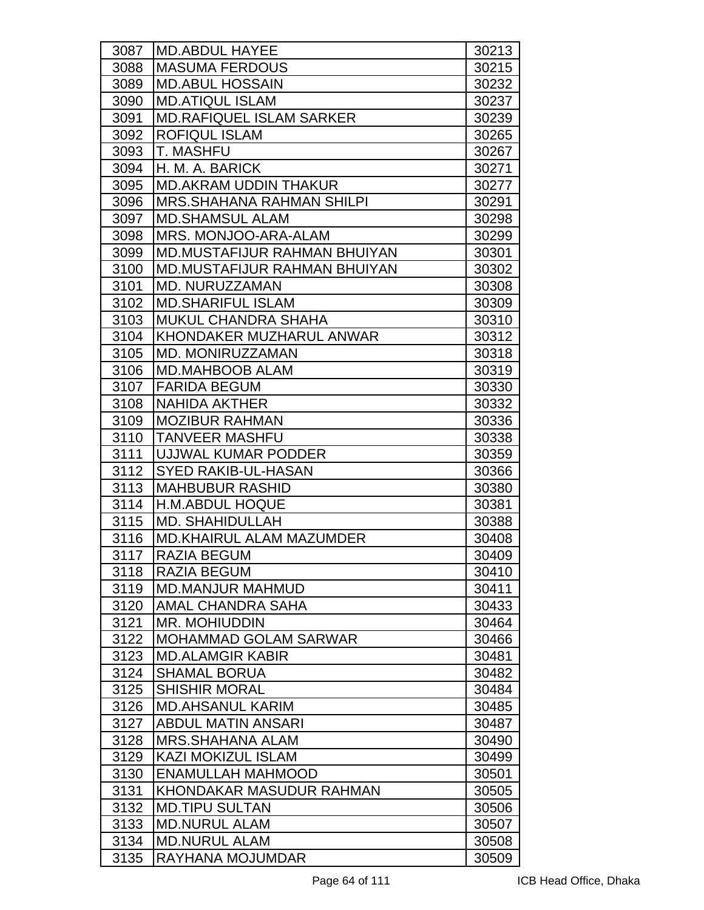| 3087 | <b>IMD.ABDUL HAYEE</b>              | 30213 |
|------|-------------------------------------|-------|
| 3088 | <b>MASUMA FERDOUS</b>               | 30215 |
| 3089 | <b>MD.ABUL HOSSAIN</b>              | 30232 |
| 3090 | <b>MD.ATIQUL ISLAM</b>              | 30237 |
| 3091 | <b>MD.RAFIQUEL ISLAM SARKER</b>     | 30239 |
| 3092 | <b>ROFIQUL ISLAM</b>                | 30265 |
| 3093 | <b>T. MASHFU</b>                    | 30267 |
| 3094 | H. M. A. BARICK                     | 30271 |
| 3095 | <b>MD.AKRAM UDDIN THAKUR</b>        | 30277 |
| 3096 | <b>MRS.SHAHANA RAHMAN SHILPI</b>    | 30291 |
| 3097 | <b>MD.SHAMSUL ALAM</b>              | 30298 |
| 3098 | MRS. MONJOO-ARA-ALAM                | 30299 |
| 3099 | <b>MD.MUSTAFIJUR RAHMAN BHUIYAN</b> | 30301 |
| 3100 | <b>MD.MUSTAFIJUR RAHMAN BHUIYAN</b> | 30302 |
| 3101 | <b>MD. NURUZZAMAN</b>               | 30308 |
| 3102 | <b>MD.SHARIFUL ISLAM</b>            | 30309 |
| 3103 | <b>MUKUL CHANDRA SHAHA</b>          | 30310 |
| 3104 | <b>KHONDAKER MUZHARUL ANWAR</b>     | 30312 |
| 3105 | <b>MD. MONIRUZZAMAN</b>             | 30318 |
| 3106 | <b>MD.MAHBOOB ALAM</b>              | 30319 |
| 3107 | <b>FARIDA BEGUM</b>                 | 30330 |
| 3108 | <b>NAHIDA AKTHER</b>                | 30332 |
| 3109 | <b>MOZIBUR RAHMAN</b>               | 30336 |
| 3110 | <b>TANVEER MASHFU</b>               | 30338 |
| 3111 | UJJWAL KUMAR PODDER                 | 30359 |
| 3112 | <b>SYED RAKIB-UL-HASAN</b>          | 30366 |
| 3113 | <b>MAHBUBUR RASHID</b>              | 30380 |
| 3114 | <b>H.M.ABDUL HOQUE</b>              | 30381 |
| 3115 | <b>MD. SHAHIDULLAH</b>              | 30388 |
| 3116 | <b>MD.KHAIRUL ALAM MAZUMDER</b>     | 30408 |
| 3117 | <b>RAZIA BEGUM</b>                  | 30409 |
| 3118 | <b>RAZIA BEGUM</b>                  | 30410 |
| 3119 | <b>IMD.MANJUR MAHMUD</b>            | 30411 |
| 3120 | <b>AMAL CHANDRA SAHA</b>            | 30433 |
| 3121 | <b>MR. MOHIUDDIN</b>                | 30464 |
| 3122 | <b>MOHAMMAD GOLAM SARWAR</b>        | 30466 |
| 3123 | <b>MD.ALAMGIR KABIR</b>             | 30481 |
| 3124 | <b>SHAMAL BORUA</b>                 | 30482 |
| 3125 | <b>SHISHIR MORAL</b>                | 30484 |
| 3126 | <b>MD.AHSANUL KARIM</b>             | 30485 |
| 3127 | <b>ABDUL MATIN ANSARI</b>           | 30487 |
| 3128 | <b>MRS.SHAHANA ALAM</b>             | 30490 |
| 3129 | <b>KAZI MOKIZUL ISLAM</b>           | 30499 |
| 3130 | <b>ENAMULLAH MAHMOOD</b>            | 30501 |
| 3131 | KHONDAKAR MASUDUR RAHMAN            | 30505 |
| 3132 | <b>MD.TIPU SULTAN</b>               | 30506 |
| 3133 | <b>MD.NURUL ALAM</b>                | 30507 |
| 3134 | <b>MD.NURUL ALAM</b>                | 30508 |
| 3135 | RAYHANA MOJUMDAR                    | 30509 |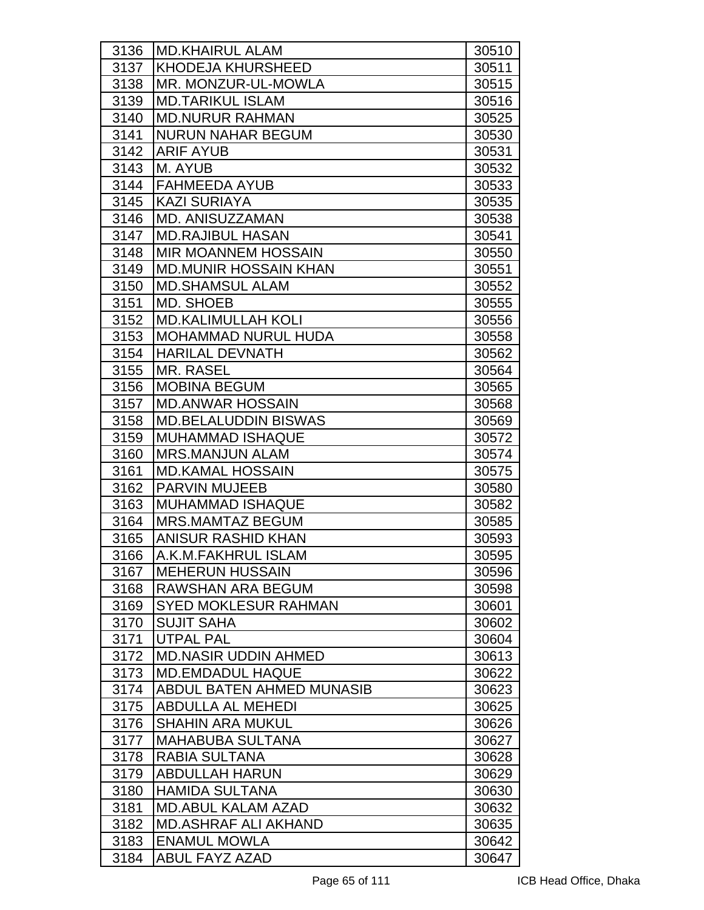| 3136 | <b>MD.KHAIRUL ALAM</b>       | 30510 |
|------|------------------------------|-------|
| 3137 | <b>KHODEJA KHURSHEED</b>     | 30511 |
| 3138 | MR. MONZUR-UL-MOWLA          | 30515 |
| 3139 | <b>MD.TARIKUL ISLAM</b>      | 30516 |
| 3140 | <b>MD.NURUR RAHMAN</b>       | 30525 |
| 3141 | <b>NURUN NAHAR BEGUM</b>     | 30530 |
| 3142 | <b>ARIF AYUB</b>             | 30531 |
| 3143 | M. AYUB                      | 30532 |
| 3144 | <b>FAHMEEDA AYUB</b>         | 30533 |
| 3145 | <b>KAZI SURIAYA</b>          | 30535 |
| 3146 | <b>MD. ANISUZZAMAN</b>       | 30538 |
| 3147 | <b>MD.RAJIBUL HASAN</b>      | 30541 |
| 3148 | <b>MIR MOANNEM HOSSAIN</b>   | 30550 |
| 3149 | <b>MD.MUNIR HOSSAIN KHAN</b> | 30551 |
| 3150 | <b>MD.SHAMSUL ALAM</b>       | 30552 |
| 3151 | MD. SHOEB                    | 30555 |
| 3152 | <b>MD.KALIMULLAH KOLI</b>    | 30556 |
| 3153 | <b>MOHAMMAD NURUL HUDA</b>   | 30558 |
| 3154 | <b>HARILAL DEVNATH</b>       | 30562 |
| 3155 | <b>MR. RASEL</b>             | 30564 |
| 3156 | <b>MOBINA BEGUM</b>          | 30565 |
| 3157 | <b>MD.ANWAR HOSSAIN</b>      | 30568 |
| 3158 | <b>MD.BELALUDDIN BISWAS</b>  | 30569 |
| 3159 | <b>MUHAMMAD ISHAQUE</b>      | 30572 |
| 3160 | <b>MRS.MANJUN ALAM</b>       | 30574 |
| 3161 | <b>MD.KAMAL HOSSAIN</b>      | 30575 |
| 3162 | <b>PARVIN MUJEEB</b>         | 30580 |
| 3163 | <b>MUHAMMAD ISHAQUE</b>      | 30582 |
| 3164 | <b>MRS.MAMTAZ BEGUM</b>      | 30585 |
| 3165 | <b>ANISUR RASHID KHAN</b>    | 30593 |
| 3166 | A.K.M.FAKHRUL ISLAM          | 30595 |
| 3167 | <b>MEHERUN HUSSAIN</b>       | 30596 |
| 3168 | RAWSHAN ARA BEGUM            | 30598 |
| 3169 | <b>SYED MOKLESUR RAHMAN</b>  | 30601 |
| 3170 | <b>SUJIT SAHA</b>            | 30602 |
| 3171 | <b>UTPAL PAL</b>             | 30604 |
| 3172 | <b>MD.NASIR UDDIN AHMED</b>  | 30613 |
| 3173 | <b>MD.EMDADUL HAQUE</b>      | 30622 |
| 3174 | ABDUL BATEN AHMED MUNASIB    | 30623 |
| 3175 | <b>ABDULLA AL MEHEDI</b>     | 30625 |
| 3176 | <b>SHAHIN ARA MUKUL</b>      | 30626 |
| 3177 | <b>MAHABUBA SULTANA</b>      | 30627 |
| 3178 | RABIA SULTANA                | 30628 |
| 3179 | <b>ABDULLAH HARUN</b>        | 30629 |
| 3180 | <b>HAMIDA SULTANA</b>        | 30630 |
| 3181 | <b>MD.ABUL KALAM AZAD</b>    | 30632 |
| 3182 | <b>MD.ASHRAF ALI AKHAND</b>  | 30635 |
| 3183 | <b>ENAMUL MOWLA</b>          | 30642 |
| 3184 | ABUL FAYZ AZAD               | 30647 |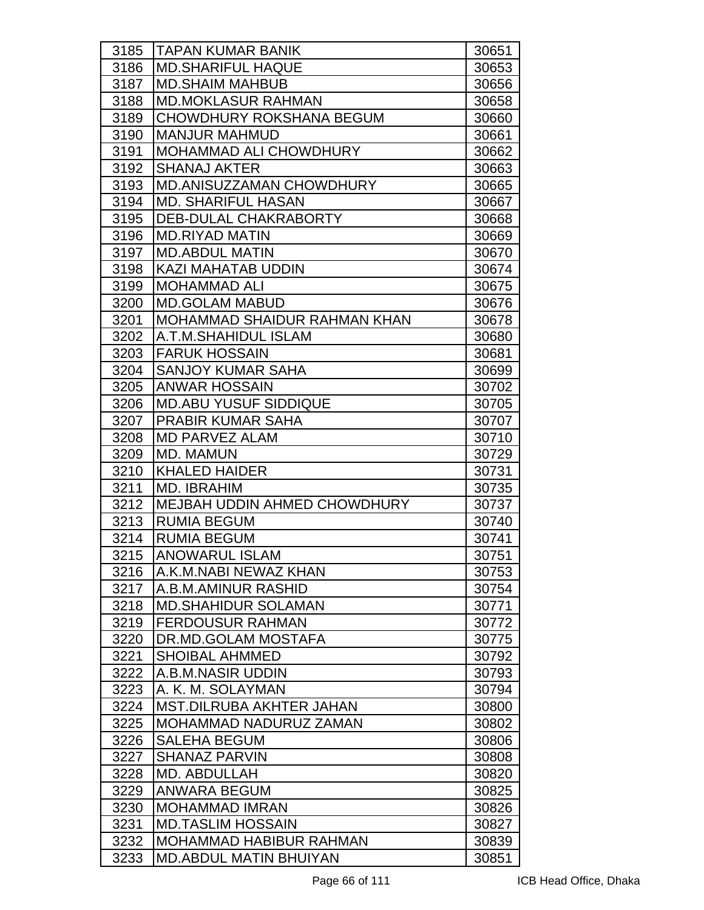| 3185 | <b>TAPAN KUMAR BANIK</b>            | 30651 |
|------|-------------------------------------|-------|
| 3186 | <b>MD.SHARIFUL HAQUE</b>            | 30653 |
| 3187 | <b>MD.SHAIM MAHBUB</b>              | 30656 |
| 3188 | <b>MD.MOKLASUR RAHMAN</b>           | 30658 |
| 3189 | <b>CHOWDHURY ROKSHANA BEGUM</b>     | 30660 |
| 3190 | <b>MANJUR MAHMUD</b>                | 30661 |
| 3191 | <b>MOHAMMAD ALI CHOWDHURY</b>       | 30662 |
| 3192 | <b>SHANAJ AKTER</b>                 | 30663 |
| 3193 | <b>MD.ANISUZZAMAN CHOWDHURY</b>     | 30665 |
| 3194 | <b>MD. SHARIFUL HASAN</b>           | 30667 |
| 3195 | DEB-DULAL CHAKRABORTY               | 30668 |
| 3196 | <b>MD.RIYAD MATIN</b>               | 30669 |
| 3197 | <b>MD.ABDUL MATIN</b>               | 30670 |
| 3198 | <b>KAZI MAHATAB UDDIN</b>           | 30674 |
| 3199 | <b>MOHAMMAD ALI</b>                 | 30675 |
| 3200 | <b>MD.GOLAM MABUD</b>               | 30676 |
| 3201 | MOHAMMAD SHAIDUR RAHMAN KHAN        | 30678 |
| 3202 | A.T.M.SHAHIDUL ISLAM                | 30680 |
| 3203 | <b>FARUK HOSSAIN</b>                | 30681 |
| 3204 | <b>SANJOY KUMAR SAHA</b>            | 30699 |
| 3205 | <b>ANWAR HOSSAIN</b>                | 30702 |
| 3206 | <b>MD.ABU YUSUF SIDDIQUE</b>        | 30705 |
| 3207 | <b>PRABIR KUMAR SAHA</b>            | 30707 |
| 3208 | <b>MD PARVEZ ALAM</b>               | 30710 |
| 3209 | <b>MD. MAMUN</b>                    | 30729 |
| 3210 | <b>KHALED HAIDER</b>                | 30731 |
| 3211 | <b>MD. IBRAHIM</b>                  | 30735 |
| 3212 | <b>MEJBAH UDDIN AHMED CHOWDHURY</b> | 30737 |
| 3213 | <b>RUMIA BEGUM</b>                  | 30740 |
| 3214 | <b>RUMIA BEGUM</b>                  | 30741 |
| 3215 | <b>ANOWARUL ISLAM</b>               | 30751 |
| 3216 | A.K.M.NABI NEWAZ KHAN               | 30753 |
| 3217 | A.B.M.AMINUR RASHID                 | 30754 |
| 3218 | <b>MD.SHAHIDUR SOLAMAN</b>          | 30771 |
| 3219 | <b>FERDOUSUR RAHMAN</b>             | 30772 |
| 3220 | DR.MD.GOLAM MOSTAFA                 | 30775 |
| 3221 | <b>SHOIBAL AHMMED</b>               | 30792 |
| 3222 | A.B.M.NASIR UDDIN                   | 30793 |
| 3223 | A. K. M. SOLAYMAN                   | 30794 |
| 3224 | <b>MST.DILRUBA AKHTER JAHAN</b>     | 30800 |
| 3225 | MOHAMMAD NADURUZ ZAMAN              | 30802 |
| 3226 | <b>SALEHA BEGUM</b>                 | 30806 |
| 3227 | <b>SHANAZ PARVIN</b>                | 30808 |
| 3228 | MD. ABDULLAH                        | 30820 |
| 3229 | ANWARA BEGUM                        | 30825 |
| 3230 | <b>MOHAMMAD IMRAN</b>               | 30826 |
| 3231 | <b>MD.TASLIM HOSSAIN</b>            | 30827 |
| 3232 | <b>MOHAMMAD HABIBUR RAHMAN</b>      | 30839 |
| 3233 | <b>MD.ABDUL MATIN BHUIYAN</b>       | 30851 |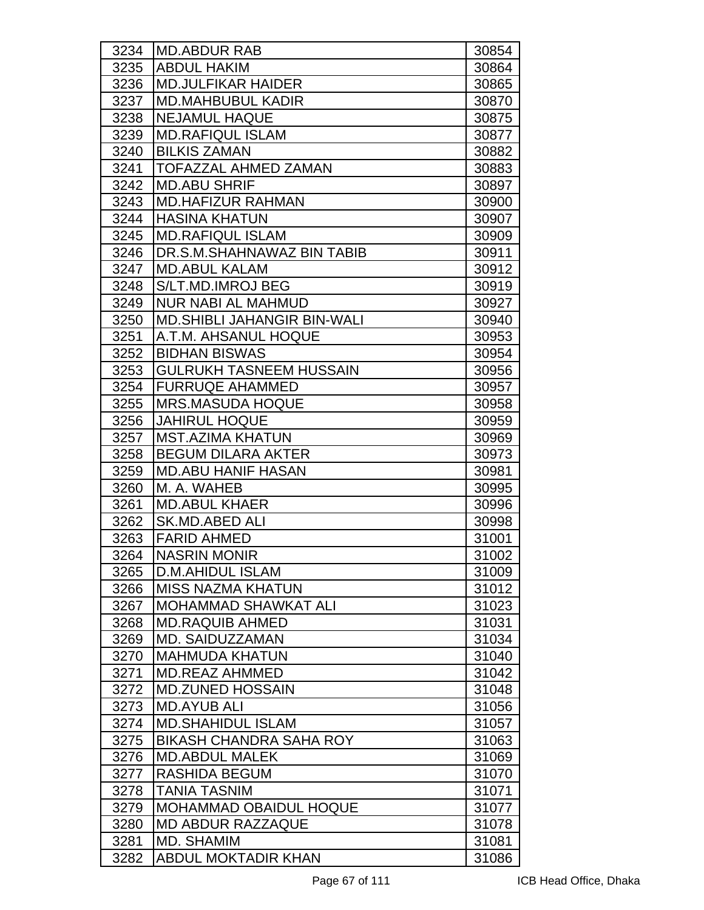| 3234 | <b>IMD.ABDUR RAB</b>               | 30854 |
|------|------------------------------------|-------|
| 3235 | <b>ABDUL HAKIM</b>                 | 30864 |
| 3236 | <b>MD.JULFIKAR HAIDER</b>          | 30865 |
| 3237 | <b>MD.MAHBUBUL KADIR</b>           | 30870 |
| 3238 | <b>NEJAMUL HAQUE</b>               | 30875 |
| 3239 | <b>MD.RAFIQUL ISLAM</b>            | 30877 |
| 3240 | <b>BILKIS ZAMAN</b>                | 30882 |
| 3241 | <b>TOFAZZAL AHMED ZAMAN</b>        | 30883 |
| 3242 | <b>MD.ABU SHRIF</b>                | 30897 |
| 3243 | <b>IMD.HAFIZUR RAHMAN</b>          | 30900 |
| 3244 | <b>HASINA KHATUN</b>               | 30907 |
| 3245 | <b>MD.RAFIQUL ISLAM</b>            | 30909 |
| 3246 | DR.S.M.SHAHNAWAZ BIN TABIB         | 30911 |
| 3247 | <b>MD.ABUL KALAM</b>               | 30912 |
| 3248 | S/LT.MD.IMROJ BEG                  | 30919 |
| 3249 | <b>NUR NABI AL MAHMUD</b>          | 30927 |
| 3250 | <b>MD.SHIBLI JAHANGIR BIN-WALI</b> | 30940 |
| 3251 | A.T.M. AHSANUL HOQUE               | 30953 |
| 3252 | <b>BIDHAN BISWAS</b>               | 30954 |
| 3253 | <b>GULRUKH TASNEEM HUSSAIN</b>     | 30956 |
| 3254 | <b>FURRUQE AHAMMED</b>             | 30957 |
| 3255 | <b>MRS.MASUDA HOQUE</b>            | 30958 |
| 3256 | <b>JAHIRUL HOQUE</b>               | 30959 |
| 3257 | <b>MST.AZIMA KHATUN</b>            | 30969 |
| 3258 | <b>BEGUM DILARA AKTER</b>          | 30973 |
| 3259 | <b>MD.ABU HANIF HASAN</b>          | 30981 |
| 3260 | M. A. WAHEB                        | 30995 |
| 3261 | <b>MD.ABUL KHAER</b>               | 30996 |
| 3262 | <b>SK.MD.ABED ALI</b>              | 30998 |
| 3263 | <b>FARID AHMED</b>                 | 31001 |
| 3264 | <b>NASRIN MONIR</b>                | 31002 |
| 3265 | D.M.AHIDUL ISLAM                   | 31009 |
| 3266 | <b>MISS NAZMA KHATUN</b>           | 31012 |
| 3267 | <b>MOHAMMAD SHAWKAT ALI</b>        | 31023 |
| 3268 | <b>MD.RAQUIB AHMED</b>             | 31031 |
| 3269 | MD. SAIDUZZAMAN                    | 31034 |
| 3270 | <b>MAHMUDA KHATUN</b>              | 31040 |
| 3271 | <b>MD.REAZ AHMMED</b>              | 31042 |
| 3272 | <b>MD.ZUNED HOSSAIN</b>            | 31048 |
| 3273 | <b>MD.AYUB ALI</b>                 | 31056 |
| 3274 | <b>MD.SHAHIDUL ISLAM</b>           | 31057 |
| 3275 | <b>BIKASH CHANDRA SAHA ROY</b>     | 31063 |
| 3276 | <b>MD.ABDUL MALEK</b>              | 31069 |
| 3277 | <b>RASHIDA BEGUM</b>               | 31070 |
| 3278 | <b>TANIA TASNIM</b>                | 31071 |
| 3279 | <b>MOHAMMAD OBAIDUL HOQUE</b>      | 31077 |
| 3280 | <b>MD ABDUR RAZZAQUE</b>           | 31078 |
| 3281 | MD. SHAMIM                         | 31081 |
| 3282 | ABDUL MOKTADIR KHAN                | 31086 |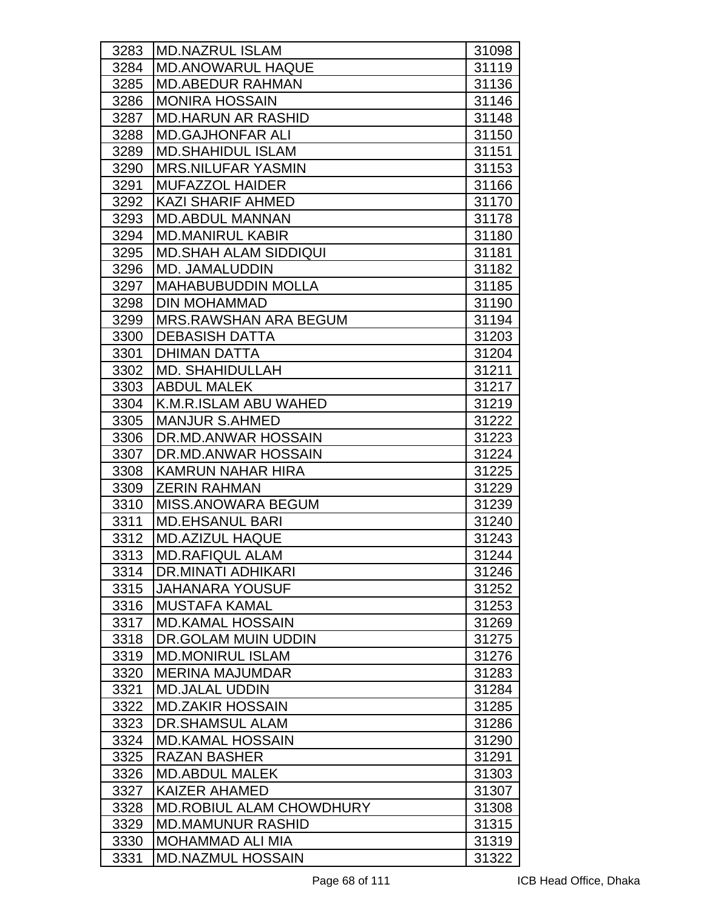| 3283 | <b>MD.NAZRUL ISLAM</b>          | 31098 |
|------|---------------------------------|-------|
| 3284 | <b>MD.ANOWARUL HAQUE</b>        | 31119 |
| 3285 | <b>MD.ABEDUR RAHMAN</b>         | 31136 |
| 3286 | <b>MONIRA HOSSAIN</b>           | 31146 |
| 3287 | <b>MD.HARUN AR RASHID</b>       | 31148 |
| 3288 | <b>MD.GAJHONFAR ALI</b>         | 31150 |
| 3289 | <b>MD.SHAHIDUL ISLAM</b>        | 31151 |
| 3290 | <b>MRS.NILUFAR YASMIN</b>       | 31153 |
| 3291 | <b>MUFAZZOL HAIDER</b>          | 31166 |
| 3292 | <b>KAZI SHARIF AHMED</b>        | 31170 |
| 3293 | <b>MD.ABDUL MANNAN</b>          | 31178 |
| 3294 | <b>MD.MANIRUL KABIR</b>         | 31180 |
| 3295 | <b>MD.SHAH ALAM SIDDIQUI</b>    | 31181 |
| 3296 | <b>MD. JAMALUDDIN</b>           | 31182 |
| 3297 | <b>MAHABUBUDDIN MOLLA</b>       | 31185 |
| 3298 | <b>DIN MOHAMMAD</b>             | 31190 |
| 3299 | <b>MRS.RAWSHAN ARA BEGUM</b>    | 31194 |
| 3300 | <b>DEBASISH DATTA</b>           | 31203 |
| 3301 | <b>DHIMAN DATTA</b>             | 31204 |
| 3302 | <b>MD. SHAHIDULLAH</b>          | 31211 |
| 3303 | <b>ABDUL MALEK</b>              | 31217 |
| 3304 | K.M.R.ISLAM ABU WAHED           | 31219 |
| 3305 | <b>MANJUR S.AHMED</b>           | 31222 |
| 3306 | DR.MD.ANWAR HOSSAIN             | 31223 |
| 3307 | DR.MD.ANWAR HOSSAIN             | 31224 |
| 3308 | <b>KAMRUN NAHAR HIRA</b>        | 31225 |
| 3309 | <b>ZERIN RAHMAN</b>             | 31229 |
| 3310 | <b>MISS.ANOWARA BEGUM</b>       | 31239 |
| 3311 | <b>MD.EHSANUL BARI</b>          | 31240 |
| 3312 | <b>MD.AZIZUL HAQUE</b>          | 31243 |
| 3313 | <b>MD.RAFIQUL ALAM</b>          | 31244 |
| 3314 | DR.MINATI ADHIKARI              | 31246 |
| 3315 | <b>JAHANARA YOUSUF</b>          | 31252 |
| 3316 | <b>MUSTAFA KAMAL</b>            | 31253 |
| 3317 | <b>MD.KAMAL HOSSAIN</b>         | 31269 |
| 3318 | DR.GOLAM MUIN UDDIN             | 31275 |
| 3319 | <b>MD.MONIRUL ISLAM</b>         | 31276 |
| 3320 | <b>MERINA MAJUMDAR</b>          | 31283 |
| 3321 | <b>MD.JALAL UDDIN</b>           | 31284 |
| 3322 | <b>MD.ZAKIR HOSSAIN</b>         | 31285 |
| 3323 | DR.SHAMSUL ALAM                 | 31286 |
| 3324 | <b>MD.KAMAL HOSSAIN</b>         | 31290 |
| 3325 | <b>RAZAN BASHER</b>             | 31291 |
| 3326 | <b>MD.ABDUL MALEK</b>           | 31303 |
| 3327 | <b>KAIZER AHAMED</b>            | 31307 |
| 3328 | <b>MD.ROBIUL ALAM CHOWDHURY</b> | 31308 |
| 3329 | <b>MD.MAMUNUR RASHID</b>        | 31315 |
| 3330 | <b>MOHAMMAD ALI MIA</b>         | 31319 |
| 3331 | <b>MD.NAZMUL HOSSAIN</b>        | 31322 |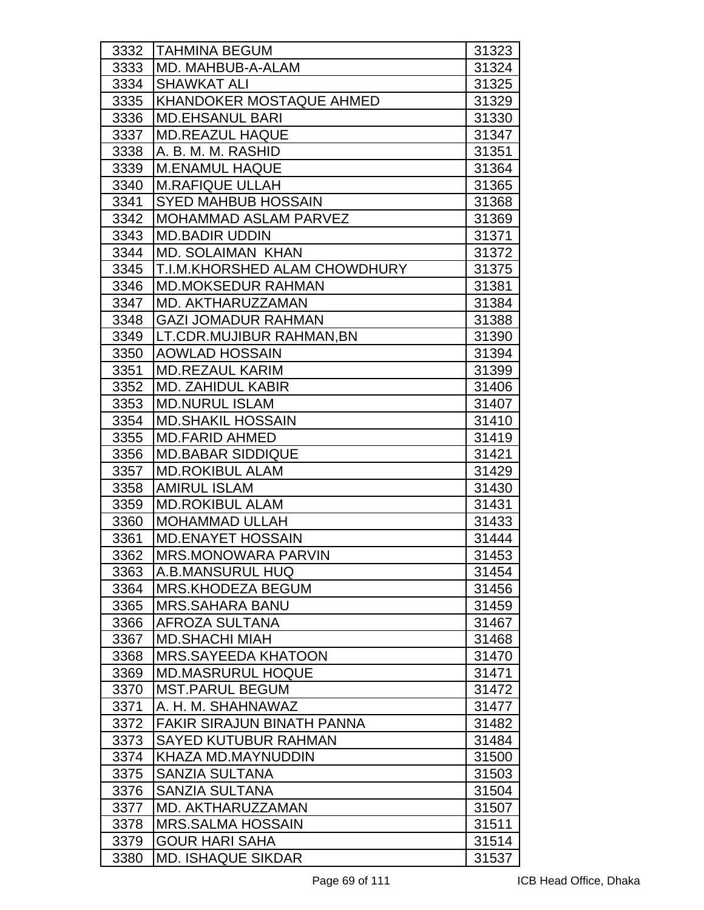| 3332 | <b>TAHMINA BEGUM</b>            | 31323 |
|------|---------------------------------|-------|
| 3333 | MD. MAHBUB-A-ALAM               | 31324 |
| 3334 | <b>SHAWKAT ALI</b>              | 31325 |
| 3335 | <b>KHANDOKER MOSTAQUE AHMED</b> | 31329 |
| 3336 | <b>MD.EHSANUL BARI</b>          | 31330 |
| 3337 | <b>IMD.REAZUL HAQUE</b>         | 31347 |
| 3338 | A. B. M. M. RASHID              | 31351 |
| 3339 | <b>M.ENAMUL HAQUE</b>           | 31364 |
| 3340 | <b>M.RAFIQUE ULLAH</b>          | 31365 |
| 3341 | <b>SYED MAHBUB HOSSAIN</b>      | 31368 |
| 3342 | <b>MOHAMMAD ASLAM PARVEZ</b>    | 31369 |
| 3343 | <b>MD.BADIR UDDIN</b>           | 31371 |
| 3344 | <b>MD. SOLAIMAN KHAN</b>        | 31372 |
| 3345 | T.I.M.KHORSHED ALAM CHOWDHURY   | 31375 |
| 3346 | <b>IMD.MOKSEDUR RAHMAN</b>      | 31381 |
| 3347 | MD. AKTHARUZZAMAN               | 31384 |
| 3348 | <b>GAZI JOMADUR RAHMAN</b>      | 31388 |
| 3349 | ILT.CDR.MUJIBUR RAHMAN,BN       | 31390 |
| 3350 | <b>AOWLAD HOSSAIN</b>           | 31394 |
| 3351 | <b>MD.REZAUL KARIM</b>          | 31399 |
| 3352 | <b>MD. ZAHIDUL KABIR</b>        | 31406 |
| 3353 | <b>MD.NURUL ISLAM</b>           | 31407 |
| 3354 | <b>MD.SHAKIL HOSSAIN</b>        | 31410 |
| 3355 | <b>MD.FARID AHMED</b>           | 31419 |
| 3356 | <b>MD.BABAR SIDDIQUE</b>        | 31421 |
| 3357 | <b>MD.ROKIBUL ALAM</b>          | 31429 |
| 3358 | <b>AMIRUL ISLAM</b>             | 31430 |
| 3359 | <b>MD.ROKIBUL ALAM</b>          | 31431 |
| 3360 | <b>MOHAMMAD ULLAH</b>           | 31433 |
| 3361 | <b>MD.ENAYET HOSSAIN</b>        | 31444 |
| 3362 | MRS.MONOWARA PARVIN             | 31453 |
| 3363 | A.B.MANSURUL HUQ                | 31454 |
| 3364 | <b>MRS.KHODEZA BEGUM</b>        | 31456 |
| 3365 | <b>MRS.SAHARA BANU</b>          | 31459 |
| 3366 | <b>AFROZA SULTANA</b>           | 31467 |
| 3367 | <b>MD.SHACHI MIAH</b>           | 31468 |
| 3368 | <b>MRS.SAYEEDA KHATOON</b>      | 31470 |
| 3369 | <b>MD.MASRURUL HOQUE</b>        | 31471 |
| 3370 | <b>MST.PARUL BEGUM</b>          | 31472 |
| 3371 | A. H. M. SHAHNAWAZ              | 31477 |
| 3372 | FAKIR SIRAJUN BINATH PANNA      | 31482 |
| 3373 | SAYED KUTUBUR RAHMAN            | 31484 |
| 3374 | KHAZA MD.MAYNUDDIN              | 31500 |
| 3375 | <b>SANZIA SULTANA</b>           | 31503 |
| 3376 | <b>SANZIA SULTANA</b>           | 31504 |
| 3377 | MD. AKTHARUZZAMAN               | 31507 |
| 3378 | <b>MRS.SALMA HOSSAIN</b>        | 31511 |
| 3379 | <b>GOUR HARI SAHA</b>           | 31514 |
| 3380 | <b>MD. ISHAQUE SIKDAR</b>       | 31537 |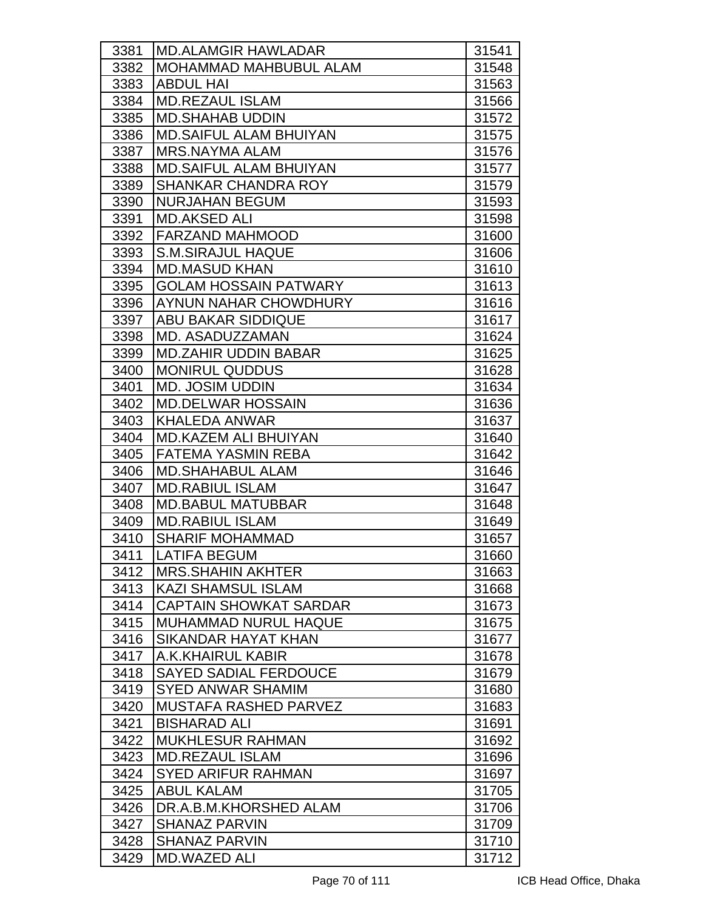| 3381 | <b>MD.ALAMGIR HAWLADAR</b>    | 31541 |
|------|-------------------------------|-------|
| 3382 | <b>MOHAMMAD MAHBUBUL ALAM</b> | 31548 |
| 3383 | <b>ABDUL HAI</b>              | 31563 |
| 3384 | <b>MD.REZAUL ISLAM</b>        | 31566 |
| 3385 | <b>MD.SHAHAB UDDIN</b>        | 31572 |
| 3386 | <b>MD.SAIFUL ALAM BHUIYAN</b> | 31575 |
| 3387 | <b>MRS.NAYMA ALAM</b>         | 31576 |
| 3388 | <b>MD.SAIFUL ALAM BHUIYAN</b> | 31577 |
| 3389 | <b>SHANKAR CHANDRA ROY</b>    | 31579 |
| 3390 | <b>NURJAHAN BEGUM</b>         | 31593 |
| 3391 | <b>MD.AKSED ALI</b>           | 31598 |
| 3392 | <b>FARZAND MAHMOOD</b>        | 31600 |
| 3393 | <b>S.M.SIRAJUL HAQUE</b>      | 31606 |
| 3394 | <b>MD.MASUD KHAN</b>          | 31610 |
| 3395 | <b>GOLAM HOSSAIN PATWARY</b>  | 31613 |
| 3396 | AYNUN NAHAR CHOWDHURY         | 31616 |
| 3397 | <b>ABU BAKAR SIDDIQUE</b>     | 31617 |
| 3398 | MD. ASADUZZAMAN               | 31624 |
| 3399 | <b>MD.ZAHIR UDDIN BABAR</b>   | 31625 |
| 3400 | <b>MONIRUL QUDDUS</b>         | 31628 |
| 3401 | <b>MD. JOSIM UDDIN</b>        | 31634 |
| 3402 | <b>MD.DELWAR HOSSAIN</b>      | 31636 |
| 3403 | <b>KHALEDA ANWAR</b>          | 31637 |
| 3404 | <b>MD.KAZEM ALI BHUIYAN</b>   | 31640 |
| 3405 | <b>FATEMA YASMIN REBA</b>     | 31642 |
| 3406 | <b>MD.SHAHABUL ALAM</b>       | 31646 |
| 3407 | <b>MD.RABIUL ISLAM</b>        | 31647 |
| 3408 | <b>MD.BABUL MATUBBAR</b>      | 31648 |
| 3409 | <b>MD.RABIUL ISLAM</b>        | 31649 |
| 3410 | <b>SHARIF MOHAMMAD</b>        | 31657 |
| 3411 | <b>LATIFA BEGUM</b>           | 31660 |
| 3412 | <b>MRS.SHAHIN AKHTER</b>      | 31663 |
| 3413 | <b>KAZI SHAMSUL ISLAM</b>     | 31668 |
| 3414 | <b>CAPTAIN SHOWKAT SARDAR</b> | 31673 |
| 3415 | <b>IMUHAMMAD NURUL HAQUE</b>  | 31675 |
| 3416 | <b>SIKANDAR HAYAT KHAN</b>    | 31677 |
| 3417 | A.K.KHAIRUL KABIR             | 31678 |
| 3418 | <b>SAYED SADIAL FERDOUCE</b>  | 31679 |
| 3419 | <b>SYED ANWAR SHAMIM</b>      | 31680 |
| 3420 | <b>MUSTAFA RASHED PARVEZ</b>  | 31683 |
| 3421 | <b>BISHARAD ALI</b>           | 31691 |
| 3422 | <b>MUKHLESUR RAHMAN</b>       | 31692 |
| 3423 | <b>MD.REZAUL ISLAM</b>        | 31696 |
| 3424 | <b>SYED ARIFUR RAHMAN</b>     | 31697 |
| 3425 | <b>ABUL KALAM</b>             | 31705 |
| 3426 | DR.A.B.M.KHORSHED ALAM        | 31706 |
| 3427 | <b>SHANAZ PARVIN</b>          | 31709 |
| 3428 | <b>SHANAZ PARVIN</b>          | 31710 |
| 3429 | MD.WAZED ALI                  | 31712 |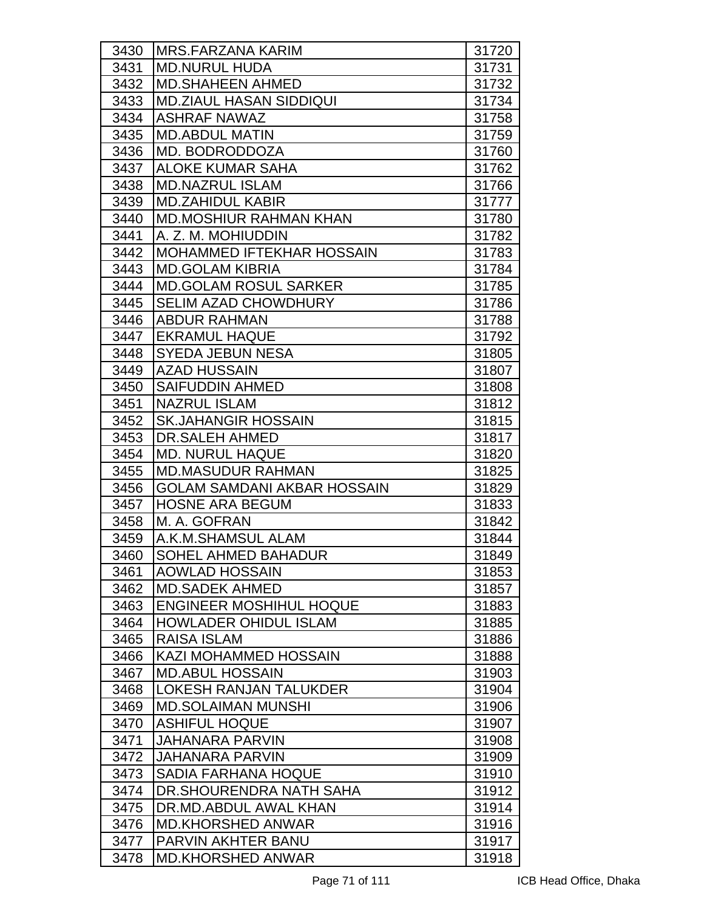| 3430 | IMRS.FARZANA KARIM                 | 31720 |
|------|------------------------------------|-------|
| 3431 | <b>MD.NURUL HUDA</b>               | 31731 |
| 3432 | <b>MD.SHAHEEN AHMED</b>            | 31732 |
| 3433 | <b>MD.ZIAUL HASAN SIDDIQUI</b>     | 31734 |
| 3434 | <b>ASHRAF NAWAZ</b>                | 31758 |
| 3435 | <b>MD.ABDUL MATIN</b>              | 31759 |
| 3436 | MD. BODRODDOZA                     | 31760 |
| 3437 | <b>ALOKE KUMAR SAHA</b>            | 31762 |
| 3438 | <b>MD.NAZRUL ISLAM</b>             | 31766 |
| 3439 | <b>MD.ZAHIDUL KABIR</b>            | 31777 |
| 3440 | <b>MD.MOSHIUR RAHMAN KHAN</b>      | 31780 |
| 3441 | A. Z. M. MOHIUDDIN                 | 31782 |
| 3442 | <b>MOHAMMED IFTEKHAR HOSSAIN</b>   | 31783 |
| 3443 | <b>MD.GOLAM KIBRIA</b>             | 31784 |
| 3444 | <b>IMD.GOLAM ROSUL SARKER</b>      | 31785 |
| 3445 | <b>SELIM AZAD CHOWDHURY</b>        | 31786 |
| 3446 | <b>ABDUR RAHMAN</b>                | 31788 |
| 3447 | <b>EKRAMUL HAQUE</b>               | 31792 |
| 3448 | <b>SYEDA JEBUN NESA</b>            | 31805 |
| 3449 | <b>AZAD HUSSAIN</b>                | 31807 |
| 3450 | <b>SAIFUDDIN AHMED</b>             | 31808 |
| 3451 | <b>NAZRUL ISLAM</b>                | 31812 |
| 3452 | <b>SK.JAHANGIR HOSSAIN</b>         | 31815 |
| 3453 | <b>DR.SALEH AHMED</b>              | 31817 |
| 3454 | <b>MD. NURUL HAQUE</b>             | 31820 |
| 3455 | <b>MD.MASUDUR RAHMAN</b>           | 31825 |
| 3456 | <b>GOLAM SAMDANI AKBAR HOSSAIN</b> | 31829 |
| 3457 | <b>HOSNE ARA BEGUM</b>             | 31833 |
| 3458 | M. A. GOFRAN                       | 31842 |
| 3459 | A.K.M.SHAMSUL ALAM                 | 31844 |
| 3460 | SOHEL AHMED BAHADUR                | 31849 |
| 3461 | <b>AOWLAD HOSSAIN</b>              | 31853 |
| 3462 | <b>MD.SADEK AHMED</b>              | 31857 |
| 3463 | <b>ENGINEER MOSHIHUL HOQUE</b>     | 31883 |
| 3464 | <b>HOWLADER OHIDUL ISLAM</b>       | 31885 |
| 3465 | RAISA ISLAM                        | 31886 |
| 3466 | KAZI MOHAMMED HOSSAIN              | 31888 |
| 3467 | <b>MD.ABUL HOSSAIN</b>             | 31903 |
| 3468 | LOKESH RANJAN TALUKDER             | 31904 |
| 3469 | <b>MD.SOLAIMAN MUNSHI</b>          | 31906 |
| 3470 | <b>ASHIFUL HOQUE</b>               | 31907 |
| 3471 | <b>JAHANARA PARVIN</b>             | 31908 |
| 3472 | <b>JAHANARA PARVIN</b>             | 31909 |
| 3473 | <b>SADIA FARHANA HOQUE</b>         | 31910 |
| 3474 | DR. SHOURENDRA NATH SAHA           | 31912 |
| 3475 | DR.MD.ABDUL AWAL KHAN              | 31914 |
| 3476 | <b>MD.KHORSHED ANWAR</b>           | 31916 |
| 3477 | PARVIN AKHTER BANU                 | 31917 |
| 3478 | <b>MD.KHORSHED ANWAR</b>           | 31918 |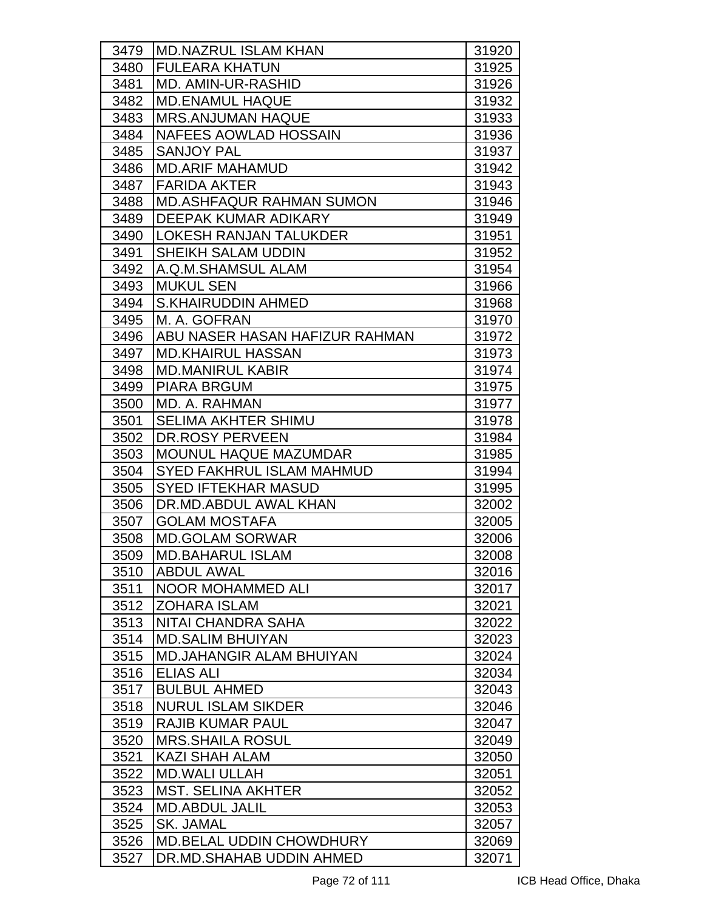| 3479 | <b>MD.NAZRUL ISLAM KHAN</b>      | 31920 |
|------|----------------------------------|-------|
| 3480 | <b>FULEARA KHATUN</b>            | 31925 |
| 3481 | <b>MD. AMIN-UR-RASHID</b>        | 31926 |
| 3482 | <b>MD.ENAMUL HAQUE</b>           | 31932 |
| 3483 | <b>MRS.ANJUMAN HAQUE</b>         | 31933 |
| 3484 | <b>NAFEES AOWLAD HOSSAIN</b>     | 31936 |
| 3485 | <b>SANJOY PAL</b>                | 31937 |
| 3486 | <b>MD.ARIF MAHAMUD</b>           | 31942 |
| 3487 | <b>FARIDA AKTER</b>              | 31943 |
| 3488 | <b>MD.ASHFAQUR RAHMAN SUMON</b>  | 31946 |
| 3489 | DEEPAK KUMAR ADIKARY             | 31949 |
| 3490 | <b>LOKESH RANJAN TALUKDER</b>    | 31951 |
| 3491 | <b>SHEIKH SALAM UDDIN</b>        | 31952 |
| 3492 | A.Q.M.SHAMSUL ALAM               | 31954 |
| 3493 | <b>MUKUL SEN</b>                 | 31966 |
| 3494 | <b>S.KHAIRUDDIN AHMED</b>        | 31968 |
| 3495 | M. A. GOFRAN                     | 31970 |
| 3496 | ABU NASER HASAN HAFIZUR RAHMAN   | 31972 |
| 3497 | <b>MD.KHAIRUL HASSAN</b>         | 31973 |
| 3498 | <b>MD.MANIRUL KABIR</b>          | 31974 |
| 3499 | <b>PIARA BRGUM</b>               | 31975 |
| 3500 | MD. A. RAHMAN                    | 31977 |
| 3501 | <b>SELIMA AKHTER SHIMU</b>       | 31978 |
| 3502 | <b>DR.ROSY PERVEEN</b>           | 31984 |
| 3503 | <b>MOUNUL HAQUE MAZUMDAR</b>     | 31985 |
| 3504 | <b>SYED FAKHRUL ISLAM MAHMUD</b> | 31994 |
| 3505 | <b>SYED IFTEKHAR MASUD</b>       | 31995 |
| 3506 | DR.MD.ABDUL AWAL KHAN            | 32002 |
| 3507 | <b>GOLAM MOSTAFA</b>             | 32005 |
| 3508 | <b>MD.GOLAM SORWAR</b>           | 32006 |
| 3509 | <b>MD.BAHARUL ISLAM</b>          | 32008 |
| 3510 | <b>ABDUL AWAL</b>                | 32016 |
| 3511 | <b>NOOR MOHAMMED ALI</b>         | 32017 |
| 3512 | <b>ZOHARA ISLAM</b>              | 32021 |
| 3513 | NITAI CHANDRA SAHA               | 32022 |
| 3514 | <b>MD.SALIM BHUIYAN</b>          | 32023 |
| 3515 | <b>MD.JAHANGIR ALAM BHUIYAN</b>  | 32024 |
| 3516 | <b>ELIAS ALI</b>                 | 32034 |
| 3517 | <b>BULBUL AHMED</b>              | 32043 |
| 3518 | <b>NURUL ISLAM SIKDER</b>        | 32046 |
| 3519 | <b>RAJIB KUMAR PAUL</b>          | 32047 |
| 3520 | <b>MRS.SHAILA ROSUL</b>          | 32049 |
| 3521 | KAZI SHAH ALAM                   | 32050 |
| 3522 | <b>MD.WALI ULLAH</b>             | 32051 |
| 3523 | <b>MST. SELINA AKHTER</b>        | 32052 |
| 3524 | <b>MD.ABDUL JALIL</b>            | 32053 |
| 3525 | SK. JAMAL                        | 32057 |
| 3526 | <b>MD.BELAL UDDIN CHOWDHURY</b>  | 32069 |
| 3527 | DR.MD.SHAHAB UDDIN AHMED         | 32071 |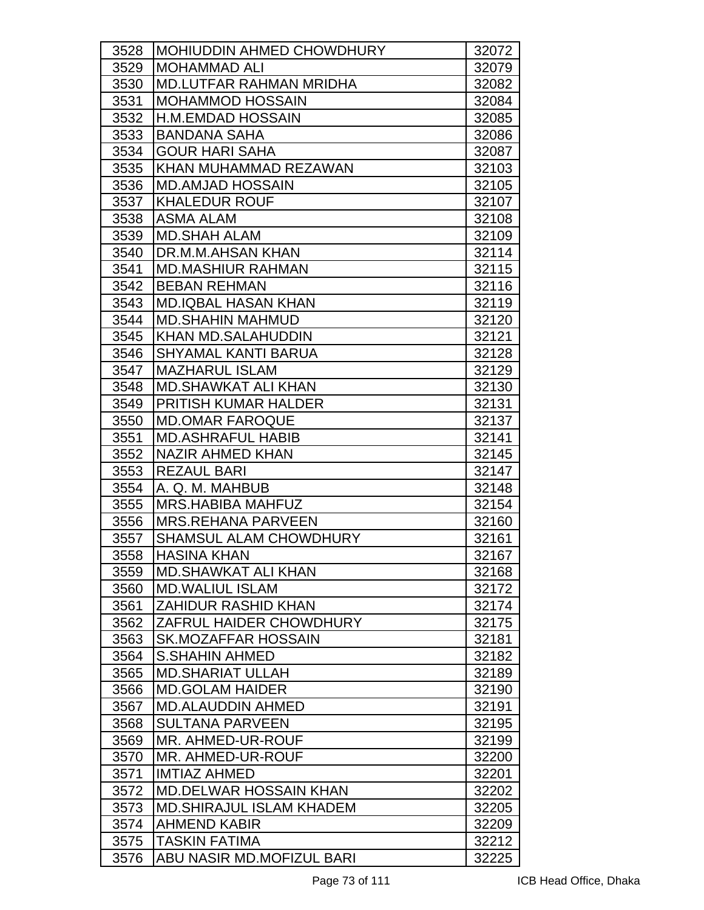| 3528 | <b>MOHIUDDIN AHMED CHOWDHURY</b> | 32072 |
|------|----------------------------------|-------|
| 3529 | <b>MOHAMMAD ALI</b>              | 32079 |
| 3530 | <b>MD.LUTFAR RAHMAN MRIDHA</b>   | 32082 |
| 3531 | <b>MOHAMMOD HOSSAIN</b>          | 32084 |
| 3532 | <b>H.M.EMDAD HOSSAIN</b>         | 32085 |
| 3533 | <b>BANDANA SAHA</b>              | 32086 |
| 3534 | <b>GOUR HARI SAHA</b>            | 32087 |
| 3535 | KHAN MUHAMMAD REZAWAN            | 32103 |
| 3536 | <b>MD.AMJAD HOSSAIN</b>          | 32105 |
| 3537 | <b>KHALEDUR ROUF</b>             | 32107 |
| 3538 | <b>ASMA ALAM</b>                 | 32108 |
| 3539 | <b>MD.SHAH ALAM</b>              | 32109 |
| 3540 | DR.M.M.AHSAN KHAN                | 32114 |
| 3541 | <b>MD.MASHIUR RAHMAN</b>         | 32115 |
| 3542 | <b>BEBAN REHMAN</b>              | 32116 |
| 3543 | <b>MD.IQBAL HASAN KHAN</b>       | 32119 |
| 3544 | <b>MD.SHAHIN MAHMUD</b>          | 32120 |
| 3545 | <b>KHAN MD.SALAHUDDIN</b>        | 32121 |
| 3546 | <b>SHYAMAL KANTI BARUA</b>       | 32128 |
| 3547 | <b>MAZHARUL ISLAM</b>            | 32129 |
| 3548 | <b>MD.SHAWKAT ALI KHAN</b>       | 32130 |
| 3549 | PRITISH KUMAR HALDER             | 32131 |
| 3550 | <b>MD.OMAR FAROQUE</b>           | 32137 |
| 3551 | <b>MD.ASHRAFUL HABIB</b>         | 32141 |
| 3552 | NAZIR AHMED KHAN                 | 32145 |
| 3553 | <b>REZAUL BARI</b>               | 32147 |
| 3554 | A. Q. M. MAHBUB                  | 32148 |
| 3555 | MRS.HABIBA MAHFUZ                | 32154 |
| 3556 | <b>MRS.REHANA PARVEEN</b>        | 32160 |
| 3557 | <b>SHAMSUL ALAM CHOWDHURY</b>    | 32161 |
| 3558 | <b>HASINA KHAN</b>               | 32167 |
| 3559 | <b>MD.SHAWKAT ALI KHAN</b>       | 32168 |
| 3560 | <b>MD.WALIUL ISLAM</b>           | 32172 |
| 3561 | <b>ZAHIDUR RASHID KHAN</b>       | 32174 |
| 3562 | ZAFRUL HAIDER CHOWDHURY          | 32175 |
| 3563 | <b>SK.MOZAFFAR HOSSAIN</b>       | 32181 |
| 3564 | <b>S.SHAHIN AHMED</b>            | 32182 |
| 3565 | <b>MD.SHARIAT ULLAH</b>          | 32189 |
| 3566 | <b>MD.GOLAM HAIDER</b>           | 32190 |
| 3567 | <b>MD.ALAUDDIN AHMED</b>         | 32191 |
| 3568 | <b>SULTANA PARVEEN</b>           | 32195 |
| 3569 | <b>MR. AHMED-UR-ROUF</b>         | 32199 |
| 3570 | <b>MR. AHMED-UR-ROUF</b>         | 32200 |
| 3571 | <b>IMTIAZ AHMED</b>              | 32201 |
| 3572 | <b>MD.DELWAR HOSSAIN KHAN</b>    | 32202 |
| 3573 | <b>MD.SHIRAJUL ISLAM KHADEM</b>  | 32205 |
| 3574 | <b>AHMEND KABIR</b>              | 32209 |
| 3575 | <b>TASKIN FATIMA</b>             | 32212 |
| 3576 | ABU NASIR MD.MOFIZUL BARI        | 32225 |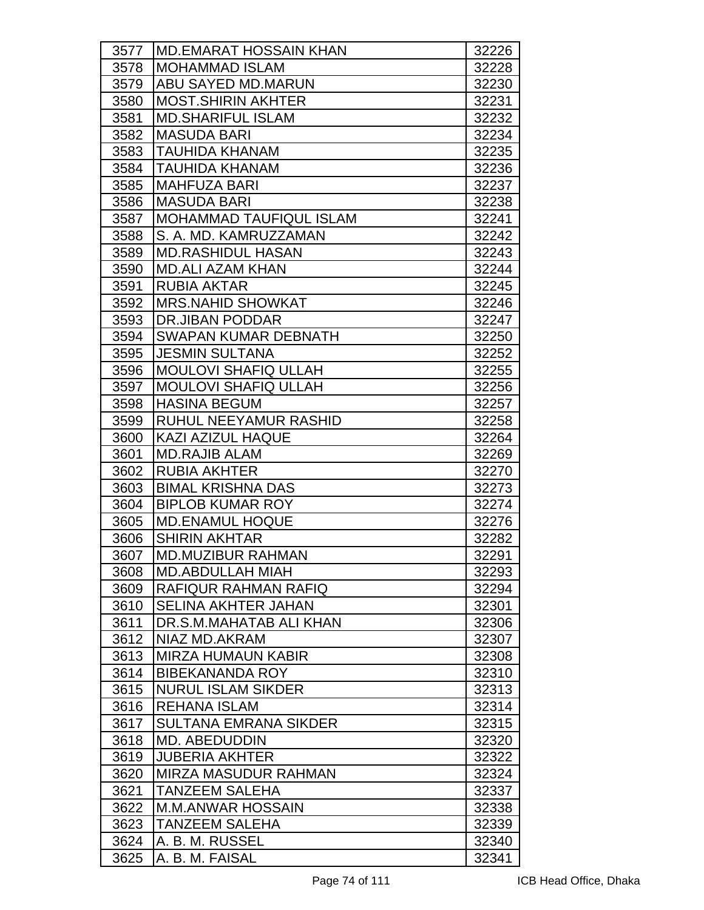| 3577 | IMD.EMARAT HOSSAIN KHAN     | 32226 |
|------|-----------------------------|-------|
| 3578 | <b>MOHAMMAD ISLAM</b>       | 32228 |
| 3579 | ABU SAYED MD.MARUN          | 32230 |
| 3580 | <b>MOST.SHIRIN AKHTER</b>   | 32231 |
| 3581 | <b>MD.SHARIFUL ISLAM</b>    | 32232 |
| 3582 | <b>MASUDA BARI</b>          | 32234 |
| 3583 | TAUHIDA KHANAM              | 32235 |
| 3584 | <b>TAUHIDA KHANAM</b>       | 32236 |
| 3585 | <b>MAHFUZA BARI</b>         | 32237 |
| 3586 | <b>MASUDA BARI</b>          | 32238 |
| 3587 | MOHAMMAD TAUFIQUL ISLAM     | 32241 |
| 3588 | S. A. MD. KAMRUZZAMAN       | 32242 |
| 3589 | <b>MD.RASHIDUL HASAN</b>    | 32243 |
| 3590 | <b>MD.ALI AZAM KHAN</b>     | 32244 |
| 3591 | <b>RUBIA AKTAR</b>          | 32245 |
| 3592 | <b>MRS.NAHID SHOWKAT</b>    | 32246 |
| 3593 | DR.JIBAN PODDAR             | 32247 |
| 3594 | <b>SWAPAN KUMAR DEBNATH</b> | 32250 |
| 3595 | <b>JESMIN SULTANA</b>       | 32252 |
| 3596 | <b>MOULOVI SHAFIQ ULLAH</b> | 32255 |
| 3597 | <b>MOULOVI SHAFIQ ULLAH</b> | 32256 |
| 3598 | <b>HASINA BEGUM</b>         | 32257 |
| 3599 | RUHUL NEEYAMUR RASHID       | 32258 |
| 3600 | <b>KAZI AZIZUL HAQUE</b>    | 32264 |
| 3601 | <b>MD.RAJIB ALAM</b>        | 32269 |
| 3602 | <b>RUBIA AKHTER</b>         | 32270 |
| 3603 | <b>BIMAL KRISHNA DAS</b>    | 32273 |
| 3604 | <b>BIPLOB KUMAR ROY</b>     | 32274 |
| 3605 | <b>MD.ENAMUL HOQUE</b>      | 32276 |
| 3606 | <b>SHIRIN AKHTAR</b>        | 32282 |
| 3607 | <b>MD.MUZIBUR RAHMAN</b>    | 32291 |
| 3608 | <b>MD.ABDULLAH MIAH</b>     | 32293 |
| 3609 | RAFIQUR RAHMAN RAFIQ        | 32294 |
| 3610 | <b>SELINA AKHTER JAHAN</b>  | 32301 |
| 3611 | DR.S.M.MAHATAB ALI KHAN     | 32306 |
| 3612 | NIAZ MD.AKRAM               | 32307 |
| 3613 | <b>MIRZA HUMAUN KABIR</b>   | 32308 |
| 3614 | <b>BIBEKANANDA ROY</b>      | 32310 |
| 3615 | <b>NURUL ISLAM SIKDER</b>   | 32313 |
| 3616 | <b>REHANA ISLAM</b>         | 32314 |
| 3617 | SULTANA EMRANA SIKDER       | 32315 |
| 3618 | <b>MD. ABEDUDDIN</b>        | 32320 |
| 3619 | <b>JUBERIA AKHTER</b>       | 32322 |
| 3620 | MIRZA MASUDUR RAHMAN        | 32324 |
| 3621 | <b>TANZEEM SALEHA</b>       | 32337 |
| 3622 | <b>M.M.ANWAR HOSSAIN</b>    | 32338 |
| 3623 | <b>TANZEEM SALEHA</b>       | 32339 |
| 3624 | A. B. M. RUSSEL             | 32340 |
| 3625 | A. B. M. FAISAL             | 32341 |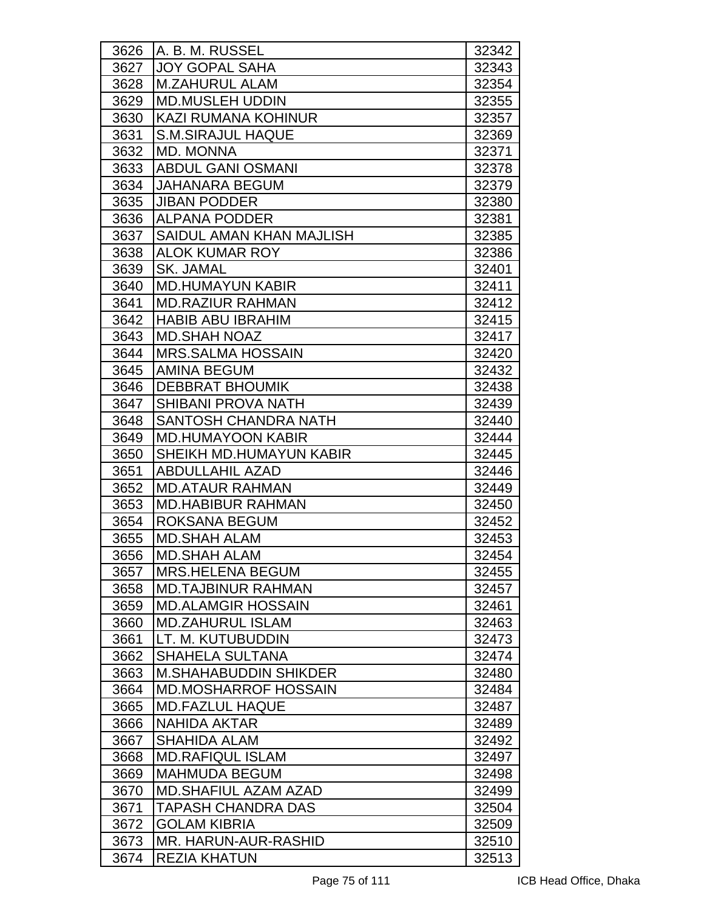| 3626 | A. B. M. RUSSEL              | 32342 |
|------|------------------------------|-------|
| 3627 | <b>JOY GOPAL SAHA</b>        | 32343 |
| 3628 | <b>M.ZAHURUL ALAM</b>        | 32354 |
| 3629 | <b>MD.MUSLEH UDDIN</b>       | 32355 |
| 3630 | <b>KAZI RUMANA KOHINUR</b>   | 32357 |
| 3631 | <b>S.M.SIRAJUL HAQUE</b>     | 32369 |
| 3632 | <b>MD. MONNA</b>             | 32371 |
| 3633 | <b>ABDUL GANI OSMANI</b>     | 32378 |
| 3634 | <b>JAHANARA BEGUM</b>        | 32379 |
| 3635 | <b>JIBAN PODDER</b>          | 32380 |
| 3636 | <b>ALPANA PODDER</b>         | 32381 |
| 3637 | SAIDUL AMAN KHAN MAJLISH     | 32385 |
| 3638 | <b>ALOK KUMAR ROY</b>        | 32386 |
| 3639 | <b>SK. JAMAL</b>             | 32401 |
| 3640 | <b>MD.HUMAYUN KABIR</b>      | 32411 |
| 3641 | <b>MD.RAZIUR RAHMAN</b>      | 32412 |
| 3642 | <b>HABIB ABU IBRAHIM</b>     | 32415 |
| 3643 | <b>MD.SHAH NOAZ</b>          | 32417 |
| 3644 | <b>MRS.SALMA HOSSAIN</b>     | 32420 |
| 3645 | <b>AMINA BEGUM</b>           | 32432 |
| 3646 | <b>DEBBRAT BHOUMIK</b>       | 32438 |
| 3647 | <b>SHIBANI PROVA NATH</b>    | 32439 |
| 3648 | <b>SANTOSH CHANDRA NATH</b>  | 32440 |
| 3649 | <b>MD.HUMAYOON KABIR</b>     | 32444 |
| 3650 | SHEIKH MD.HUMAYUN KABIR      | 32445 |
| 3651 | <b>ABDULLAHIL AZAD</b>       | 32446 |
| 3652 | <b>MD.ATAUR RAHMAN</b>       | 32449 |
| 3653 | <b>MD.HABIBUR RAHMAN</b>     | 32450 |
| 3654 | ROKSANA BEGUM                | 32452 |
| 3655 | <b>MD.SHAH ALAM</b>          | 32453 |
| 3656 | <b>MD.SHAH ALAM</b>          | 32454 |
| 3657 | <b>MRS.HELENA BEGUM</b>      | 32455 |
| 3658 | <b>MD.TAJBINUR RAHMAN</b>    | 32457 |
| 3659 | <b>MD.ALAMGIR HOSSAIN</b>    | 32461 |
| 3660 | <b>MD.ZAHURUL ISLAM</b>      | 32463 |
| 3661 | LT. M. KUTUBUDDIN            | 32473 |
| 3662 | <b>SHAHELA SULTANA</b>       | 32474 |
| 3663 | <b>M.SHAHABUDDIN SHIKDER</b> | 32480 |
| 3664 | <b>MD.MOSHARROF HOSSAIN</b>  | 32484 |
| 3665 | <b>MD.FAZLUL HAQUE</b>       | 32487 |
| 3666 | NAHIDA AKTAR                 | 32489 |
| 3667 | <b>SHAHIDA ALAM</b>          | 32492 |
| 3668 | <b>MD.RAFIQUL ISLAM</b>      | 32497 |
| 3669 | <b>MAHMUDA BEGUM</b>         | 32498 |
| 3670 | <b>MD.SHAFIUL AZAM AZAD</b>  | 32499 |
| 3671 | TAPASH CHANDRA DAS           | 32504 |
| 3672 | <b>GOLAM KIBRIA</b>          | 32509 |
| 3673 | MR. HARUN-AUR-RASHID         | 32510 |
| 3674 | <b>REZIA KHATUN</b>          | 32513 |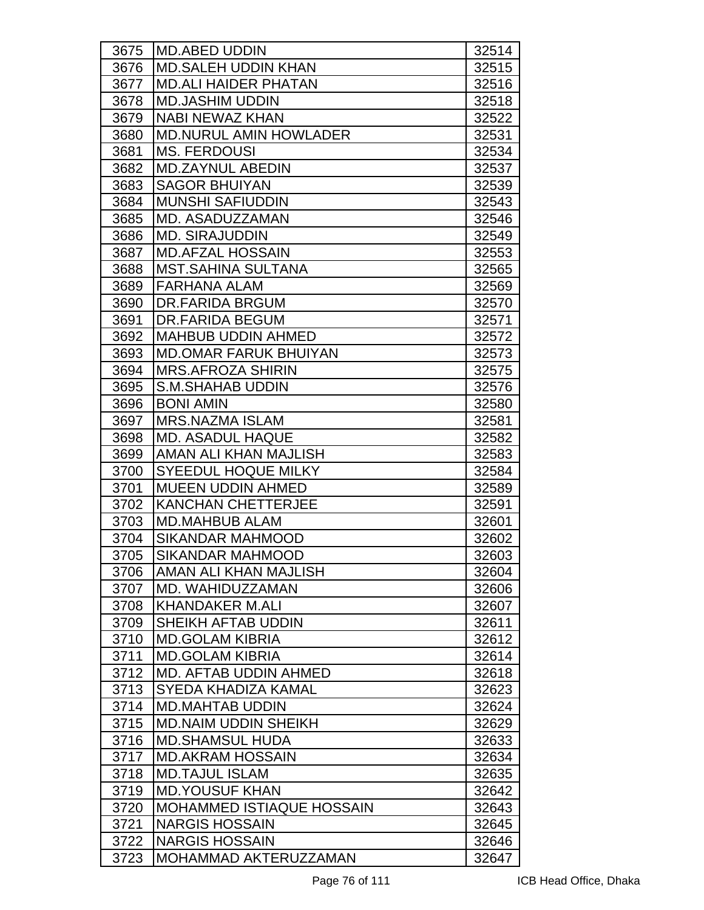| 3675 | MD.ABED UDDIN                    | 32514 |
|------|----------------------------------|-------|
| 3676 | <b>MD.SALEH UDDIN KHAN</b>       | 32515 |
| 3677 | <b>MD.ALI HAIDER PHATAN</b>      | 32516 |
| 3678 | <b>MD.JASHIM UDDIN</b>           | 32518 |
| 3679 | <b>NABI NEWAZ KHAN</b>           | 32522 |
| 3680 | <b>MD.NURUL AMIN HOWLADER</b>    | 32531 |
| 3681 | <b>MS. FERDOUSI</b>              | 32534 |
| 3682 | <b>MD.ZAYNUL ABEDIN</b>          | 32537 |
| 3683 | <b>SAGOR BHUIYAN</b>             | 32539 |
| 3684 | <b>MUNSHI SAFIUDDIN</b>          | 32543 |
| 3685 | MD. ASADUZZAMAN                  | 32546 |
| 3686 | <b>MD. SIRAJUDDIN</b>            | 32549 |
| 3687 | <b>MD.AFZAL HOSSAIN</b>          | 32553 |
| 3688 | <b>MST.SAHINA SULTANA</b>        | 32565 |
| 3689 | <b>FARHANA ALAM</b>              | 32569 |
| 3690 | DR.FARIDA BRGUM                  | 32570 |
| 3691 | <b>DR.FARIDA BEGUM</b>           | 32571 |
| 3692 | <b>MAHBUB UDDIN AHMED</b>        | 32572 |
| 3693 | <b>MD.OMAR FARUK BHUIYAN</b>     | 32573 |
| 3694 | <b>MRS.AFROZA SHIRIN</b>         | 32575 |
| 3695 | <b>S.M.SHAHAB UDDIN</b>          | 32576 |
| 3696 | <b>BONI AMIN</b>                 | 32580 |
| 3697 | <b>MRS.NAZMA ISLAM</b>           | 32581 |
| 3698 | <b>MD. ASADUL HAQUE</b>          | 32582 |
| 3699 | AMAN ALI KHAN MAJLISH            | 32583 |
| 3700 | <b>SYEEDUL HOQUE MILKY</b>       | 32584 |
| 3701 | <b>MUEEN UDDIN AHMED</b>         | 32589 |
| 3702 | <b>KANCHAN CHETTERJEE</b>        | 32591 |
| 3703 | <b>MD.MAHBUB ALAM</b>            | 32601 |
| 3704 | SIKANDAR MAHMOOD                 | 32602 |
| 3705 | SIKANDAR MAHMOOD                 | 32603 |
| 3706 | AMAN ALI KHAN MAJLISH            | 32604 |
| 3707 | MD. WAHIDUZZAMAN                 | 32606 |
| 3708 | <b>KHANDAKER M.ALI</b>           | 32607 |
| 3709 | SHEIKH AFTAB UDDIN               | 32611 |
| 3710 | <b>MD.GOLAM KIBRIA</b>           | 32612 |
| 3711 | <b>MD.GOLAM KIBRIA</b>           | 32614 |
| 3712 | <b>MD. AFTAB UDDIN AHMED</b>     | 32618 |
| 3713 | SYEDA KHADIZA KAMAL              | 32623 |
| 3714 | <b>MD.MAHTAB UDDIN</b>           | 32624 |
| 3715 | <b>MD.NAIM UDDIN SHEIKH</b>      | 32629 |
| 3716 | <b>MD.SHAMSUL HUDA</b>           | 32633 |
| 3717 | <b>MD.AKRAM HOSSAIN</b>          | 32634 |
| 3718 | <b>MD.TAJUL ISLAM</b>            | 32635 |
| 3719 | <b>MD.YOUSUF KHAN</b>            | 32642 |
| 3720 | <b>MOHAMMED ISTIAQUE HOSSAIN</b> | 32643 |
| 3721 | <b>NARGIS HOSSAIN</b>            | 32645 |
| 3722 | <b>NARGIS HOSSAIN</b>            | 32646 |
| 3723 | MOHAMMAD AKTERUZZAMAN            | 32647 |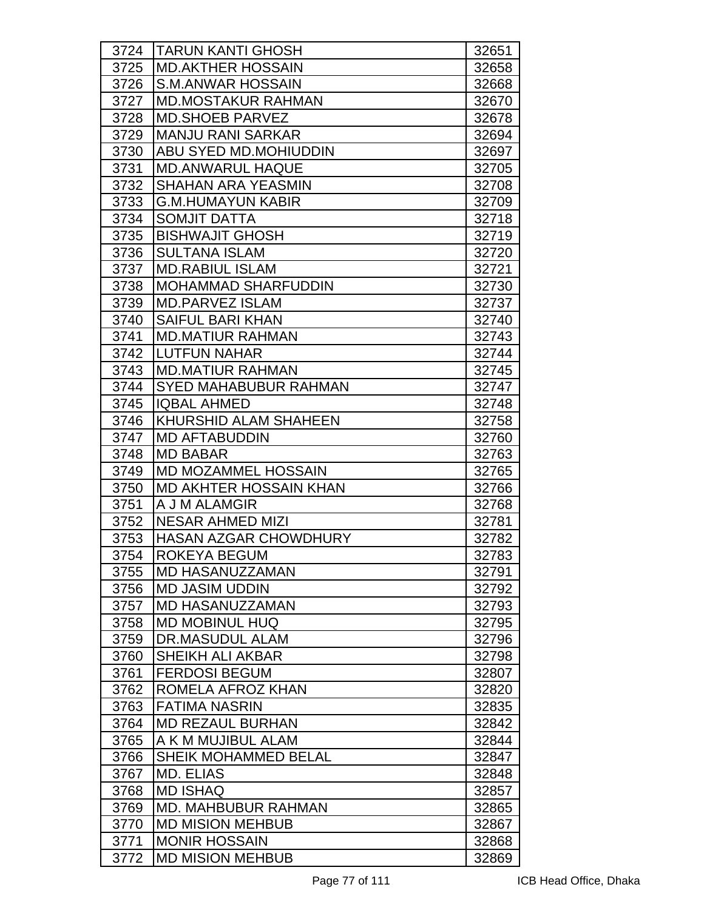| 3724 | <b>TARUN KANTI GHOSH</b>      | 32651 |
|------|-------------------------------|-------|
| 3725 | <b>MD.AKTHER HOSSAIN</b>      | 32658 |
| 3726 | S.M.ANWAR HOSSAIN             | 32668 |
| 3727 | <b>MD.MOSTAKUR RAHMAN</b>     | 32670 |
| 3728 | <b>MD.SHOEB PARVEZ</b>        | 32678 |
| 3729 | <b>MANJU RANI SARKAR</b>      | 32694 |
| 3730 | ABU SYED MD.MOHIUDDIN         | 32697 |
| 3731 | <b>MD.ANWARUL HAQUE</b>       | 32705 |
| 3732 | <b>SHAHAN ARA YEASMIN</b>     | 32708 |
| 3733 | <b>G.M.HUMAYUN KABIR</b>      | 32709 |
| 3734 | <b>SOMJIT DATTA</b>           | 32718 |
| 3735 | <b>BISHWAJIT GHOSH</b>        | 32719 |
| 3736 | <b>SULTANA ISLAM</b>          | 32720 |
| 3737 | <b>MD.RABIUL ISLAM</b>        | 32721 |
| 3738 | <b>MOHAMMAD SHARFUDDIN</b>    | 32730 |
| 3739 | <b>MD.PARVEZ ISLAM</b>        | 32737 |
| 3740 | <b>SAIFUL BARI KHAN</b>       | 32740 |
| 3741 | <b>MD.MATIUR RAHMAN</b>       | 32743 |
| 3742 | <b>ILUTFUN NAHAR</b>          | 32744 |
| 3743 | IMD.MATIUR RAHMAN             | 32745 |
| 3744 | <b>SYED MAHABUBUR RAHMAN</b>  | 32747 |
| 3745 | <b>IQBAL AHMED</b>            | 32748 |
| 3746 | KHURSHID ALAM SHAHEEN         | 32758 |
| 3747 | <b>MD AFTABUDDIN</b>          | 32760 |
| 3748 | <b>MD BABAR</b>               | 32763 |
| 3749 | <b>MD MOZAMMEL HOSSAIN</b>    | 32765 |
| 3750 | <b>MD AKHTER HOSSAIN KHAN</b> | 32766 |
| 3751 | A J M ALAMGIR                 | 32768 |
| 3752 | <b>NESAR AHMED MIZI</b>       | 32781 |
| 3753 | <b>HASAN AZGAR CHOWDHURY</b>  | 32782 |
| 3754 | <b>ROKEYA BEGUM</b>           | 32783 |
| 3755 | <b>MD HASANUZZAMAN</b>        | 32791 |
| 3756 | <b>MD JASIM UDDIN</b>         | 32792 |
| 3757 | <b>MD HASANUZZAMAN</b>        | 32793 |
| 3758 | <b>MD MOBINUL HUQ</b>         | 32795 |
| 3759 | DR.MASUDUL ALAM               | 32796 |
| 3760 | <b>SHEIKH ALI AKBAR</b>       | 32798 |
| 3761 | <b>FERDOSI BEGUM</b>          | 32807 |
| 3762 | ROMELA AFROZ KHAN             | 32820 |
| 3763 | <b>FATIMA NASRIN</b>          | 32835 |
| 3764 | <b>MD REZAUL BURHAN</b>       | 32842 |
| 3765 | A K M MUJIBUL ALAM            | 32844 |
| 3766 | <b>SHEIK MOHAMMED BELAL</b>   | 32847 |
| 3767 | MD. ELIAS                     | 32848 |
| 3768 | <b>MD ISHAQ</b>               | 32857 |
| 3769 | <b>MD. MAHBUBUR RAHMAN</b>    | 32865 |
| 3770 | <b>MD MISION MEHBUB</b>       | 32867 |
| 3771 | <b>MONIR HOSSAIN</b>          | 32868 |
| 3772 | <b>MD MISION MEHBUB</b>       | 32869 |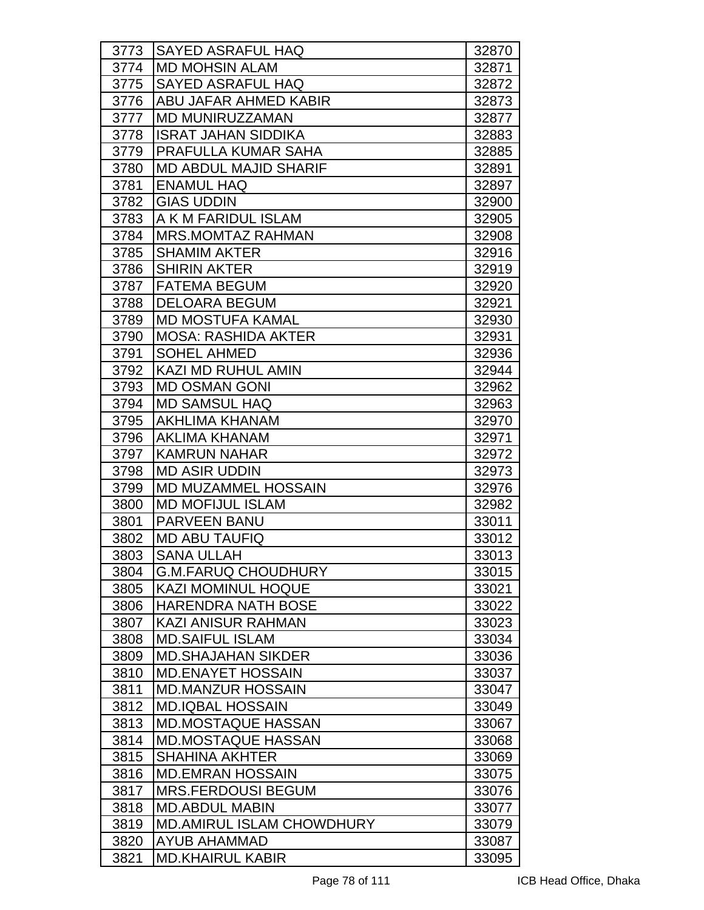| 3774<br><b>MD MOHSIN ALAM</b><br>32871<br>3775<br><b>SAYED ASRAFUL HAQ</b><br>32872<br>3776<br><b>ABU JAFAR AHMED KABIR</b><br>32873<br><b>MD MUNIRUZZAMAN</b><br>32877<br>3777<br>3778<br><b>ISRAT JAHAN SIDDIKA</b><br>32883<br>PRAFULLA KUMAR SAHA<br>3779<br>32885<br>3780<br><b>MD ABDUL MAJID SHARIF</b><br>32891<br>3781<br><b>ENAMUL HAQ</b><br>32897<br><b>GIAS UDDIN</b><br>3782<br>32900<br>A K M FARIDUL ISLAM<br>32905<br>3783<br>3784<br><b>MRS.MOMTAZ RAHMAN</b><br>32908<br><b>SHAMIM AKTER</b><br>3785<br>32916<br>3786<br><b>SHIRIN AKTER</b><br>32919<br><b>FATEMA BEGUM</b><br>32920<br>3787<br>3788<br><b>DELOARA BEGUM</b><br>32921<br>3789<br><b>MD MOSTUFA KAMAL</b><br>32930<br>3790<br><b>MOSA: RASHIDA AKTER</b><br>32931<br>3791<br><b>SOHEL AHMED</b><br>32936<br>3792<br><b>KAZI MD RUHUL AMIN</b><br>32944<br>3793<br><b>MD OSMAN GONI</b><br>32962<br>3794<br><b>MD SAMSUL HAQ</b><br>32963<br>AKHLIMA KHANAM<br>3795<br>32970<br>3796<br><b>AKLIMA KHANAM</b><br>32971<br>3797<br><b>KAMRUN NAHAR</b><br>32972<br>3798<br><b>MD ASIR UDDIN</b><br>32973<br><b>MD MUZAMMEL HOSSAIN</b><br>3799<br>32976<br>3800<br><b>MD MOFIJUL ISLAM</b><br>32982<br>3801<br><b>PARVEEN BANU</b><br>33011<br>3802<br><b>MD ABU TAUFIQ</b><br>33012<br><b>SANA ULLAH</b><br>3803<br>33013<br><b>G.M.FARUQ CHOUDHURY</b><br>3804<br>33015<br><b>KAZI MOMINUL HOQUE</b><br>3805<br>33021<br><b>HARENDRA NATH BOSE</b><br>3806<br>33022<br>3807<br><b>KAZI ANISUR RAHMAN</b><br>33023<br><b>MD.SAIFUL ISLAM</b><br>3808<br>33034<br>3809<br><b>MD.SHAJAHAN SIKDER</b><br>33036<br><b>MD.ENAYET HOSSAIN</b><br>3810<br>33037<br><b>MD.MANZUR HOSSAIN</b><br>3811<br>33047<br>3812<br><b>MD.IQBAL HOSSAIN</b><br>33049<br>3813<br><b>MD.MOSTAQUE HASSAN</b><br>33067<br>3814<br><b>MD.MOSTAQUE HASSAN</b><br>33068<br>3815<br><b>SHAHINA AKHTER</b><br>33069<br>3816<br><b>MD.EMRAN HOSSAIN</b><br>33075<br><b>MRS.FERDOUSI BEGUM</b><br>3817<br>33076<br>3818<br><b>MD.ABDUL MABIN</b><br>33077 |      |                          |       |
|--------------------------------------------------------------------------------------------------------------------------------------------------------------------------------------------------------------------------------------------------------------------------------------------------------------------------------------------------------------------------------------------------------------------------------------------------------------------------------------------------------------------------------------------------------------------------------------------------------------------------------------------------------------------------------------------------------------------------------------------------------------------------------------------------------------------------------------------------------------------------------------------------------------------------------------------------------------------------------------------------------------------------------------------------------------------------------------------------------------------------------------------------------------------------------------------------------------------------------------------------------------------------------------------------------------------------------------------------------------------------------------------------------------------------------------------------------------------------------------------------------------------------------------------------------------------------------------------------------------------------------------------------------------------------------------------------------------------------------------------------------------------------------------------------------------------------------------------------------------------------------------------------------------------------------------------------------------------------------------------------------------|------|--------------------------|-------|
|                                                                                                                                                                                                                                                                                                                                                                                                                                                                                                                                                                                                                                                                                                                                                                                                                                                                                                                                                                                                                                                                                                                                                                                                                                                                                                                                                                                                                                                                                                                                                                                                                                                                                                                                                                                                                                                                                                                                                                                                              | 3773 | <b>SAYED ASRAFUL HAQ</b> | 32870 |
|                                                                                                                                                                                                                                                                                                                                                                                                                                                                                                                                                                                                                                                                                                                                                                                                                                                                                                                                                                                                                                                                                                                                                                                                                                                                                                                                                                                                                                                                                                                                                                                                                                                                                                                                                                                                                                                                                                                                                                                                              |      |                          |       |
|                                                                                                                                                                                                                                                                                                                                                                                                                                                                                                                                                                                                                                                                                                                                                                                                                                                                                                                                                                                                                                                                                                                                                                                                                                                                                                                                                                                                                                                                                                                                                                                                                                                                                                                                                                                                                                                                                                                                                                                                              |      |                          |       |
|                                                                                                                                                                                                                                                                                                                                                                                                                                                                                                                                                                                                                                                                                                                                                                                                                                                                                                                                                                                                                                                                                                                                                                                                                                                                                                                                                                                                                                                                                                                                                                                                                                                                                                                                                                                                                                                                                                                                                                                                              |      |                          |       |
|                                                                                                                                                                                                                                                                                                                                                                                                                                                                                                                                                                                                                                                                                                                                                                                                                                                                                                                                                                                                                                                                                                                                                                                                                                                                                                                                                                                                                                                                                                                                                                                                                                                                                                                                                                                                                                                                                                                                                                                                              |      |                          |       |
|                                                                                                                                                                                                                                                                                                                                                                                                                                                                                                                                                                                                                                                                                                                                                                                                                                                                                                                                                                                                                                                                                                                                                                                                                                                                                                                                                                                                                                                                                                                                                                                                                                                                                                                                                                                                                                                                                                                                                                                                              |      |                          |       |
|                                                                                                                                                                                                                                                                                                                                                                                                                                                                                                                                                                                                                                                                                                                                                                                                                                                                                                                                                                                                                                                                                                                                                                                                                                                                                                                                                                                                                                                                                                                                                                                                                                                                                                                                                                                                                                                                                                                                                                                                              |      |                          |       |
|                                                                                                                                                                                                                                                                                                                                                                                                                                                                                                                                                                                                                                                                                                                                                                                                                                                                                                                                                                                                                                                                                                                                                                                                                                                                                                                                                                                                                                                                                                                                                                                                                                                                                                                                                                                                                                                                                                                                                                                                              |      |                          |       |
|                                                                                                                                                                                                                                                                                                                                                                                                                                                                                                                                                                                                                                                                                                                                                                                                                                                                                                                                                                                                                                                                                                                                                                                                                                                                                                                                                                                                                                                                                                                                                                                                                                                                                                                                                                                                                                                                                                                                                                                                              |      |                          |       |
|                                                                                                                                                                                                                                                                                                                                                                                                                                                                                                                                                                                                                                                                                                                                                                                                                                                                                                                                                                                                                                                                                                                                                                                                                                                                                                                                                                                                                                                                                                                                                                                                                                                                                                                                                                                                                                                                                                                                                                                                              |      |                          |       |
|                                                                                                                                                                                                                                                                                                                                                                                                                                                                                                                                                                                                                                                                                                                                                                                                                                                                                                                                                                                                                                                                                                                                                                                                                                                                                                                                                                                                                                                                                                                                                                                                                                                                                                                                                                                                                                                                                                                                                                                                              |      |                          |       |
|                                                                                                                                                                                                                                                                                                                                                                                                                                                                                                                                                                                                                                                                                                                                                                                                                                                                                                                                                                                                                                                                                                                                                                                                                                                                                                                                                                                                                                                                                                                                                                                                                                                                                                                                                                                                                                                                                                                                                                                                              |      |                          |       |
|                                                                                                                                                                                                                                                                                                                                                                                                                                                                                                                                                                                                                                                                                                                                                                                                                                                                                                                                                                                                                                                                                                                                                                                                                                                                                                                                                                                                                                                                                                                                                                                                                                                                                                                                                                                                                                                                                                                                                                                                              |      |                          |       |
|                                                                                                                                                                                                                                                                                                                                                                                                                                                                                                                                                                                                                                                                                                                                                                                                                                                                                                                                                                                                                                                                                                                                                                                                                                                                                                                                                                                                                                                                                                                                                                                                                                                                                                                                                                                                                                                                                                                                                                                                              |      |                          |       |
|                                                                                                                                                                                                                                                                                                                                                                                                                                                                                                                                                                                                                                                                                                                                                                                                                                                                                                                                                                                                                                                                                                                                                                                                                                                                                                                                                                                                                                                                                                                                                                                                                                                                                                                                                                                                                                                                                                                                                                                                              |      |                          |       |
|                                                                                                                                                                                                                                                                                                                                                                                                                                                                                                                                                                                                                                                                                                                                                                                                                                                                                                                                                                                                                                                                                                                                                                                                                                                                                                                                                                                                                                                                                                                                                                                                                                                                                                                                                                                                                                                                                                                                                                                                              |      |                          |       |
|                                                                                                                                                                                                                                                                                                                                                                                                                                                                                                                                                                                                                                                                                                                                                                                                                                                                                                                                                                                                                                                                                                                                                                                                                                                                                                                                                                                                                                                                                                                                                                                                                                                                                                                                                                                                                                                                                                                                                                                                              |      |                          |       |
|                                                                                                                                                                                                                                                                                                                                                                                                                                                                                                                                                                                                                                                                                                                                                                                                                                                                                                                                                                                                                                                                                                                                                                                                                                                                                                                                                                                                                                                                                                                                                                                                                                                                                                                                                                                                                                                                                                                                                                                                              |      |                          |       |
|                                                                                                                                                                                                                                                                                                                                                                                                                                                                                                                                                                                                                                                                                                                                                                                                                                                                                                                                                                                                                                                                                                                                                                                                                                                                                                                                                                                                                                                                                                                                                                                                                                                                                                                                                                                                                                                                                                                                                                                                              |      |                          |       |
|                                                                                                                                                                                                                                                                                                                                                                                                                                                                                                                                                                                                                                                                                                                                                                                                                                                                                                                                                                                                                                                                                                                                                                                                                                                                                                                                                                                                                                                                                                                                                                                                                                                                                                                                                                                                                                                                                                                                                                                                              |      |                          |       |
|                                                                                                                                                                                                                                                                                                                                                                                                                                                                                                                                                                                                                                                                                                                                                                                                                                                                                                                                                                                                                                                                                                                                                                                                                                                                                                                                                                                                                                                                                                                                                                                                                                                                                                                                                                                                                                                                                                                                                                                                              |      |                          |       |
|                                                                                                                                                                                                                                                                                                                                                                                                                                                                                                                                                                                                                                                                                                                                                                                                                                                                                                                                                                                                                                                                                                                                                                                                                                                                                                                                                                                                                                                                                                                                                                                                                                                                                                                                                                                                                                                                                                                                                                                                              |      |                          |       |
|                                                                                                                                                                                                                                                                                                                                                                                                                                                                                                                                                                                                                                                                                                                                                                                                                                                                                                                                                                                                                                                                                                                                                                                                                                                                                                                                                                                                                                                                                                                                                                                                                                                                                                                                                                                                                                                                                                                                                                                                              |      |                          |       |
|                                                                                                                                                                                                                                                                                                                                                                                                                                                                                                                                                                                                                                                                                                                                                                                                                                                                                                                                                                                                                                                                                                                                                                                                                                                                                                                                                                                                                                                                                                                                                                                                                                                                                                                                                                                                                                                                                                                                                                                                              |      |                          |       |
|                                                                                                                                                                                                                                                                                                                                                                                                                                                                                                                                                                                                                                                                                                                                                                                                                                                                                                                                                                                                                                                                                                                                                                                                                                                                                                                                                                                                                                                                                                                                                                                                                                                                                                                                                                                                                                                                                                                                                                                                              |      |                          |       |
|                                                                                                                                                                                                                                                                                                                                                                                                                                                                                                                                                                                                                                                                                                                                                                                                                                                                                                                                                                                                                                                                                                                                                                                                                                                                                                                                                                                                                                                                                                                                                                                                                                                                                                                                                                                                                                                                                                                                                                                                              |      |                          |       |
|                                                                                                                                                                                                                                                                                                                                                                                                                                                                                                                                                                                                                                                                                                                                                                                                                                                                                                                                                                                                                                                                                                                                                                                                                                                                                                                                                                                                                                                                                                                                                                                                                                                                                                                                                                                                                                                                                                                                                                                                              |      |                          |       |
|                                                                                                                                                                                                                                                                                                                                                                                                                                                                                                                                                                                                                                                                                                                                                                                                                                                                                                                                                                                                                                                                                                                                                                                                                                                                                                                                                                                                                                                                                                                                                                                                                                                                                                                                                                                                                                                                                                                                                                                                              |      |                          |       |
|                                                                                                                                                                                                                                                                                                                                                                                                                                                                                                                                                                                                                                                                                                                                                                                                                                                                                                                                                                                                                                                                                                                                                                                                                                                                                                                                                                                                                                                                                                                                                                                                                                                                                                                                                                                                                                                                                                                                                                                                              |      |                          |       |
|                                                                                                                                                                                                                                                                                                                                                                                                                                                                                                                                                                                                                                                                                                                                                                                                                                                                                                                                                                                                                                                                                                                                                                                                                                                                                                                                                                                                                                                                                                                                                                                                                                                                                                                                                                                                                                                                                                                                                                                                              |      |                          |       |
|                                                                                                                                                                                                                                                                                                                                                                                                                                                                                                                                                                                                                                                                                                                                                                                                                                                                                                                                                                                                                                                                                                                                                                                                                                                                                                                                                                                                                                                                                                                                                                                                                                                                                                                                                                                                                                                                                                                                                                                                              |      |                          |       |
|                                                                                                                                                                                                                                                                                                                                                                                                                                                                                                                                                                                                                                                                                                                                                                                                                                                                                                                                                                                                                                                                                                                                                                                                                                                                                                                                                                                                                                                                                                                                                                                                                                                                                                                                                                                                                                                                                                                                                                                                              |      |                          |       |
|                                                                                                                                                                                                                                                                                                                                                                                                                                                                                                                                                                                                                                                                                                                                                                                                                                                                                                                                                                                                                                                                                                                                                                                                                                                                                                                                                                                                                                                                                                                                                                                                                                                                                                                                                                                                                                                                                                                                                                                                              |      |                          |       |
|                                                                                                                                                                                                                                                                                                                                                                                                                                                                                                                                                                                                                                                                                                                                                                                                                                                                                                                                                                                                                                                                                                                                                                                                                                                                                                                                                                                                                                                                                                                                                                                                                                                                                                                                                                                                                                                                                                                                                                                                              |      |                          |       |
|                                                                                                                                                                                                                                                                                                                                                                                                                                                                                                                                                                                                                                                                                                                                                                                                                                                                                                                                                                                                                                                                                                                                                                                                                                                                                                                                                                                                                                                                                                                                                                                                                                                                                                                                                                                                                                                                                                                                                                                                              |      |                          |       |
|                                                                                                                                                                                                                                                                                                                                                                                                                                                                                                                                                                                                                                                                                                                                                                                                                                                                                                                                                                                                                                                                                                                                                                                                                                                                                                                                                                                                                                                                                                                                                                                                                                                                                                                                                                                                                                                                                                                                                                                                              |      |                          |       |
|                                                                                                                                                                                                                                                                                                                                                                                                                                                                                                                                                                                                                                                                                                                                                                                                                                                                                                                                                                                                                                                                                                                                                                                                                                                                                                                                                                                                                                                                                                                                                                                                                                                                                                                                                                                                                                                                                                                                                                                                              |      |                          |       |
|                                                                                                                                                                                                                                                                                                                                                                                                                                                                                                                                                                                                                                                                                                                                                                                                                                                                                                                                                                                                                                                                                                                                                                                                                                                                                                                                                                                                                                                                                                                                                                                                                                                                                                                                                                                                                                                                                                                                                                                                              |      |                          |       |
|                                                                                                                                                                                                                                                                                                                                                                                                                                                                                                                                                                                                                                                                                                                                                                                                                                                                                                                                                                                                                                                                                                                                                                                                                                                                                                                                                                                                                                                                                                                                                                                                                                                                                                                                                                                                                                                                                                                                                                                                              |      |                          |       |
|                                                                                                                                                                                                                                                                                                                                                                                                                                                                                                                                                                                                                                                                                                                                                                                                                                                                                                                                                                                                                                                                                                                                                                                                                                                                                                                                                                                                                                                                                                                                                                                                                                                                                                                                                                                                                                                                                                                                                                                                              |      |                          |       |
|                                                                                                                                                                                                                                                                                                                                                                                                                                                                                                                                                                                                                                                                                                                                                                                                                                                                                                                                                                                                                                                                                                                                                                                                                                                                                                                                                                                                                                                                                                                                                                                                                                                                                                                                                                                                                                                                                                                                                                                                              |      |                          |       |
|                                                                                                                                                                                                                                                                                                                                                                                                                                                                                                                                                                                                                                                                                                                                                                                                                                                                                                                                                                                                                                                                                                                                                                                                                                                                                                                                                                                                                                                                                                                                                                                                                                                                                                                                                                                                                                                                                                                                                                                                              |      |                          |       |
|                                                                                                                                                                                                                                                                                                                                                                                                                                                                                                                                                                                                                                                                                                                                                                                                                                                                                                                                                                                                                                                                                                                                                                                                                                                                                                                                                                                                                                                                                                                                                                                                                                                                                                                                                                                                                                                                                                                                                                                                              |      |                          |       |
|                                                                                                                                                                                                                                                                                                                                                                                                                                                                                                                                                                                                                                                                                                                                                                                                                                                                                                                                                                                                                                                                                                                                                                                                                                                                                                                                                                                                                                                                                                                                                                                                                                                                                                                                                                                                                                                                                                                                                                                                              |      |                          |       |
|                                                                                                                                                                                                                                                                                                                                                                                                                                                                                                                                                                                                                                                                                                                                                                                                                                                                                                                                                                                                                                                                                                                                                                                                                                                                                                                                                                                                                                                                                                                                                                                                                                                                                                                                                                                                                                                                                                                                                                                                              |      |                          |       |
|                                                                                                                                                                                                                                                                                                                                                                                                                                                                                                                                                                                                                                                                                                                                                                                                                                                                                                                                                                                                                                                                                                                                                                                                                                                                                                                                                                                                                                                                                                                                                                                                                                                                                                                                                                                                                                                                                                                                                                                                              |      |                          |       |
| <b>MD.AMIRUL ISLAM CHOWDHURY</b><br>3819<br>33079                                                                                                                                                                                                                                                                                                                                                                                                                                                                                                                                                                                                                                                                                                                                                                                                                                                                                                                                                                                                                                                                                                                                                                                                                                                                                                                                                                                                                                                                                                                                                                                                                                                                                                                                                                                                                                                                                                                                                            |      |                          |       |
| 3820<br><b>AYUB AHAMMAD</b><br>33087                                                                                                                                                                                                                                                                                                                                                                                                                                                                                                                                                                                                                                                                                                                                                                                                                                                                                                                                                                                                                                                                                                                                                                                                                                                                                                                                                                                                                                                                                                                                                                                                                                                                                                                                                                                                                                                                                                                                                                         |      |                          |       |
| 3821<br><b>MD.KHAIRUL KABIR</b><br>33095                                                                                                                                                                                                                                                                                                                                                                                                                                                                                                                                                                                                                                                                                                                                                                                                                                                                                                                                                                                                                                                                                                                                                                                                                                                                                                                                                                                                                                                                                                                                                                                                                                                                                                                                                                                                                                                                                                                                                                     |      |                          |       |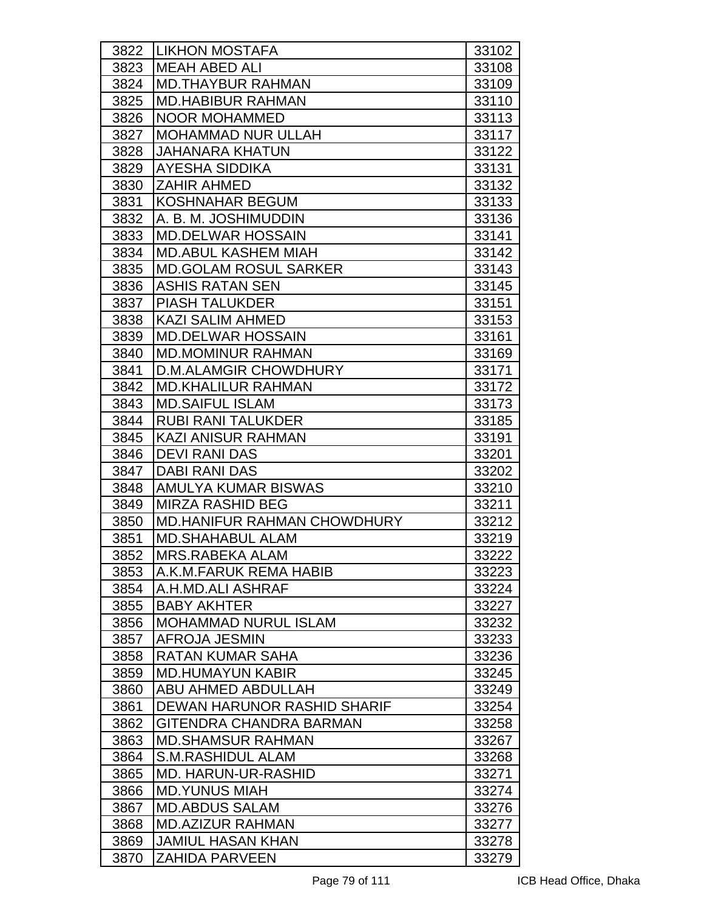| 3822 | <b>LIKHON MOSTAFA</b>              | 33102 |
|------|------------------------------------|-------|
| 3823 | <b>MEAH ABED ALI</b>               | 33108 |
| 3824 | <b>MD.THAYBUR RAHMAN</b>           | 33109 |
| 3825 | <b>MD.HABIBUR RAHMAN</b>           | 33110 |
| 3826 | <b>NOOR MOHAMMED</b>               | 33113 |
| 3827 | <b>MOHAMMAD NUR ULLAH</b>          | 33117 |
| 3828 | <b>JAHANARA KHATUN</b>             | 33122 |
| 3829 | <b>AYESHA SIDDIKA</b>              | 33131 |
| 3830 | <b>ZAHIR AHMED</b>                 | 33132 |
| 3831 | KOSHNAHAR BEGUM                    | 33133 |
| 3832 | A. B. M. JOSHIMUDDIN               | 33136 |
| 3833 | <b>MD.DELWAR HOSSAIN</b>           | 33141 |
| 3834 | <b>MD.ABUL KASHEM MIAH</b>         | 33142 |
| 3835 | <b>MD.GOLAM ROSUL SARKER</b>       | 33143 |
| 3836 | <b>ASHIS RATAN SEN</b>             | 33145 |
| 3837 | <b>PIASH TALUKDER</b>              | 33151 |
| 3838 | <b>KAZI SALIM AHMED</b>            | 33153 |
| 3839 | <b>MD.DELWAR HOSSAIN</b>           | 33161 |
| 3840 | <b>MD.MOMINUR RAHMAN</b>           | 33169 |
| 3841 | <b>D.M.ALAMGIR CHOWDHURY</b>       | 33171 |
| 3842 | <b>MD.KHALILUR RAHMAN</b>          | 33172 |
| 3843 | <b>MD.SAIFUL ISLAM</b>             | 33173 |
| 3844 | <b>RUBI RANI TALUKDER</b>          | 33185 |
| 3845 | <b>KAZI ANISUR RAHMAN</b>          | 33191 |
| 3846 | <b>DEVI RANI DAS</b>               | 33201 |
| 3847 | <b>DABI RANI DAS</b>               | 33202 |
| 3848 | AMULYA KUMAR BISWAS                | 33210 |
| 3849 | <b>MIRZA RASHID BEG</b>            | 33211 |
| 3850 | <b>MD.HANIFUR RAHMAN CHOWDHURY</b> | 33212 |
| 3851 | <b>MD.SHAHABUL ALAM</b>            | 33219 |
| 3852 | MRS.RABEKA ALAM                    | 33222 |
| 3853 | IA.K.M.FARUK REMA HABIB            | 33223 |
| 3854 | A.H.MD.ALI ASHRAF                  | 33224 |
| 3855 | <b>BABY AKHTER</b>                 | 33227 |
| 3856 | <b>MOHAMMAD NURUL ISLAM</b>        | 33232 |
| 3857 | AFROJA JESMIN                      | 33233 |
| 3858 | RATAN KUMAR SAHA                   | 33236 |
| 3859 | <b>MD.HUMAYUN KABIR</b>            | 33245 |
| 3860 | ABU AHMED ABDULLAH                 | 33249 |
| 3861 | DEWAN HARUNOR RASHID SHARIF        | 33254 |
| 3862 | GITENDRA CHANDRA BARMAN            | 33258 |
| 3863 | <b>MD.SHAMSUR RAHMAN</b>           | 33267 |
| 3864 | S.M.RASHIDUL ALAM                  | 33268 |
| 3865 | MD. HARUN-UR-RASHID                | 33271 |
| 3866 | <b>MD.YUNUS MIAH</b>               | 33274 |
| 3867 | <b>MD.ABDUS SALAM</b>              | 33276 |
| 3868 | <b>MD.AZIZUR RAHMAN</b>            | 33277 |
| 3869 | <b>JAMIUL HASAN KHAN</b>           | 33278 |
| 3870 | <b>ZAHIDA PARVEEN</b>              | 33279 |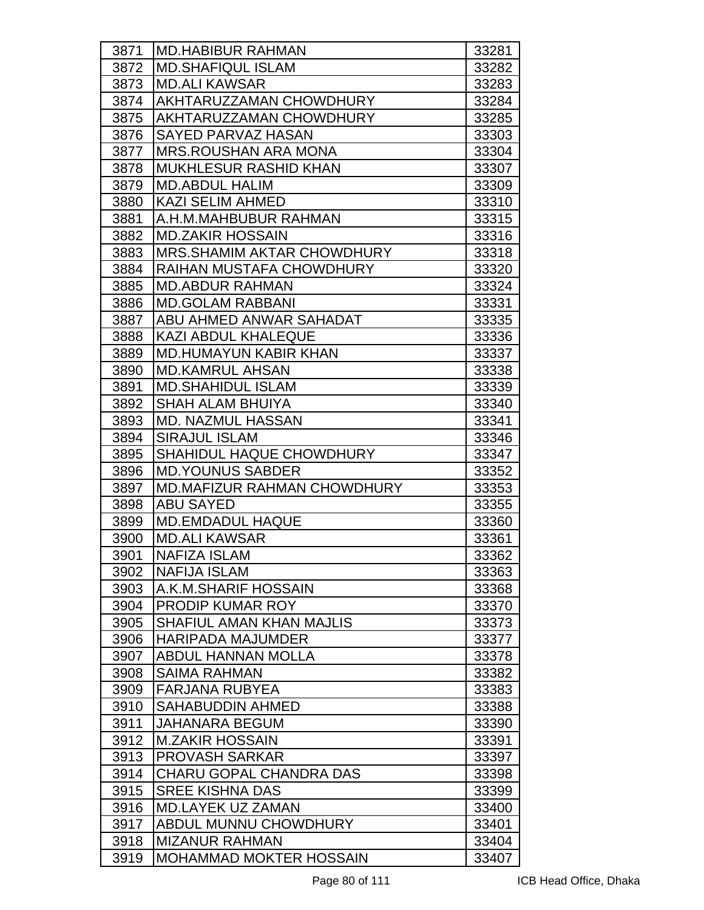| 3871 | <b>MD.HABIBUR RAHMAN</b>           | 33281 |
|------|------------------------------------|-------|
| 3872 | <b>MD.SHAFIQUL ISLAM</b>           | 33282 |
| 3873 | <b>MD.ALI KAWSAR</b>               | 33283 |
| 3874 | AKHTARUZZAMAN CHOWDHURY            | 33284 |
| 3875 | AKHTARUZZAMAN CHOWDHURY            | 33285 |
| 3876 | <b>SAYED PARVAZ HASAN</b>          | 33303 |
| 3877 | <b>MRS.ROUSHAN ARA MONA</b>        | 33304 |
| 3878 | <b>MUKHLESUR RASHID KHAN</b>       | 33307 |
| 3879 | <b>MD.ABDUL HALIM</b>              | 33309 |
| 3880 | <b>KAZI SELIM AHMED</b>            | 33310 |
| 3881 | A.H.M.MAHBUBUR RAHMAN              | 33315 |
| 3882 | <b>MD.ZAKIR HOSSAIN</b>            | 33316 |
| 3883 | <b>MRS.SHAMIM AKTAR CHOWDHURY</b>  | 33318 |
| 3884 | <b>RAIHAN MUSTAFA CHOWDHURY</b>    | 33320 |
| 3885 | <b>MD.ABDUR RAHMAN</b>             | 33324 |
| 3886 | <b>MD.GOLAM RABBANI</b>            | 33331 |
| 3887 | ABU AHMED ANWAR SAHADAT            | 33335 |
| 3888 | <b>KAZI ABDUL KHALEQUE</b>         | 33336 |
| 3889 | <b>MD.HUMAYUN KABIR KHAN</b>       | 33337 |
| 3890 | <b>MD.KAMRUL AHSAN</b>             | 33338 |
| 3891 | <b>MD.SHAHIDUL ISLAM</b>           | 33339 |
| 3892 | <b>SHAH ALAM BHUIYA</b>            | 33340 |
| 3893 | <b>MD. NAZMUL HASSAN</b>           | 33341 |
| 3894 | <b>SIRAJUL ISLAM</b>               | 33346 |
| 3895 | <b>SHAHIDUL HAQUE CHOWDHURY</b>    | 33347 |
| 3896 | <b>MD.YOUNUS SABDER</b>            | 33352 |
| 3897 | <b>MD.MAFIZUR RAHMAN CHOWDHURY</b> | 33353 |
| 3898 | <b>ABU SAYED</b>                   | 33355 |
| 3899 | <b>MD.EMDADUL HAQUE</b>            | 33360 |
| 3900 | <b>MD.ALI KAWSAR</b>               | 33361 |
| 3901 | <b>NAFIZA ISLAM</b>                | 33362 |
| 3902 | <b>NAFIJA ISLAM</b>                | 33363 |
| 3903 | A.K.M.SHARIF HOSSAIN               | 33368 |
| 3904 | <b>PRODIP KUMAR ROY</b>            | 33370 |
| 3905 | <b>SHAFIUL AMAN KHAN MAJLIS</b>    | 33373 |
| 3906 | <b>HARIPADA MAJUMDER</b>           | 33377 |
| 3907 | <b>ABDUL HANNAN MOLLA</b>          | 33378 |
| 3908 | <b>SAIMA RAHMAN</b>                | 33382 |
| 3909 | <b>FARJANA RUBYEA</b>              | 33383 |
| 3910 | <b>SAHABUDDIN AHMED</b>            | 33388 |
| 3911 | JAHANARA BEGUM                     | 33390 |
| 3912 | <b>M.ZAKIR HOSSAIN</b>             | 33391 |
| 3913 | PROVASH SARKAR                     | 33397 |
| 3914 | <b>CHARU GOPAL CHANDRA DAS</b>     | 33398 |
| 3915 | <b>SREE KISHNA DAS</b>             | 33399 |
| 3916 | <b>MD.LAYEK UZ ZAMAN</b>           | 33400 |
| 3917 | ABDUL MUNNU CHOWDHURY              | 33401 |
| 3918 | <b>MIZANUR RAHMAN</b>              | 33404 |
| 3919 | <b>MOHAMMAD MOKTER HOSSAIN</b>     | 33407 |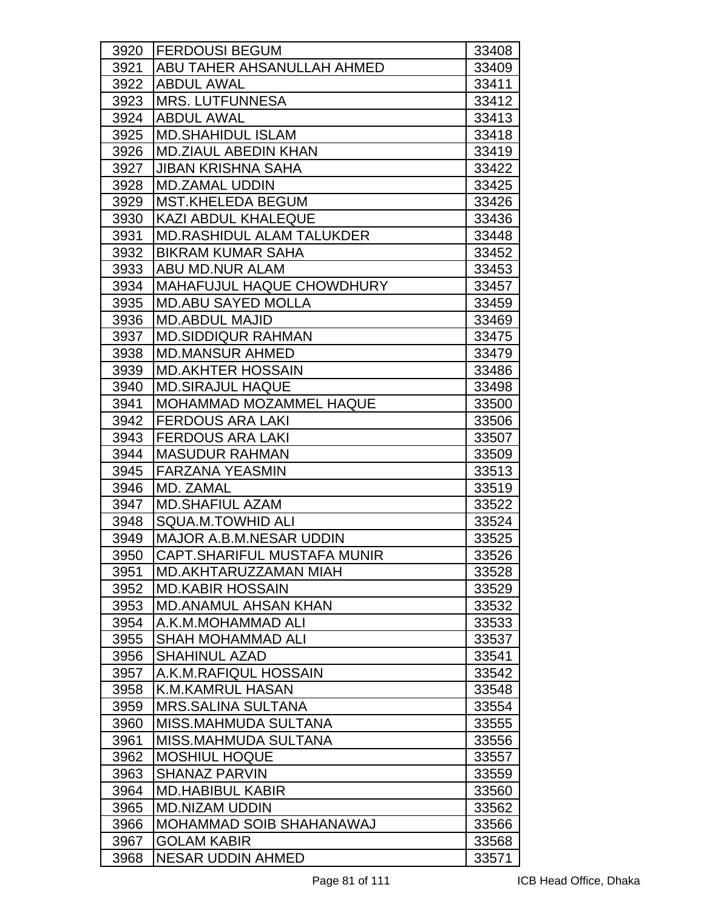| 3920 | <b>FERDOUSI BEGUM</b>            | 33408 |
|------|----------------------------------|-------|
| 3921 | ABU TAHER AHSANULLAH AHMED       | 33409 |
| 3922 | <b>ABDUL AWAL</b>                | 33411 |
| 3923 | <b>MRS. LUTFUNNESA</b>           | 33412 |
| 3924 | <b>ABDUL AWAL</b>                | 33413 |
| 3925 | <b>MD.SHAHIDUL ISLAM</b>         | 33418 |
| 3926 | <b>MD.ZIAUL ABEDIN KHAN</b>      | 33419 |
| 3927 | <b>JIBAN KRISHNA SAHA</b>        | 33422 |
| 3928 | <b>MD.ZAMAL UDDIN</b>            | 33425 |
| 3929 | <b>MST.KHELEDA BEGUM</b>         | 33426 |
| 3930 | <b>KAZI ABDUL KHALEQUE</b>       | 33436 |
| 3931 | <b>MD.RASHIDUL ALAM TALUKDER</b> | 33448 |
| 3932 | <b>BIKRAM KUMAR SAHA</b>         | 33452 |
| 3933 | ABU MD.NUR ALAM                  | 33453 |
| 3934 | MAHAFUJUL HAQUE CHOWDHURY        | 33457 |
| 3935 | <b>MD.ABU SAYED MOLLA</b>        | 33459 |
| 3936 | <b>MD.ABDUL MAJID</b>            | 33469 |
| 3937 | <b>MD.SIDDIQUR RAHMAN</b>        | 33475 |
| 3938 | <b>MD.MANSUR AHMED</b>           | 33479 |
| 3939 | <b>MD.AKHTER HOSSAIN</b>         | 33486 |
| 3940 | <b>MD.SIRAJUL HAQUE</b>          | 33498 |
| 3941 | MOHAMMAD MOZAMMEL HAQUE          | 33500 |
| 3942 | <b>FERDOUS ARA LAKI</b>          | 33506 |
| 3943 | <b>FERDOUS ARA LAKI</b>          | 33507 |
| 3944 | <b>MASUDUR RAHMAN</b>            | 33509 |
| 3945 | <b>FARZANA YEASMIN</b>           | 33513 |
| 3946 | MD. ZAMAL                        | 33519 |
| 3947 | <b>MD.SHAFIUL AZAM</b>           | 33522 |
| 3948 | <b>SQUA.M.TOWHID ALI</b>         | 33524 |
| 3949 | <b>MAJOR A.B.M.NESAR UDDIN</b>   | 33525 |
| 3950 | CAPT.SHARIFUL MUSTAFA MUNIR      | 33526 |
| 3951 | MD.AKHTARUZZAMAN MIAH            | 33528 |
| 3952 | <b>MD.KABIR HOSSAIN</b>          | 33529 |
| 3953 | <b>MD.ANAMUL AHSAN KHAN</b>      | 33532 |
| 3954 | A.K.M.MOHAMMAD ALI               | 33533 |
| 3955 | <b>SHAH MOHAMMAD ALI</b>         | 33537 |
| 3956 | <b>SHAHINUL AZAD</b>             | 33541 |
| 3957 | A.K.M.RAFIQUL HOSSAIN            | 33542 |
| 3958 | <b>K.M.KAMRUL HASAN</b>          | 33548 |
| 3959 | <b>MRS.SALINA SULTANA</b>        | 33554 |
| 3960 | MISS.MAHMUDA SULTANA             | 33555 |
| 3961 | <b>MISS.MAHMUDA SULTANA</b>      | 33556 |
| 3962 | <b>MOSHIUL HOQUE</b>             | 33557 |
| 3963 | <b>SHANAZ PARVIN</b>             | 33559 |
| 3964 | <b>MD.HABIBUL KABIR</b>          | 33560 |
| 3965 | <b>MD.NIZAM UDDIN</b>            | 33562 |
| 3966 | <b>MOHAMMAD SOIB SHAHANAWAJ</b>  | 33566 |
| 3967 | <b>GOLAM KABIR</b>               | 33568 |
| 3968 | <b>NESAR UDDIN AHMED</b>         | 33571 |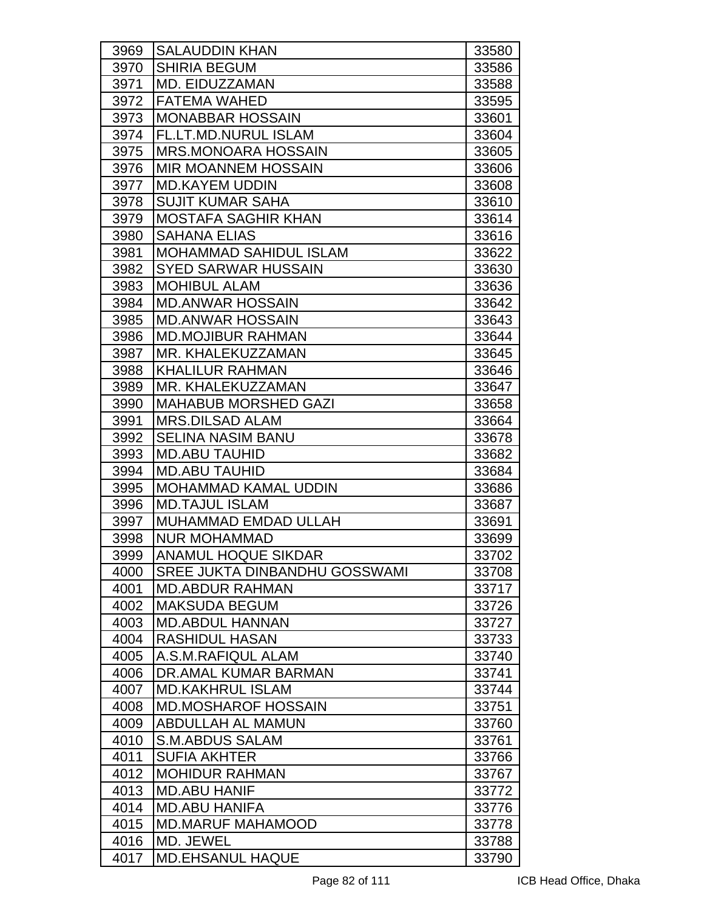| 3969 | <b>SALAUDDIN KHAN</b>                | 33580 |
|------|--------------------------------------|-------|
| 3970 | <b>SHIRIA BEGUM</b>                  | 33586 |
| 3971 | <b>MD. EIDUZZAMAN</b>                | 33588 |
| 3972 | <b>FATEMA WAHED</b>                  | 33595 |
| 3973 | <b>MONABBAR HOSSAIN</b>              | 33601 |
| 3974 | FL.LT.MD.NURUL ISLAM                 | 33604 |
| 3975 | <b>MRS.MONOARA HOSSAIN</b>           | 33605 |
| 3976 | <b>MIR MOANNEM HOSSAIN</b>           | 33606 |
| 3977 | <b>MD.KAYEM UDDIN</b>                | 33608 |
| 3978 | <b>SUJIT KUMAR SAHA</b>              | 33610 |
| 3979 | <b>MOSTAFA SAGHIR KHAN</b>           | 33614 |
| 3980 | <b>SAHANA ELIAS</b>                  | 33616 |
| 3981 | <b>MOHAMMAD SAHIDUL ISLAM</b>        | 33622 |
| 3982 | <b>SYED SARWAR HUSSAIN</b>           | 33630 |
| 3983 | <b>MOHIBUL ALAM</b>                  | 33636 |
| 3984 | <b>MD.ANWAR HOSSAIN</b>              | 33642 |
| 3985 | <b>MD.ANWAR HOSSAIN</b>              | 33643 |
| 3986 | <b>MD.MOJIBUR RAHMAN</b>             | 33644 |
| 3987 | IMR. KHALEKUZZAMAN                   | 33645 |
| 3988 | <b>KHALILUR RAHMAN</b>               | 33646 |
| 3989 | MR. KHALEKUZZAMAN                    | 33647 |
| 3990 | <b>MAHABUB MORSHED GAZI</b>          | 33658 |
| 3991 | <b>MRS.DILSAD ALAM</b>               | 33664 |
| 3992 | <b>SELINA NASIM BANU</b>             | 33678 |
| 3993 | <b>MD.ABU TAUHID</b>                 | 33682 |
| 3994 | <b>MD.ABU TAUHID</b>                 | 33684 |
| 3995 | <b>MOHAMMAD KAMAL UDDIN</b>          | 33686 |
| 3996 | <b>MD.TAJUL ISLAM</b>                | 33687 |
| 3997 | <b>MUHAMMAD EMDAD ULLAH</b>          | 33691 |
| 3998 | <b>NUR MOHAMMAD</b>                  | 33699 |
| 3999 | <b>ANAMUL HOQUE SIKDAR</b>           | 33702 |
| 4000 | <b>SREE JUKTA DINBANDHU GOSSWAMI</b> | 33708 |
| 4001 | <b>MD.ABDUR RAHMAN</b>               | 33717 |
| 4002 | <b>MAKSUDA BEGUM</b>                 | 33726 |
| 4003 | <b>MD.ABDUL HANNAN</b>               | 33727 |
| 4004 | <b>RASHIDUL HASAN</b>                | 33733 |
| 4005 | A.S.M.RAFIQUL ALAM                   | 33740 |
| 4006 | DR.AMAL KUMAR BARMAN                 | 33741 |
| 4007 | <b>MD.KAKHRUL ISLAM</b>              | 33744 |
| 4008 | <b>MD.MOSHAROF HOSSAIN</b>           | 33751 |
| 4009 | ABDULLAH AL MAMUN                    | 33760 |
| 4010 | <b>S.M.ABDUS SALAM</b>               | 33761 |
| 4011 | <b>SUFIA AKHTER</b>                  | 33766 |
| 4012 | <b>MOHIDUR RAHMAN</b>                | 33767 |
| 4013 | <b>MD.ABU HANIF</b>                  | 33772 |
| 4014 | <b>MD.ABU HANIFA</b>                 | 33776 |
| 4015 | <b>MD.MARUF MAHAMOOD</b>             | 33778 |
| 4016 | <b>MD. JEWEL</b>                     | 33788 |
| 4017 | <b>MD.EHSANUL HAQUE</b>              | 33790 |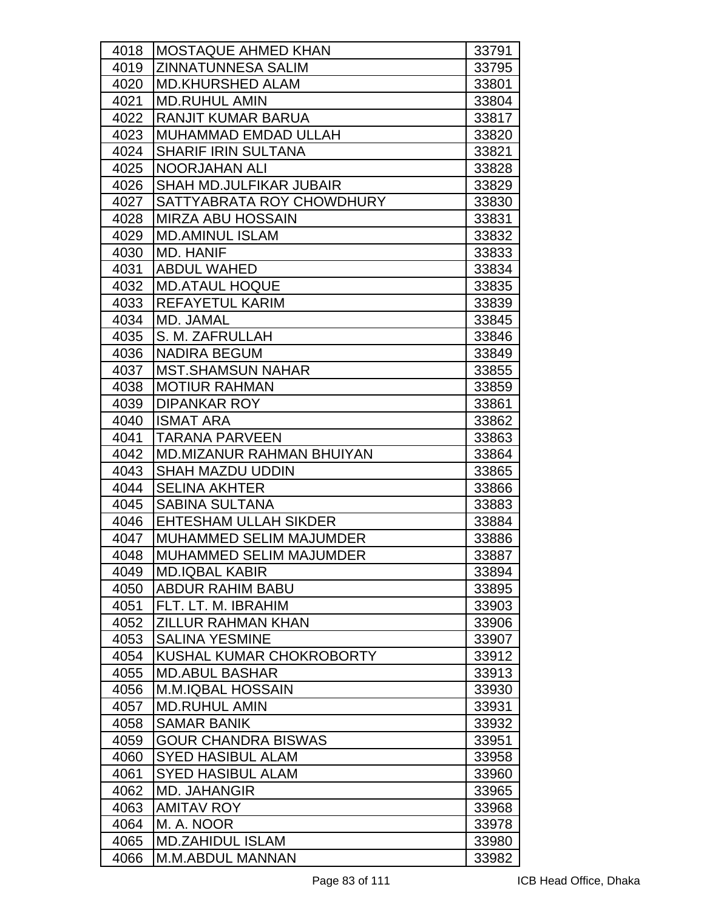| 4018 | IMOSTAQUE AHMED KHAN           | 33791 |
|------|--------------------------------|-------|
| 4019 | <b>ZINNATUNNESA SALIM</b>      | 33795 |
| 4020 | <b>MD.KHURSHED ALAM</b>        | 33801 |
| 4021 | <b>MD.RUHUL AMIN</b>           | 33804 |
| 4022 | <b>RANJIT KUMAR BARUA</b>      | 33817 |
| 4023 | MUHAMMAD EMDAD ULLAH           | 33820 |
| 4024 | <b>SHARIF IRIN SULTANA</b>     | 33821 |
| 4025 | <b>NOORJAHAN ALI</b>           | 33828 |
| 4026 | <b>SHAH MD.JULFIKAR JUBAIR</b> | 33829 |
| 4027 | SATTYABRATA ROY CHOWDHURY      | 33830 |
| 4028 | <b>MIRZA ABU HOSSAIN</b>       | 33831 |
| 4029 | <b>MD.AMINUL ISLAM</b>         | 33832 |
| 4030 | <b>MD. HANIF</b>               | 33833 |
| 4031 | <b>ABDUL WAHED</b>             | 33834 |
| 4032 | <b>MD.ATAUL HOQUE</b>          | 33835 |
| 4033 | <b>REFAYETUL KARIM</b>         | 33839 |
| 4034 | MD. JAMAL                      | 33845 |
| 4035 | S. M. ZAFRULLAH                | 33846 |
| 4036 | <b>NADIRA BEGUM</b>            | 33849 |
| 4037 | <b>MST.SHAMSUN NAHAR</b>       | 33855 |
| 4038 | <b>MOTIUR RAHMAN</b>           | 33859 |
| 4039 | <b>DIPANKAR ROY</b>            | 33861 |
| 4040 | <b>ISMAT ARA</b>               | 33862 |
| 4041 | <b>TARANA PARVEEN</b>          | 33863 |
| 4042 | MD.MIZANUR RAHMAN BHUIYAN      | 33864 |
| 4043 | <b>SHAH MAZDU UDDIN</b>        | 33865 |
| 4044 | <b>SELINA AKHTER</b>           | 33866 |
| 4045 | <b>SABINA SULTANA</b>          | 33883 |
| 4046 | <b>EHTESHAM ULLAH SIKDER</b>   | 33884 |
| 4047 | <b>MUHAMMED SELIM MAJUMDER</b> | 33886 |
| 4048 | MUHAMMED SELIM MAJUMDER        | 33887 |
| 4049 | <b>MD.IQBAL KABIR</b>          | 33894 |
| 4050 | <b>ABDUR RAHIM BABU</b>        | 33895 |
| 4051 | FLT. LT. M. IBRAHIM            | 33903 |
| 4052 | <b>ZILLUR RAHMAN KHAN</b>      | 33906 |
| 4053 | <b>SALINA YESMINE</b>          | 33907 |
| 4054 | KUSHAL KUMAR CHOKROBORTY       | 33912 |
| 4055 | <b>MD.ABUL BASHAR</b>          | 33913 |
| 4056 | <b>M.M.IQBAL HOSSAIN</b>       | 33930 |
| 4057 | <b>MD.RUHUL AMIN</b>           | 33931 |
| 4058 | <b>SAMAR BANIK</b>             | 33932 |
| 4059 | <b>GOUR CHANDRA BISWAS</b>     | 33951 |
| 4060 | <b>SYED HASIBUL ALAM</b>       | 33958 |
| 4061 | <b>SYED HASIBUL ALAM</b>       | 33960 |
| 4062 | <b>MD. JAHANGIR</b>            | 33965 |
| 4063 | <b>AMITAV ROY</b>              | 33968 |
| 4064 | M. A. NOOR                     | 33978 |
| 4065 | <b>MD.ZAHIDUL ISLAM</b>        | 33980 |
| 4066 | <b>M.M.ABDUL MANNAN</b>        | 33982 |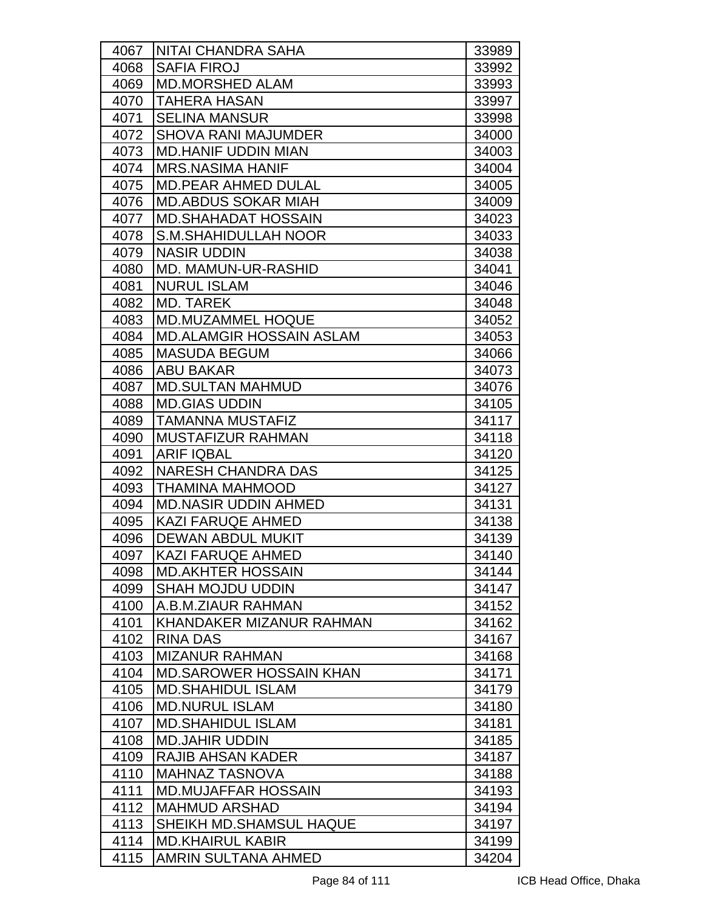| 4067 | <b>INITAI CHANDRA SAHA</b>      | 33989 |
|------|---------------------------------|-------|
| 4068 | <b>SAFIA FIROJ</b>              | 33992 |
| 4069 | <b>MD.MORSHED ALAM</b>          | 33993 |
| 4070 | <b>TAHERA HASAN</b>             | 33997 |
| 4071 | <b>SELINA MANSUR</b>            | 33998 |
| 4072 | <b>SHOVA RANI MAJUMDER</b>      | 34000 |
| 4073 | <b>MD.HANIF UDDIN MIAN</b>      | 34003 |
| 4074 | <b>MRS.NASIMA HANIF</b>         | 34004 |
| 4075 | <b>MD.PEAR AHMED DULAL</b>      | 34005 |
| 4076 | <b>MD.ABDUS SOKAR MIAH</b>      | 34009 |
| 4077 | <b>MD.SHAHADAT HOSSAIN</b>      | 34023 |
| 4078 | <b>S.M.SHAHIDULLAH NOOR</b>     | 34033 |
| 4079 | <b>NASIR UDDIN</b>              | 34038 |
| 4080 | MD. MAMUN-UR-RASHID             | 34041 |
| 4081 | <b>NURUL ISLAM</b>              | 34046 |
| 4082 | <b>MD. TAREK</b>                | 34048 |
| 4083 | <b>MD.MUZAMMEL HOQUE</b>        | 34052 |
| 4084 | <b>MD.ALAMGIR HOSSAIN ASLAM</b> | 34053 |
| 4085 | <b>MASUDA BEGUM</b>             | 34066 |
| 4086 | <b>ABU BAKAR</b>                | 34073 |
| 4087 | <b>MD.SULTAN MAHMUD</b>         | 34076 |
| 4088 | <b>MD.GIAS UDDIN</b>            | 34105 |
| 4089 | <b>TAMANNA MUSTAFIZ</b>         | 34117 |
| 4090 | MUSTAFIZUR RAHMAN               | 34118 |
| 4091 | <b>ARIF IQBAL</b>               | 34120 |
| 4092 | <b>NARESH CHANDRA DAS</b>       | 34125 |
| 4093 | <b>THAMINA MAHMOOD</b>          | 34127 |
| 4094 | <b>MD.NASIR UDDIN AHMED</b>     | 34131 |
| 4095 | <b>KAZI FARUQE AHMED</b>        | 34138 |
| 4096 | <b>DEWAN ABDUL MUKIT</b>        | 34139 |
| 4097 | KAZI FARUQE AHMED               | 34140 |
| 4098 | <b>MD.AKHTER HOSSAIN</b>        | 34144 |
| 4099 | <b>SHAH MOJDU UDDIN</b>         | 34147 |
| 4100 | A.B.M.ZIAUR RAHMAN              | 34152 |
| 4101 | KHANDAKER MIZANUR RAHMAN        | 34162 |
| 4102 | <b>RINA DAS</b>                 | 34167 |
| 4103 | <b>MIZANUR RAHMAN</b>           | 34168 |
| 4104 | <b>MD.SAROWER HOSSAIN KHAN</b>  | 34171 |
| 4105 | <b>MD.SHAHIDUL ISLAM</b>        | 34179 |
| 4106 | <b>MD.NURUL ISLAM</b>           | 34180 |
| 4107 | <b>MD.SHAHIDUL ISLAM</b>        | 34181 |
| 4108 | <b>MD.JAHIR UDDIN</b>           | 34185 |
| 4109 | RAJIB AHSAN KADER               | 34187 |
| 4110 | <b>MAHNAZ TASNOVA</b>           | 34188 |
| 4111 | <b>MD.MUJAFFAR HOSSAIN</b>      | 34193 |
| 4112 | <b>MAHMUD ARSHAD</b>            | 34194 |
| 4113 | SHEIKH MD.SHAMSUL HAQUE         | 34197 |
| 4114 | <b>MD.KHAIRUL KABIR</b>         | 34199 |
| 4115 | <b>AMRIN SULTANA AHMED</b>      | 34204 |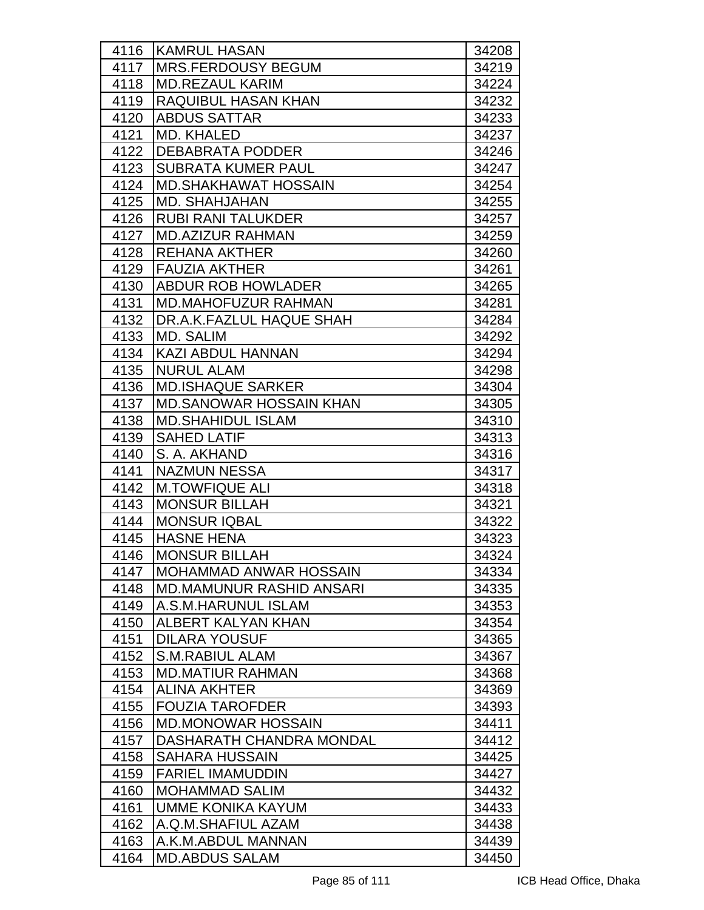| 4116 | <b>KAMRUL HASAN</b>             | 34208 |
|------|---------------------------------|-------|
| 4117 | <b>MRS.FERDOUSY BEGUM</b>       | 34219 |
| 4118 | <b>MD.REZAUL KARIM</b>          | 34224 |
| 4119 | <b>RAQUIBUL HASAN KHAN</b>      | 34232 |
| 4120 | <b>ABDUS SATTAR</b>             | 34233 |
| 4121 | <b>MD. KHALED</b>               | 34237 |
| 4122 | <b>DEBABRATA PODDER</b>         | 34246 |
| 4123 | <b>SUBRATA KUMER PAUL</b>       | 34247 |
| 4124 | <b>MD.SHAKHAWAT HOSSAIN</b>     | 34254 |
| 4125 | <b>MD. SHAHJAHAN</b>            | 34255 |
| 4126 | <b>RUBI RANI TALUKDER</b>       | 34257 |
| 4127 | <b>MD.AZIZUR RAHMAN</b>         | 34259 |
| 4128 | <b>REHANA AKTHER</b>            | 34260 |
| 4129 | <b>FAUZIA AKTHER</b>            | 34261 |
| 4130 | <b>ABDUR ROB HOWLADER</b>       | 34265 |
| 4131 | <b>MD.MAHOFUZUR RAHMAN</b>      | 34281 |
| 4132 | DR.A.K.FAZLUL HAQUE SHAH        | 34284 |
| 4133 | MD. SALIM                       | 34292 |
| 4134 | KAZI ABDUL HANNAN               | 34294 |
| 4135 | <b>NURUL ALAM</b>               | 34298 |
| 4136 | <b>MD.ISHAQUE SARKER</b>        | 34304 |
| 4137 | <b>MD.SANOWAR HOSSAIN KHAN</b>  | 34305 |
| 4138 | <b>MD.SHAHIDUL ISLAM</b>        | 34310 |
| 4139 | <b>SAHED LATIF</b>              | 34313 |
| 4140 | S. A. AKHAND                    | 34316 |
| 4141 | <b>NAZMUN NESSA</b>             | 34317 |
| 4142 | <b>M.TOWFIQUE ALI</b>           | 34318 |
| 4143 | <b>MONSUR BILLAH</b>            | 34321 |
| 4144 | IMONSUR IQBAL                   | 34322 |
| 4145 | <b>HASNE HENA</b>               | 34323 |
| 4146 | <b>MONSUR BILLAH</b>            | 34324 |
| 4147 | <b>MOHAMMAD ANWAR HOSSAIN</b>   | 34334 |
| 4148 | <b>MD.MAMUNUR RASHID ANSARI</b> | 34335 |
| 4149 | A.S.M.HARUNUL ISLAM             | 34353 |
| 4150 | ALBERT KALYAN KHAN              | 34354 |
| 4151 | <b>DILARA YOUSUF</b>            | 34365 |
| 4152 | <b>S.M.RABIUL ALAM</b>          | 34367 |
| 4153 | <b>MD.MATIUR RAHMAN</b>         | 34368 |
| 4154 | <b>ALINA AKHTER</b>             | 34369 |
| 4155 | <b>FOUZIA TAROFDER</b>          | 34393 |
| 4156 | <b>MD.MONOWAR HOSSAIN</b>       | 34411 |
| 4157 | DASHARATH CHANDRA MONDAL        | 34412 |
| 4158 | <b>SAHARA HUSSAIN</b>           | 34425 |
| 4159 | <b>FARIEL IMAMUDDIN</b>         | 34427 |
| 4160 | <b>MOHAMMAD SALIM</b>           | 34432 |
| 4161 | UMME KONIKA KAYUM               | 34433 |
| 4162 | A.Q.M.SHAFIUL AZAM              | 34438 |
| 4163 | A.K.M.ABDUL MANNAN              | 34439 |
| 4164 | <b>MD.ABDUS SALAM</b>           | 34450 |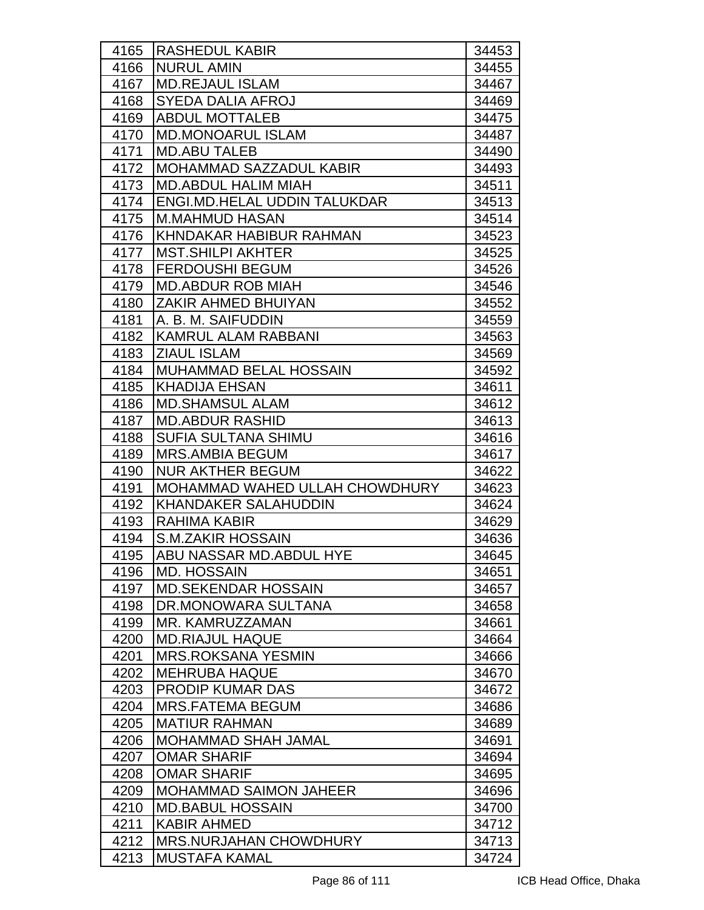| 4165         | <b>RASHEDUL KABIR</b>                             | 34453          |
|--------------|---------------------------------------------------|----------------|
| 4166         | <b>NURUL AMIN</b>                                 | 34455          |
| 4167         | <b>MD.REJAUL ISLAM</b>                            | 34467          |
| 4168         | <b>SYEDA DALIA AFROJ</b>                          | 34469          |
| 4169         | <b>ABDUL MOTTALEB</b>                             | 34475          |
| 4170         | <b>MD.MONOARUL ISLAM</b>                          | 34487          |
| 4171         | <b>MD.ABU TALEB</b>                               | 34490          |
| 4172         | MOHAMMAD SAZZADUL KABIR                           | 34493          |
| 4173         | <b>MD.ABDUL HALIM MIAH</b>                        | 34511          |
| 4174         | ENGI.MD.HELAL UDDIN TALUKDAR                      | 34513          |
| 4175         | <b>M.MAHMUD HASAN</b>                             | 34514          |
| 4176         | KHNDAKAR HABIBUR RAHMAN                           | 34523          |
| 4177         | <b>MST.SHILPI AKHTER</b>                          | 34525          |
| 4178         | <b>FERDOUSHI BEGUM</b>                            | 34526          |
| 4179         | <b>MD.ABDUR ROB MIAH</b>                          | 34546          |
| 4180         | ZAKIR AHMED BHUIYAN                               | 34552          |
| 4181         | A. B. M. SAIFUDDIN                                | 34559          |
| 4182         | <b>KAMRUL ALAM RABBANI</b>                        | 34563          |
| 4183         | <b>ZIAUL ISLAM</b>                                | 34569          |
| 4184         | <b>MUHAMMAD BELAL HOSSAIN</b>                     | 34592          |
| 4185         | <b>KHADIJA EHSAN</b>                              | 34611          |
| 4186         | <b>MD.SHAMSUL ALAM</b>                            | 34612          |
| 4187         | <b>MD.ABDUR RASHID</b>                            | 34613          |
| 4188         | <b>SUFIA SULTANA SHIMU</b>                        | 34616          |
| 4189         | <b>MRS.AMBIA BEGUM</b>                            | 34617          |
| 4190         | <b>NUR AKTHER BEGUM</b>                           | 34622          |
| 4191         | MOHAMMAD WAHED ULLAH CHOWDHURY                    | 34623          |
| 4192         | <b>KHANDAKER SALAHUDDIN</b>                       | 34624          |
| 4193         | <b>RAHIMA KABIR</b>                               | 34629          |
| 4194         | <b>S.M.ZAKIR HOSSAIN</b>                          | 34636          |
| 4195         | ABU NASSAR MD.ABDUL HYE                           | 34645          |
| 4196         | MD. HOSSAIN                                       | 34651          |
| 4197         | <b>MD.SEKENDAR HOSSAIN</b>                        | 34657          |
| 4198         | DR.MONOWARA SULTANA                               | 34658          |
| 4199         | MR. KAMRUZZAMAN                                   | 34661          |
| 4200         | <b>MD.RIAJUL HAQUE</b>                            | 34664          |
| 4201         | <b>MRS.ROKSANA YESMIN</b><br><b>MEHRUBA HAQUE</b> | 34666          |
| 4202<br>4203 | <b>PRODIP KUMAR DAS</b>                           | 34670          |
| 4204         | <b>MRS.FATEMA BEGUM</b>                           | 34672          |
| 4205         | <b>MATIUR RAHMAN</b>                              | 34686<br>34689 |
| 4206         | <b>MOHAMMAD SHAH JAMAL</b>                        | 34691          |
| 4207         | <b>OMAR SHARIF</b>                                | 34694          |
| 4208         | <b>OMAR SHARIF</b>                                | 34695          |
| 4209         | <b>MOHAMMAD SAIMON JAHEER</b>                     | 34696          |
| 4210         | <b>MD.BABUL HOSSAIN</b>                           | 34700          |
| 4211         | <b>KABIR AHMED</b>                                | 34712          |
| 4212         | <b>MRS.NURJAHAN CHOWDHURY</b>                     | 34713          |
| 4213         | <b>MUSTAFA KAMAL</b>                              | 34724          |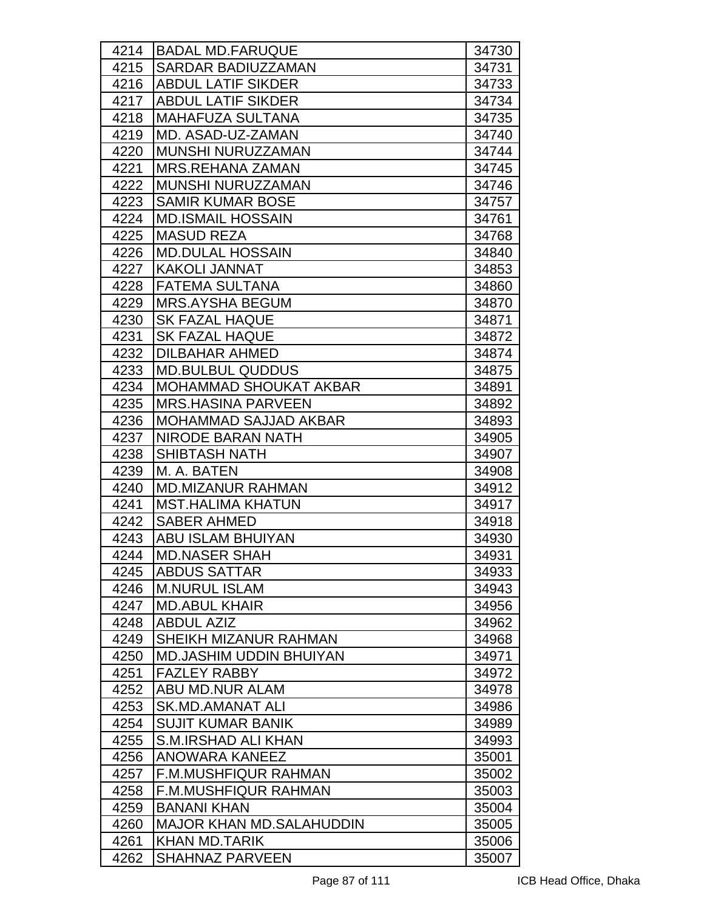| 4214 | <b>BADAL MD.FARUQUE</b>         | 34730 |
|------|---------------------------------|-------|
| 4215 | <b>SARDAR BADIUZZAMAN</b>       | 34731 |
| 4216 | <b>ABDUL LATIF SIKDER</b>       | 34733 |
| 4217 | <b>ABDUL LATIF SIKDER</b>       | 34734 |
| 4218 | <b>MAHAFUZA SULTANA</b>         | 34735 |
| 4219 | MD. ASAD-UZ-ZAMAN               | 34740 |
| 4220 | MUNSHI NURUZZAMAN               | 34744 |
| 4221 | <b>MRS.REHANA ZAMAN</b>         | 34745 |
| 4222 | <b>MUNSHI NURUZZAMAN</b>        | 34746 |
| 4223 | <b>SAMIR KUMAR BOSE</b>         | 34757 |
| 4224 | <b>MD.ISMAIL HOSSAIN</b>        | 34761 |
| 4225 | <b>MASUD REZA</b>               | 34768 |
| 4226 | <b>MD.DULAL HOSSAIN</b>         | 34840 |
| 4227 | <b>KAKOLI JANNAT</b>            | 34853 |
| 4228 | FATEMA SULTANA                  | 34860 |
| 4229 | <b>MRS.AYSHA BEGUM</b>          | 34870 |
| 4230 | <b>SK FAZAL HAQUE</b>           | 34871 |
| 4231 | <b>SK FAZAL HAQUE</b>           | 34872 |
| 4232 | <b>IDILBAHAR AHMED</b>          | 34874 |
| 4233 | <b>MD.BULBUL QUDDUS</b>         | 34875 |
| 4234 | <b>MOHAMMAD SHOUKAT AKBAR</b>   | 34891 |
| 4235 | <b>MRS.HASINA PARVEEN</b>       | 34892 |
| 4236 | <b>MOHAMMAD SAJJAD AKBAR</b>    | 34893 |
| 4237 | <b>NIRODE BARAN NATH</b>        | 34905 |
| 4238 | <b>SHIBTASH NATH</b>            | 34907 |
| 4239 | M. A. BATEN                     | 34908 |
| 4240 | <b>MD.MIZANUR RAHMAN</b>        | 34912 |
| 4241 | <b>MST.HALIMA KHATUN</b>        | 34917 |
| 4242 | <b>SABER AHMED</b>              | 34918 |
| 4243 | ABU ISLAM BHUIYAN               | 34930 |
| 4244 | <b>MD.NASER SHAH</b>            | 34931 |
| 4245 | <b>ABDUS SATTAR</b>             | 34933 |
| 4246 | <b>M.NURUL ISLAM</b>            | 34943 |
| 4247 | <b>MD.ABUL KHAIR</b>            | 34956 |
| 4248 | <b>ABDUL AZIZ</b>               | 34962 |
| 4249 | SHEIKH MIZANUR RAHMAN           | 34968 |
| 4250 | <b>MD.JASHIM UDDIN BHUIYAN</b>  | 34971 |
| 4251 | <b>FAZLEY RABBY</b>             | 34972 |
| 4252 | ABU MD.NUR ALAM                 | 34978 |
| 4253 | SK.MD.AMANAT ALI                | 34986 |
| 4254 | <b>SUJIT KUMAR BANIK</b>        | 34989 |
| 4255 | <b>S.M.IRSHAD ALI KHAN</b>      | 34993 |
| 4256 | ANOWARA KANEEZ                  | 35001 |
| 4257 | F.M.MUSHFIQUR RAHMAN            | 35002 |
| 4258 | <b>F.M.MUSHFIQUR RAHMAN</b>     | 35003 |
| 4259 | <b>BANANI KHAN</b>              | 35004 |
| 4260 | <b>MAJOR KHAN MD.SALAHUDDIN</b> | 35005 |
| 4261 | <b>KHAN MD.TARIK</b>            | 35006 |
| 4262 | <b>SHAHNAZ PARVEEN</b>          | 35007 |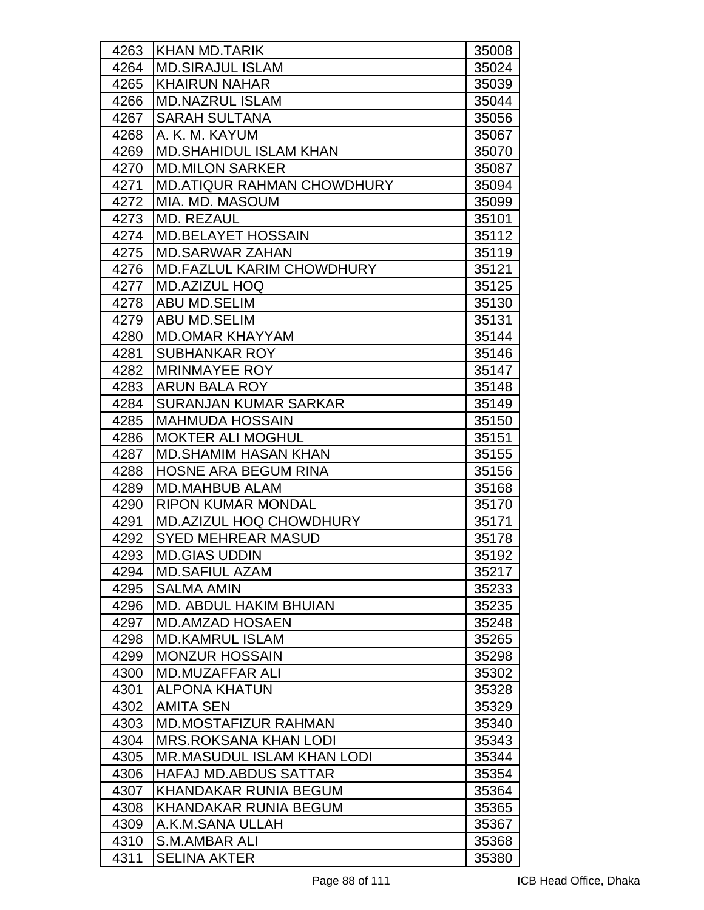| 4263 | <b>KHAN MD.TARIK</b>              | 35008 |
|------|-----------------------------------|-------|
| 4264 | <b>MD.SIRAJUL ISLAM</b>           | 35024 |
| 4265 | <b>KHAIRUN NAHAR</b>              | 35039 |
| 4266 | <b>MD.NAZRUL ISLAM</b>            | 35044 |
| 4267 | <b>SARAH SULTANA</b>              | 35056 |
| 4268 | A. K. M. KAYUM                    | 35067 |
| 4269 | <b>MD.SHAHIDUL ISLAM KHAN</b>     | 35070 |
| 4270 | <b>MD.MILON SARKER</b>            | 35087 |
| 4271 | <b>MD.ATIQUR RAHMAN CHOWDHURY</b> | 35094 |
| 4272 | IMIA. MD. MASOUM                  | 35099 |
| 4273 | <b>MD. REZAUL</b>                 | 35101 |
| 4274 | <b>MD.BELAYET HOSSAIN</b>         | 35112 |
| 4275 | <b>MD.SARWAR ZAHAN</b>            | 35119 |
| 4276 | <b>MD.FAZLUL KARIM CHOWDHURY</b>  | 35121 |
| 4277 | <b>IMD.AZIZUL HOQ</b>             | 35125 |
| 4278 | <b>ABU MD.SELIM</b>               | 35130 |
| 4279 | ABU MD.SELIM                      | 35131 |
| 4280 | <b>MD.OMAR KHAYYAM</b>            | 35144 |
| 4281 | <b>SUBHANKAR ROY</b>              | 35146 |
| 4282 | <b>MRINMAYEE ROY</b>              | 35147 |
| 4283 | <b>ARUN BALA ROY</b>              | 35148 |
| 4284 | <b>SURANJAN KUMAR SARKAR</b>      | 35149 |
| 4285 | <b>MAHMUDA HOSSAIN</b>            | 35150 |
| 4286 | <b>MOKTER ALI MOGHUL</b>          | 35151 |
| 4287 | <b>MD.SHAMIM HASAN KHAN</b>       | 35155 |
| 4288 | <b>HOSNE ARA BEGUM RINA</b>       | 35156 |
| 4289 | <b>MD.MAHBUB ALAM</b>             | 35168 |
| 4290 | <b>RIPON KUMAR MONDAL</b>         | 35170 |
| 4291 | <b>MD.AZIZUL HOQ CHOWDHURY</b>    | 35171 |
| 4292 | <b>SYED MEHREAR MASUD</b>         | 35178 |
| 4293 | <b>MD.GIAS UDDIN</b>              | 35192 |
| 4294 | <b>MD.SAFIUL AZAM</b>             | 35217 |
| 4295 | <b>SALMA AMIN</b>                 | 35233 |
| 4296 | MD. ABDUL HAKIM BHUIAN            | 35235 |
| 4297 | <b>MD.AMZAD HOSAEN</b>            | 35248 |
| 4298 | <b>MD.KAMRUL ISLAM</b>            | 35265 |
| 4299 | <b>MONZUR HOSSAIN</b>             | 35298 |
| 4300 | <b>MD.MUZAFFAR ALI</b>            | 35302 |
| 4301 | <b>ALPONA KHATUN</b>              | 35328 |
| 4302 | <b>AMITA SEN</b>                  | 35329 |
| 4303 | <b>MD.MOSTAFIZUR RAHMAN</b>       | 35340 |
| 4304 | <b>MRS.ROKSANA KHAN LODI</b>      | 35343 |
| 4305 | <b>MR.MASUDUL ISLAM KHAN LODI</b> | 35344 |
| 4306 | <b>HAFAJ MD.ABDUS SATTAR</b>      | 35354 |
| 4307 | KHANDAKAR RUNIA BEGUM             | 35364 |
| 4308 | <b>KHANDAKAR RUNIA BEGUM</b>      | 35365 |
| 4309 | A.K.M.SANA ULLAH                  | 35367 |
| 4310 | S.M.AMBAR ALI                     | 35368 |
| 4311 | <b>SELINA AKTER</b>               | 35380 |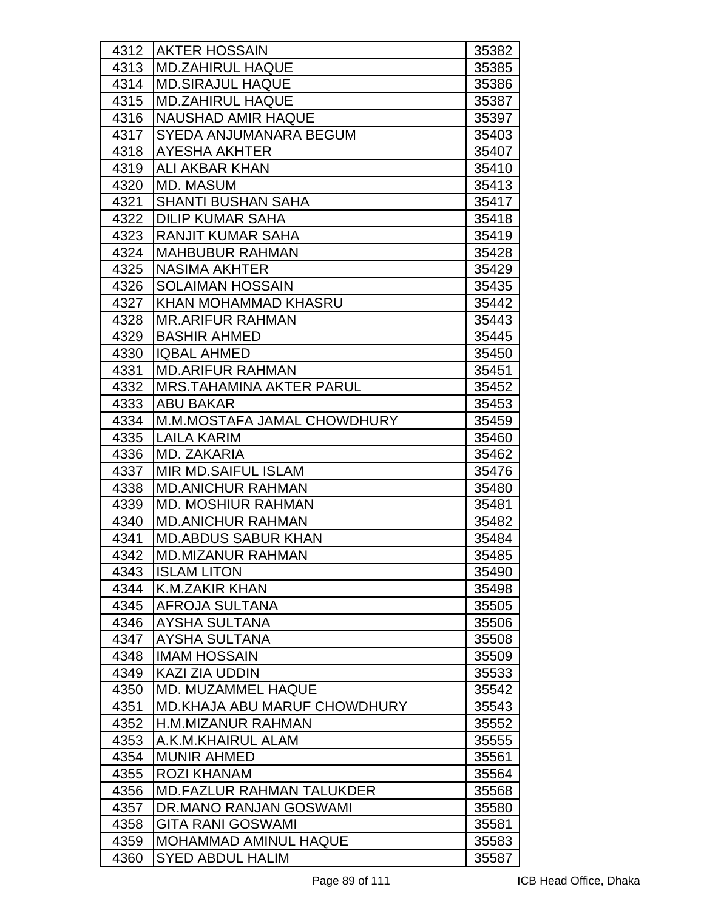| 4312 | <b>AKTER HOSSAIN</b>                 | 35382 |
|------|--------------------------------------|-------|
| 4313 | <b>MD.ZAHIRUL HAQUE</b>              | 35385 |
| 4314 | <b>MD.SIRAJUL HAQUE</b>              | 35386 |
| 4315 | <b>MD.ZAHIRUL HAQUE</b>              | 35387 |
| 4316 | INAUSHAD AMIR HAQUE                  | 35397 |
| 4317 | SYEDA ANJUMANARA BEGUM               | 35403 |
| 4318 | <b>AYESHA AKHTER</b>                 | 35407 |
| 4319 | IALI AKBAR KHAN                      | 35410 |
| 4320 | <b>MD. MASUM</b>                     | 35413 |
| 4321 | <b>SHANTI BUSHAN SAHA</b>            | 35417 |
| 4322 | <b>DILIP KUMAR SAHA</b>              | 35418 |
| 4323 | RANJIT KUMAR SAHA                    | 35419 |
| 4324 | <b>MAHBUBUR RAHMAN</b>               | 35428 |
| 4325 | <b>NASIMA AKHTER</b>                 | 35429 |
| 4326 | <b>SOLAIMAN HOSSAIN</b>              | 35435 |
| 4327 | <b>KHAN MOHAMMAD KHASRU</b>          | 35442 |
| 4328 | <b>IMR.ARIFUR RAHMAN</b>             | 35443 |
| 4329 | <b>BASHIR AHMED</b>                  | 35445 |
| 4330 | <b>IQBAL AHMED</b>                   | 35450 |
| 4331 | <b>MD.ARIFUR RAHMAN</b>              | 35451 |
| 4332 | IMRS.TAHAMINA AKTER PARUL            | 35452 |
| 4333 | <b>ABU BAKAR</b>                     | 35453 |
| 4334 | M.M.MOSTAFA JAMAL CHOWDHURY          | 35459 |
| 4335 | LAILA KARIM                          | 35460 |
| 4336 | MD. ZAKARIA                          | 35462 |
| 4337 | IMIR MD.SAIFUL ISLAM                 | 35476 |
| 4338 | <b>MD.ANICHUR RAHMAN</b>             | 35480 |
| 4339 | <b>IMD. MOSHIUR RAHMAN</b>           | 35481 |
| 4340 | <b>MD.ANICHUR RAHMAN</b>             | 35482 |
| 4341 | <b>MD.ABDUS SABUR KHAN</b>           | 35484 |
| 4342 | <b>MD.MIZANUR RAHMAN</b>             | 35485 |
| 4343 | <b>ISLAM LITON</b>                   | 35490 |
| 4344 | K.M.ZAKIR KHAN                       | 35498 |
| 4345 | IAFROJA SULTANA                      | 35505 |
| 4346 | AYSHA SULTANA                        | 35506 |
| 4347 | <b>AYSHA SULTANA</b>                 | 35508 |
| 4348 | <b>IMAM HOSSAIN</b>                  | 35509 |
| 4349 | KAZI ZIA UDDIN                       | 35533 |
| 4350 | <b>MD. MUZAMMEL HAQUE</b>            | 35542 |
| 4351 | <b>IMD.KHAJA ABU MARUF CHOWDHURY</b> | 35543 |
| 4352 | <b>H.M.MIZANUR RAHMAN</b>            | 35552 |
| 4353 | A.K.M.KHAIRUL ALAM                   | 35555 |
| 4354 | <b>MUNIR AHMED</b>                   | 35561 |
| 4355 | <b>ROZI KHANAM</b>                   | 35564 |
| 4356 | <b>MD.FAZLUR RAHMAN TALUKDER</b>     | 35568 |
| 4357 | DR.MANO RANJAN GOSWAMI               | 35580 |
| 4358 | <b>GITA RANI GOSWAMI</b>             | 35581 |
| 4359 | <b>MOHAMMAD AMINUL HAQUE</b>         | 35583 |
| 4360 | <b>SYED ABDUL HALIM</b>              | 35587 |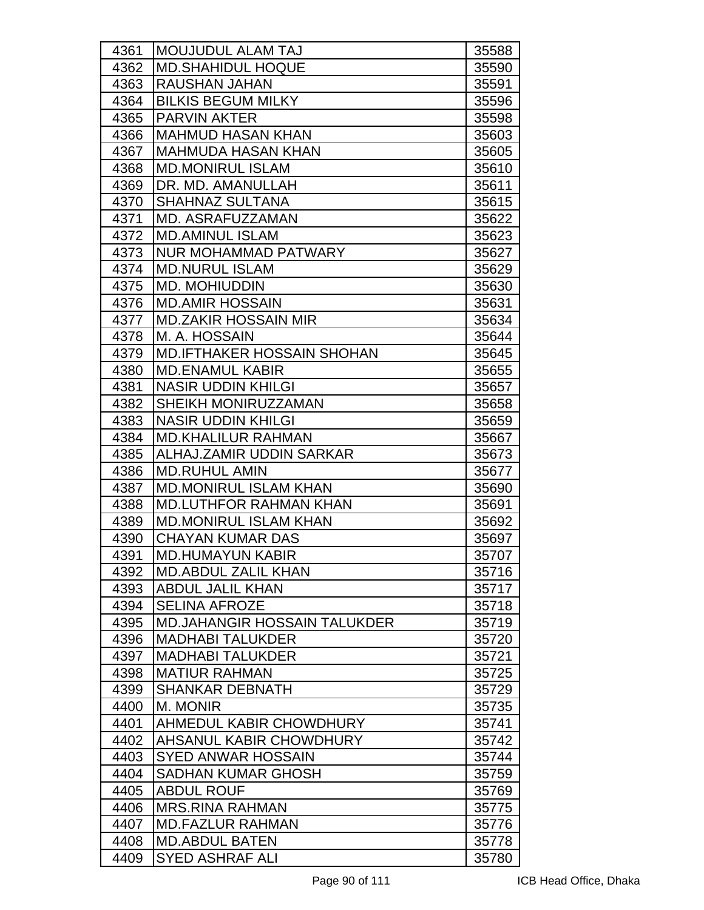| 4361 | <b>MOUJUDUL ALAM TAJ</b>            | 35588 |
|------|-------------------------------------|-------|
| 4362 | <b>MD.SHAHIDUL HOQUE</b>            | 35590 |
| 4363 | <b>RAUSHAN JAHAN</b>                | 35591 |
| 4364 | <b>BILKIS BEGUM MILKY</b>           | 35596 |
| 4365 | <b>PARVIN AKTER</b>                 | 35598 |
| 4366 | <b>MAHMUD HASAN KHAN</b>            | 35603 |
| 4367 | <b>MAHMUDA HASAN KHAN</b>           | 35605 |
| 4368 | <b>MD.MONIRUL ISLAM</b>             | 35610 |
| 4369 | DR. MD. AMANULLAH                   | 35611 |
| 4370 | <b>SHAHNAZ SULTANA</b>              | 35615 |
| 4371 | <b>MD. ASRAFUZZAMAN</b>             | 35622 |
| 4372 | <b>MD.AMINUL ISLAM</b>              | 35623 |
| 4373 | <b>NUR MOHAMMAD PATWARY</b>         | 35627 |
| 4374 | <b>MD.NURUL ISLAM</b>               | 35629 |
| 4375 | <b>MD. MOHIUDDIN</b>                | 35630 |
| 4376 | <b>MD.AMIR HOSSAIN</b>              | 35631 |
| 4377 | <b>MD.ZAKIR HOSSAIN MIR</b>         | 35634 |
| 4378 | M. A. HOSSAIN                       | 35644 |
| 4379 | <b>MD.IFTHAKER HOSSAIN SHOHAN</b>   | 35645 |
| 4380 | <b>MD.ENAMUL KABIR</b>              | 35655 |
| 4381 | <b>NASIR UDDIN KHILGI</b>           | 35657 |
| 4382 | SHEIKH MONIRUZZAMAN                 | 35658 |
| 4383 | <b>NASIR UDDIN KHILGI</b>           | 35659 |
| 4384 | <b>MD.KHALILUR RAHMAN</b>           | 35667 |
| 4385 | ALHAJ.ZAMIR UDDIN SARKAR            | 35673 |
| 4386 | <b>MD.RUHUL AMIN</b>                | 35677 |
| 4387 | <b>MD.MONIRUL ISLAM KHAN</b>        | 35690 |
| 4388 | <b>MD.LUTHFOR RAHMAN KHAN</b>       | 35691 |
| 4389 | <b>MD.MONIRUL ISLAM KHAN</b>        | 35692 |
| 4390 | <b>CHAYAN KUMAR DAS</b>             | 35697 |
| 4391 | <b>MD.HUMAYUN KABIR</b>             | 35707 |
| 4392 | <b>MD.ABDUL ZALIL KHAN</b>          | 35716 |
| 4393 | <b>ABDUL JALIL KHAN</b>             | 35717 |
| 4394 | <b>SELINA AFROZE</b>                | 35718 |
| 4395 | <b>MD.JAHANGIR HOSSAIN TALUKDER</b> | 35719 |
| 4396 | <b>MADHABI TALUKDER</b>             | 35720 |
| 4397 | <b>MADHABI TALUKDER</b>             | 35721 |
| 4398 | <b>MATIUR RAHMAN</b>                | 35725 |
| 4399 | <b>SHANKAR DEBNATH</b>              | 35729 |
| 4400 | M. MONIR                            | 35735 |
| 4401 | AHMEDUL KABIR CHOWDHURY             | 35741 |
| 4402 | AHSANUL KABIR CHOWDHURY             | 35742 |
| 4403 | <b>SYED ANWAR HOSSAIN</b>           | 35744 |
| 4404 | <b>SADHAN KUMAR GHOSH</b>           | 35759 |
| 4405 | <b>ABDUL ROUF</b>                   | 35769 |
| 4406 | <b>MRS.RINA RAHMAN</b>              | 35775 |
| 4407 | <b>MD.FAZLUR RAHMAN</b>             | 35776 |
| 4408 | <b>MD.ABDUL BATEN</b>               | 35778 |
| 4409 | <b>SYED ASHRAF ALI</b>              | 35780 |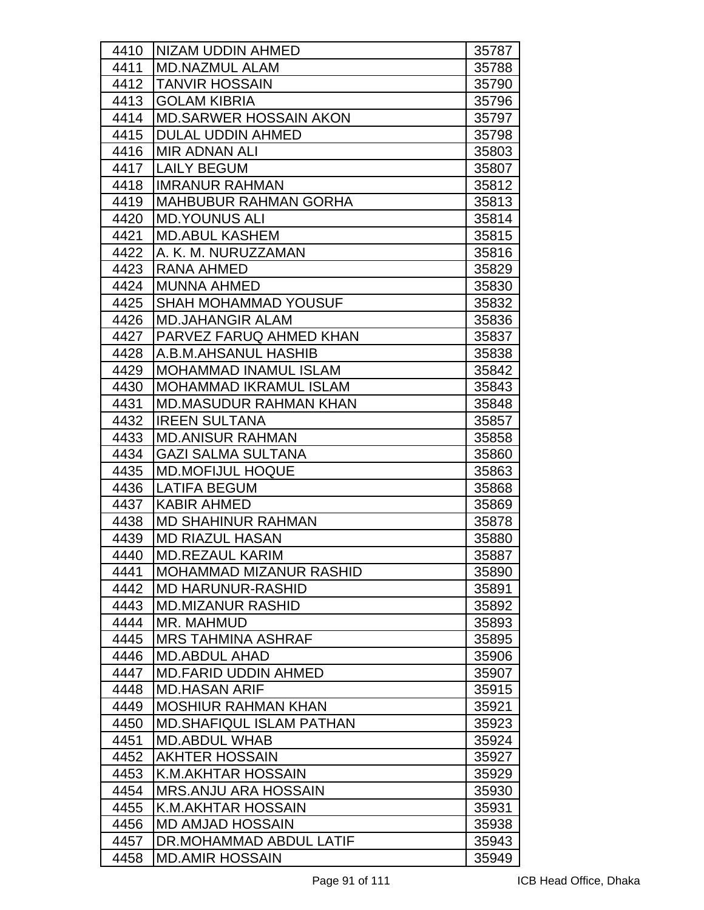| 4410         | <b>NIZAM UDDIN AHMED</b>                          | 35787          |
|--------------|---------------------------------------------------|----------------|
| 4411         | <b>MD.NAZMUL ALAM</b>                             | 35788          |
| 4412         | <b>TANVIR HOSSAIN</b>                             | 35790          |
| 4413         | <b>GOLAM KIBRIA</b>                               | 35796          |
| 4414         | <b>MD.SARWER HOSSAIN AKON</b>                     | 35797          |
| 4415         | <b>DULAL UDDIN AHMED</b>                          | 35798          |
| 4416         | <b>MIR ADNAN ALI</b>                              | 35803          |
| 4417         | <b>LAILY BEGUM</b>                                | 35807          |
| 4418         | <b>IMRANUR RAHMAN</b>                             | 35812          |
| 4419         | <b>IMAHBUBUR RAHMAN GORHA</b>                     | 35813          |
| 4420         | <b>MD.YOUNUS ALI</b>                              | 35814          |
| 4421         | <b>MD.ABUL KASHEM</b>                             | 35815          |
| 4422         | A. K. M. NURUZZAMAN                               | 35816          |
| 4423         | RANA AHMED                                        | 35829          |
| 4424         | <b>MUNNA AHMED</b>                                | 35830          |
| 4425         | <b>SHAH MOHAMMAD YOUSUF</b>                       | 35832          |
| 4426         | <b>MD.JAHANGIR ALAM</b>                           | 35836          |
| 4427         | <b>PARVEZ FARUQ AHMED KHAN</b>                    | 35837          |
| 4428         | IA.B.M.AHSANUL HASHIB                             | 35838          |
| 4429         | <b>MOHAMMAD INAMUL ISLAM</b>                      | 35842          |
| 4430         | <b>MOHAMMAD IKRAMUL ISLAM</b>                     | 35843          |
| 4431         | <b>MD.MASUDUR RAHMAN KHAN</b>                     | 35848          |
| 4432         | <b>IREEN SULTANA</b>                              | 35857          |
| 4433         | <b>IMD.ANISUR RAHMAN</b>                          | 35858          |
| 4434         | <b>GAZI SALMA SULTANA</b>                         | 35860          |
| 4435         | <b>MD.MOFIJUL HOQUE</b>                           | 35863          |
| 4436         | ILATIFA BEGUM                                     | 35868          |
| 4437         | <b>KABIR AHMED</b>                                | 35869          |
| 4438         | <b>MD SHAHINUR RAHMAN</b>                         | 35878          |
| 4439         | <b>MD RIAZUL HASAN</b>                            | 35880          |
| 4440         | <b>MD.REZAUL KARIM</b>                            | 35887          |
| 4441         | <b>MOHAMMAD MIZANUR RASHID</b>                    | 35890          |
| 4442         | <b>MD HARUNUR-RASHID</b>                          | 35891          |
| 4443         | <b>MD.MIZANUR RASHID</b>                          | 35892          |
| 4444         | <b>MR. MAHMUD</b>                                 | 35893          |
| 4445         | <b>MRS TAHMINA ASHRAF</b>                         | 35895          |
| 4446         | <b>MD.ABDUL AHAD</b>                              | 35906          |
| 4447         | <b>MD.FARID UDDIN AHMED</b>                       | 35907          |
| 4448         | <b>MD.HASAN ARIF</b>                              | 35915          |
| 4449         | <b>MOSHIUR RAHMAN KHAN</b>                        | 35921          |
| 4450         | <b>MD.SHAFIQUL ISLAM PATHAN</b>                   | 35923          |
| 4451         | <b>MD.ABDUL WHAB</b>                              | 35924          |
| 4452         | <b>AKHTER HOSSAIN</b>                             | 35927          |
| 4453         | K.M.AKHTAR HOSSAIN                                | 35929          |
| 4454         | <b>MRS.ANJU ARA HOSSAIN</b><br>K.M.AKHTAR HOSSAIN | 35930          |
| 4455<br>4456 | <b>MD AMJAD HOSSAIN</b>                           | 35931<br>35938 |
|              | DR.MOHAMMAD ABDUL LATIF                           |                |
| 4457<br>4458 | <b>MD.AMIR HOSSAIN</b>                            | 35943          |
|              |                                                   | 35949          |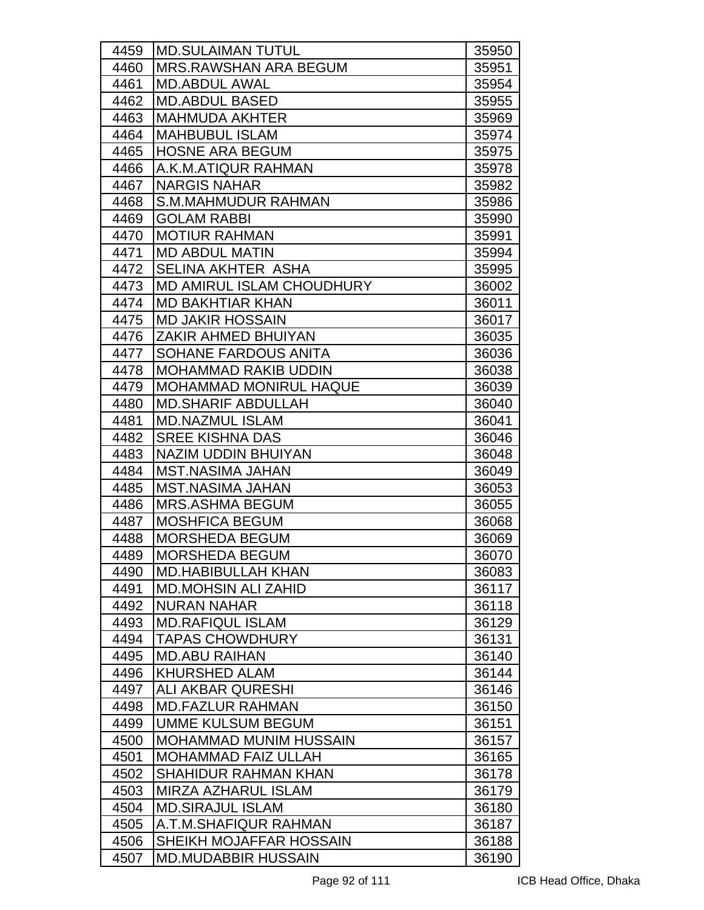| 4459         | <b>MD.SULAIMAN TUTUL</b>                         | 35950          |
|--------------|--------------------------------------------------|----------------|
| 4460         | <b>MRS.RAWSHAN ARA BEGUM</b>                     | 35951          |
| 4461         | <b>MD.ABDUL AWAL</b>                             | 35954          |
| 4462         | <b>MD.ABDUL BASED</b>                            | 35955          |
| 4463         | <b>MAHMUDA AKHTER</b>                            | 35969          |
| 4464         | <b>MAHBUBUL ISLAM</b>                            | 35974          |
| 4465         | <b>HOSNE ARA BEGUM</b>                           | 35975          |
| 4466         | A.K.M.ATIQUR RAHMAN                              | 35978          |
| 4467         | <b>NARGIS NAHAR</b>                              | 35982          |
| 4468         | <b>S.M.MAHMUDUR RAHMAN</b>                       | 35986          |
| 4469         | <b>GOLAM RABBI</b>                               | 35990          |
| 4470         | <b>MOTIUR RAHMAN</b>                             | 35991          |
| 4471         | <b>MD ABDUL MATIN</b>                            | 35994          |
| 4472         | SELINA AKHTER ASHA                               | 35995          |
| 4473         | <b>IMD AMIRUL ISLAM CHOUDHURY</b>                | 36002          |
| 4474         | <b>MD BAKHTIAR KHAN</b>                          | 36011          |
| 4475         | <b>MD JAKIR HOSSAIN</b>                          | 36017          |
| 4476         | ZAKIR AHMED BHUIYAN                              | 36035          |
| 4477         | SOHANE FARDOUS ANITA                             | 36036          |
| 4478         | <b>MOHAMMAD RAKIB UDDIN</b>                      | 36038          |
| 4479         | <b>MOHAMMAD MONIRUL HAQUE</b>                    | 36039          |
| 4480         | <b>MD.SHARIF ABDULLAH</b>                        | 36040          |
| 4481         | <b>MD.NAZMUL ISLAM</b>                           | 36041          |
| 4482         | <b>SREE KISHNA DAS</b>                           | 36046          |
| 4483         | <b>NAZIM UDDIN BHUIYAN</b>                       | 36048          |
| 4484         | <b>MST.NASIMA JAHAN</b>                          | 36049          |
| 4485         | <b>MST.NASIMA JAHAN</b>                          | 36053          |
| 4486         | <b>MRS.ASHMA BEGUM</b>                           | 36055          |
| 4487         | <b>MOSHFICA BEGUM</b>                            | 36068          |
| 4488         | <b>MORSHEDA BEGUM</b>                            | 36069          |
| 4489         | <b>MORSHEDA BEGUM</b>                            | 36070          |
| 4490         | <b>MD.HABIBULLAH KHAN</b>                        | 36083          |
| 4491         | <b>MD.MOHSIN ALI ZAHID</b>                       | 36117          |
| 4492         | <b>NURAN NAHAR</b>                               | 36118          |
| 4493         | <b>MD.RAFIQUL ISLAM</b>                          | 36129          |
| 4494         | <b>TAPAS CHOWDHURY</b>                           | 36131          |
| 4495         | <b>MD.ABU RAIHAN</b>                             | 36140          |
| 4496         | <b>KHURSHED ALAM</b>                             | 36144          |
| 4497         | ALI AKBAR QURESHI                                | 36146          |
| 4498         | <b>MD.FAZLUR RAHMAN</b>                          | 36150          |
| 4499         | <b>UMME KULSUM BEGUM</b>                         | 36151          |
| 4500         | <b>MOHAMMAD MUNIM HUSSAIN</b>                    | 36157          |
| 4501         | <b>MOHAMMAD FAIZ ULLAH</b>                       | 36165          |
| 4502         | <b>SHAHIDUR RAHMAN KHAN</b>                      | 36178          |
| 4503         | <b>MIRZA AZHARUL ISLAM</b>                       | 36179          |
| 4504         | <b>MD.SIRAJUL ISLAM</b><br>A.T.M.SHAFIQUR RAHMAN | 36180          |
| 4505<br>4506 | SHEIKH MOJAFFAR HOSSAIN                          | 36187          |
| 4507         | <b>MD.MUDABBIR HUSSAIN</b>                       | 36188<br>36190 |
|              |                                                  |                |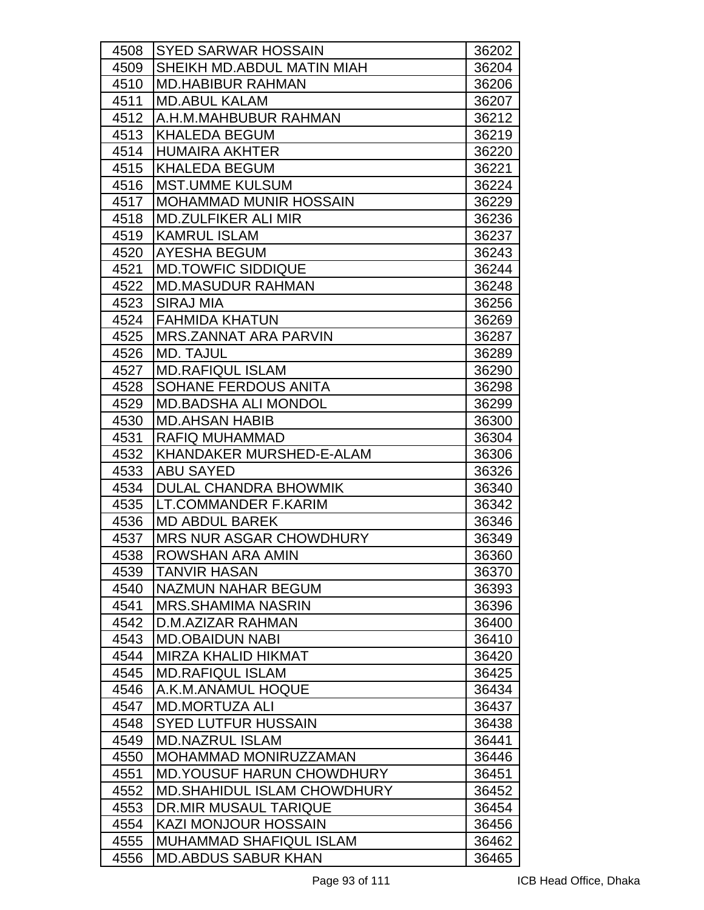| 4508 | <b>SYED SARWAR HOSSAIN</b>         | 36202 |
|------|------------------------------------|-------|
| 4509 | SHEIKH MD.ABDUL MATIN MIAH         | 36204 |
| 4510 | <b>MD.HABIBUR RAHMAN</b>           | 36206 |
| 4511 | <b>MD.ABUL KALAM</b>               | 36207 |
| 4512 | A.H.M.MAHBUBUR RAHMAN              | 36212 |
| 4513 | KHALEDA BEGUM                      | 36219 |
| 4514 | <b>HUMAIRA AKHTER</b>              | 36220 |
| 4515 | <b>KHALEDA BEGUM</b>               | 36221 |
| 4516 | <b>MST.UMME KULSUM</b>             | 36224 |
| 4517 | <b>MOHAMMAD MUNIR HOSSAIN</b>      | 36229 |
| 4518 | <b>MD.ZULFIKER ALI MIR</b>         | 36236 |
| 4519 | <b>KAMRUL ISLAM</b>                | 36237 |
| 4520 | <b>AYESHA BEGUM</b>                | 36243 |
| 4521 | <b>MD.TOWFIC SIDDIQUE</b>          | 36244 |
| 4522 | IMD.MASUDUR RAHMAN                 | 36248 |
| 4523 | SIRAJ MIA                          | 36256 |
| 4524 | FAHMIDA KHATUN                     | 36269 |
| 4525 | <b>MRS.ZANNAT ARA PARVIN</b>       | 36287 |
| 4526 | <b>MD. TAJUL</b>                   | 36289 |
| 4527 | <b>MD.RAFIQUL ISLAM</b>            | 36290 |
| 4528 | <b>SOHANE FERDOUS ANITA</b>        | 36298 |
| 4529 | <b>MD.BADSHA ALI MONDOL</b>        | 36299 |
| 4530 | <b>MD.AHSAN HABIB</b>              | 36300 |
| 4531 | <b>RAFIQ MUHAMMAD</b>              | 36304 |
| 4532 | KHANDAKER MURSHED-E-ALAM           | 36306 |
| 4533 | <b>ABU SAYED</b>                   | 36326 |
| 4534 | <b>DULAL CHANDRA BHOWMIK</b>       | 36340 |
| 4535 | ILT.COMMANDER F.KARIM              | 36342 |
| 4536 | <b>MD ABDUL BAREK</b>              | 36346 |
| 4537 | <b>MRS NUR ASGAR CHOWDHURY</b>     | 36349 |
| 4538 | <b>ROWSHAN ARA AMIN</b>            | 36360 |
| 4539 | <b>TANVIR HASAN</b>                | 36370 |
| 4540 | NAZMUN NAHAR BEGUM                 | 36393 |
| 4541 | <b>MRS.SHAMIMA NASRIN</b>          | 36396 |
| 4542 | D.M.AZIZAR RAHMAN                  | 36400 |
| 4543 | <b>MD.OBAIDUN NABI</b>             | 36410 |
| 4544 | <b>MIRZA KHALID HIKMAT</b>         | 36420 |
| 4545 | <b>MD.RAFIQUL ISLAM</b>            | 36425 |
| 4546 | A.K.M.ANAMUL HOQUE                 | 36434 |
| 4547 | <b>MD.MORTUZA ALI</b>              | 36437 |
| 4548 | <b>SYED LUTFUR HUSSAIN</b>         | 36438 |
| 4549 | <b>MD.NAZRUL ISLAM</b>             | 36441 |
| 4550 | MOHAMMAD MONIRUZZAMAN              | 36446 |
| 4551 | <b>MD. YOUSUF HARUN CHOWDHURY</b>  | 36451 |
| 4552 | <b>MD.SHAHIDUL ISLAM CHOWDHURY</b> | 36452 |
| 4553 | DR.MIR MUSAUL TARIQUE              | 36454 |
| 4554 | <b>KAZI MONJOUR HOSSAIN</b>        | 36456 |
| 4555 | <b>MUHAMMAD SHAFIQUL ISLAM</b>     | 36462 |
| 4556 | <b>MD.ABDUS SABUR KHAN</b>         | 36465 |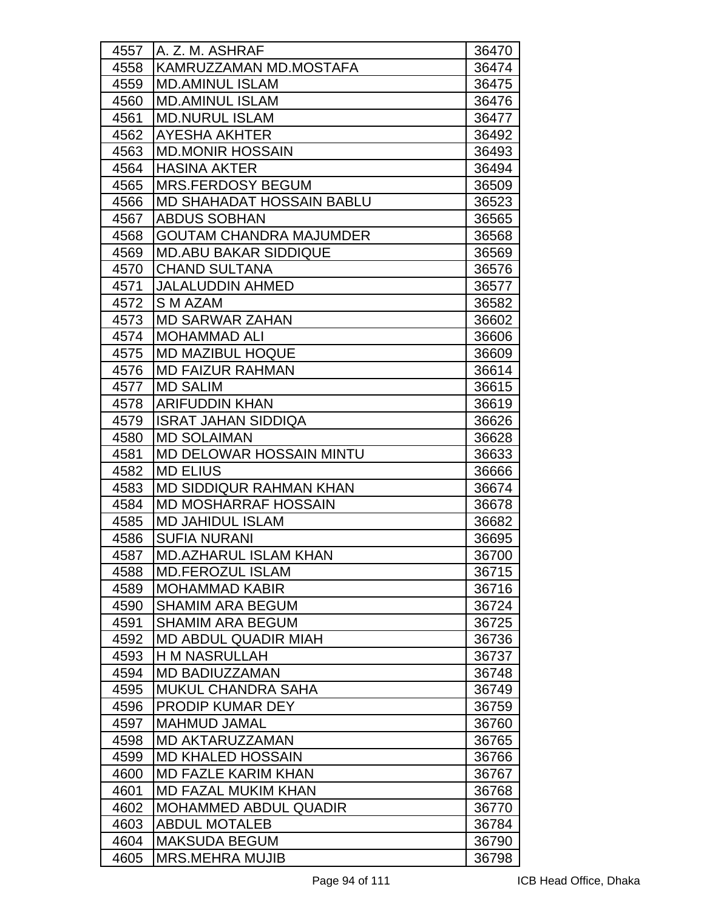| 4557 | A. Z. M. ASHRAF                 | 36470 |
|------|---------------------------------|-------|
| 4558 | KAMRUZZAMAN MD.MOSTAFA          | 36474 |
| 4559 | <b>MD.AMINUL ISLAM</b>          | 36475 |
| 4560 | <b>MD.AMINUL ISLAM</b>          | 36476 |
| 4561 | <b>MD.NURUL ISLAM</b>           | 36477 |
| 4562 | <b>AYESHA AKHTER</b>            | 36492 |
| 4563 | <b>MD.MONIR HOSSAIN</b>         | 36493 |
| 4564 | <b>HASINA AKTER</b>             | 36494 |
| 4565 | <b>MRS.FERDOSY BEGUM</b>        | 36509 |
| 4566 | MD SHAHADAT HOSSAIN BABLU       | 36523 |
| 4567 | <b>ABDUS SOBHAN</b>             | 36565 |
| 4568 | <b>GOUTAM CHANDRA MAJUMDER</b>  | 36568 |
| 4569 | <b>MD.ABU BAKAR SIDDIQUE</b>    | 36569 |
| 4570 | <b>CHAND SULTANA</b>            | 36576 |
| 4571 | <b>JALALUDDIN AHMED</b>         | 36577 |
| 4572 | S M AZAM                        | 36582 |
| 4573 | <b>MD SARWAR ZAHAN</b>          | 36602 |
| 4574 | <b>MOHAMMAD ALI</b>             | 36606 |
| 4575 | <b>MD MAZIBUL HOQUE</b>         | 36609 |
| 4576 | <b>MD FAIZUR RAHMAN</b>         | 36614 |
| 4577 | <b>MD SALIM</b>                 | 36615 |
| 4578 | <b>ARIFUDDIN KHAN</b>           | 36619 |
| 4579 | <b>ISRAT JAHAN SIDDIQA</b>      | 36626 |
| 4580 | <b>MD SOLAIMAN</b>              | 36628 |
| 4581 | <b>MD DELOWAR HOSSAIN MINTU</b> | 36633 |
| 4582 | <b>MD ELIUS</b>                 | 36666 |
| 4583 | <b>MD SIDDIQUR RAHMAN KHAN</b>  | 36674 |
| 4584 | <b>MD MOSHARRAF HOSSAIN</b>     | 36678 |
| 4585 | <b>MD JAHIDUL ISLAM</b>         | 36682 |
| 4586 | <b>SUFIA NURANI</b>             | 36695 |
| 4587 | MD.AZHARUL ISLAM KHAN           | 36700 |
| 4588 | <b>MD.FEROZUL ISLAM</b>         | 36715 |
| 4589 | <b>MOHAMMAD KABIR</b>           | 36716 |
| 4590 | <b>SHAMIM ARA BEGUM</b>         | 36724 |
| 4591 | <b>SHAMIM ARA BEGUM</b>         | 36725 |
| 4592 | <b>MD ABDUL QUADIR MIAH</b>     | 36736 |
| 4593 | <b>H M NASRULLAH</b>            | 36737 |
| 4594 | <b>MD BADIUZZAMAN</b>           | 36748 |
| 4595 | <b>MUKUL CHANDRA SAHA</b>       | 36749 |
| 4596 | <b>PRODIP KUMAR DEY</b>         | 36759 |
| 4597 | <b>MAHMUD JAMAL</b>             | 36760 |
| 4598 | <b>MD AKTARUZZAMAN</b>          | 36765 |
| 4599 | <b>MD KHALED HOSSAIN</b>        | 36766 |
| 4600 | <b>MD FAZLE KARIM KHAN</b>      | 36767 |
| 4601 | <b>MD FAZAL MUKIM KHAN</b>      | 36768 |
| 4602 | <b>MOHAMMED ABDUL QUADIR</b>    | 36770 |
| 4603 | <b>ABDUL MOTALEB</b>            | 36784 |
| 4604 | <b>MAKSUDA BEGUM</b>            | 36790 |
| 4605 | <b>MRS.MEHRA MUJIB</b>          | 36798 |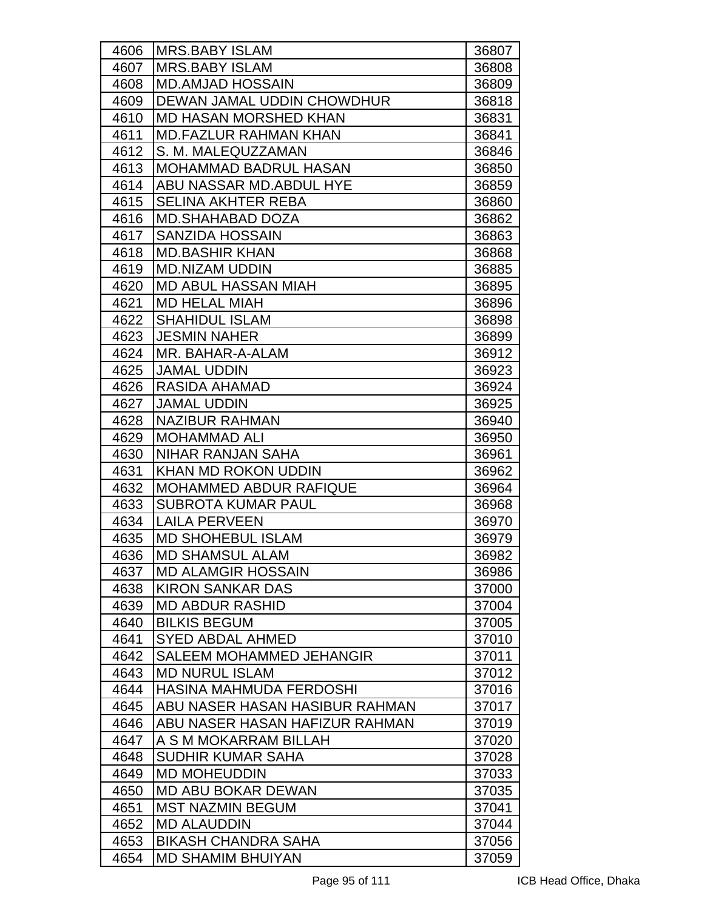| 4606 | MRS.BABY ISLAM                 | 36807 |
|------|--------------------------------|-------|
| 4607 | <b>MRS.BABY ISLAM</b>          | 36808 |
| 4608 | <b>MD.AMJAD HOSSAIN</b>        | 36809 |
| 4609 | DEWAN JAMAL UDDIN CHOWDHUR     | 36818 |
| 4610 | <b>MD HASAN MORSHED KHAN</b>   | 36831 |
| 4611 | <b>MD.FAZLUR RAHMAN KHAN</b>   | 36841 |
| 4612 | S. M. MALEQUZZAMAN             | 36846 |
| 4613 | <b>MOHAMMAD BADRUL HASAN</b>   | 36850 |
| 4614 | ABU NASSAR MD. ABDUL HYE       | 36859 |
| 4615 | <b>SELINA AKHTER REBA</b>      | 36860 |
| 4616 | <b>MD.SHAHABAD DOZA</b>        | 36862 |
| 4617 | <b>SANZIDA HOSSAIN</b>         | 36863 |
| 4618 | <b>MD.BASHIR KHAN</b>          | 36868 |
| 4619 | <b>MD.NIZAM UDDIN</b>          | 36885 |
| 4620 | <b>MD ABUL HASSAN MIAH</b>     | 36895 |
| 4621 | <b>MD HELAL MIAH</b>           | 36896 |
| 4622 | <b>SHAHIDUL ISLAM</b>          | 36898 |
| 4623 | <b>JESMIN NAHER</b>            | 36899 |
| 4624 | MR. BAHAR-A-ALAM               | 36912 |
| 4625 | <b>JAMAL UDDIN</b>             | 36923 |
| 4626 | RASIDA AHAMAD                  | 36924 |
| 4627 | <b>JAMAL UDDIN</b>             | 36925 |
| 4628 | <b>NAZIBUR RAHMAN</b>          | 36940 |
| 4629 | <b>MOHAMMAD ALI</b>            | 36950 |
| 4630 | NIHAR RANJAN SAHA              | 36961 |
| 4631 | KHAN MD ROKON UDDIN            | 36962 |
| 4632 | <b>MOHAMMED ABDUR RAFIQUE</b>  | 36964 |
| 4633 | <b>SUBROTA KUMAR PAUL</b>      | 36968 |
| 4634 | <b>LAILA PERVEEN</b>           | 36970 |
| 4635 | <b>MD SHOHEBUL ISLAM</b>       | 36979 |
| 4636 | <b>MD SHAMSUL ALAM</b>         | 36982 |
| 4637 | <b>MD ALAMGIR HOSSAIN</b>      | 36986 |
| 4638 | <b>KIRON SANKAR DAS</b>        | 37000 |
| 4639 | <b>MD ABDUR RASHID</b>         | 37004 |
| 4640 | <b>BILKIS BEGUM</b>            | 37005 |
| 4641 | <b>SYED ABDAL AHMED</b>        | 37010 |
| 4642 | SALEEM MOHAMMED JEHANGIR       | 37011 |
| 4643 | <b>MD NURUL ISLAM</b>          | 37012 |
| 4644 | HASINA MAHMUDA FERDOSHI        | 37016 |
| 4645 | ABU NASER HASAN HASIBUR RAHMAN | 37017 |
| 4646 | ABU NASER HASAN HAFIZUR RAHMAN | 37019 |
| 4647 | A S M MOKARRAM BILLAH          | 37020 |
| 4648 | <b>SUDHIR KUMAR SAHA</b>       | 37028 |
| 4649 | <b>MD MOHEUDDIN</b>            | 37033 |
| 4650 | MD ABU BOKAR DEWAN             | 37035 |
| 4651 | <b>MST NAZMIN BEGUM</b>        | 37041 |
| 4652 | <b>MD ALAUDDIN</b>             | 37044 |
| 4653 | <b>BIKASH CHANDRA SAHA</b>     | 37056 |
| 4654 | <b>MD SHAMIM BHUIYAN</b>       | 37059 |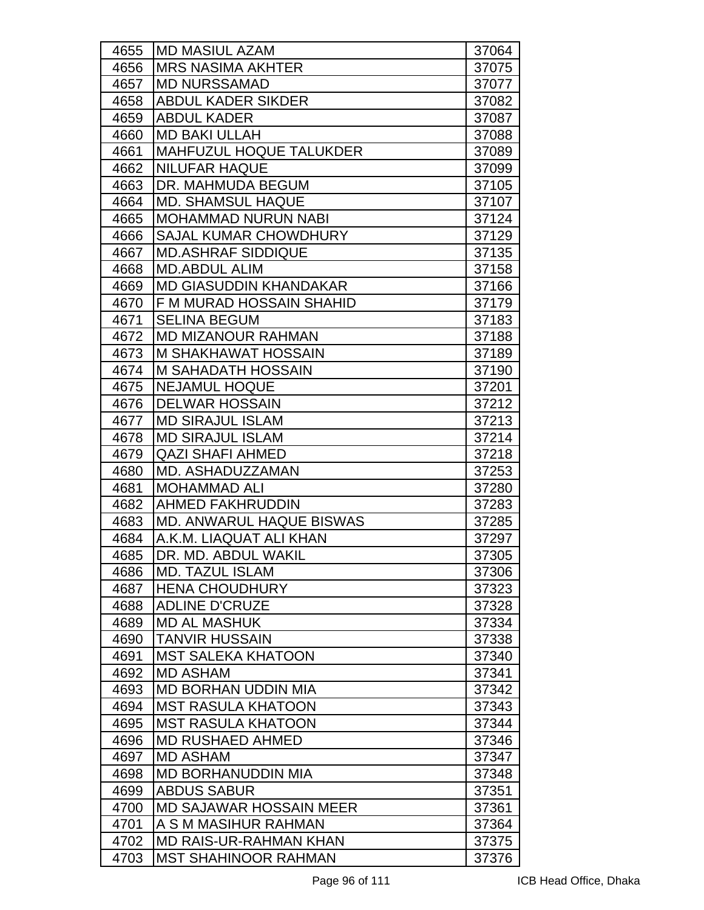| 4655 | <b>IMD MASIUL AZAM</b>          | 37064 |
|------|---------------------------------|-------|
| 4656 | <b>MRS NASIMA AKHTER</b>        | 37075 |
| 4657 | <b>MD NURSSAMAD</b>             | 37077 |
| 4658 | <b>ABDUL KADER SIKDER</b>       | 37082 |
| 4659 | <b>ABDUL KADER</b>              | 37087 |
| 4660 | <b>MD BAKI ULLAH</b>            | 37088 |
| 4661 | <b>MAHFUZUL HOQUE TALUKDER</b>  | 37089 |
| 4662 | <b>NILUFAR HAQUE</b>            | 37099 |
| 4663 | DR. MAHMUDA BEGUM               | 37105 |
| 4664 | <b>MD. SHAMSUL HAQUE</b>        | 37107 |
| 4665 | <b>MOHAMMAD NURUN NABI</b>      | 37124 |
| 4666 | <b>SAJAL KUMAR CHOWDHURY</b>    | 37129 |
| 4667 | <b>MD.ASHRAF SIDDIQUE</b>       | 37135 |
| 4668 | <b>MD.ABDUL ALIM</b>            | 37158 |
| 4669 | <b>MD GIASUDDIN KHANDAKAR</b>   | 37166 |
| 4670 | F M MURAD HOSSAIN SHAHID        | 37179 |
| 4671 | <b>SELINA BEGUM</b>             | 37183 |
| 4672 | <b>MD MIZANOUR RAHMAN</b>       | 37188 |
| 4673 | M SHAKHAWAT HOSSAIN             | 37189 |
| 4674 | <b>M SAHADATH HOSSAIN</b>       | 37190 |
| 4675 | <b>NEJAMUL HOQUE</b>            | 37201 |
| 4676 | <b>DELWAR HOSSAIN</b>           | 37212 |
| 4677 | <b>MD SIRAJUL ISLAM</b>         | 37213 |
| 4678 | <b>MD SIRAJUL ISLAM</b>         | 37214 |
| 4679 | <b>QAZI SHAFI AHMED</b>         | 37218 |
| 4680 | <b>MD. ASHADUZZAMAN</b>         | 37253 |
| 4681 | <b>MOHAMMAD ALI</b>             | 37280 |
| 4682 | <b>AHMED FAKHRUDDIN</b>         | 37283 |
| 4683 | <b>MD. ANWARUL HAQUE BISWAS</b> | 37285 |
| 4684 | A.K.M. LIAQUAT ALI KHAN         | 37297 |
| 4685 | <b>IDR. MD. ABDUL WAKIL</b>     | 37305 |
| 4686 | <b>MD. TAZUL ISLAM</b>          | 37306 |
| 4687 | <b>HENA CHOUDHURY</b>           | 37323 |
| 4688 | <b>ADLINE D'CRUZE</b>           | 37328 |
| 4689 | <b>MD AL MASHUK</b>             | 37334 |
| 4690 | <b>TANVIR HUSSAIN</b>           | 37338 |
| 4691 | <b>MST SALEKA KHATOON</b>       | 37340 |
| 4692 | <b>MD ASHAM</b>                 | 37341 |
| 4693 | <b>MD BORHAN UDDIN MIA</b>      | 37342 |
| 4694 | <b>MST RASULA KHATOON</b>       | 37343 |
| 4695 | <b>MST RASULA KHATOON</b>       | 37344 |
| 4696 | <b>MD RUSHAED AHMED</b>         | 37346 |
| 4697 | <b>MD ASHAM</b>                 | 37347 |
| 4698 | <b>MD BORHANUDDIN MIA</b>       | 37348 |
| 4699 | <b>ABDUS SABUR</b>              | 37351 |
| 4700 | <b>MD SAJAWAR HOSSAIN MEER</b>  | 37361 |
| 4701 | A S M MASIHUR RAHMAN            | 37364 |
| 4702 | <b>MD RAIS-UR-RAHMAN KHAN</b>   | 37375 |
| 4703 | <b>MST SHAHINOOR RAHMAN</b>     | 37376 |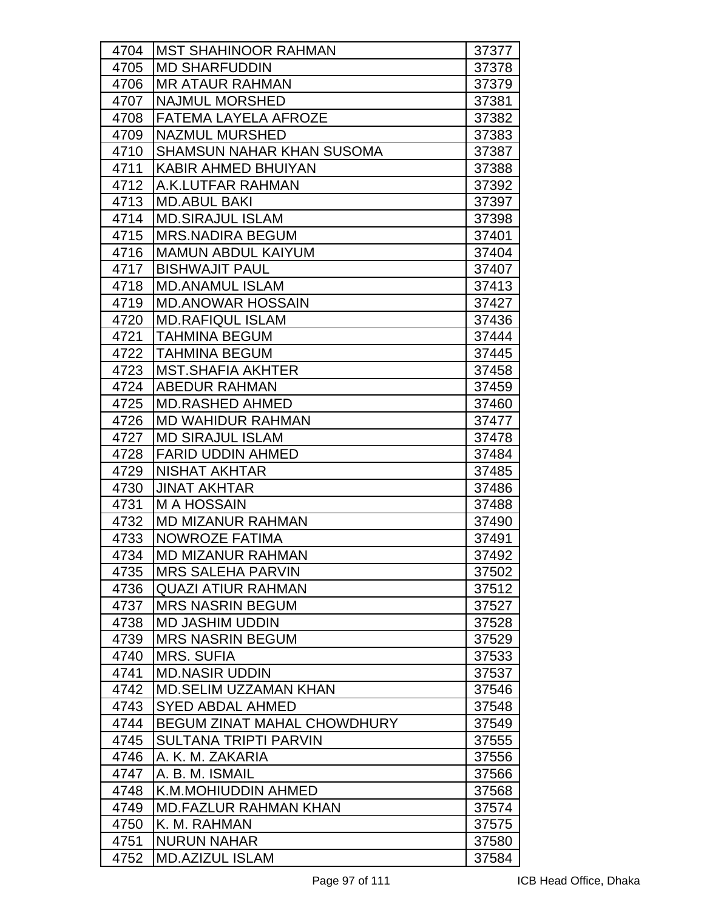| 4704 | <b>MST SHAHINOOR RAHMAN</b>        | 37377 |
|------|------------------------------------|-------|
| 4705 | <b>MD SHARFUDDIN</b>               | 37378 |
| 4706 | <b>MR ATAUR RAHMAN</b>             | 37379 |
| 4707 | <b>NAJMUL MORSHED</b>              | 37381 |
| 4708 | FATEMA LAYELA AFROZE               | 37382 |
| 4709 | <b>NAZMUL MURSHED</b>              | 37383 |
| 4710 | <b>SHAMSUN NAHAR KHAN SUSOMA</b>   | 37387 |
| 4711 | <b>KABIR AHMED BHUIYAN</b>         | 37388 |
| 4712 | A.K.LUTFAR RAHMAN                  | 37392 |
| 4713 | <b>MD.ABUL BAKI</b>                | 37397 |
| 4714 | <b>MD.SIRAJUL ISLAM</b>            | 37398 |
| 4715 | <b>MRS.NADIRA BEGUM</b>            | 37401 |
| 4716 | <b>MAMUN ABDUL KAIYUM</b>          | 37404 |
| 4717 | <b>BISHWAJIT PAUL</b>              | 37407 |
| 4718 | <b>MD.ANAMUL ISLAM</b>             | 37413 |
| 4719 | <b>MD.ANOWAR HOSSAIN</b>           | 37427 |
| 4720 | <b>MD.RAFIQUL ISLAM</b>            | 37436 |
| 4721 | <b>TAHMINA BEGUM</b>               | 37444 |
| 4722 | <b>TAHMINA BEGUM</b>               | 37445 |
| 4723 | <b>MST.SHAFIA AKHTER</b>           | 37458 |
| 4724 | <b>ABEDUR RAHMAN</b>               | 37459 |
| 4725 | <b>MD.RASHED AHMED</b>             | 37460 |
| 4726 | <b>MD WAHIDUR RAHMAN</b>           | 37477 |
| 4727 | <b>MD SIRAJUL ISLAM</b>            | 37478 |
| 4728 | <b>FARID UDDIN AHMED</b>           | 37484 |
| 4729 | <b>NISHAT AKHTAR</b>               | 37485 |
| 4730 | <b>JINAT AKHTAR</b>                | 37486 |
| 4731 | <b>M A HOSSAIN</b>                 | 37488 |
| 4732 | <b>MD MIZANUR RAHMAN</b>           | 37490 |
| 4733 | <b>NOWROZE FATIMA</b>              | 37491 |
| 4734 | <b>MD MIZANUR RAHMAN</b>           | 37492 |
| 4735 | <b>MRS SALEHA PARVIN</b>           | 37502 |
| 4736 | <b>QUAZI ATIUR RAHMAN</b>          | 37512 |
| 4737 | <b>MRS NASRIN BEGUM</b>            | 37527 |
| 4738 | <b>MD JASHIM UDDIN</b>             | 37528 |
| 4739 | <b>MRS NASRIN BEGUM</b>            | 37529 |
| 4740 | <b>MRS. SUFIA</b>                  | 37533 |
| 4741 | <b>MD.NASIR UDDIN</b>              | 37537 |
| 4742 | <b>MD.SELIM UZZAMAN KHAN</b>       | 37546 |
| 4743 | <b>SYED ABDAL AHMED</b>            | 37548 |
| 4744 | <b>BEGUM ZINAT MAHAL CHOWDHURY</b> | 37549 |
| 4745 | <b>SULTANA TRIPTI PARVIN</b>       | 37555 |
| 4746 | A. K. M. ZAKARIA                   | 37556 |
| 4747 | A. B. M. ISMAIL                    | 37566 |
| 4748 | K.M.MOHIUDDIN AHMED                | 37568 |
| 4749 | <b>MD.FAZLUR RAHMAN KHAN</b>       | 37574 |
| 4750 | K. M. RAHMAN                       | 37575 |
| 4751 | <b>NURUN NAHAR</b>                 | 37580 |
| 4752 | <b>MD.AZIZUL ISLAM</b>             | 37584 |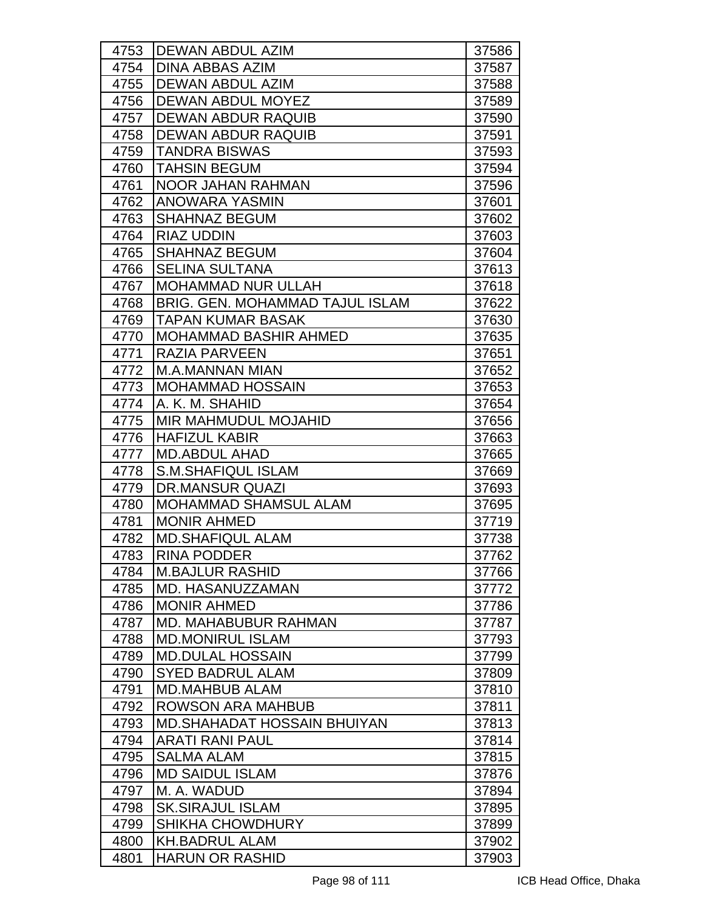| 4753 | <b>DEWAN ABDUL AZIM</b>                | 37586 |
|------|----------------------------------------|-------|
| 4754 | <b>DINA ABBAS AZIM</b>                 | 37587 |
| 4755 | DEWAN ABDUL AZIM                       | 37588 |
| 4756 | <b>DEWAN ABDUL MOYEZ</b>               | 37589 |
| 4757 | <b>DEWAN ABDUR RAQUIB</b>              | 37590 |
| 4758 | <b>IDEWAN ABDUR RAQUIB</b>             | 37591 |
| 4759 | <b>TANDRA BISWAS</b>                   | 37593 |
| 4760 | <b>TAHSIN BEGUM</b>                    | 37594 |
| 4761 | <b>NOOR JAHAN RAHMAN</b>               | 37596 |
| 4762 | <b>ANOWARA YASMIN</b>                  | 37601 |
| 4763 | <b>SHAHNAZ BEGUM</b>                   | 37602 |
| 4764 | <b>RIAZ UDDIN</b>                      | 37603 |
| 4765 | <b>SHAHNAZ BEGUM</b>                   | 37604 |
| 4766 | <b>SELINA SULTANA</b>                  | 37613 |
| 4767 | <b>MOHAMMAD NUR ULLAH</b>              | 37618 |
| 4768 | <b>BRIG. GEN. MOHAMMAD TAJUL ISLAM</b> | 37622 |
| 4769 | <b>TAPAN KUMAR BASAK</b>               | 37630 |
| 4770 | <b>MOHAMMAD BASHIR AHMED</b>           | 37635 |
| 4771 | <b>RAZIA PARVEEN</b>                   | 37651 |
| 4772 | <b>M.A.MANNAN MIAN</b>                 | 37652 |
| 4773 | <b>MOHAMMAD HOSSAIN</b>                | 37653 |
| 4774 | A. K. M. SHAHID                        | 37654 |
| 4775 | <b>MIR MAHMUDUL MOJAHID</b>            | 37656 |
| 4776 | <b>HAFIZUL KABIR</b>                   | 37663 |
| 4777 | <b>MD.ABDUL AHAD</b>                   | 37665 |
| 4778 | <b>S.M.SHAFIQUL ISLAM</b>              | 37669 |
| 4779 | <b>DR.MANSUR QUAZI</b>                 | 37693 |
| 4780 | <b>MOHAMMAD SHAMSUL ALAM</b>           | 37695 |
| 4781 | <b>MONIR AHMED</b>                     | 37719 |
| 4782 | <b>MD.SHAFIQUL ALAM</b>                | 37738 |
| 4783 | <b>RINA PODDER</b>                     | 37762 |
| 4784 | <b>M.BAJLUR RASHID</b>                 | 37766 |
| 4785 | MD. HASANUZZAMAN                       | 37772 |
| 4786 | <b>MONIR AHMED</b>                     | 37786 |
| 4787 | <b>MD. MAHABUBUR RAHMAN</b>            | 37787 |
| 4788 | <b>MD.MONIRUL ISLAM</b>                | 37793 |
| 4789 | <b>MD.DULAL HOSSAIN</b>                | 37799 |
| 4790 | <b>SYED BADRUL ALAM</b>                | 37809 |
| 4791 | <b>MD.MAHBUB ALAM</b>                  | 37810 |
| 4792 | <b>ROWSON ARA MAHBUB</b>               | 37811 |
| 4793 | <b>MD.SHAHADAT HOSSAIN BHUIYAN</b>     | 37813 |
| 4794 | <b>ARATI RANI PAUL</b>                 | 37814 |
| 4795 | <b>SALMA ALAM</b>                      | 37815 |
| 4796 | <b>MD SAIDUL ISLAM</b>                 | 37876 |
| 4797 | M. A. WADUD                            | 37894 |
| 4798 | <b>SK.SIRAJUL ISLAM</b>                | 37895 |
| 4799 | <b>SHIKHA CHOWDHURY</b>                | 37899 |
| 4800 | <b>KH.BADRUL ALAM</b>                  | 37902 |
| 4801 | <b>HARUN OR RASHID</b>                 | 37903 |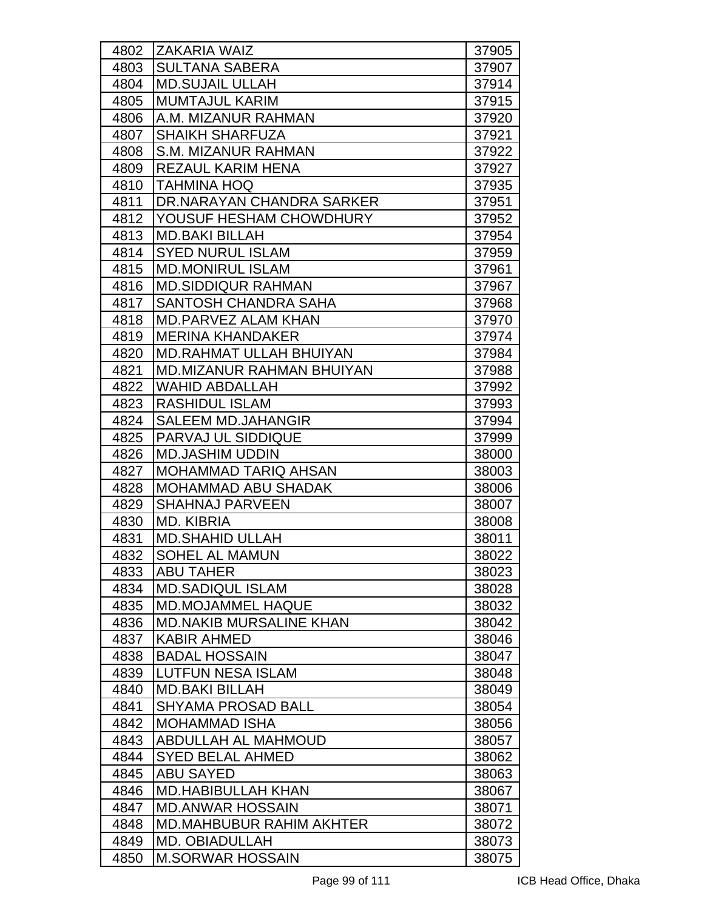| 4802 | <b>ZAKARIA WAIZ</b>              | 37905 |
|------|----------------------------------|-------|
| 4803 | <b>SULTANA SABERA</b>            | 37907 |
| 4804 | <b>MD.SUJAIL ULLAH</b>           | 37914 |
| 4805 | <b>MUMTAJUL KARIM</b>            | 37915 |
| 4806 | A.M. MIZANUR RAHMAN              | 37920 |
| 4807 | <b>SHAIKH SHARFUZA</b>           | 37921 |
| 4808 | <b>S.M. MIZANUR RAHMAN</b>       | 37922 |
| 4809 | <b>REZAUL KARIM HENA</b>         | 37927 |
| 4810 | TAHMINA HOQ                      | 37935 |
| 4811 | DR.NARAYAN CHANDRA SARKER        | 37951 |
| 4812 | YOUSUF HESHAM CHOWDHURY          | 37952 |
| 4813 | <b>MD.BAKI BILLAH</b>            | 37954 |
| 4814 | <b>SYED NURUL ISLAM</b>          | 37959 |
| 4815 | <b>MD.MONIRUL ISLAM</b>          | 37961 |
| 4816 | <b>MD.SIDDIQUR RAHMAN</b>        | 37967 |
| 4817 | SANTOSH CHANDRA SAHA             | 37968 |
| 4818 | <b>MD.PARVEZ ALAM KHAN</b>       | 37970 |
| 4819 | <b>MERINA KHANDAKER</b>          | 37974 |
| 4820 | <b>MD.RAHMAT ULLAH BHUIYAN</b>   | 37984 |
| 4821 | <b>MD.MIZANUR RAHMAN BHUIYAN</b> | 37988 |
| 4822 | WAHID ABDALLAH                   | 37992 |
| 4823 | <b>RASHIDUL ISLAM</b>            | 37993 |
| 4824 | <b>SALEEM MD.JAHANGIR</b>        | 37994 |
| 4825 | PARVAJ UL SIDDIQUE               | 37999 |
| 4826 | <b>MD.JASHIM UDDIN</b>           | 38000 |
| 4827 | <b>MOHAMMAD TARIQ AHSAN</b>      | 38003 |
| 4828 | <b>MOHAMMAD ABU SHADAK</b>       | 38006 |
| 4829 | <b>SHAHNAJ PARVEEN</b>           | 38007 |
| 4830 | <b>MD. KIBRIA</b>                | 38008 |
| 4831 | <b>MD.SHAHID ULLAH</b>           | 38011 |
| 4832 | SOHEL AL MAMUN                   | 38022 |
| 4833 | <b>ABU TAHER</b>                 | 38023 |
| 4834 | <b>MD.SADIQUL ISLAM</b>          | 38028 |
| 4835 | <b>MD.MOJAMMEL HAQUE</b>         | 38032 |
| 4836 | <b>MD.NAKIB MURSALINE KHAN</b>   | 38042 |
| 4837 | <b>KABIR AHMED</b>               | 38046 |
| 4838 | <b>BADAL HOSSAIN</b>             | 38047 |
| 4839 | <b>LUTFUN NESA ISLAM</b>         | 38048 |
| 4840 | <b>MD.BAKI BILLAH</b>            | 38049 |
| 4841 | <b>SHYAMA PROSAD BALL</b>        | 38054 |
| 4842 | <b>MOHAMMAD ISHA</b>             | 38056 |
| 4843 | ABDULLAH AL MAHMOUD              | 38057 |
| 4844 | <b>SYED BELAL AHMED</b>          | 38062 |
| 4845 | <b>ABU SAYED</b>                 | 38063 |
| 4846 | <b>MD.HABIBULLAH KHAN</b>        | 38067 |
| 4847 | <b>MD.ANWAR HOSSAIN</b>          | 38071 |
| 4848 | <b>MD.MAHBUBUR RAHIM AKHTER</b>  | 38072 |
| 4849 | <b>MD. OBIADULLAH</b>            | 38073 |
| 4850 | <b>M.SORWAR HOSSAIN</b>          | 38075 |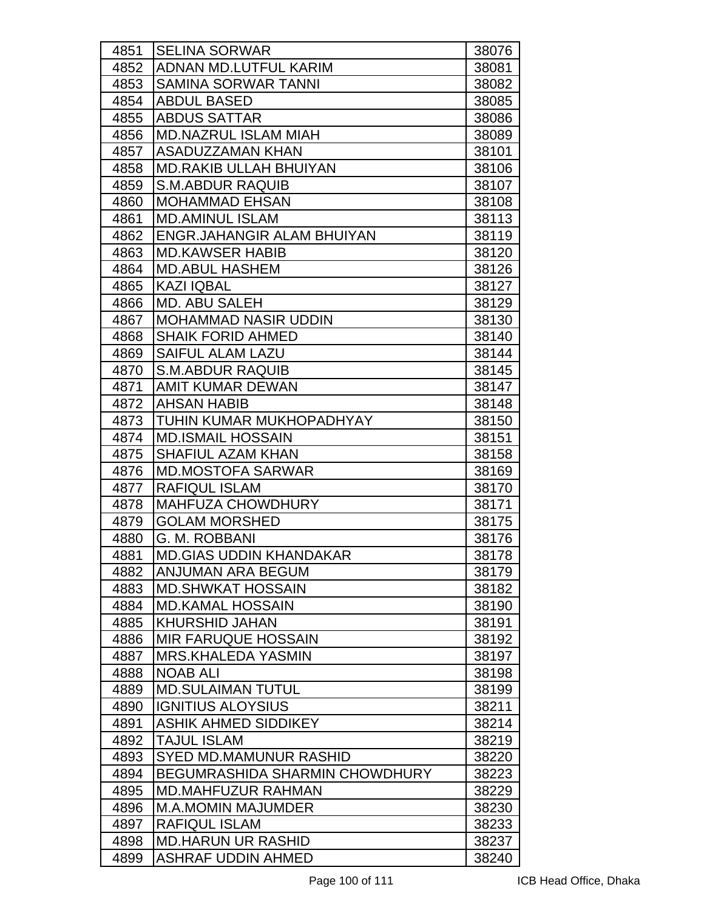| 4851 | <b>SELINA SORWAR</b>           | 38076 |
|------|--------------------------------|-------|
| 4852 | ADNAN MD.LUTFUL KARIM          | 38081 |
| 4853 | <b>SAMINA SORWAR TANNI</b>     | 38082 |
| 4854 | <b>ABDUL BASED</b>             | 38085 |
| 4855 | <b>ABDUS SATTAR</b>            | 38086 |
| 4856 | <b>MD.NAZRUL ISLAM MIAH</b>    | 38089 |
| 4857 | <b>ASADUZZAMAN KHAN</b>        | 38101 |
| 4858 | <b>MD.RAKIB ULLAH BHUIYAN</b>  | 38106 |
| 4859 | <b>S.M.ABDUR RAQUIB</b>        | 38107 |
| 4860 | <b>MOHAMMAD EHSAN</b>          | 38108 |
| 4861 | <b>MD.AMINUL ISLAM</b>         | 38113 |
| 4862 | ENGR.JAHANGIR ALAM BHUIYAN     | 38119 |
| 4863 | <b>MD.KAWSER HABIB</b>         | 38120 |
| 4864 | <b>MD.ABUL HASHEM</b>          | 38126 |
| 4865 | <b>KAZI IQBAL</b>              | 38127 |
| 4866 | <b>MD. ABU SALEH</b>           | 38129 |
| 4867 | <b>MOHAMMAD NASIR UDDIN</b>    | 38130 |
| 4868 | <b>SHAIK FORID AHMED</b>       | 38140 |
| 4869 | <b>SAIFUL ALAM LAZU</b>        | 38144 |
| 4870 | <b>S.M.ABDUR RAQUIB</b>        | 38145 |
| 4871 | <b>AMIT KUMAR DEWAN</b>        | 38147 |
| 4872 | <b>AHSAN HABIB</b>             | 38148 |
| 4873 | TUHIN KUMAR MUKHOPADHYAY       | 38150 |
| 4874 | <b>MD.ISMAIL HOSSAIN</b>       | 38151 |
| 4875 | <b>SHAFIUL AZAM KHAN</b>       | 38158 |
| 4876 | <b>MD.MOSTOFA SARWAR</b>       | 38169 |
| 4877 | <b>RAFIQUL ISLAM</b>           | 38170 |
| 4878 | <b>MAHFUZA CHOWDHURY</b>       | 38171 |
| 4879 | <b>GOLAM MORSHED</b>           | 38175 |
| 4880 | G. M. ROBBANI                  | 38176 |
| 4881 | <b>MD.GIAS UDDIN KHANDAKAR</b> | 38178 |
| 4882 | ANJUMAN ARA BEGUM              | 38179 |
| 4883 | <b>MD.SHWKAT HOSSAIN</b>       | 38182 |
| 4884 | <b>MD.KAMAL HOSSAIN</b>        | 38190 |
| 4885 | <b>KHURSHID JAHAN</b>          | 38191 |
| 4886 | <b>MIR FARUQUE HOSSAIN</b>     | 38192 |
| 4887 | <b>MRS.KHALEDA YASMIN</b>      | 38197 |
| 4888 | <b>NOAB ALI</b>                | 38198 |
| 4889 | <b>MD.SULAIMAN TUTUL</b>       | 38199 |
| 4890 | <b>IGNITIUS ALOYSIUS</b>       | 38211 |
| 4891 | <b>ASHIK AHMED SIDDIKEY</b>    | 38214 |
| 4892 | <b>TAJUL ISLAM</b>             | 38219 |
| 4893 | SYED MD.MAMUNUR RASHID         | 38220 |
| 4894 | BEGUMRASHIDA SHARMIN CHOWDHURY | 38223 |
| 4895 | <b>MD.MAHFUZUR RAHMAN</b>      | 38229 |
| 4896 | <b>M.A.MOMIN MAJUMDER</b>      | 38230 |
| 4897 | <b>RAFIQUL ISLAM</b>           | 38233 |
| 4898 | <b>MD.HARUN UR RASHID</b>      | 38237 |
| 4899 | <b>ASHRAF UDDIN AHMED</b>      | 38240 |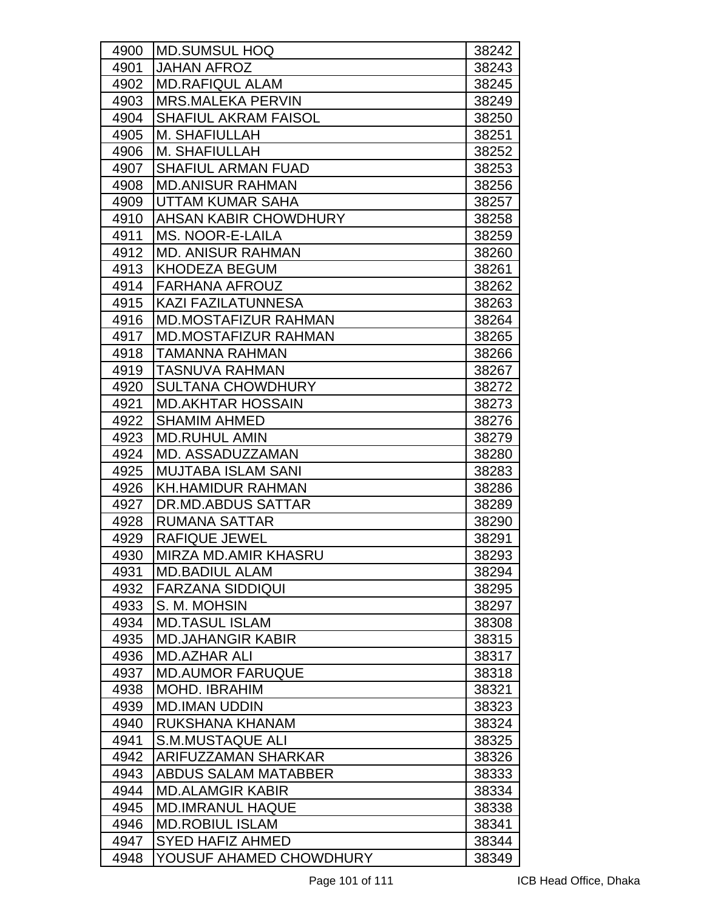| 4900 | IMD.SUMSUL HOQ              | 38242 |
|------|-----------------------------|-------|
| 4901 | <b>JAHAN AFROZ</b>          | 38243 |
| 4902 | <b>MD.RAFIQUL ALAM</b>      | 38245 |
| 4903 | <b>MRS.MALEKA PERVIN</b>    | 38249 |
| 4904 | <b>SHAFIUL AKRAM FAISOL</b> | 38250 |
| 4905 | M. SHAFIULLAH               | 38251 |
| 4906 | M. SHAFIULLAH               | 38252 |
| 4907 | <b>SHAFIUL ARMAN FUAD</b>   | 38253 |
| 4908 | <b>MD.ANISUR RAHMAN</b>     | 38256 |
| 4909 | UTTAM KUMAR SAHA            | 38257 |
| 4910 | AHSAN KABIR CHOWDHURY       | 38258 |
| 4911 | MS. NOOR-E-LAILA            | 38259 |
| 4912 | <b>MD. ANISUR RAHMAN</b>    | 38260 |
| 4913 | <b>KHODEZA BEGUM</b>        | 38261 |
| 4914 | <b>FARHANA AFROUZ</b>       | 38262 |
| 4915 | <b>KAZI FAZILATUNNESA</b>   | 38263 |
| 4916 | <b>MD.MOSTAFIZUR RAHMAN</b> | 38264 |
| 4917 | <b>MD.MOSTAFIZUR RAHMAN</b> | 38265 |
| 4918 | <b>TAMANNA RAHMAN</b>       | 38266 |
| 4919 | <b>TASNUVA RAHMAN</b>       | 38267 |
| 4920 | <b>SULTANA CHOWDHURY</b>    | 38272 |
| 4921 | <b>MD.AKHTAR HOSSAIN</b>    | 38273 |
| 4922 | <b>SHAMIM AHMED</b>         | 38276 |
| 4923 | <b>MD.RUHUL AMIN</b>        | 38279 |
| 4924 | <b>MD. ASSADUZZAMAN</b>     | 38280 |
| 4925 | <b>MUJTABA ISLAM SANI</b>   | 38283 |
| 4926 | <b>KH.HAMIDUR RAHMAN</b>    | 38286 |
| 4927 | <b>DR.MD.ABDUS SATTAR</b>   | 38289 |
| 4928 | <b>RUMANA SATTAR</b>        | 38290 |
| 4929 | <b>RAFIQUE JEWEL</b>        | 38291 |
| 4930 | MIRZA MD.AMIR KHASRU        | 38293 |
| 4931 | <b>MD.BADIUL ALAM</b>       | 38294 |
| 4932 | <b>FARZANA SIDDIQUI</b>     | 38295 |
| 4933 | S. M. MOHSIN                | 38297 |
| 4934 | <b>MD.TASUL ISLAM</b>       | 38308 |
| 4935 | <b>MD.JAHANGIR KABIR</b>    | 38315 |
| 4936 | <b>MD.AZHAR ALI</b>         | 38317 |
| 4937 | <b>MD.AUMOR FARUQUE</b>     | 38318 |
| 4938 | <b>MOHD. IBRAHIM</b>        | 38321 |
| 4939 | <b>MD.IMAN UDDIN</b>        | 38323 |
| 4940 | RUKSHANA KHANAM             | 38324 |
| 4941 | <b>S.M.MUSTAQUE ALI</b>     | 38325 |
| 4942 | ARIFUZZAMAN SHARKAR         | 38326 |
| 4943 | <b>ABDUS SALAM MATABBER</b> | 38333 |
| 4944 | <b>MD.ALAMGIR KABIR</b>     | 38334 |
| 4945 | <b>MD.IMRANUL HAQUE</b>     | 38338 |
| 4946 | <b>MD.ROBIUL ISLAM</b>      | 38341 |
| 4947 | <b>SYED HAFIZ AHMED</b>     | 38344 |
| 4948 | YOUSUF AHAMED CHOWDHURY     | 38349 |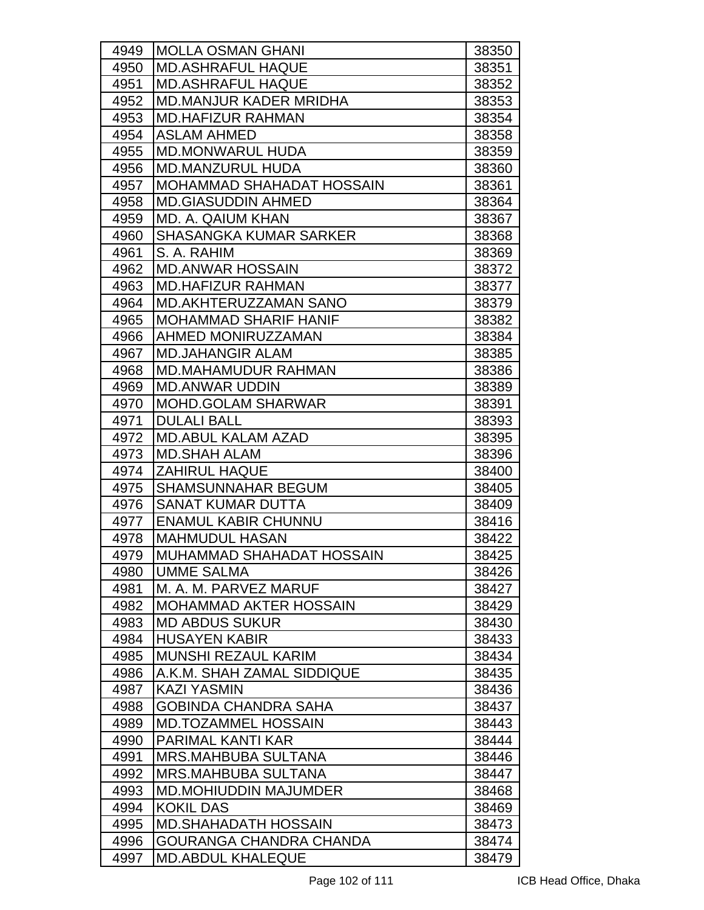| 4949 | <b>MOLLA OSMAN GHANI</b>         | 38350 |
|------|----------------------------------|-------|
| 4950 | <b>MD.ASHRAFUL HAQUE</b>         | 38351 |
| 4951 | <b>MD.ASHRAFUL HAQUE</b>         | 38352 |
| 4952 | <b>MD.MANJUR KADER MRIDHA</b>    | 38353 |
| 4953 | <b>MD.HAFIZUR RAHMAN</b>         | 38354 |
| 4954 | <b>IASLAM AHMED</b>              | 38358 |
| 4955 | <b>MD.MONWARUL HUDA</b>          | 38359 |
| 4956 | <b>MD.MANZURUL HUDA</b>          | 38360 |
| 4957 | <b>MOHAMMAD SHAHADAT HOSSAIN</b> | 38361 |
| 4958 | <b>MD.GIASUDDIN AHMED</b>        | 38364 |
| 4959 | <b>MD. A. QAIUM KHAN</b>         | 38367 |
| 4960 | <b>SHASANGKA KUMAR SARKER</b>    | 38368 |
| 4961 | S. A. RAHIM                      | 38369 |
| 4962 | <b>MD.ANWAR HOSSAIN</b>          | 38372 |
| 4963 | <b>MD.HAFIZUR RAHMAN</b>         | 38377 |
| 4964 | <b>MD.AKHTERUZZAMAN SANO</b>     | 38379 |
| 4965 | <b>MOHAMMAD SHARIF HANIF</b>     | 38382 |
| 4966 | AHMED MONIRUZZAMAN               | 38384 |
| 4967 | <b>MD.JAHANGIR ALAM</b>          | 38385 |
| 4968 | <b>MD.MAHAMUDUR RAHMAN</b>       | 38386 |
| 4969 | <b>MD.ANWAR UDDIN</b>            | 38389 |
| 4970 | <b>MOHD.GOLAM SHARWAR</b>        | 38391 |
| 4971 | <b>DULALI BALL</b>               | 38393 |
| 4972 | <b>MD.ABUL KALAM AZAD</b>        | 38395 |
| 4973 | <b>MD.SHAH ALAM</b>              | 38396 |
| 4974 | <b>ZAHIRUL HAQUE</b>             | 38400 |
| 4975 | <b>SHAMSUNNAHAR BEGUM</b>        | 38405 |
| 4976 | <b>SANAT KUMAR DUTTA</b>         | 38409 |
| 4977 | <b>ENAMUL KABIR CHUNNU</b>       | 38416 |
| 4978 | <b>MAHMUDUL HASAN</b>            | 38422 |
| 4979 | MUHAMMAD SHAHADAT HOSSAIN        | 38425 |
| 4980 | UMME SALMA                       | 38426 |
| 4981 | M. A. M. PARVEZ MARUF            | 38427 |
| 4982 | <b>MOHAMMAD AKTER HOSSAIN</b>    | 38429 |
| 4983 | <b>MD ABDUS SUKUR</b>            | 38430 |
| 4984 | <b>HUSAYEN KABIR</b>             | 38433 |
| 4985 | <b>MUNSHI REZAUL KARIM</b>       | 38434 |
| 4986 | A.K.M. SHAH ZAMAL SIDDIQUE       | 38435 |
| 4987 | <b>KAZI YASMIN</b>               | 38436 |
| 4988 | <b>GOBINDA CHANDRA SAHA</b>      | 38437 |
| 4989 | <b>MD.TOZAMMEL HOSSAIN</b>       | 38443 |
| 4990 | <b>PARIMAL KANTI KAR</b>         | 38444 |
| 4991 | <b>MRS.MAHBUBA SULTANA</b>       | 38446 |
| 4992 | <b>MRS.MAHBUBA SULTANA</b>       | 38447 |
| 4993 | <b>MD.MOHIUDDIN MAJUMDER</b>     | 38468 |
| 4994 | <b>KOKIL DAS</b>                 | 38469 |
| 4995 | <b>MD.SHAHADATH HOSSAIN</b>      | 38473 |
| 4996 | GOURANGA CHANDRA CHANDA          | 38474 |
| 4997 | <b>MD.ABDUL KHALEQUE</b>         | 38479 |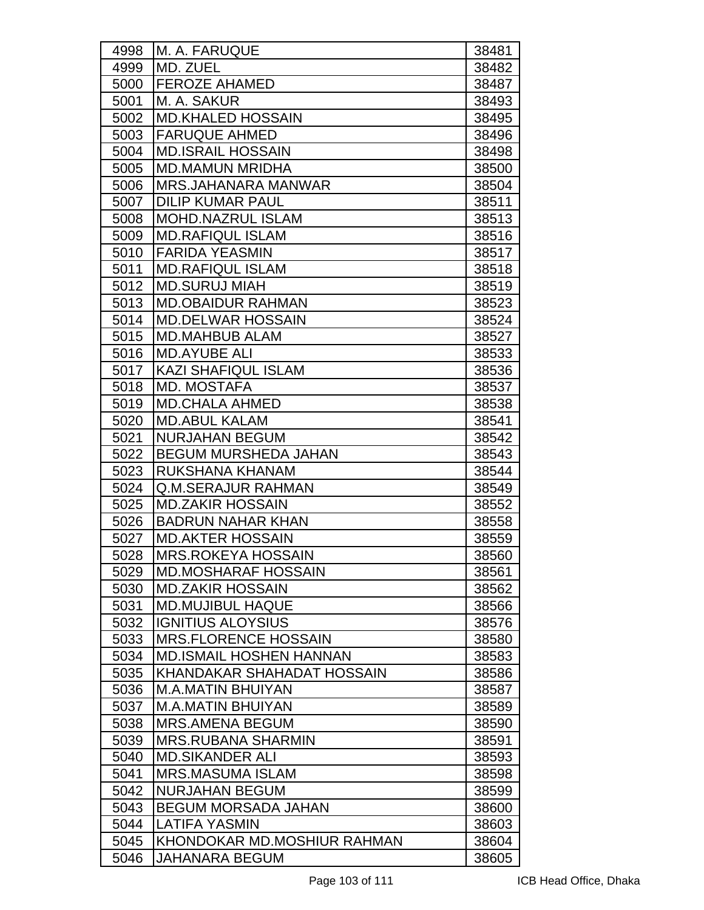| 4998 | M. A. FARUQUE                  | 38481 |
|------|--------------------------------|-------|
| 4999 | MD. ZUEL                       | 38482 |
| 5000 | <b>FEROZE AHAMED</b>           | 38487 |
| 5001 | M. A. SAKUR                    | 38493 |
| 5002 | <b>MD.KHALED HOSSAIN</b>       | 38495 |
| 5003 | <b>FARUQUE AHMED</b>           | 38496 |
| 5004 | <b>MD.ISRAIL HOSSAIN</b>       | 38498 |
| 5005 | <b>MD.MAMUN MRIDHA</b>         | 38500 |
| 5006 | <b>MRS.JAHANARA MANWAR</b>     | 38504 |
| 5007 | <b>DILIP KUMAR PAUL</b>        | 38511 |
| 5008 | <b>MOHD.NAZRUL ISLAM</b>       | 38513 |
| 5009 | <b>MD.RAFIQUL ISLAM</b>        | 38516 |
| 5010 | <b>FARIDA YEASMIN</b>          | 38517 |
| 5011 | <b>MD.RAFIQUL ISLAM</b>        | 38518 |
| 5012 | <b>MD.SURUJ MIAH</b>           | 38519 |
| 5013 | <b>MD.OBAIDUR RAHMAN</b>       | 38523 |
| 5014 | <b>MD.DELWAR HOSSAIN</b>       | 38524 |
| 5015 | <b>MD.MAHBUB ALAM</b>          | 38527 |
| 5016 | <b>MD.AYUBE ALI</b>            | 38533 |
| 5017 | <b>KAZI SHAFIQUL ISLAM</b>     | 38536 |
| 5018 | <b>MD. MOSTAFA</b>             | 38537 |
| 5019 | <b>MD.CHALA AHMED</b>          | 38538 |
| 5020 | <b>MD.ABUL KALAM</b>           | 38541 |
| 5021 | <b>NURJAHAN BEGUM</b>          | 38542 |
| 5022 | <b>BEGUM MURSHEDA JAHAN</b>    | 38543 |
| 5023 | RUKSHANA KHANAM                | 38544 |
| 5024 | <b>Q.M.SERAJUR RAHMAN</b>      | 38549 |
| 5025 | <b>MD.ZAKIR HOSSAIN</b>        | 38552 |
| 5026 | <b>BADRUN NAHAR KHAN</b>       | 38558 |
| 5027 | <b>MD.AKTER HOSSAIN</b>        | 38559 |
| 5028 | <b>MRS.ROKEYA HOSSAIN</b>      | 38560 |
| 5029 | <b>MD.MOSHARAF HOSSAIN</b>     | 38561 |
| 5030 | <b>MD.ZAKIR HOSSAIN</b>        | 38562 |
| 5031 | <b>MD.MUJIBUL HAQUE</b>        | 38566 |
| 5032 | <b>IGNITIUS ALOYSIUS</b>       | 38576 |
| 5033 | <b>MRS.FLORENCE HOSSAIN</b>    | 38580 |
| 5034 | <b>MD.ISMAIL HOSHEN HANNAN</b> | 38583 |
| 5035 | KHANDAKAR SHAHADAT HOSSAIN     | 38586 |
| 5036 | <b>M.A.MATIN BHUIYAN</b>       | 38587 |
| 5037 | <b>M.A.MATIN BHUIYAN</b>       | 38589 |
| 5038 | <b>MRS.AMENA BEGUM</b>         | 38590 |
| 5039 | <b>MRS.RUBANA SHARMIN</b>      | 38591 |
| 5040 | <b>MD.SIKANDER ALI</b>         | 38593 |
| 5041 | <b>MRS.MASUMA ISLAM</b>        | 38598 |
| 5042 | <b>NURJAHAN BEGUM</b>          | 38599 |
| 5043 | <b>BEGUM MORSADA JAHAN</b>     | 38600 |
| 5044 | <b>LATIFA YASMIN</b>           | 38603 |
| 5045 | KHONDOKAR MD.MOSHIUR RAHMAN    | 38604 |
| 5046 | <b>JAHANARA BEGUM</b>          | 38605 |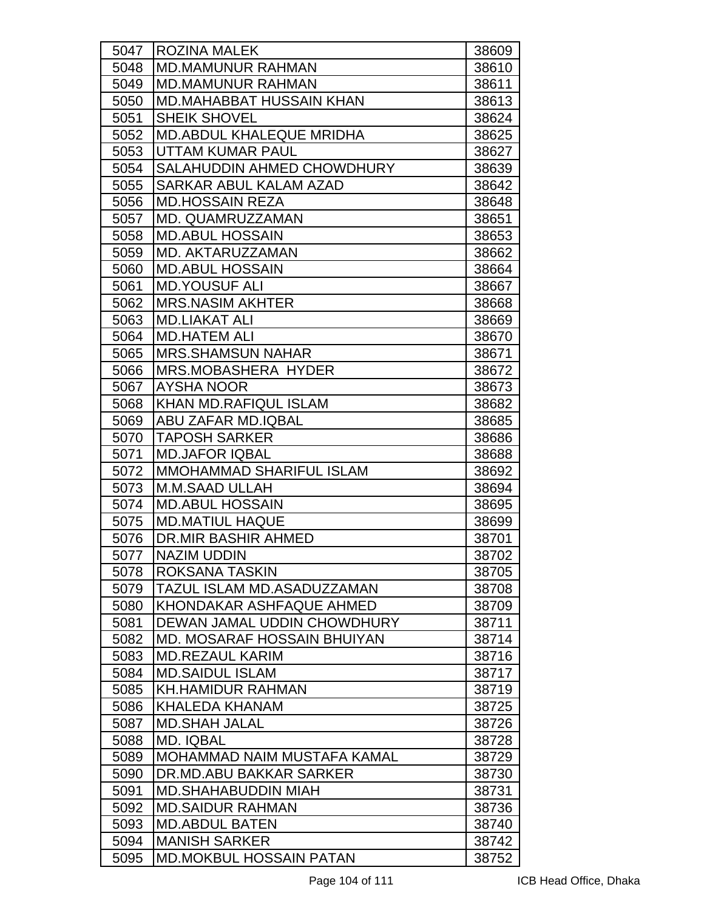| 5047 | <b>ROZINA MALEK</b>                | 38609 |
|------|------------------------------------|-------|
| 5048 | <b>MD.MAMUNUR RAHMAN</b>           | 38610 |
| 5049 | <b>MD.MAMUNUR RAHMAN</b>           | 38611 |
| 5050 | MD.MAHABBAT HUSSAIN KHAN           | 38613 |
| 5051 | <b>SHEIK SHOVEL</b>                | 38624 |
| 5052 | <b>MD.ABDUL KHALEQUE MRIDHA</b>    | 38625 |
| 5053 | UTTAM KUMAR PAUL                   | 38627 |
| 5054 | SALAHUDDIN AHMED CHOWDHURY         | 38639 |
| 5055 | SARKAR ABUL KALAM AZAD             | 38642 |
| 5056 | <b>MD.HOSSAIN REZA</b>             | 38648 |
| 5057 | MD. QUAMRUZZAMAN                   | 38651 |
| 5058 | <b>MD.ABUL HOSSAIN</b>             | 38653 |
| 5059 | MD. AKTARUZZAMAN                   | 38662 |
| 5060 | <b>MD.ABUL HOSSAIN</b>             | 38664 |
| 5061 | <b>MD.YOUSUF ALI</b>               | 38667 |
| 5062 | <b>MRS.NASIM AKHTER</b>            | 38668 |
| 5063 | <b>MD.LIAKAT ALI</b>               | 38669 |
| 5064 | <b>MD.HATEM ALI</b>                | 38670 |
| 5065 | <b>MRS.SHAMSUN NAHAR</b>           | 38671 |
| 5066 | <b>MRS.MOBASHERA HYDER</b>         | 38672 |
| 5067 | <b>AYSHA NOOR</b>                  | 38673 |
| 5068 | <b>KHAN MD.RAFIQUL ISLAM</b>       | 38682 |
| 5069 | ABU ZAFAR MD.IQBAL                 | 38685 |
| 5070 | <b>TAPOSH SARKER</b>               | 38686 |
| 5071 | <b>MD.JAFOR IQBAL</b>              | 38688 |
| 5072 | MMOHAMMAD SHARIFUL ISLAM           | 38692 |
| 5073 | <b>M.M.SAAD ULLAH</b>              | 38694 |
| 5074 | <b>MD.ABUL HOSSAIN</b>             | 38695 |
| 5075 | <b>MD.MATIUL HAQUE</b>             | 38699 |
| 5076 | DR.MIR BASHIR AHMED                | 38701 |
| 5077 | <b>NAZIM UDDIN</b>                 | 38702 |
| 5078 | ROKSANA TASKIN                     | 38705 |
| 5079 | TAZUL ISLAM MD.ASADUZZAMAN         | 38708 |
| 5080 | KHONDAKAR ASHFAQUE AHMED           | 38709 |
| 5081 | DEWAN JAMAL UDDIN CHOWDHURY        | 38711 |
| 5082 | <b>MD. MOSARAF HOSSAIN BHUIYAN</b> | 38714 |
| 5083 | <b>MD.REZAUL KARIM</b>             | 38716 |
| 5084 | <b>MD.SAIDUL ISLAM</b>             | 38717 |
| 5085 | <b>KH.HAMIDUR RAHMAN</b>           | 38719 |
| 5086 | <b>KHALEDA KHANAM</b>              | 38725 |
| 5087 | <b>MD.SHAH JALAL</b>               | 38726 |
| 5088 | <b>MD. IQBAL</b>                   | 38728 |
| 5089 | MOHAMMAD NAIM MUSTAFA KAMAL        | 38729 |
| 5090 | DR.MD.ABU BAKKAR SARKER            | 38730 |
| 5091 | <b>MD.SHAHABUDDIN MIAH</b>         | 38731 |
| 5092 | <b>MD.SAIDUR RAHMAN</b>            | 38736 |
| 5093 | <b>MD.ABDUL BATEN</b>              | 38740 |
| 5094 | <b>MANISH SARKER</b>               | 38742 |
| 5095 | <b>MD.MOKBUL HOSSAIN PATAN</b>     | 38752 |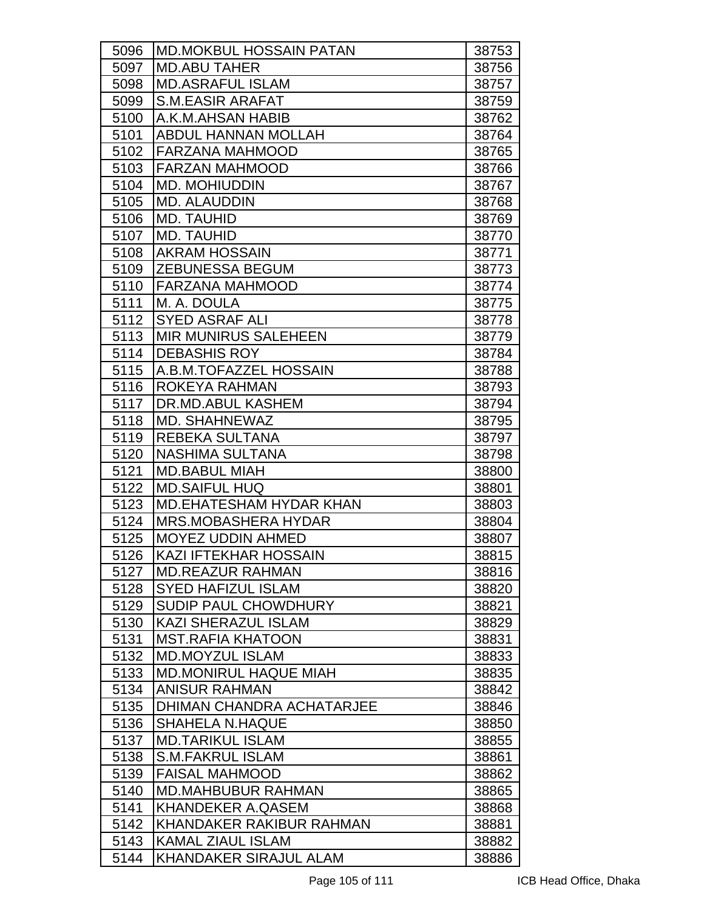| 5096 | <b>MD.MOKBUL HOSSAIN PATAN</b>   | 38753 |
|------|----------------------------------|-------|
| 5097 | <b>MD.ABU TAHER</b>              | 38756 |
| 5098 | <b>MD.ASRAFUL ISLAM</b>          | 38757 |
| 5099 | <b>S.M.EASIR ARAFAT</b>          | 38759 |
| 5100 | A.K.M.AHSAN HABIB                | 38762 |
| 5101 | <b>ABDUL HANNAN MOLLAH</b>       | 38764 |
| 5102 | <b>FARZANA MAHMOOD</b>           | 38765 |
| 5103 | <b>FARZAN MAHMOOD</b>            | 38766 |
| 5104 | <b>MD. MOHIUDDIN</b>             | 38767 |
| 5105 | MD. ALAUDDIN                     | 38768 |
| 5106 | <b>MD. TAUHID</b>                | 38769 |
| 5107 | <b>MD. TAUHID</b>                | 38770 |
| 5108 | <b>AKRAM HOSSAIN</b>             | 38771 |
| 5109 | <b>ZEBUNESSA BEGUM</b>           | 38773 |
| 5110 | <b>FARZANA MAHMOOD</b>           | 38774 |
| 5111 | M. A. DOULA                      | 38775 |
| 5112 | <b>SYED ASRAF ALI</b>            | 38778 |
| 5113 | <b>MIR MUNIRUS SALEHEEN</b>      | 38779 |
| 5114 | <b>DEBASHIS ROY</b>              | 38784 |
| 5115 | A.B.M.TOFAZZEL HOSSAIN           | 38788 |
| 5116 | ROKEYA RAHMAN                    | 38793 |
| 5117 | DR.MD.ABUL KASHEM                | 38794 |
| 5118 | <b>MD. SHAHNEWAZ</b>             | 38795 |
| 5119 | <b>REBEKA SULTANA</b>            | 38797 |
| 5120 | <b>NASHIMA SULTANA</b>           | 38798 |
| 5121 | <b>MD.BABUL MIAH</b>             | 38800 |
| 5122 | <b>MD.SAIFUL HUQ</b>             | 38801 |
| 5123 | <b>MD.EHATESHAM HYDAR KHAN</b>   | 38803 |
| 5124 | <b>MRS.MOBASHERA HYDAR</b>       | 38804 |
| 5125 | <b>MOYEZ UDDIN AHMED</b>         | 38807 |
| 5126 | KAZI IFTEKHAR HOSSAIN            | 38815 |
| 5127 | <b>MD.REAZUR RAHMAN</b>          | 38816 |
| 5128 | <b>SYED HAFIZUL ISLAM</b>        | 38820 |
| 5129 | <b>SUDIP PAUL CHOWDHURY</b>      | 38821 |
| 5130 | <b>KAZI SHERAZUL ISLAM</b>       | 38829 |
| 5131 | <b>MST.RAFIA KHATOON</b>         | 38831 |
| 5132 | <b>MD.MOYZUL ISLAM</b>           | 38833 |
| 5133 | <b>MD.MONIRUL HAQUE MIAH</b>     | 38835 |
| 5134 | <b>ANISUR RAHMAN</b>             | 38842 |
| 5135 | <b>DHIMAN CHANDRA ACHATARJEE</b> | 38846 |
| 5136 | <b>SHAHELA N.HAQUE</b>           | 38850 |
| 5137 | <b>MD.TARIKUL ISLAM</b>          | 38855 |
| 5138 | <b>S.M.FAKRUL ISLAM</b>          | 38861 |
| 5139 | <b>FAISAL MAHMOOD</b>            | 38862 |
| 5140 | <b>MD.MAHBUBUR RAHMAN</b>        | 38865 |
| 5141 | <b>KHANDEKER A.QASEM</b>         | 38868 |
| 5142 | KHANDAKER RAKIBUR RAHMAN         | 38881 |
| 5143 | <b>KAMAL ZIAUL ISLAM</b>         | 38882 |
| 5144 | <b>KHANDAKER SIRAJUL ALAM</b>    | 38886 |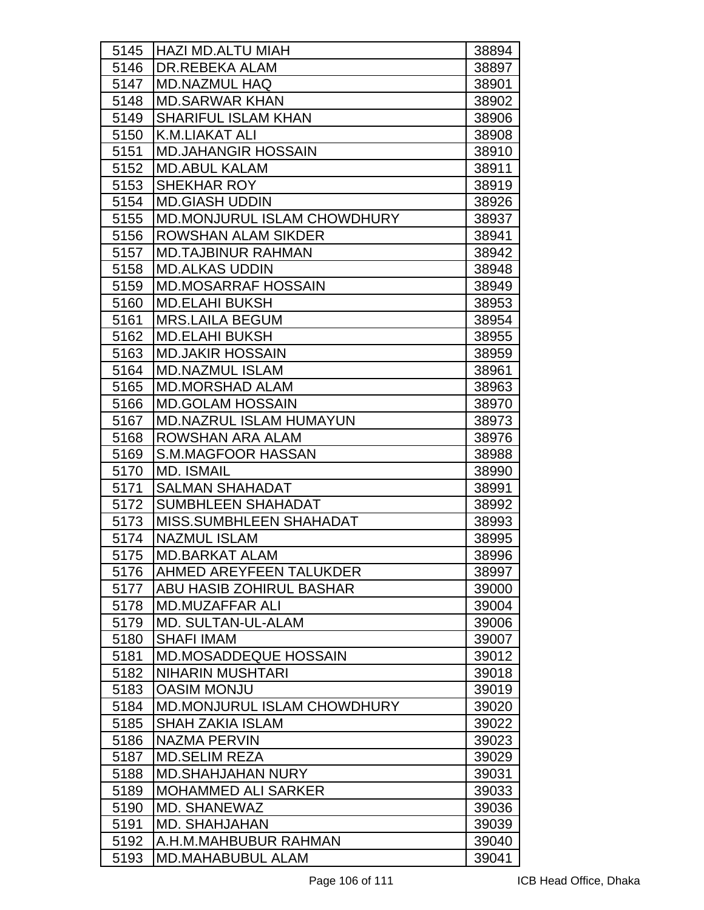| 5145 | <b>HAZI MD.ALTU MIAH</b>           | 38894 |
|------|------------------------------------|-------|
| 5146 | <b>DR.REBEKA ALAM</b>              | 38897 |
| 5147 | <b>MD.NAZMUL HAQ</b>               | 38901 |
| 5148 | <b>MD.SARWAR KHAN</b>              | 38902 |
| 5149 | <b>SHARIFUL ISLAM KHAN</b>         | 38906 |
| 5150 | <b>K.M.LIAKAT ALI</b>              | 38908 |
| 5151 | <b>MD.JAHANGIR HOSSAIN</b>         | 38910 |
| 5152 | <b>MD.ABUL KALAM</b>               | 38911 |
| 5153 | <b>SHEKHAR ROY</b>                 | 38919 |
| 5154 | <b>MD.GIASH UDDIN</b>              | 38926 |
| 5155 | MD.MONJURUL ISLAM CHOWDHURY        | 38937 |
| 5156 | <b>ROWSHAN ALAM SIKDER</b>         | 38941 |
| 5157 | <b>MD.TAJBINUR RAHMAN</b>          | 38942 |
| 5158 | <b>MD.ALKAS UDDIN</b>              | 38948 |
| 5159 | <b>MD.MOSARRAF HOSSAIN</b>         | 38949 |
| 5160 | <b>MD.ELAHI BUKSH</b>              | 38953 |
| 5161 | <b>MRS.LAILA BEGUM</b>             | 38954 |
| 5162 | <b>MD.ELAHI BUKSH</b>              | 38955 |
| 5163 | <b>MD.JAKIR HOSSAIN</b>            | 38959 |
| 5164 | <b>MD.NAZMUL ISLAM</b>             | 38961 |
| 5165 | <b>MD.MORSHAD ALAM</b>             | 38963 |
| 5166 | <b>MD.GOLAM HOSSAIN</b>            | 38970 |
| 5167 | <b>MD.NAZRUL ISLAM HUMAYUN</b>     | 38973 |
| 5168 | ROWSHAN ARA ALAM                   | 38976 |
| 5169 | <b>S.M.MAGFOOR HASSAN</b>          | 38988 |
| 5170 | <b>MD. ISMAIL</b>                  | 38990 |
| 5171 | <b>SALMAN SHAHADAT</b>             | 38991 |
| 5172 | SUMBHLEEN SHAHADAT                 | 38992 |
| 5173 | MISS.SUMBHLEEN SHAHADAT            | 38993 |
| 5174 | <b>NAZMUL ISLAM</b>                | 38995 |
| 5175 | MD.BARKAT ALAM                     | 38996 |
| 5176 | IAHMED AREYFEEN TALUKDER           | 38997 |
| 5177 | ABU HASIB ZOHIRUL BASHAR           | 39000 |
| 5178 | MD.MUZAFFAR ALI                    | 39004 |
| 5179 | <b>MD. SULTAN-UL-ALAM</b>          | 39006 |
| 5180 | <b>SHAFI IMAM</b>                  | 39007 |
| 5181 | MD.MOSADDEQUE HOSSAIN              | 39012 |
| 5182 | <b>NIHARIN MUSHTARI</b>            | 39018 |
| 5183 | <b>OASIM MONJU</b>                 | 39019 |
| 5184 | <b>MD.MONJURUL ISLAM CHOWDHURY</b> | 39020 |
| 5185 | <b>SHAH ZAKIA ISLAM</b>            | 39022 |
| 5186 | NAZMA PERVIN                       | 39023 |
| 5187 | <b>MD.SELIM REZA</b>               | 39029 |
| 5188 | <b>MD.SHAHJAHAN NURY</b>           | 39031 |
| 5189 | <b>MOHAMMED ALI SARKER</b>         | 39033 |
| 5190 | <b>MD. SHANEWAZ</b>                | 39036 |
| 5191 | MD. SHAHJAHAN                      | 39039 |
| 5192 | A.H.M.MAHBUBUR RAHMAN              | 39040 |
| 5193 | <b>MD.MAHABUBUL ALAM</b>           | 39041 |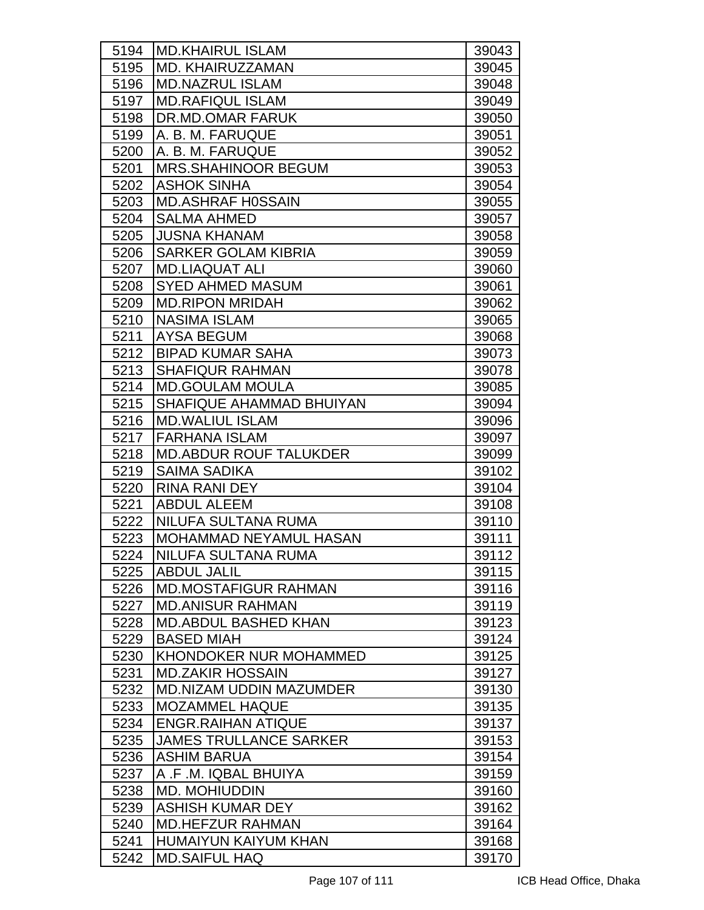| 5194 | <b>IMD.KHAIRUL ISLAM</b>       |                |
|------|--------------------------------|----------------|
| 5195 | <b>MD. KHAIRUZZAMAN</b>        | 39043<br>39045 |
| 5196 | <b>MD.NAZRUL ISLAM</b>         | 39048          |
|      | <b>MD.RAFIQUL ISLAM</b>        |                |
| 5197 | DR.MD.OMAR FARUK               | 39049          |
| 5198 | A. B. M. FARUQUE               | 39050          |
| 5199 |                                | 39051          |
| 5200 | A. B. M. FARUQUE               | 39052          |
| 5201 | <b>MRS.SHAHINOOR BEGUM</b>     | 39053          |
| 5202 | <b>ASHOK SINHA</b>             | 39054          |
| 5203 | <b>MD.ASHRAF H0SSAIN</b>       | 39055          |
| 5204 | <b>SALMA AHMED</b>             | 39057          |
| 5205 | <b>JUSNA KHANAM</b>            | 39058          |
| 5206 | <b>SARKER GOLAM KIBRIA</b>     | 39059          |
| 5207 | <b>MD.LIAQUAT ALI</b>          | 39060          |
| 5208 | <b>SYED AHMED MASUM</b>        | 39061          |
| 5209 | <b>MD.RIPON MRIDAH</b>         | 39062          |
| 5210 | <b>NASIMA ISLAM</b>            | 39065          |
| 5211 | <b>AYSA BEGUM</b>              | 39068          |
| 5212 | <b>BIPAD KUMAR SAHA</b>        | 39073          |
| 5213 | <b>SHAFIQUR RAHMAN</b>         | 39078          |
| 5214 | <b>MD.GOULAM MOULA</b>         | 39085          |
| 5215 | SHAFIQUE AHAMMAD BHUIYAN       | 39094          |
| 5216 | <b>MD.WALIUL ISLAM</b>         | 39096          |
| 5217 | <b>FARHANA ISLAM</b>           | 39097          |
| 5218 | <b>MD.ABDUR ROUF TALUKDER</b>  | 39099          |
| 5219 | <b>SAIMA SADIKA</b>            | 39102          |
| 5220 | <b>RINA RANI DEY</b>           | 39104          |
| 5221 | <b>ABDUL ALEEM</b>             | 39108          |
| 5222 | NILUFA SULTANA RUMA            | 39110          |
| 5223 | <b>MOHAMMAD NEYAMUL HASAN</b>  | 39111          |
| 5224 | NILUFA SULTANA RUMA            | 39112          |
| 5225 | ABDUL JALIL                    | 39115          |
| 5226 | <b>MD.MOSTAFIGUR RAHMAN</b>    | 39116          |
| 5227 | <b>MD.ANISUR RAHMAN</b>        | 39119          |
| 5228 | <b>MD.ABDUL BASHED KHAN</b>    | 39123          |
| 5229 | <b>BASED MIAH</b>              | 39124          |
| 5230 | <b>KHONDOKER NUR MOHAMMED</b>  | 39125          |
| 5231 | <b>MD.ZAKIR HOSSAIN</b>        | 39127          |
| 5232 | <b>MD.NIZAM UDDIN MAZUMDER</b> | 39130          |
| 5233 | <b>IMOZAMMEL HAQUE</b>         | 39135          |
| 5234 | <b>ENGR.RAIHAN ATIQUE</b>      | 39137          |
| 5235 | <b>JAMES TRULLANCE SARKER</b>  | 39153          |
| 5236 | <b>ASHIM BARUA</b>             | 39154          |
| 5237 | A .F .M. IQBAL BHUIYA          | 39159          |
| 5238 | <b>MD. MOHIUDDIN</b>           | 39160          |
| 5239 | <b>ASHISH KUMAR DEY</b>        | 39162          |
| 5240 | <b>MD.HEFZUR RAHMAN</b>        | 39164          |
| 5241 | <b>HUMAIYUN KAIYUM KHAN</b>    | 39168          |
| 5242 | <b>MD.SAIFUL HAQ</b>           | 39170          |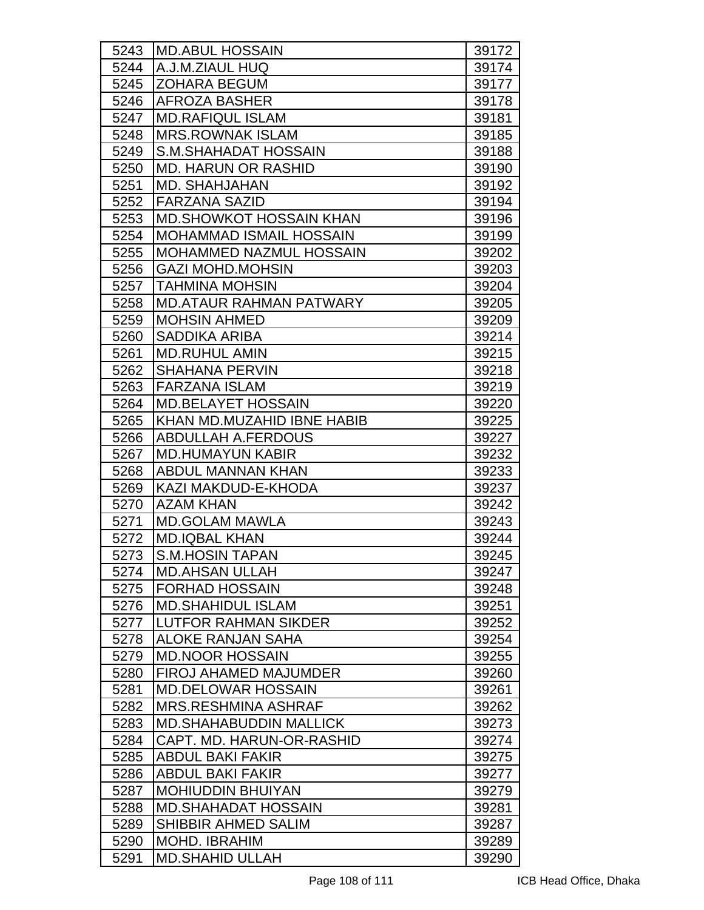| 5243 | <b>IMD.ABUL HOSSAIN</b>         | 39172 |
|------|---------------------------------|-------|
| 5244 | A.J.M.ZIAUL HUQ                 | 39174 |
| 5245 | IZOHARA BEGUM                   | 39177 |
| 5246 | <b>AFROZA BASHER</b>            | 39178 |
| 5247 | <b>MD.RAFIQUL ISLAM</b>         | 39181 |
| 5248 | <b>MRS.ROWNAK ISLAM</b>         | 39185 |
| 5249 | S.M.SHAHADAT HOSSAIN            | 39188 |
| 5250 | <b>MD. HARUN OR RASHID</b>      | 39190 |
| 5251 | MD. SHAHJAHAN                   | 39192 |
| 5252 | FARZANA SAZID                   | 39194 |
| 5253 | <b>IMD.SHOWKOT HOSSAIN KHAN</b> | 39196 |
| 5254 | <b>MOHAMMAD ISMAIL HOSSAIN</b>  | 39199 |
| 5255 | <b>MOHAMMED NAZMUL HOSSAIN</b>  | 39202 |
| 5256 | <b>GAZI MOHD.MOHSIN</b>         | 39203 |
| 5257 | ITAHMINA MOHSIN                 | 39204 |
| 5258 | <b>MD.ATAUR RAHMAN PATWARY</b>  | 39205 |
| 5259 | <b>MOHSIN AHMED</b>             | 39209 |
| 5260 | <b>SADDIKA ARIBA</b>            | 39214 |
| 5261 | MD.RUHUL AMIN                   | 39215 |
| 5262 | <b>SHAHANA PERVIN</b>           | 39218 |
| 5263 | <b>FARZANA ISLAM</b>            | 39219 |
| 5264 | <b>MD.BELAYET HOSSAIN</b>       | 39220 |
| 5265 | KHAN MD.MUZAHID IBNE HABIB      | 39225 |
| 5266 | ABDULLAH A.FERDOUS              | 39227 |
| 5267 | <b>MD.HUMAYUN KABIR</b>         | 39232 |
| 5268 | <b>ABDUL MANNAN KHAN</b>        | 39233 |
| 5269 | KAZI MAKDUD-E-KHODA             | 39237 |
| 5270 | <b>AZAM KHAN</b>                | 39242 |
| 5271 | <b>MD.GOLAM MAWLA</b>           | 39243 |
| 5272 | <b>MD.IQBAL KHAN</b>            | 39244 |
| 5273 | <b>S.M.HOSIN TAPAN</b>          | 39245 |
| 5274 | <b>MD.AHSAN ULLAH</b>           | 39247 |
| 5275 | <b>FORHAD HOSSAIN</b>           | 39248 |
| 5276 | <b>MD.SHAHIDUL ISLAM</b>        | 39251 |
| 5277 | <b>ILUTFOR RAHMAN SIKDER</b>    | 39252 |
| 5278 | <b>ALOKE RANJAN SAHA</b>        | 39254 |
| 5279 | <b>MD.NOOR HOSSAIN</b>          | 39255 |
| 5280 | <b>FIROJ AHAMED MAJUMDER</b>    | 39260 |
| 5281 | <b>MD.DELOWAR HOSSAIN</b>       | 39261 |
| 5282 | <b>IMRS.RESHMINA ASHRAF</b>     | 39262 |
| 5283 | <b>MD.SHAHABUDDIN MALLICK</b>   | 39273 |
| 5284 | CAPT. MD. HARUN-OR-RASHID       | 39274 |
| 5285 | <b>ABDUL BAKI FAKIR</b>         | 39275 |
| 5286 | <b>ABDUL BAKI FAKIR</b>         | 39277 |
| 5287 | <b>MOHIUDDIN BHUIYAN</b>        | 39279 |
| 5288 | <b>MD.SHAHADAT HOSSAIN</b>      | 39281 |
| 5289 | SHIBBIR AHMED SALIM             | 39287 |
| 5290 | <b>MOHD. IBRAHIM</b>            | 39289 |
| 5291 | <b>MD.SHAHID ULLAH</b>          | 39290 |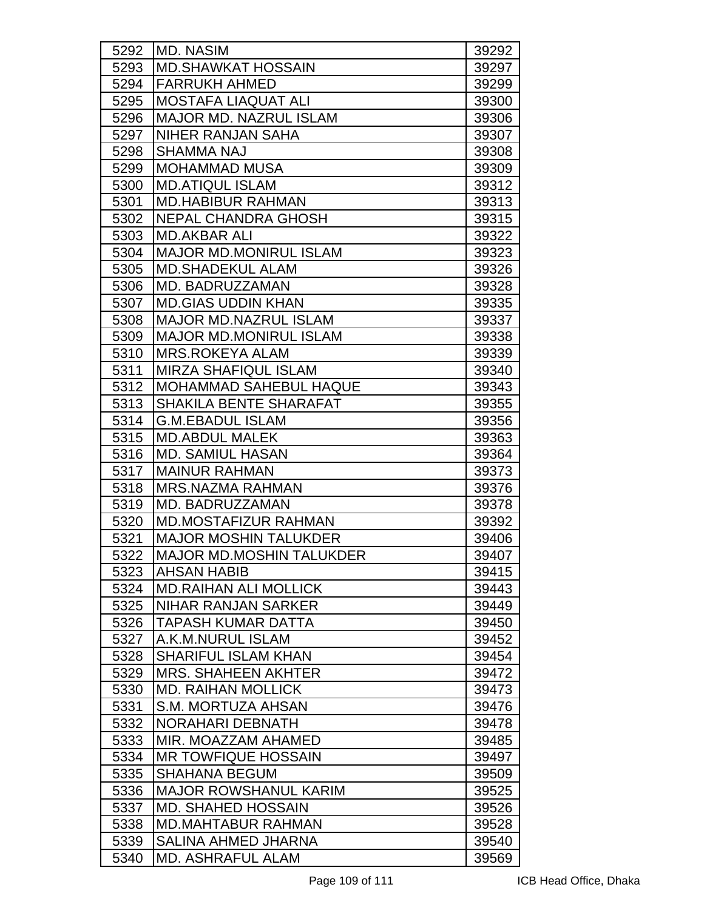| 5292 | <b>MD. NASIM</b>              | 39292 |
|------|-------------------------------|-------|
| 5293 | <b>MD.SHAWKAT HOSSAIN</b>     | 39297 |
| 5294 | <b>FARRUKH AHMED</b>          | 39299 |
| 5295 | <b>MOSTAFA LIAQUAT ALI</b>    | 39300 |
| 5296 | <b>MAJOR MD. NAZRUL ISLAM</b> | 39306 |
| 5297 | <b>NIHER RANJAN SAHA</b>      | 39307 |
| 5298 | SHAMMA NAJ                    | 39308 |
| 5299 | <b>MOHAMMAD MUSA</b>          | 39309 |
| 5300 | <b>MD.ATIQUL ISLAM</b>        | 39312 |
| 5301 | <b>MD.HABIBUR RAHMAN</b>      | 39313 |
| 5302 | <b>NEPAL CHANDRA GHOSH</b>    | 39315 |
| 5303 | <b>MD.AKBAR ALI</b>           | 39322 |
| 5304 | <b>MAJOR MD.MONIRUL ISLAM</b> | 39323 |
| 5305 | <b>MD.SHADEKUL ALAM</b>       | 39326 |
| 5306 | MD. BADRUZZAMAN               | 39328 |
| 5307 | <b>MD.GIAS UDDIN KHAN</b>     | 39335 |
| 5308 | <b>MAJOR MD.NAZRUL ISLAM</b>  | 39337 |
| 5309 | <b>MAJOR MD.MONIRUL ISLAM</b> | 39338 |
| 5310 | <b>MRS.ROKEYA ALAM</b>        | 39339 |
| 5311 | <b>MIRZA SHAFIQUL ISLAM</b>   | 39340 |
| 5312 | <b>MOHAMMAD SAHEBUL HAQUE</b> | 39343 |
| 5313 | SHAKILA BENTE SHARAFAT        | 39355 |
| 5314 | <b>G.M.EBADUL ISLAM</b>       | 39356 |
| 5315 | <b>MD.ABDUL MALEK</b>         | 39363 |
| 5316 | <b>MD. SAMIUL HASAN</b>       | 39364 |
| 5317 | <b>MAINUR RAHMAN</b>          | 39373 |
| 5318 | <b>MRS.NAZMA RAHMAN</b>       | 39376 |
| 5319 | MD. BADRUZZAMAN               | 39378 |
| 5320 | <b>MD.MOSTAFIZUR RAHMAN</b>   | 39392 |
| 5321 | <b>MAJOR MOSHIN TALUKDER</b>  | 39406 |
| 5322 | MAJOR MD.MOSHIN TALUKDER      | 39407 |
| 5323 | IAHSAN HABIB                  | 39415 |
| 5324 | <b>MD.RAIHAN ALI MOLLICK</b>  | 39443 |
| 5325 | NIHAR RANJAN SARKER           | 39449 |
| 5326 | <b>TAPASH KUMAR DATTA</b>     | 39450 |
| 5327 | A.K.M.NURUL ISLAM             | 39452 |
| 5328 | <b>SHARIFUL ISLAM KHAN</b>    | 39454 |
| 5329 | <b>MRS. SHAHEEN AKHTER</b>    | 39472 |
| 5330 | <b>MD. RAIHAN MOLLICK</b>     | 39473 |
| 5331 | S.M. MORTUZA AHSAN            | 39476 |
| 5332 | NORAHARI DEBNATH              | 39478 |
| 5333 | MIR. MOAZZAM AHAMED           | 39485 |
| 5334 | <b>MR TOWFIQUE HOSSAIN</b>    | 39497 |
| 5335 | <b>SHAHANA BEGUM</b>          | 39509 |
| 5336 | <b>MAJOR ROWSHANUL KARIM</b>  | 39525 |
| 5337 | <b>MD. SHAHED HOSSAIN</b>     | 39526 |
| 5338 | <b>MD.MAHTABUR RAHMAN</b>     | 39528 |
| 5339 | <b>SALINA AHMED JHARNA</b>    | 39540 |
| 5340 | <b>MD. ASHRAFUL ALAM</b>      | 39569 |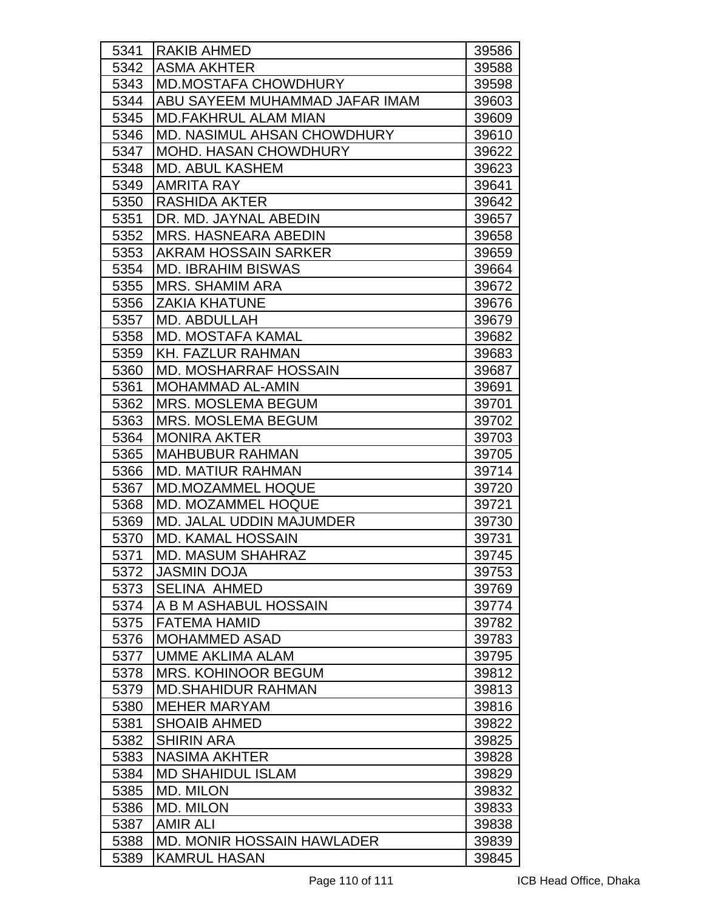| 5341 | <b>RAKIB AHMED</b>                 | 39586 |
|------|------------------------------------|-------|
| 5342 | <b>ASMA AKHTER</b>                 | 39588 |
| 5343 | <b>MD.MOSTAFA CHOWDHURY</b>        | 39598 |
| 5344 | ABU SAYEEM MUHAMMAD JAFAR IMAM     | 39603 |
| 5345 | <b>MD.FAKHRUL ALAM MIAN</b>        | 39609 |
| 5346 | <b>MD. NASIMUL AHSAN CHOWDHURY</b> | 39610 |
| 5347 | <b>MOHD. HASAN CHOWDHURY</b>       | 39622 |
| 5348 | <b>MD. ABUL KASHEM</b>             | 39623 |
| 5349 | <b>AMRITA RAY</b>                  | 39641 |
| 5350 | <b>RASHIDA AKTER</b>               | 39642 |
| 5351 | DR. MD. JAYNAL ABEDIN              | 39657 |
| 5352 | <b>MRS. HASNEARA ABEDIN</b>        | 39658 |
| 5353 | <b>AKRAM HOSSAIN SARKER</b>        | 39659 |
| 5354 | <b>MD. IBRAHIM BISWAS</b>          | 39664 |
| 5355 | <b>MRS. SHAMIM ARA</b>             | 39672 |
| 5356 | <b>ZAKIA KHATUNE</b>               | 39676 |
| 5357 | MD. ABDULLAH                       | 39679 |
| 5358 | <b>MD. MOSTAFA KAMAL</b>           | 39682 |
| 5359 | <b>KH. FAZLUR RAHMAN</b>           | 39683 |
| 5360 | <b>MD. MOSHARRAF HOSSAIN</b>       | 39687 |
| 5361 | <b>MOHAMMAD AL-AMIN</b>            | 39691 |
| 5362 | <b>MRS. MOSLEMA BEGUM</b>          | 39701 |
| 5363 | <b>MRS. MOSLEMA BEGUM</b>          | 39702 |
| 5364 | <b>MONIRA AKTER</b>                | 39703 |
| 5365 | <b>MAHBUBUR RAHMAN</b>             | 39705 |
| 5366 | <b>MD. MATIUR RAHMAN</b>           | 39714 |
| 5367 | <b>MD.MOZAMMEL HOQUE</b>           | 39720 |
| 5368 | <b>MD. MOZAMMEL HOQUE</b>          | 39721 |
| 5369 | <b>MD. JALAL UDDIN MAJUMDER</b>    | 39730 |
| 5370 | <b>MD. KAMAL HOSSAIN</b>           | 39731 |
| 5371 | <b>MD. MASUM SHAHRAZ</b>           | 39745 |
| 5372 | <b>JASMIN DOJA</b>                 | 39753 |
| 5373 | <b>SELINA AHMED</b>                | 39769 |
| 5374 | A B M ASHABUL HOSSAIN              | 39774 |
| 5375 | <b>FATEMA HAMID</b>                | 39782 |
| 5376 | <b>MOHAMMED ASAD</b>               | 39783 |
| 5377 | <b>UMME AKLIMA ALAM</b>            | 39795 |
| 5378 | <b>MRS. KOHINOOR BEGUM</b>         | 39812 |
| 5379 | <b>MD.SHAHIDUR RAHMAN</b>          | 39813 |
| 5380 | <b>MEHER MARYAM</b>                | 39816 |
| 5381 | <b>SHOAIB AHMED</b>                | 39822 |
| 5382 | <b>SHIRIN ARA</b>                  | 39825 |
| 5383 | <b>NASIMA AKHTER</b>               | 39828 |
| 5384 | <b>MD SHAHIDUL ISLAM</b>           | 39829 |
| 5385 | <b>MD. MILON</b>                   | 39832 |
| 5386 | <b>MD. MILON</b>                   | 39833 |
| 5387 | <b>AMIR ALI</b>                    | 39838 |
| 5388 | <b>MD. MONIR HOSSAIN HAWLADER</b>  | 39839 |
| 5389 | <b>KAMRUL HASAN</b>                | 39845 |